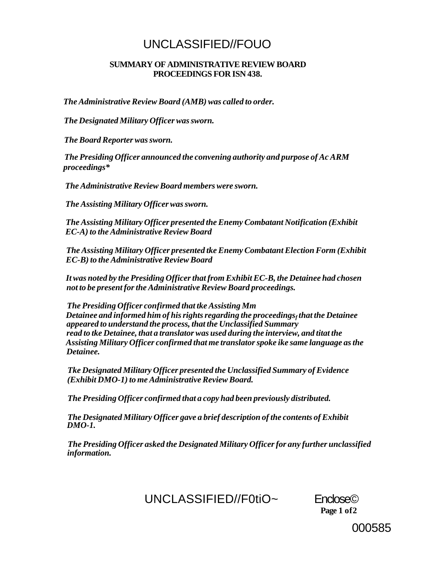## UNCLASSIFIED//FOUO

### **SUMMARY OF ADMINISTRATIVE REVIEW BOARD PROCEEDINGS FOR ISN 438.**

*The Administrative Review Board (AMB) was called to order.* 

*The Designated Military Officer was sworn.* 

*The Board Reporter was sworn.* 

*The Presiding Officer announced the convening authority and purpose of Ac ARM proceedings\** 

*The Administrative Review Board members were sworn.* 

*The Assisting Military Officer was sworn.* 

*The Assisting Military Officer presented the Enemy Combatant Notification (Exhibit EC-A) to the Administrative Review Board* 

*The Assisting Military Officer presented tke Enemy Combatant Election Form (Exhibit EC-B) to the Administrative Review Board* 

*It was noted by the Presiding Officer that from Exhibit EC-B, the Detainee had chosen not to be present for the Administrative Review Board proceedings.* 

*The Presiding Officer confirmed that tke Assisting Mm Detainee and informed him of his rights regarding the proceedings<sup>f</sup> that the Detainee appeared to understand the process, that the Unclassified Summary read to tke Detainee, that a translator was used during the interview, and titat the Assisting Military Officer confirmed that me translator spoke ike same language as the Detainee.* 

*Tke Designated Military Officer presented the Unclassified Summary of Evidence (Exhibit DMO-1) to me Administrative Review Board.* 

*The Presiding Officer confirmed that a copy had been previously distributed.* 

*The Designated Military Officer gave a brief description of the contents of Exhibit DMO-1.* 

*The Presiding Officer asked the Designated Military Officer for any further unclassified information.* 

UNCLASSIFIED//F0tiO~ Enclose©

**Page 1 of2**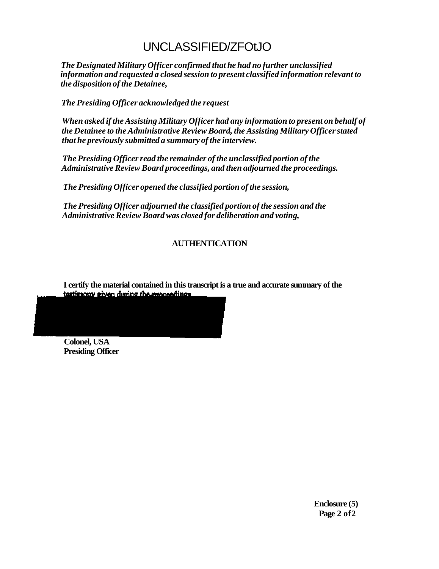## UNCLASSIFIED/ZFOtJO

*The Designated Military Officer confirmed that he had no further unclassified information and requested a closed session to present classified information relevant to the disposition of the Detainee,* 

*The Presiding Officer acknowledged the request* 

*When asked if the Assisting Military Officer had any information to present on behalf of the Detainee to the Administrative Review Board, the Assisting Military Officer stated that he previously submitted a summary of the interview.* 

*The Presiding Officer read the remainder of the unclassified portion of the Administrative Review Board proceedings, and then adjourned the proceedings.* 

*The Presiding Officer opened the classified portion of the session,* 

*The Presiding Officer adjourned the classified portion of the session and the Administrative Review Board was closed for deliberation and voting,* 

### **AUTHENTICATION**

**I certify the material contained in this transcript is a true and accurate summary of the** 

**Colonel, USA Presiding Officer** 

> **Enclosure (5) Page 2 of2**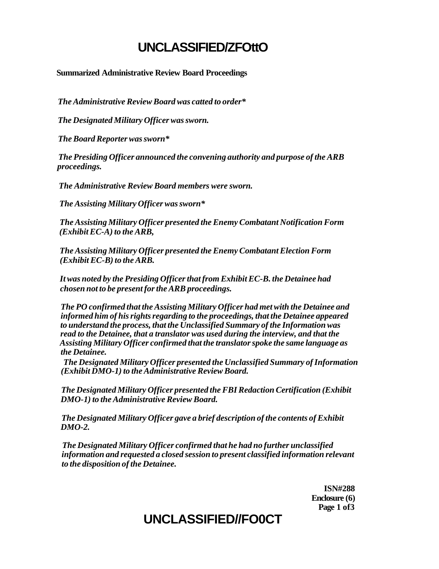# **UNCLASSIFIED/ZFOttO**

#### **Summarized Administrative Review Board Proceedings**

*The Administrative Review Board was catted to order\** 

*The Designated Military Officer was sworn.* 

*The Board Reporter was sworn\** 

*The Presiding Officer announced the convening authority and purpose of the ARB proceedings.* 

*The Administrative Review Board members were sworn.* 

*The Assisting Military Officer was sworn\** 

*The Assisting Military Officer presented the Enemy Combatant Notification Form (Exhibit EC-A) to the ARB,* 

*The Assisting Military Officer presented the Enemy Combatant Election Form (Exhibit EC-B) to the ARB.* 

*It was noted by the Presiding Officer that from Exhibit EC-B. the Detainee had chosen not to be present for the ARB proceedings.* 

*The PO confirmed that the Assisting Military Officer had met with the Detainee and informed him of his rights regarding to the proceedings, that the Detainee appeared to understand the process, that the Unclassified Summary of the Information was read to the Detainee, that a translator was used during the interview, and that the Assisting Military Officer confirmed that the translator spoke the same language as the Detainee.* 

*The Designated Military Officer presented the Unclassified Summary of Information (Exhibit DMO-1) to the Administrative Review Board.* 

*The Designated Military Officer presented the FBI Redaction Certification (Exhibit DMO-1) to the Administrative Review Board.* 

*The Designated Military Officer gave a brief description of the contents of Exhibit DMO-2.* 

*The Designated Military Officer confirmed that he had no further unclassified information and requested a closed session to present classified information relevant to the disposition of the Detainee.* 

> **ISN#288 Enclosure (6) Page 1 of3**

## **UNCLASSIFIED//FO0CT**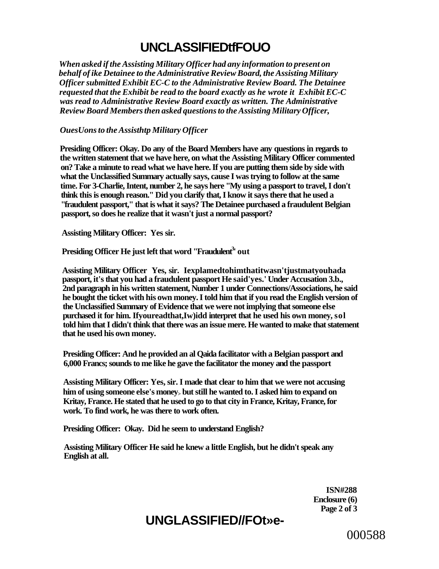# **UNCLASSlFIEDtfFOUO**

*When asked if the Assisting Military Officer had any information to present on behalf of ike Detainee to the Administrative Review Board, the Assisting Military Officer submitted Exhibit EC-C to the Administrative Review Board. The Detainee requested that the Exhibit be read to the board exactly as he wrote it Exhibit EC-C was read to Administrative Review Board exactly as written. The Administrative Review Board Members then asked questions to the Assisting Military Officer,* 

#### *OuesUons to the Assisthtp Military Officer*

**Presiding Officer: Okay. Do any of the Board Members have any questions in regards to the written statement that we have here, on what the Assisting Military Officer commented on? Take a minute to read what we have here. If you are putting them side by side with what the Unclassified Summary actually says, cause I was trying to follow at the same time. For 3-Charlie, Intent, number 2, he says here "My using a passport to travel, I don't think this is enough reason." Did you clarify that, I know it says there that he used a ''fraudulent passport," that is what it says? The Detainee purchased a fraudulent Belgian passport, so does he realize that it wasn't just a normal passport?** 

**Assisting Military Officer: Yes sir.** 

**Presiding Officer He just left that word "Fraudulent<sup>3</sup> ' out** 

**Assisting Military Officer Yes, sir. Iexplamedtohimthatitwasn'tjustmatyouhada passport, it's that you had a fraudulent passport He said'yes.' Under Accusation 3.b., 2nd paragraph in his written statement, Number 1 under Connections/Associations, he said he bought the ticket with his own money. I told him that if you read the English version of the Unclassified Summary of Evidence that we were not implying that someone else purchased it for him. Ifyoureadthat,Iw)idd interpret that he used his own money, sol told him that I didn't think that there was an issue mere. He wanted to make that statement that he used his own money.** 

**Presiding Officer: And he provided an al Qaida facilitator with a Belgian passport and 6,000 Francs; sounds to me like he gave the facilitator the money and the passport** 

**Assisting Military Officer: Yes, sir. I made that clear to him that we were not accusing him of using someone else's money> but still he wanted to. I asked him to expand on Kritay, France. He stated that he used to go to that city in France, Kritay, France, for work. To find work, he was there to work often.** 

**Presiding Officer: Okay. Did he seem to understand English?** 

**Assisting Military Officer He said he knew a little English, but he didn't speak any English at all.** 

> **ISN#288 Enclosure (6) Page 2 of 3**

## **UNGLASSIFIED//FOt»e-**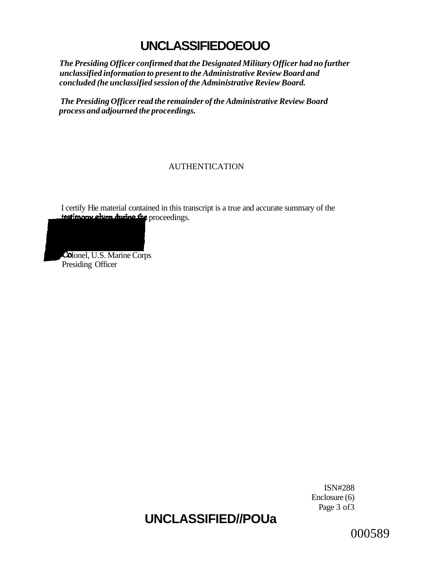# **UNCLASSIFIEDOEOUO**

*The Presiding Officer confirmed that the Designated Military Officer had no further unclassified information to present to the Administrative Review Board and concluded (he unclassified session of the Administrative Review Board.* 

*The Presiding Officer read the remainder of the Administrative Review Board process and adjourned the proceedings.* 

### AUTHENTICATION

I certify Hie material contained in this transcript is a true and accurate summary of the testimony siven during the proceedings.

Colonel, U.S. Marine Corps Presiding Officer

> ISN#288 Enclosure (6) Page 3 of3

## **UNCLASSIFIED//POUa**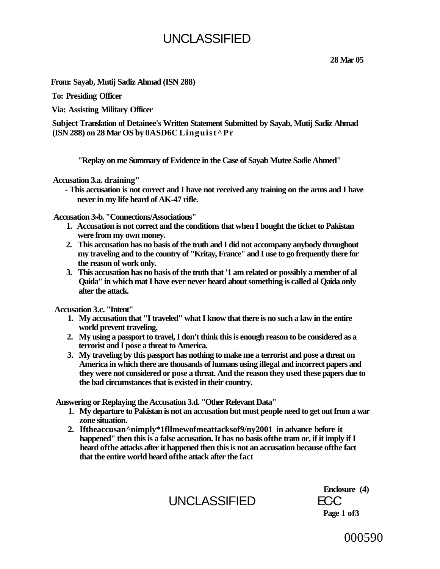# UNCLASSIFIED

**28 Mar 05** 

**From: Sayab, Mutij Sadiz Ahmad (ISN 288)** 

**To: Presiding Officer** 

**Via: Assisting Military Officer** 

**Subject Translation of Detainee's Written Statement Submitted by Sayab, Mutij Sadiz Ahmad (ISN 288) on 28 Mar OS by 0ASD6C Linguist^Pr** 

**"Replay on me Summary of Evidence in the Case of Sayab Mutee Sadie Ahmed"** 

**Accusation 3.a. draining"** 

**- This accusation is not correct and I have not received any training on the arms and I have never in my life heard of AK-47 rifle.** 

**Accusation 3»b. "Connections/Associations"** 

- **1. Accusation is not correct and the conditions that when I bought the ticket to Pakistan were from my own money.**
- **2. This accusation has no basis of the truth and I did not accompany anybody throughout my traveling and to the country of "Kritay, France" and I use to go frequently there for the reason of work only.**
- **3. This accusation has no basis of the truth that '1 am related or possibly a member of al Qaida" in which mat I have ever never heard about something is called al Qaida only after the attack.**

**Accusation 3.c. "Intent"** 

- **1. My accusation that "I traveled" what I know that there is no such a law in the entire world prevent traveling.**
- **2. My using a passport to travel, I don't think this is enough reason to be considered as a terrorist and I pose a threat to America.**
- **3. My traveling by this passport has nothing to make me a terrorist and pose a threat on America in which there are thousands of humans using illegal and incorrect papers and they were not considered or pose a threat. And the reason they used these papers due to the bad circumstances that is existed in their country.**

**Answering or Replaying the Accusation 3.d. "Other Relevant Data"** 

- **1. My departure to Pakistan is not an accusation but most people need to get out from a war zone situation.**
- **2. Iftheaccusan^nimply\*1fllmewofmeattacksof9/ny2001 in advance before it happened" then this is a false accusation. It has no basis ofthe tram or, if it imply if I heard ofthe attacks after it happened then this is not an accusation because ofthe fact that the entire world heard ofthe attack after the fact**

UNCLASSIFIED FCC

**Enclosure (4) Page 1 of3**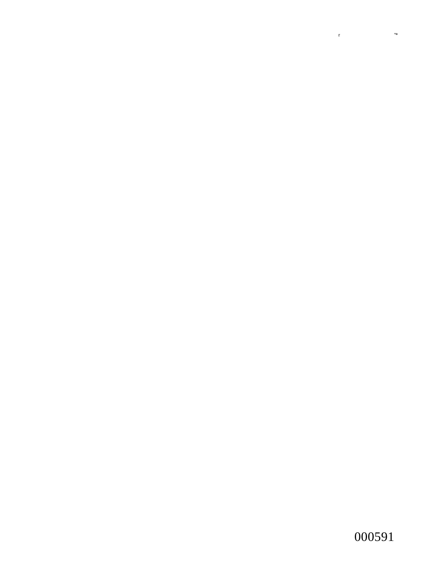000591

r "\* "\* "\* "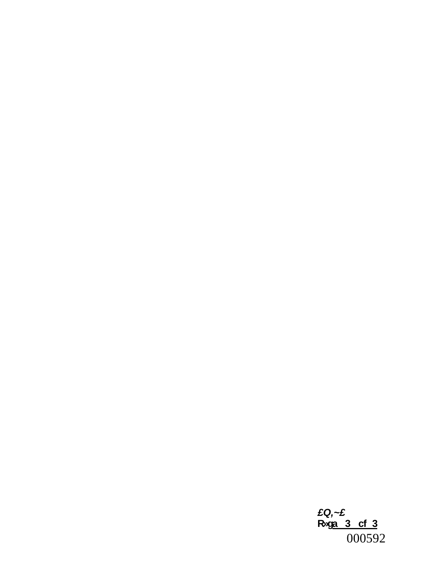### **£Q,~£ R»ga 3 cf 3**  000592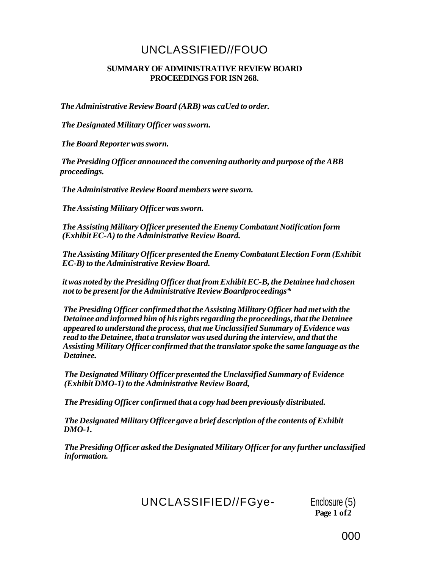## UNCLASSIFIED//FOUO

### **SUMMARY OF ADMINISTRATIVE REVIEW BOARD PROCEEDINGS FOR ISN 268.**

*The Administrative Review Board (ARB) was caUed to order.* 

*The Designated Military Officer was sworn.* 

*The Board Reporter was sworn.* 

*The Presiding Officer announced the convening authority and purpose of the ABB proceedings.* 

*The Administrative Review Board members were sworn.* 

*The Assisting Military Officer was sworn.* 

*The Assisting Military Officer presented the Enemy Combatant Notification form (Exhibit EC-A) to the Administrative Review Board.* 

*The Assisting Military Officer presented the Enemy Combatant Election Form (Exhibit EC-B) to the Administrative Review Board.* 

*it was noted by the Presiding Officer that from Exhibit EC-B, the Detainee had chosen not to be present for the Administrative Review Boardproceedings\** 

*The Presiding Officer confirmed that the Assisting Military Officer had met with the Detainee and informed him of his rights regarding the proceedings, that the Detainee appeared to understand the process, that me Unclassified Summary of Evidence was read to the Detainee, that a translator was used during the interview, and that the Assisting Military Officer confirmed that the translator spoke the same language as the Detainee.* 

*The Designated Military Officer presented the Unclassified Summary of Evidence (Exhibit DMO-1) to the Administrative Review Board,* 

*The Presiding Officer confirmed that a copy had been previously distributed.* 

*The Designated Military Officer gave a brief description of the contents of Exhibit DMO-1.* 

*The Presiding Officer asked the Designated Military Officer for any further unclassified information.* 

UNCLASSIFIED//FGye- Enclosure (5)

**Page 1 of2**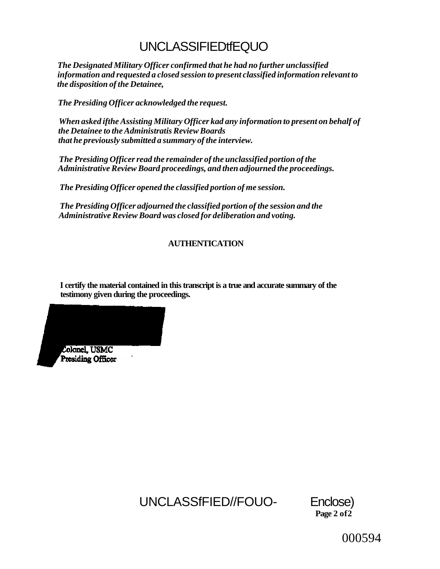## UNCLASSIFIEDtfEQUO

*The Designated Military Officer confirmed that he had no further unclassified information and requested a closed session to present classified information relevant to the disposition of the Detainee,* 

*The Presiding Officer acknowledged the request.* 

*When asked ifthe Assisting Military Officer kad any information to present on behalf of the Detainee to the Administratis Review Boards that he previously submitted a summary of the interview.* 

*The Presiding Officer read the remainder of the unclassified portion of the Administrative Review Board proceedings, and then adjourned the proceedings.* 

*The Presiding Officer opened the classified portion of me session.* 

*The Presiding Officer adjourned the classified portion of the session and the Administrative Review Board was closed for deliberation and voting.* 

### **AUTHENTICATION**

**I certify the material contained in this transcript is a true and accurate summary of the testimony given during the proceedings.** 

Colonel, USMC

Presiding Officer

UNCLASSfFIED//FOUO- Enclose)

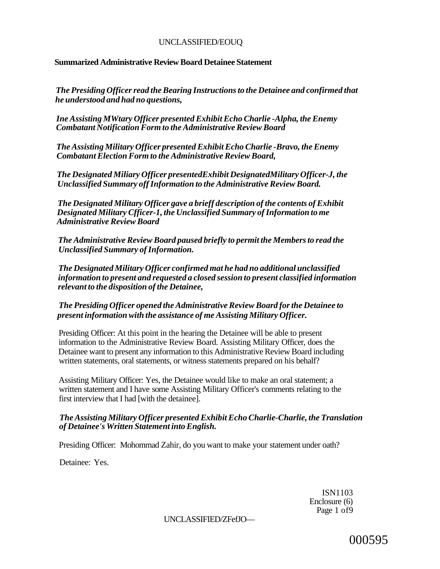### UNCLASSIFIED/EOUQ

#### **Summarized Administrative Review Board Detainee Statement**

*The Presiding Officer read the Bearing Instructions to the Detainee and confirmed that he understood and had no questions,* 

*Ine Assisting MWtary Officer presented Exhibit Echo Charlie -Alpha, the Enemy Combatant Notification Form to the Administrative Review Board* 

*The Assisting Military Officer presented Exhibit Echo Charlie -Bravo, the Enemy Combatant Election Form to the Administrative Review Board,* 

*The Designated Miliary Officer presentedExhibit DesignatedMilitary Officer-J, the Unclassified Summary off Information to the Administrative Review Board.* 

*The Designated Military Officer gave a brieff description of the contents of Exhibit Designated Military Cfficer-1, the Unclassified Summary of Information to me Administrative Review Board* 

*The Administrative Review Board paused briefly to permit the Members to read the Unclassified Summary of Information.* 

*The Designated Military Officer confirmed mat he had no additional unclassified information to present and requested a closed session to present classified information relevant to the disposition of the Detainee,* 

*The Presiding Officer opened the Administrative Review Board for the Detainee to present information with the assistance of me Assisting Military Officer.* 

Presiding Officer: At this point in the hearing the Detainee will be able to present information to the Administrative Review Board. Assisting Military Officer, does the Detainee want to present any information to this Administrative Review Board including written statements, oral statements, or witness statements prepared on his behalf?

Assisting Military Officer: Yes, the Detainee would like to make an oral statement; a written statement and I have some Assisting Military Officer's comments relating to the first interview that I had [with the detainee].

#### *The Assisting Military Officer presented Exhibit Echo Charlie-Charlie, the Translation of Detainee's Written Statement into English.*

Presiding Officer: Mohommad Zahir, do you want to make your statement under oath?

Detainee: Yes.

ISN1103 Enclosure (6) Page 1 of 9

UNCLASSIFIED/ZFefJO—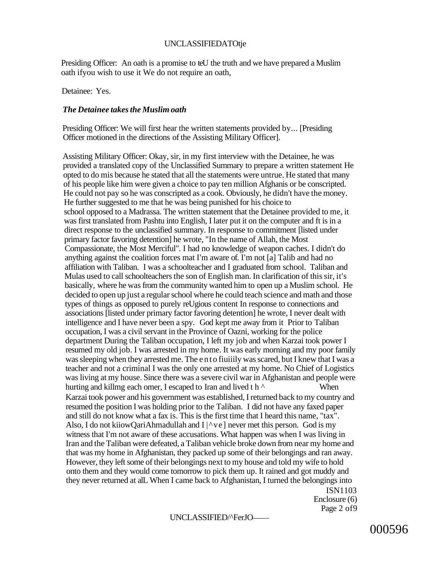#### UNCLASSIFIEDATOtje

Presiding Officer: An oath is a promise to teU the truth and we have prepared a Muslim oath ifyou wish to use it We do not require an oath,

Detainee: Yes.

#### *The Detainee takes the Muslim oath*

Presiding Officer: We will first hear the written statements provided by... [Presiding Officer motioned in the directions of the Assisting Military Officer].

Assisting Military Officer: Okay, sir, in my first interview with the Detainee, he was provided a translated copy of the Unclassified Summary to prepare a written statement He opted to do mis because he stated that all the statements were untrue. He stated that many of his people like him were given a choice to pay ten million Afghanis or be conscripted. He could not pay so he was conscripted as a cook. Obviously, he didn't have the money. He further suggested to me that he was being punished for his choice to school opposed to a Madrassa. The written statement that the Detainee provided to me, it was first translated from Pashtu into English, I later put it on the computer and ft is in a direct response to the unclassified summary. In response to commitment [listed under primary factor favoring detention] he wrote, "In the name of Allah, the Most Compassionate, the Most Merciful". I had no knowledge of weapon caches. I didn't do anything against the coalition forces mat I'm aware of. I'm not [a] Talib and had no affiliation with Taliban. I was a schoolteacher and I graduated from school. Taliban and Mulas used to call schoolteachers the son of English man. In clarification of this sir, it's basically, where he was from the community wanted him to open up a Muslim school. He decided to open up just a regular school where he could teach science and math and those types of things as opposed to purely reUgious content In response to connections and associations [listed under primary factor favoring detention] he wrote, I never dealt with intelligence and I have never been a spy. God kept me away from it Prior to Taliban occupation, I was a civil servant in the Province of Oazni, working for the police department During the Taliban occupation, I left my job and when Karzai took power I resumed my old job. I was arrested in my home. It was early morning and my poor family was sleeping when they arrested me. The ent o fiuiiily was scared, but I knew that I was a teacher and not a criminal I was the only one arrested at my home. No Chief of Logistics was living at my house. Since there was a severe civil war in Afghanistan and people were hurting and killmg each omer, I escaped to Iran and lived the  $\land$  When Karzai took power and his government was established, I returned back to my country and resumed the position I was holding prior to the Taliban. I did not have any faxed paper and still do not know what a fax is. This is the first time that I heard this name, "tax". Also, I do not kiiowQariAhmadullah and  $I \wedge v e$ ] never met this person. God is my witness that I'm not aware of these accusations. What happen was when I was living in Iran and the Taliban were defeated, a Taliban vehicle broke down from near my home and that was my home in Afghanistan, they packed up some of their belongings and ran away. However, they left some of their belongings next to my house and told my wife to hold onto them and they would come tomorrow to pick them up. It rained and got muddy and they never returned at alL When I came back to Afghanistan, I turned the belongings into

ISN1103 Enclosure (6) Page 2 of9

UNCLASSIFIED/^FerJO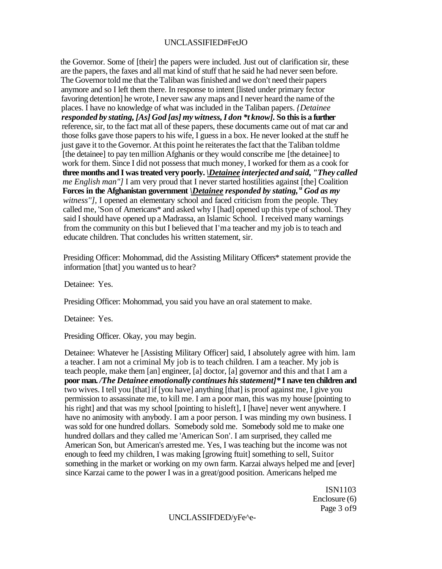#### UNCLASSIFIED#FetJO

the Governor. Some of [their] the papers were included. Just out of clarification sir, these are the papers, the faxes and all mat kind of stuff that he said he had never seen before. The Governor told me that the Taliban was finished and we don't need their papers anymore and so I left them there. In response to intent [listed under primary fector favoring detention] he wrote, I never saw any maps and I never heard the name of the places. I have no knowledge of what was included in the Taliban papers. *{Detainee responded by stating, [As] God [as] my witness, I don \*t know].* **So this is a further**  reference, sir, to the fact mat all of these papers, these documents came out of mat car and those folks gave those papers to his wife, I guess in a box. He never looked at the stuff he just gave it to the Governor. At this point he reiterates the fact that the Taliban toldme [the detainee] to pay ten million Afghanis or they would conscribe me [the detainee] to work for them. Since I did not possess that much money, I worked for them as a cook for **three months and I was treated very poorly.** *[\Detainee](file:///Detainee) interjected and said, "They called me English man"]* I am very proud that I never started hostilities against [the] Coalition Forces in the Afghanistan government *[\Detainee](file:///Detainee) responded by stating*, *" God as my witness'']*, I opened an elementary school and faced criticism from the people. They called me, 'Son of Americans\* and asked why I [had] opened up this type of school. They said I should have opened up a Madrassa, an Islamic School. I received many warnings from the community on this but I believed that I'ma teacher and my job is to teach and educate children. That concludes his written statement, sir.

Presiding Officer: Mohommad, did the Assisting Military Officers\* statement provide the information [that] you wanted us to hear?

Detainee: Yes.

Presiding Officer: Mohommad, you said you have an oral statement to make.

Detainee: Yes.

Presiding Officer. Okay, you may begin.

Detainee: Whatever he [Assisting Military Officer] said, I absolutely agree with him. lam a teacher. I am not a criminal My job is to teach children. I am a teacher. My job is teach people, make them [an] engineer, [a] doctor, [a] governor and this and that I am a **poor man.** */The Detainee emotionally continues his statement]\** **I nave ten children and**  two wives. I tell you [that] if [you have] anything [that] is proof against me, I give you permission to assassinate me, to kill me. I am a poor man, this was my house [pointing to his right] and that was my school [pointing to hisleft], I [have] never went anywhere. I have no animosity with anybody. I am a poor person. I was minding my own business. I was sold for one hundred dollars. Somebody sold me. Somebody sold me to make one hundred dollars and they called me 'American Son'. I am surprised, they called me American Son, but American's arrested me. Yes, I was teaching but the income was not enough to feed my children, I was making [growing ftuit] something to sell, Suitor something in the market or working on my own farm. Karzai always helped me and [ever] since Karzai came to the power I was in a great/good position. Americans helped me

> ISN1103 Enclosure (6) Page 3 of 9

UNCLASSIFDED/yFe^e-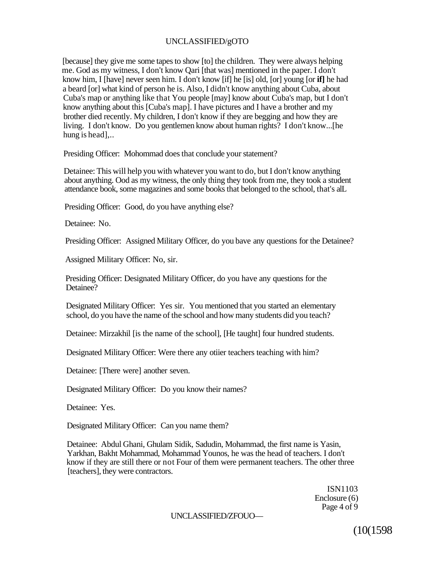### UNCLASSIFIED/gOTO

[because] they give me some tapes to show [to] the children. They were always helping me. God as my witness, I don't know Qari [that was] mentioned in the paper. I don't know him, I [have] never seen him. I don't know [if] he [is] old, [or] young [or **if]** he had a beard [or] what kind of person he is. Also, I didn't know anything about Cuba, about Cuba's map or anything like that You people [may] know about Cuba's map, but I don't know anything about this [Cuba's map]. I have pictures and I have a brother and my brother died recently. My children, I don't know if they are begging and how they are living. I don't know. Do you gentlemen know about human rights? I don't know...[he hung is head]...

Presiding Officer: Mohommad does that conclude your statement?

Detainee: This will help you with whatever you want to do, but I don't know anything about anything. Ood as my witness, the only thing they took from me, they took a student attendance book, some magazines and some books that belonged to the school, that's alL

Presiding Officer: Good, do you have anything else?

Detainee: No.

Presiding Officer: Assigned Military Officer, do you bave any questions for the Detainee?

Assigned Military Officer: No, sir.

Presiding Officer: Designated Military Officer, do you have any questions for the Detainee?

Designated Military Officer: Yes sir. You mentioned that you started an elementary school, do you have the name of the school and how many students did you teach?

Detainee: Mirzakhil [is the name of the school], [He taught] four hundred students.

Designated Military Officer: Were there any otiier teachers teaching with him?

Detainee: [There were] another seven.

Designated Military Officer: Do you know their names?

Detainee: Yes.

Designated Military Officer: Can you name them?

Detainee: Abdul Ghani, Ghulam Sidik, Sadudin, Mohammad, the first name is Yasin, Yarkhan, Bakht Mohammad, Mohammad Younos, he was the head of teachers. I don't know if they are still there or not Four of them were permanent teachers. The other three [teachers], they were contractors.

> ISN1103 Enclosure (6) Page 4 of 9

#### UNCLASSIFIED/ZFOUO—

(10(1598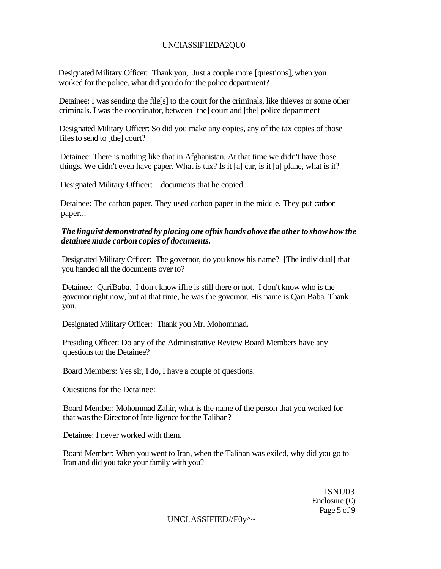### UNCIASSIF1EDA2QU0

Designated Military Officer: Thank you, Just a couple more [questions], when you worked for the police, what did you do for the police department?

Detainee: I was sending the ftle[s] to the court for the criminals, like thieves or some other criminals. I was the coordinator, between [the] court and [the] police department

Designated Military Officer: So did you make any copies, any of the tax copies of those files to send to [the] court?

Detainee: There is nothing like that in Afghanistan. At that time we didn't have those things. We didn't even have paper. What is tax? Is it [a] car, is it [a] plane, what is it?

Designated Military Officer:.. .documents that he copied.

Detainee: The carbon paper. They used carbon paper in the middle. They put carbon paper...

### *The linguist demonstrated by placing one ofhis hands above the other to show how the detainee made carbon copies of documents.*

Designated Military Officer: The governor, do you know his name? [The individual] that you handed all the documents over to?

Detainee: QariBaba. I don't know ifhe is still there or not. I don't know who is the governor right now, but at that time, he was the governor. His name is Qari Baba. Thank you.

Designated Military Officer: Thank you Mr. Mohommad.

Presiding Officer: Do any of the Administrative Review Board Members have any questions tor the Detainee?

Board Members: Yes sir, I do, I have a couple of questions.

Ouestions for the Detainee:

Board Member: Mohommad Zahir, what is the name of the person that you worked for that was the Director of Intelligence for the Taliban?

Detainee: I never worked with them.

Board Member: When you went to Iran, when the Taliban was exiled, why did you go to Iran and did you take your family with you?

> ISNU03 Enclosure  $(\bigoplus$ Page 5 of 9

UNCLASSIFIED//F0y^~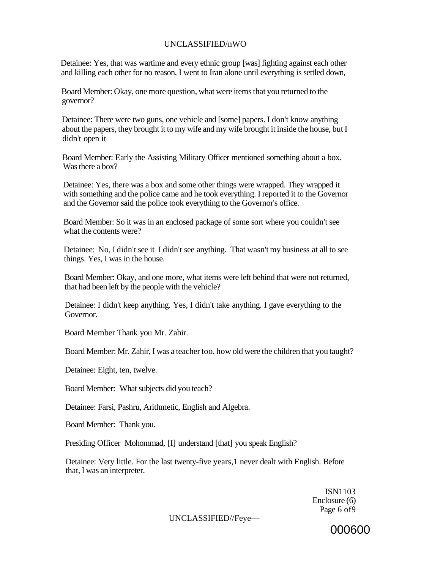### UNCLASSIFIED/nWO

Detainee: Yes, that was wartime and every ethnic group [was] fighting against each other and killing each other for no reason, I went to Iran alone until everything is settled down,

Board Member: Okay, one more question, what were items that you returned to the governor?

Detainee: There were two guns, one vehicle and [some] papers. I don't know anything about the papers, they brought it to my wife and my wife brought it inside the house, but I didn't open it

Board Member: Early the Assisting Military Officer mentioned something about a box. Was there a box?

Detainee: Yes, there was a box and some other things were wrapped. They wrapped it with something and the police came and he took everything. I reported it to the Governor and the Governor said the police took everything to the Governor's office.

Board Member: So it was in an enclosed package of some sort where you couldn't see what the contents were?

Detainee: No, I didn't see it I didn't see anything. That wasn't my business at all to see things. Yes, I was in the house.

Board Member: Okay, and one more, what items were left behind that were not returned, that had been left by the people with the vehicle?

Detainee: I didn't keep anything. Yes, I didn't take anything. I gave everything to the Governor.

Board Member Thank you Mr. Zahir.

Board Member: Mr. Zahir, I was a teacher too, how old were the children that you taught?

Detainee: Eight, ten, twelve.

Board Member: What subjects did you teach?

Detainee: Farsi, Pashru, Arithmetic, English and Algebra.

Board Member: Thank you.

Presiding Officer Mohommad, [I] understand [that] you speak English?

Detainee: Very little. For the last twenty-five years,1 never dealt with English. Before that, I was an interpreter.

> ISN1103 Enclosure (6) Page 6 of 9

UNCLASSIFIED//Feye—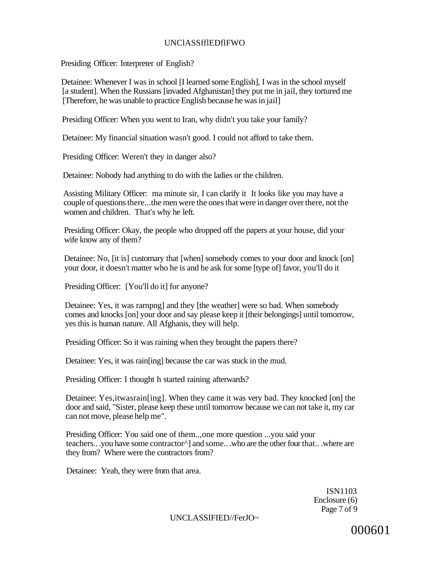#### UNClASSfflEDflFWO

Presiding Officer: Interpreter of English?

Detainee: Whenever I was in school [I learned some English], I was in the school myself [a student]. When the Russians [invaded Afghanistan] they put me in jail, they tortured me [Therefore, he was unable to practice English because he was in jail]

Presiding Officer: When you went to Iran, why didn't you take your family?

Detainee: My financial situation wasn't good. I could not afford to take them.

Presiding Officer: Weren't they in danger also?

Detainee: Nobody had anything to do with the ladies or the children.

Assisting Military Officer: ma minute sir, I can clarify it It looks like you may have a couple of questions there...the men were the ones that were in danger over there, not the women and children. That's why he left.

Presiding Officer: Okay, the people who dropped off the papers at your house, did your wife know any of them?

Detainee: No, [it is] customary that [when] somebody comes to your door and knock [on] your door, it doesn't matter who he is and he ask for some [type of] favor, you'll do it

Presiding Officer: [You'll do it] for anyone?

Detainee: Yes, it was rarnpng] and they [the weather] were so bad. When somebody comes and knocks [on] your door and say please keep it [their belongings] until tomorrow, yes this is human nature. All Afghanis, they will help.

Presiding Officer: So it was raining when they brought the papers there?

Detainee: Yes, it was rain[ing] because the car was stuck in the mud.

Presiding Officer: I thought h started raining afterwards?

Detainee: Yes,itwasrain[ing]. When they came it was very bad. They knocked [on] the door and said, "Sister, please keep these until tomorrow because we can not take it, my car can not move, please help me".

Presiding Officer: You said one of them..,one more question ...you said your teachers.. .you have some contractor<sup>^</sup>] and some.. .who are the other four that.. .where are they from? Where were the contractors from?

Detainee: Yeah, they were from that area.

ISN1103 Enclosure (6) Page 7 of 9

UNCLASSIFIED//FerJO~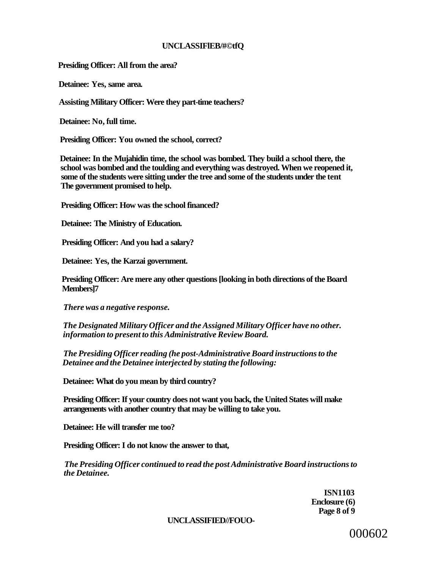#### **UNCLASSIFlEB/#©tfQ**

**Presiding Officer: All from the area?** 

**Detainee: Yes, same area.** 

**Assisting Military Officer: Were they part-time teachers?** 

**Detainee: No, full time.** 

**Presiding Officer: You owned the school, correct?** 

**Detainee: In the Mujahidin time, the school was bombed. They build a school there, the school was bombed and the toulding and everything was destroyed. When we reopened it, some of the students were sitting under the tree and some of the students under the tent The government promised to help.** 

**Presiding Officer: How was the school financed?** 

**Detainee: The Ministry of Education.** 

**Presiding Officer: And you had a salary?** 

**Detainee: Yes, the Karzai government.** 

**Presiding Officer: Are mere any other questions [looking in both directions of the Board Members]7** 

*There was a negative response.* 

*The Designated Military Officer and the Assigned Military Officer have no other. information to present to this Administrative Review Board.* 

*The Presiding Officer reading (he post-Administrative Board instructions to the Detainee and the Detainee interjected by stating the following:* 

**Detainee: What do you mean by third country?** 

**Presiding Officer: If your country does not want you back, the United States will make arrangements with another country that may be willing to take you.** 

**Detainee: He will transfer me too?** 

**Presiding Officer: I do not know the answer to that,** 

*The Presiding Officer continued to read the post Administrative Board instructions to the Detainee.* 

> **ISN1103 Enclosure (6) Page 8 of 9**

**UNCLASSIFIED//FOUO-**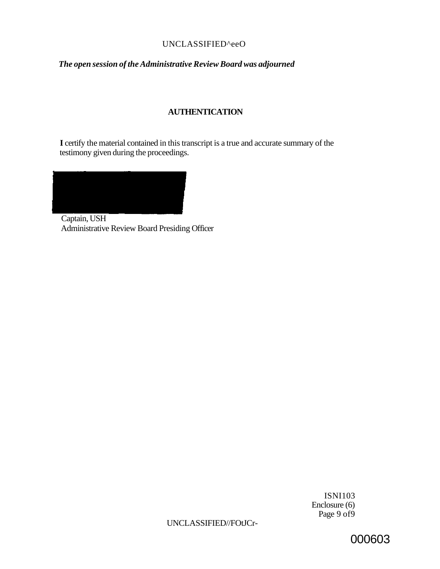### UNCLASSIFIED^eeO

### *The open session of the Administrative Review Board was adjourned*

### **AUTHENTICATION**

**I** certify the material contained in this transcript is a true and accurate summary of the testimony given during the proceedings.



Captain, USH Administrative Review Board Presiding Officer

> ISNI103 Enclosure (6) Page 9 of 9

UNCLASSIFIED//FOtJCr-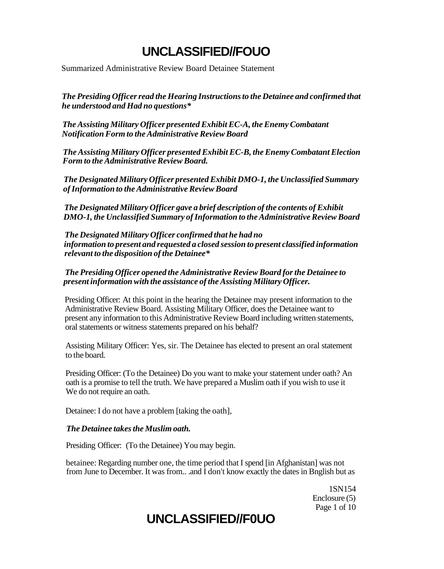# **UNCLASSIFIED//FOUO**

Summarized Administrative Review Board Detainee Statement

*The Presiding Officer read the Hearing Instructions to the Detainee and confirmed that he understood and Had no questions\** 

*The Assisting Military Officer presented Exhibit EC-A, the Enemy Combatant Notification Form to the Administrative Review Board* 

*The Assisting Military Officer presented Exhibit EC-B, the Enemy Combatant Election Form to the Administrative Review Board.* 

*The Designated Military Officer presented Exhibit DMO-1, the Unclassified Summary of Information to the Administrative Review Board* 

*The Designated Military Officer gave a brief description of the contents of Exhibit DMO-1, the Unclassified Summary of Information to the Administrative Review Board* 

*The Designated Military Officer confirmed that he had no information to present and requested a closed session to present classified information relevant to the disposition of the Detainee\** 

#### *The Presiding Officer opened the Administrative Review Board for the Detainee to present information with the assistance of the Assisting Military Officer.*

Presiding Officer: At this point in the hearing the Detainee may present information to the Administrative Review Board. Assisting Military Officer, does the Detainee want to present any information to this Administrative Review Board including written statements, oral statements or witness statements prepared on his behalf?

Assisting Military Officer: Yes, sir. The Detainee has elected to present an oral statement to the board.

Presiding Officer: (To the Detainee) Do you want to make your statement under oath? An oath is a promise to tell the truth. We have prepared a Muslim oath if you wish to use it We do not require an oath.

Detainee: I do not have a problem [taking the oath],

#### *The Detainee takes the Muslim oath.*

Presiding Officer: (To the Detainee) You may begin.

betainee: Regarding number one, the time period that I spend [in Afghanistan] was not from June to December. It was from.. .and I don't know exactly the dates in Bnglish but as

> 1SN154 Enclosure (5) Page 1 of 10

# **UNCLASSIFIED//F0UO**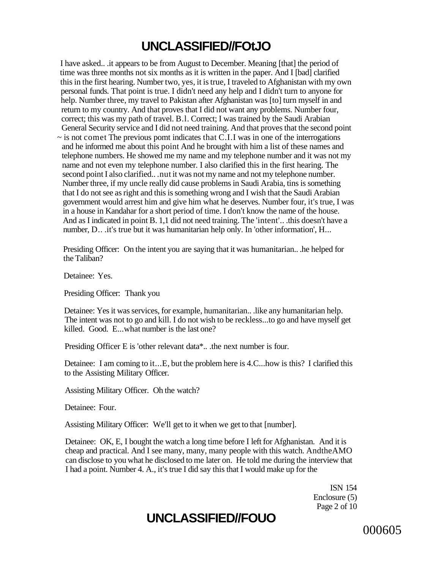# **UNCLASSIFIED//FOtJO**

I have asked.. .it appears to be from August to December. Meaning [that] the period of time was three months not six months as it is written in the paper. And I [bad] clarified this in the first hearing. Number two, yes, it is true, I traveled to Afghanistan with my own personal funds. That point is true. I didn't need any help and I didn't turn to anyone for help. Number three, my travel to Pakistan after Afghanistan was [to] turn myself in and return to my country. And that proves that I did not want any problems. Number four, correct; this was my path of travel. B.l. Correct; I was trained by the Saudi Arabian General Security service and I did not need training. And that proves that the second point  $\sim$  is not comet The previous pomt indicates that C.I.I was in one of the interrogations and he informed me about this point And he brought with him a list of these names and telephone numbers. He showed me my name and my telephone number and it was not my name and not even my telephone number. I also clarified this in the first hearing. The second point I also clarified.. .nut it was not my name and not my telephone number. Number three, if my uncle really did cause problems in Saudi Arabia, tins is something that I do not see as right and this is something wrong and I wish that the Saudi Arabian government would arrest him and give him what he deserves. Number four, it's true, I was in a house in Kandahar for a short period of time. I don't know the name of the house. And as I indicated in point B. 1,1 did not need training. The 'intent'.. .this doesn't have a number, D.. .it's true but it was humanitarian help only. In 'other information', H...

Presiding Officer: On the intent you are saying that it was humanitarian.. .he helped for the Taliban?

Detainee: Yes.

Presiding Officer: Thank you

Detainee: Yes it was services, for example, humanitarian.. .like any humanitarian help. The intent was not to go and kill. I do not wish to be reckless...to go and have myself get killed. Good. E...what number is the last one?

Presiding Officer E is 'other relevant data\*.. .the next number is four.

Detainee: I am coming to it...E, but the problem here is 4.C...how is this? I clarified this to the Assisting Military Officer.

Assisting Military Officer. Oh the watch?

Detainee: Four.

Assisting Military Officer: We'll get to it when we get to that [number].

Detainee: OK, E, I bought the watch a long time before I left for Afghanistan. And it is cheap and practical. And I see many, many, many people with this watch. AndtheAMO can disclose to you what he disclosed to me later on. He told me during the interview that I had a point. Number 4. A., it's true I did say this that I would make up for the

> ISN 154 Enclosure (5) Page 2 of 10

## **UNCLASSIFIED//FOUO**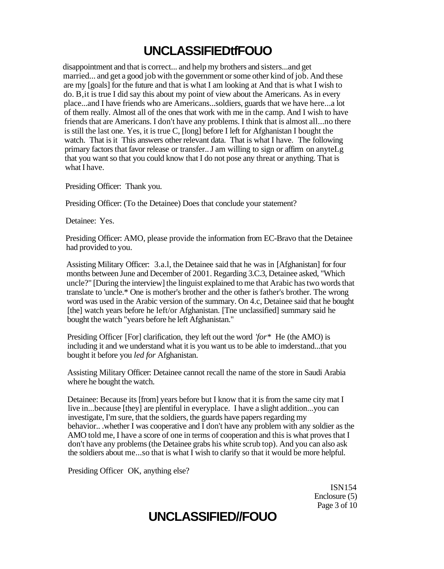# **UNCLASSIFIEDtfFOUO**

disappointment and that is correct... and help my brothers and sisters...and get married... and get a good job with the government or some other kind of job. And these are my [goals] for the future and that is what I am looking at And that is what I wish to do. B,it is true I did say this about my point of view about the Americans. As in every place...and I have friends who are Americans...soldiers, guards that we have here...a lot of them really. Almost all of the ones that work with me in the camp. And I wish to have friends that are Americans. I don't have any problems. I think that is almost all...no there is still the last one. Yes, it is true C, [long] before I left for Afghanistan I bought the watch. That is it This answers other relevant data. That is what I have. The following primary factors that favor release or transfer.. J am willing to sign or affirm on anyteLg that you want so that you could know that I do not pose any threat or anything. That is what I have.

Presiding Officer: Thank you.

Presiding Officer: (To the Detainee) Does that conclude your statement?

Detainee: Yes.

Presiding Officer: AMO, please provide the information from EC-Bravo that the Detainee had provided to you.

Assisting Military Officer: 3.a.l, the Detainee said that he was in [Afghanistan] for four months between June and December of 2001. Regarding 3.C.3, Detainee asked, "Which uncle?" [During the interview] the linguist explained to me that Arabic has two words that translate to 'uncle.\* One is mother's brother and the other is father's brother. The wrong word was used in the Arabic version of the summary. On 4.c, Detainee said that he bought [the] watch years before he left/or Afghanistan. [Tne unclassified] summary said he bought the watch "years before he left Afghanistan."

Presiding Officer [For] clarification, they left out the word *'for\** He (the AMO) is including it and we understand what it is you want us to be able to imderstand...that you bought it before you *led for* Afghanistan.

Assisting Military Officer: Detainee cannot recall the name of the store in Saudi Arabia where he bought the watch.

Detainee: Because its [from] years before but I know that it is from the same city mat I live in...because [they] are plentiful in everyplace. I have a slight addition...you can investigate, I'm sure, that the soldiers, the guards have papers regarding my behavior.. .whether I was cooperative and I don't have any problem with any soldier as the AMO told me, I have a score of one in terms of cooperation and this is what proves that I don't have any problems (the Detainee grabs his white scrub top). And you can also ask the soldiers about me...so that is what I wish to clarify so that it would be more helpful.

Presiding Officer OK, anything else?

ISN154 Enclosure (5) Page 3 of 10

# **UNCLASSIFIED//FOUO**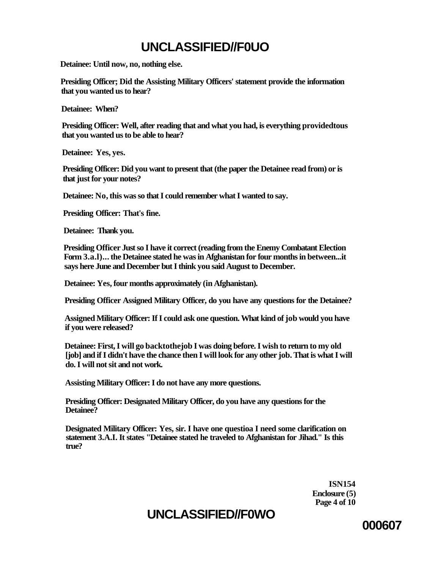# **UNCLASSIFIED//F0UO**

**Detainee: Until now, no, nothing else.** 

**Presiding Officer; Did the Assisting Military Officers' statement provide the information that you wanted us to hear?** 

**Detainee: When?** 

**Presiding Officer: Well, after reading that and what you had, is everything providedtous that you wanted us to be able to hear?** 

**Detainee: Yes, yes.** 

**Presiding Officer: Did you want to present that (the paper the Detainee read from) or is that just for your notes?** 

**Detainee: No, this was so that I could remember what I wanted to say.** 

**Presiding Officer: That's fine.** 

**Detainee: Thank you.** 

**Presiding Officer Just so I have it correct (reading from the Enemy Combatant Election Form 3.a.l)... the Detainee stated he was in Afghanistan for four months in between...it says here June and December but I think you said August to December.** 

**Detainee: Yes, four months approximately (in Afghanistan).** 

**Presiding Officer Assigned Military Officer, do you have any questions for the Detainee?** 

**Assigned Military Officer: If I could ask one question. What kind of job would you have if you were released?** 

**Detainee: First, I will go backtothejob I was doing before. I wish to return to my old [job] and if I didn't have the chance then I will look for any other job. That is what I will do. I will not sit and not work.** 

**Assisting Military Officer: I do not have any more questions.** 

**Presiding Officer: Designated Military Officer, do you have any questions for the Detainee?** 

**Designated Military Officer: Yes, sir. I have one questioa I need some clarification on statement 3.A.I. It states "Detainee stated he traveled to Afghanistan for Jihad." Is this true?** 

> **ISN154 Enclosure (5) Page 4 of 10**

# **UNCLASSIFIED//F0WO**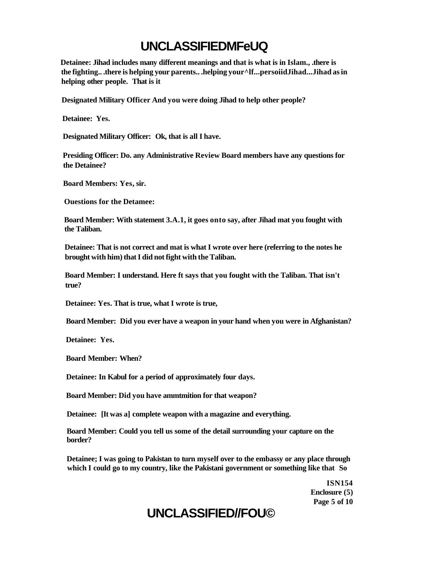# **UNCLASSIFIEDMFeUQ**

**Detainee: Jihad includes many different meanings and that is what is in Islam., .there is the fighting.. .there is helping your parents.. .helping your^lf...persoiidJihad...Jihad as in helping other people. That is it** 

**Designated Military Officer And you were doing Jihad to help other people?** 

**Detainee: Yes.** 

**Designated Military Officer: Ok, that is all I have.** 

**Presiding Officer: Do. any Administrative Review Board members have any questions for the Detainee?** 

**Board Members: Yes, sir.** 

**Ouestions for the Detamee:** 

**Board Member: With statement 3.A.1, it goes onto say, after Jihad mat you fought with the Taliban.** 

**Detainee: That is not correct and mat is what I wrote over here (referring to the notes he brought with him) that I did not fight with the Taliban.** 

**Board Member: I understand. Here ft says that you fought with the Taliban. That isn't true?** 

**Detainee: Yes. That is true, what I wrote is true,** 

**Board Member: Did you ever have a weapon in your hand when you were in Afghanistan?** 

**Detainee: Yes.** 

**Board Member: When?** 

**Detainee: In Kabul for a period of approximately four days.** 

**Board Member: Did you have ammtmition for that weapon?** 

**Detainee: [It was a] complete weapon with a magazine and everything.** 

**Board Member: Could you tell us some of the detail surrounding your capture on the border?** 

**Detainee; I was going to Pakistan to turn myself over to the embassy or any place through which I could go to my country, like the Pakistani government or something like that So** 

> **ISN154 Enclosure (5) Page 5 of 10**

## **UNCLASSIFIED//FOU©**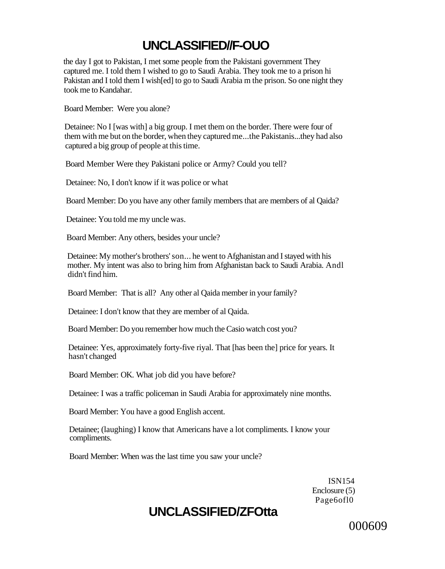# **UNCLASSIFIED//F-OUO**

the day I got to Pakistan, I met some people from the Pakistani government They captured me. I told them I wished to go to Saudi Arabia. They took me to a prison hi Pakistan and I told them I wish[ed] to go to Saudi Arabia m the prison. So one night they took me to Kandahar.

Board Member: Were you alone?

Detainee: No I [was with] a big group. I met them on the border. There were four of them with me but on the border, when they captured me...the Pakistanis...they had also captured a big group of people at this time.

Board Member Were they Pakistani police or Army? Could you tell?

Detainee: No, I don't know if it was police or what

Board Member: Do you have any other family members that are members of al Qaida?

Detainee: You told me my uncle was.

Board Member: Any others, besides your uncle?

Detainee: My mother's brothers' son... he went to Afghanistan and I stayed with his mother. My intent was also to bring him from Afghanistan back to Saudi Arabia. Andl didn't find him.

Board Member: That is all? Any other al Qaida member in your family?

Detainee: I don't know that they are member of al Qaida.

Board Member: Do you remember how much the Casio watch cost you?

Detainee: Yes, approximately forty-five riyal. That [has been the] price for years. It hasn't changed

Board Member: OK. What job did you have before?

Detainee: I was a traffic policeman in Saudi Arabia for approximately nine months.

Board Member: You have a good English accent.

Detainee; (laughing) I know that Americans have a lot compliments. I know your compliments.

Board Member: When was the last time you saw your uncle?

ISN154 Enclosure (5) Page6ofl0

# **UNCLASSIFIED/ZFOtta**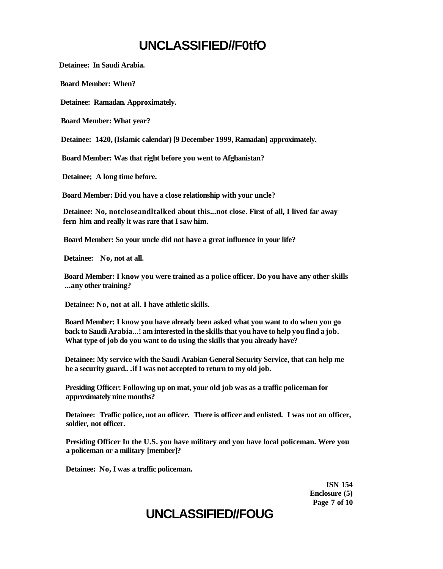# **UNCLASSIFIED//F0tfO**

**Detainee: In Saudi Arabia.** 

**Board Member: When?** 

**Detainee: Ramadan. Approximately.** 

**Board Member: What year?** 

**Detainee: 1420, (Islamic calendar) [9 December 1999, Ramadan] approximately.** 

**Board Member: Was that right before you went to Afghanistan?** 

**Detainee; A long time before.** 

**Board Member: Did you have a close relationship with your uncle?** 

**Detainee: No, notcloseandltalked about this...not close. First of all, I lived far away fern him and really it was rare that I saw him.** 

**Board Member: So your uncle did not have a great influence in your life?** 

**Detainee: No, not at all.** 

**Board Member: I know you were trained as a police officer. Do you have any other skills ...any other training?** 

**Detainee: No, not at all. I have athletic skills.** 

**Board Member: I know you have already been asked what you want to do when you go back to Saudi Arabia...! am interested in the skills that you have to help you find a job. What type of job do you want to do using the skills that you already have?** 

**Detainee: My service with the Saudi Arabian General Security Service, that can help me be a security guard.. .if I was not accepted to return to my old job.** 

**Presiding Officer: Following up on mat, your old job was as a traffic policeman for approximately nine months?** 

**Detainee: Traffic police, not an officer. There is officer and enlisted. I was not an officer, soldier, not officer.** 

**Presiding Officer In the U.S. you have military and you have local policeman. Were you a policeman or a military [member]?** 

**Detainee: No, I was a traffic policeman.** 

**ISN 154 Enclosure (5) Page 7 of 10** 

# **UNCLASSIFIED//FOUG**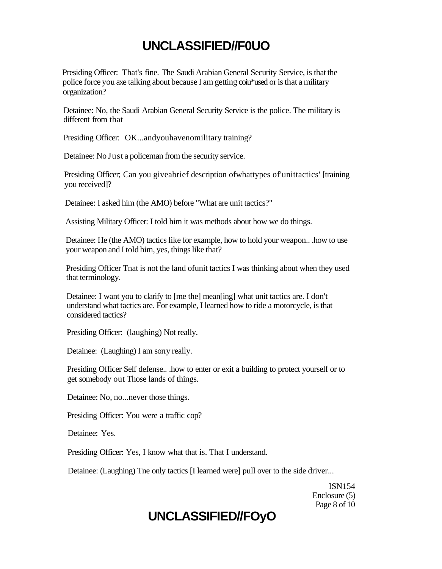# **UNCLASSIFIED//F0UO**

Presiding Officer: That's fine. The Saudi Arabian General Security Service, is that the police force you axe talking about because I am getting coiu\*used or is that a military organization?

Detainee: No, the Saudi Arabian General Security Service is the police. The military is different from that

Presiding Officer: OK...andyouhavenomilitary training?

Detainee: No Just a policeman from the security service.

Presiding Officer; Can you giveabrief description ofwhattypes of'unittactics' [training you received]?

Detainee: I asked him (the AMO) before "What are unit tactics?"

Assisting Military Officer: I told him it was methods about how we do things.

Detainee: He (the AMO) tactics like for example, how to hold your weapon.. .how to use your weapon and I told him, yes, things like that?

Presiding Officer Tnat is not the land ofunit tactics I was thinking about when they used that terminology.

Detainee: I want you to clarify to [me the] mean[ing] what unit tactics are. I don't understand what tactics are. For example, I learned how to ride a motorcycle, is that considered tactics?

Presiding Officer: (laughing) Not really.

Detainee: (Laughing) I am sorry really.

Presiding Officer Self defense.. .how to enter or exit a building to protect yourself or to get somebody out Those lands of things.

Detainee: No, no...never those things.

Presiding Officer: You were a traffic cop?

Detainee: Yes.

Presiding Officer: Yes, I know what that is. That I understand.

Detainee: (Laughing) Tne only tactics [I learned were] pull over to the side driver...

ISN154 Enclosure (5) Page 8 of 10

# **UNCLASSIFIED//FOyO**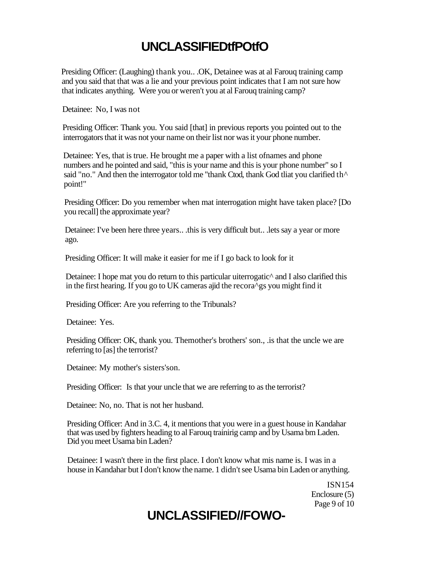# **UNCLASSIFIEDtfPOtfO**

Presiding Officer: (Laughing) thank you.. .OK, Detainee was at al Farouq training camp and you said that that was a lie and your previous point indicates that I am not sure how that indicates anything. Were you or weren't you at al Farouq training camp?

Detainee: No, I was not

Presiding Officer: Thank you. You said [that] in previous reports you pointed out to the interrogators that it was not your name on their list nor was it your phone number.

Detainee: Yes, that is true. He brought me a paper with a list ofnames and phone numbers and he pointed and said, "this is your name and this is your phone number" so I said "no." And then the interrogator told me "thank Ctod, thank God tliat you clarified th^ point!"

Presiding Officer: Do you remember when mat interrogation might have taken place? [Do you recall] the approximate year?

Detainee: I've been here three years.. .this is very difficult but.. .lets say a year or more ago.

Presiding Officer: It will make it easier for me if I go back to look for it

Detainee: I hope mat you do return to this particular uiterrogatic<sup> $\wedge$ </sup> and I also clarified this in the first hearing. If you go to UK cameras ajid the recora^gs you might find it

Presiding Officer: Are you referring to the Tribunals?

Detainee: Yes.

Presiding Officer: OK, thank you. Themother's brothers' son., .is that the uncle we are referring to [as] the terrorist?

Detainee: My mother's sisters'son.

Presiding Officer: Is that your uncle that we are referring to as the terrorist?

Detainee: No, no. That is not her husband.

Presiding Officer: And in 3.C. 4, it mentions that you were in a guest house in Kandahar that was used by fighters heading to al Farouq trainirig camp and by Usama bm Laden. Did you meet Usama bin Laden?

Detainee: I wasn't there in the first place. I don't know what mis name is. I was in a house in Kandahar but I don't know the name. 1 didn't see Usama bin Laden or anything.

> ISN154 Enclosure (5) Page 9 of 10

# **UNCLASSIFIED//FOWO-**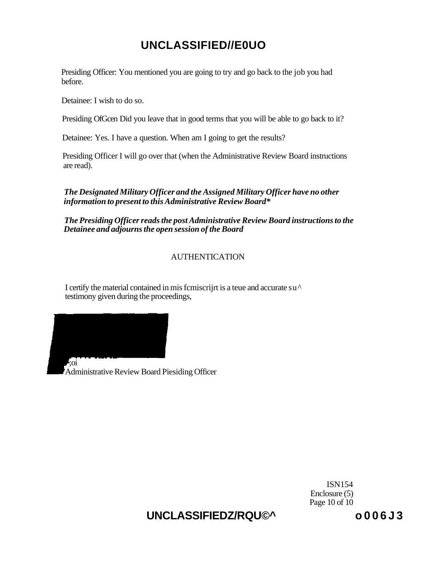## **UNCLASSIFIED//E0UO**

Presiding Officer: You mentioned you are going to try and go back to the job you had before.

Detainee: I wish to do so.

Presiding OfGcen Did you leave that in good terms that you will be able to go back to it?

Detainee: Yes. I have a question. When am I going to get the results?

Presiding Officer I will go over that (when the Administrative Review Board instructions are read).

### *The Designated Military Officer and the Assigned Military Officer have no other information to present to this Administrative Review Board\**

*The Presiding Officer reads the post Administrative Review Board instructions to the Detainee and adjourns the open session of the Board* 

### AUTHENTICATION

I certify the material contained in mis fcmiscrijrt is a teue and accurate su^ testimony given during the proceedings,



'Administrative Review Board Piesiding Officer

ISN154 Enclosure (5) Page 10 of 10

### UNCLASSIFIEDZ/RQU©^ **o 0 0 6 J 3**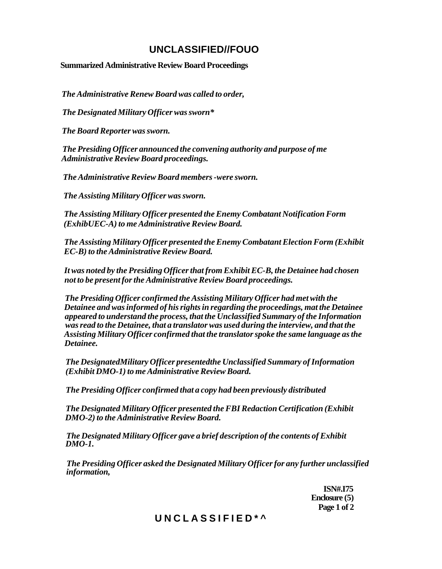### **UNCLASSIFIED//FOUO**

**Summarized Administrative Review Board Proceedings** 

*The Administrative Renew Board was called to order,* 

*The Designated Military Officer was sworn\** 

*The Board Reporter was sworn.* 

*The Presiding Officer announced the convening authority and purpose of me Administrative Review Board proceedings.* 

*The Administrative Review Board members -were sworn.* 

*The Assisting Military Officer was sworn.* 

*The Assisting Military Officer presented the Enemy Combatant Notification Form (ExhibUEC-A) to me Administrative Review Board.* 

*The Assisting Military Officer presented the Enemy Combatant Election Form (Exhibit EC-B) to the Administrative Review Board.* 

*It was noted by the Presiding Officer that from Exhibit EC-B, the Detainee had chosen not to be present for the Administrative Review Board proceedings.* 

*The Presiding Officer confirmed the Assisting Military Officer had met with the Detainee and was informed of his rights in regarding the proceedings, mat the Detainee appeared to understand the process, that the Unclassified Summary of the Information was read to the Detainee, that a translator was used during the interview, and that the Assisting Military Officer confirmed that the translator spoke the same language as the Detainee.* 

*The DesignatedMilitary Officer presentedthe Unclassified Summary of Information (Exhibit DMO-1) to me Administrative Review Board.* 

*The Presiding Officer confirmed that a copy had been previously distributed* 

*The Designated Military Officer presented the FBI Redaction Certification (Exhibit DMO-2) to the Administrative Review Board.* 

*The Designated Military Officer gave a brief description of the contents of Exhibit DMO-1.* 

*The Presiding Officer asked the Designated Military Officer for any further unclassified information,* 

> **ISN#.I75 Enclosure (5) Page 1 of 2**

### **UNCLASSIFIED\* ^**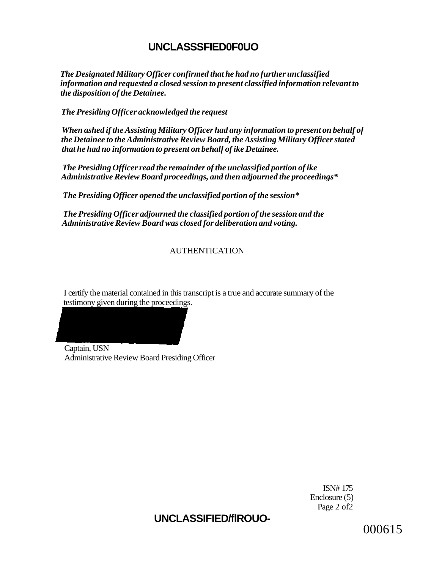### **UNCLASSSFIED0F0UO**

*The Designated Military Officer confirmed that he had no further unclassified information and requested a closed session to present classified information relevant to the disposition of the Detainee.* 

*The Presiding Officer acknowledged the request* 

*When ashed if the Assisting Military Officer had any information to present on behalf of the Detainee to the Administrative Review Board, the Assisting Military Officer stated that he had no information to present on behalf of ike Detainee.* 

*The Presiding Officer read the remainder of the unclassified portion of ike Administrative Review Board proceedings, and then adjourned the proceedings\** 

*The Presiding Officer opened the unclassified portion of the session\** 

*The Presiding Officer adjourned the classified portion of the session and the Administrative Review Board was closed for deliberation and voting.* 

### AUTHENTICATION

I certify the material contained in this transcript is a true and accurate summary of the testimony given during the proceedings.



Captain, USN Administrative Review Board Presiding Officer

> ISN# 175 Enclosure (5) Page 2 of2

### **UNCLASSIFIED/flROUO-**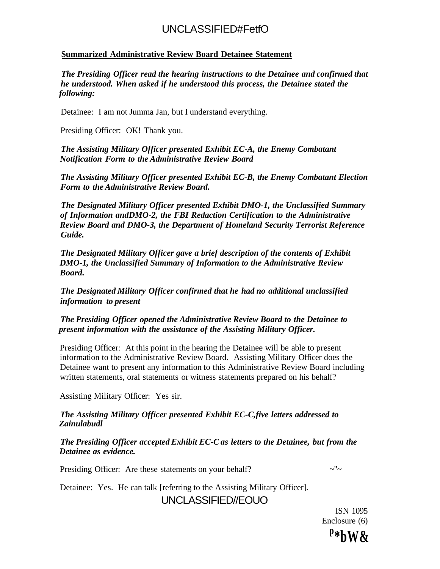### UNCLASSIFIED#FetfO

### **Summarized Administrative Review Board Detainee Statement**

*The Presiding Officer read the hearing instructions to the Detainee and confirmed that he understood. When asked if he understood this process, the Detainee stated the following:* 

Detainee: I am not Jumma Jan, but I understand everything.

Presiding Officer: OK! Thank you.

*The Assisting Military Officer presented Exhibit EC-A, the Enemy Combatant Notification Form to the Administrative Review Board* 

*The Assisting Military Officer presented Exhibit EC-B, the Enemy Combatant Election Form to the Administrative Review Board.* 

*The Designated Military Officer presented Exhibit DMO-1, the Unclassified Summary of Information andDMO-2, the FBI Redaction Certification to the Administrative Review Board and DMO-3, the Department of Homeland Security Terrorist Reference Guide.* 

*The Designated Military Officer gave a brief description of the contents of Exhibit DMO-1, the Unclassified Summary of Information to the Administrative Review Board.* 

*The Designated Military Officer confirmed that he had no additional unclassified information to present* 

*The Presiding Officer opened the Administrative Review Board to the Detainee to present information with the assistance of the Assisting Military Officer.* 

Presiding Officer: At this point in the hearing the Detainee will be able to present information to the Administrative Review Board. Assisting Military Officer does the Detainee want to present any information to this Administrative Review Board including written statements, oral statements or witness statements prepared on his behalf?

Assisting Military Officer: Yes sir.

*The Assisting Military Officer presented Exhibit EC-C,five letters addressed to Zainulabudl* 

*The Presiding Officer accepted Exhibit EC-C as letters to the Detainee, but from the Detainee as evidence.* 

Presiding Officer: Are these statements on your behalf?  $\sim$ " $\sim$ 

Detainee: Yes. He can talk [referring to the Assisting Military Officer].

UNCLASSIFIED//EOUO

ISN 1095 Enclosure (6) **<sup>p</sup>\*bW&**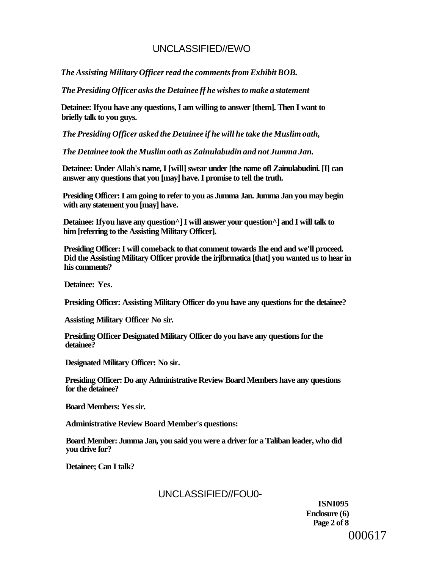### UNCLASSIFIED//EWO

*The Assisting Military Officer read the comments from Exhibit BOB.* 

*The Presiding Officer asks the Detainee ff he wishes to make a statement* 

**Detainee: Ifyou have any questions, I am willing to answer [them]. Then I want to briefly talk to you guys.** 

*The Presiding Officer asked the Detainee if he will he take the Muslim oath,* 

*The Detainee took the Muslim oath as Zainulabudin and not Jumma Jan.* 

**Detainee: Under Allah's name, I [will] swear under [the name ofl Zainulabudini. [I] can answer any questions that you [may] have. I promise to tell the truth.** 

**Presiding Officer: I am going to refer to you as Jumma Jan. Jumma Jan you may begin with any statement you [may] have.** 

**Detainee: Ifyou have any question^] I will answer your question^] and I will talk to him [referring to the Assisting Military Officer].** 

**Presiding Officer: I will comeback to that comment towards 1he end and we'll proceed. Did the Assisting Military Officer provide the irjfbrmatica [that] you wanted us to hear in his comments?** 

**Detainee: Yes.** 

**Presiding Officer: Assisting Military Officer do you have any questions for the detainee?** 

**Assisting Military Officer No sir.** 

**Presiding Officer Designated Military Officer do you have any questions for the detainee?** 

**Designated Military Officer: No sir.** 

**Presiding Officer: Do any Administrative Review Board Members have any questions for the detainee?** 

**Board Members: Yes sir.** 

**Administrative Review Board Member's questions:** 

**Board Member: Jumma Jan, you said you were a driver for a Taliban leader, who did you drive for?** 

**Detainee; Can I talk?** 

### UNCLASSIFIED//FOU0-

**ISNI095 Enclosure (6) Page 2 of 8**  000617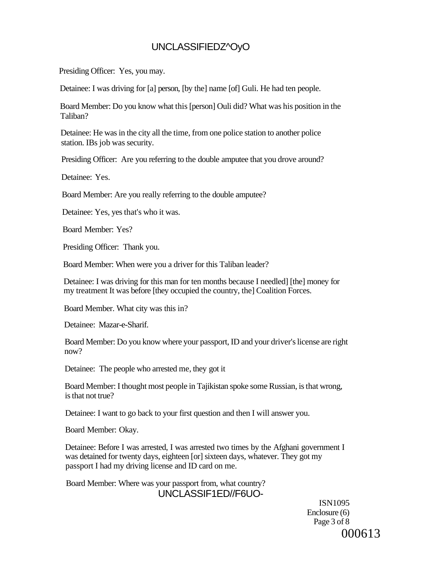### UNCLASSIFIEDZ^OyO

Presiding Officer: Yes, you may.

Detainee: I was driving for [a] person, [by the] name [of] Guli. He had ten people.

Board Member: Do you know what this [person] Ouli did? What was his position in the Taliban?

Detainee: He was in the city all the time, from one police station to another police station. IBs job was security.

Presiding Officer: Are you referring to the double amputee that you drove around?

Detainee: Yes.

Board Member: Are you really referring to the double amputee?

Detainee: Yes, yes that's who it was.

Board Member: Yes?

Presiding Officer: Thank you.

Board Member: When were you a driver for this Taliban leader?

Detainee: I was driving for this man for ten months because I needled] [the] money for my treatment It was before [they occupied the country, the] Coalition Forces.

Board Member. What city was this in?

Detainee: Mazar-e-Sharif.

Board Member: Do you know where your passport, ID and your driver's license are right now?

Detainee: The people who arrested me, they got it

Board Member: I thought most people in Tajikistan spoke some Russian, is that wrong, is that not true?

Detainee: I want to go back to your first question and then I will answer you.

Board Member: Okay.

Detainee: Before I was arrested, I was arrested two times by the Afghani government I was detained for twenty days, eighteen [or] sixteen days, whatever. They got my passport I had my driving license and ID card on me.

Board Member: Where was your passport from, what country? UNCLASSIF1ED//F6UO-

ISN1095 Enclosure (6) Page 3 of 8 000613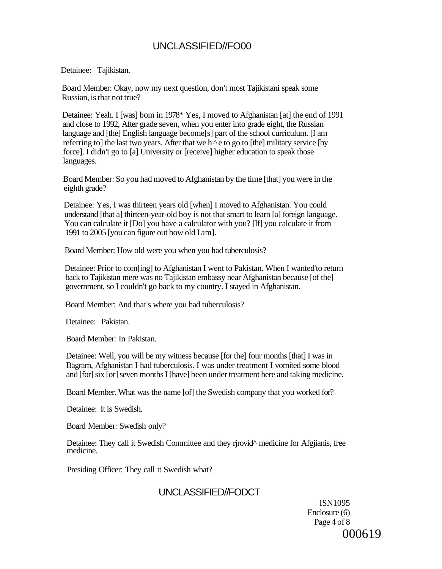### UNCLASSIFIED//FO00

Detainee: Tajikistan.

Board Member: Okay, now my next question, don't most Tajikistani speak some Russian, is that not true?

Detainee: Yeah. I [was] bom in 1978\* Yes, I moved to Afghanistan [at] the end of 1991 and close to 1992, After grade seven, when you enter into grade eight, the Russian language and [the] English language become[s] part of the school curriculum. [I am referring to] the last two years. After that we h  $\wedge$  e to go to [the] military service [by force]. I didn't go to [a] University or [receive] higher education to speak those languages.

Board Member: So you had moved to Afghanistan by the time [that] you were in the eighth grade?

Detainee: Yes, I was thirteen years old [when] I moved to Afghanistan. You could understand [that a] thirteen-year-old boy is not that smart to learn [a] foreign language. You can calculate it [Do] you have a calculator with you? [If] you calculate it from 1991 to 2005 [you can figure out how old I am].

Board Member: How old were you when you had tuberculosis?

Detainee: Prior to com[ing] to Afghanistan I went to Pakistan. When I wanted'to return back to Tajikistan mere was no Tajikistan embassy near Afghanistan because [of the] government, so I couldn't go back to my country. I stayed in Afghanistan.

Board Member: And that's where you had tuberculosis?

Detainee: Pakistan.

Board Member: In Pakistan.

Detainee: Well, you will be my witness because [for the] four months [that] I was in Bagram, Afghanistan I had tuberculosis. I was under treatment I vomited some blood and [for] six [or] seven months I [have] been under treatment here and taking medicine.

Board Member. What was the name [of] the Swedish company that you worked for?

Detainee: It is Swedish.

Board Member: Swedish only?

Detainee: They call it Swedish Committee and they rirovid<sup> $\wedge$ </sup> medicine for Afgiianis, free medicine.

Presiding Officer: They call it Swedish what?

### UNCLASSIFIED//FODCT

ISN1095 Enclosure (6) Page 4 of 8 000619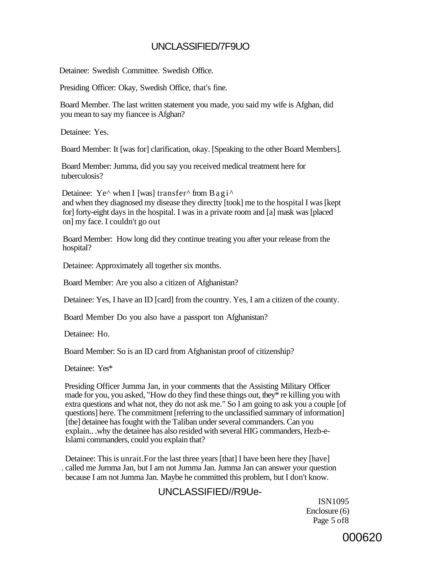### UNCLASSIFIED/7F9UO

Detainee: Swedish Committee. Swedish Office.

Presiding Officer: Okay, Swedish Office, that's fine.

Board Member. The last written statement you made, you said my wife is Afghan, did you mean to say my fiancee is Afghan?

Detainee: Yes.

Board Member: It [was for] clarification, okay. [Speaking to the other Board Members].

Board Member: Jumma, did you say you received medical treatment here for tuberculosis?

Detainee: Ye^ when I [was] transfer^ from Bagi^ and when they diagnosed my disease they directty [took] me to the hospital I was [kept for] forty-eight days in the hospital. I was in a private room and [a] mask was [placed on] my face. I couldn't go out

Board Member: How long did they continue treating you after your release from the hospital?

Detainee: Approximately all together six months.

Board Member: Are you also a citizen of Afghanistan?

Detainee: Yes, I have an ID [card] from the country. Yes, I am a citizen of the county.

Board Member Do you also have a passport ton Afghanistan?

Detainee: Ho.

Board Member: So is an ID card from Afghanistan proof of citizenship?

Detainee: Yes\*

Presiding Officer Jumma Jan, in your comments that the Assisting Military Officer made for you, you asked, "How do they find these things out, they\* re killing you with extra questions and what not, they do not ask me." So I am going to ask you a couple [of questions] here. The commitment [referring to the unclassified summary of information] [the] detainee has fought with the Taliban under several commanders. Can you explain.. .why the detainee has also resided with several HIG commanders, Hezb-e-Islami commanders, could you explain that?

Detainee: This is unrait.For the last three years [that] I have been here they [have] . called me Jumma Jan, but I am not Jumma Jan. Jumma Jan can answer your question because I am not Jumma Jan. Maybe he committed this problem, but I don't know.

### UNCLASSIFIED//R9Ue-

ISN1095 Enclosure (6) Page 5 of8

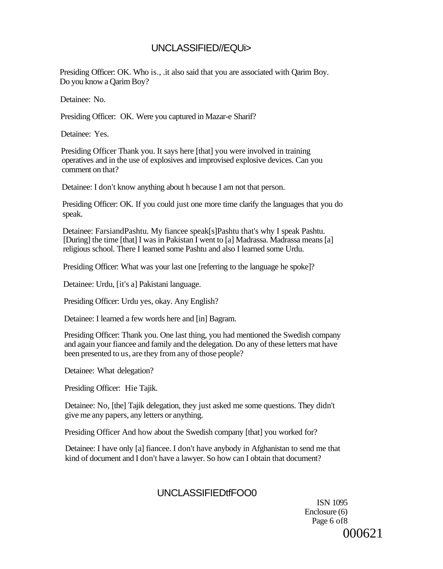### UNCLASSIFIED//EQUi>

Presiding Officer: OK. Who is., .it also said that you are associated with Qarim Boy. Do you know a Qarim Boy?

Detainee: No.

Presiding Officer: OK. Were you captured in Mazar-e Sharif?

Detainee: Yes.

Presiding Officer Thank you. It says here [that] you were involved in training operatives and in the use of explosives and improvised explosive devices. Can you comment on that?

Detainee: I don't know anything about h because I am not that person.

Presiding Officer: OK. If you could just one more time clarify the languages that you do speak.

Detainee: FarsiandPashtu. My fiancee speak[s]Pashtu that's why I speak Pashtu. [During] the time [that] I was in Pakistan I went to [a] Madrassa. Madrassa means [a] religious school. There I learned some Pashtu and also I learned some Urdu.

Presiding Officer: What was your last one [referring to the language he spoke]?

Detainee: Urdu, [it's a] Pakistani language.

Presiding Officer: Urdu yes, okay. Any English?

Detainee: I learned a few words here and [in] Bagram.

Presiding Officer: Thank you. One last thing, you had mentioned the Swedish company and again your fiancee and family and the delegation. Do any of these letters mat have been presented to us, are they from any of those people?

Detainee: What delegation?

Presiding Officer: Hie Tajik.

Detainee: No, [the] Tajik delegation, they just asked me some questions. They didn't give me any papers, any letters or anything.

Presiding Officer And how about the Swedish company [that] you worked for?

Detainee: I have only [a] fiancee. I don't have anybody in Afghanistan to send me that kind of document and I don't have a lawyer. So how can I obtain that document?

### UNCLASSIFIEDtfFOO0

ISN 1095 Enclosure (6) Page 6 of8 000621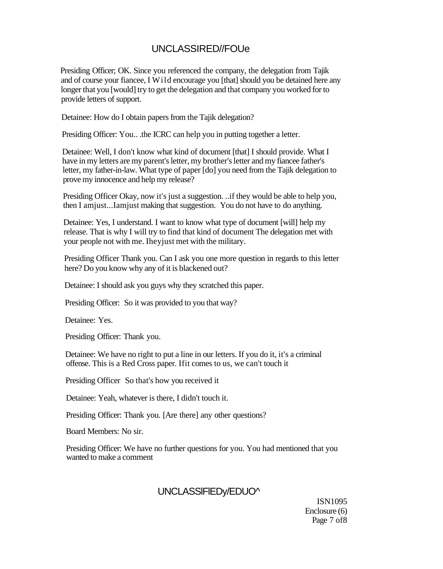### UNCLASSIRED//FOUe

Presiding Officer; OK. Since you referenced the company, the delegation from Tajik and of course your fiancee, I Wild encourage you [that] should you be detained here any longer that you [would] try to get the delegation and that company you worked for to provide letters of support.

Detainee: How do I obtain papers from the Tajik delegation?

Presiding Officer: You.. .the ICRC can help you in putting together a letter.

Detainee: Well, I don't know what kind of document [that] I should provide. What I have in my letters are my parent's letter, my brother's letter and my fiancee father's letter, my father-in-law. What type of paper [do] you need from the Tajik delegation to prove my innocence and help my release?

Presiding Officer Okay, now it's just a suggestion. ..if they would be able to help you, then I amjust...Iamjust making that suggestion. You do not have to do anything.

Detainee: Yes, I understand. I want to know what type of document [will] help my release. That is why I will try to find that kind of document The delegation met with your people not with me. Iheyjust met with the military.

Presiding Officer Thank you. Can I ask you one more question in regards to this letter here? Do you know why any of it is blackened out?

Detainee: I should ask you guys why they scratched this paper.

Presiding Officer: So it was provided to you that way?

Detainee: Yes.

Presiding Officer: Thank you.

Detainee: We have no right to put a line in our letters. If you do it, it's a criminal offense. This is a Red Cross paper. Ifit comes to us, we can't touch it

Presiding Officer So that's how you received it

Detainee: Yeah, whatever is there, I didn't touch it.

Presiding Officer: Thank you. [Are there] any other questions?

Board Members: No sir.

Presiding Officer: We have no further questions for you. You had mentioned that you wanted to make a comment

### UNCLASSlFlEDy/EDUO^

ISN1095 Enclosure (6) Page 7 of8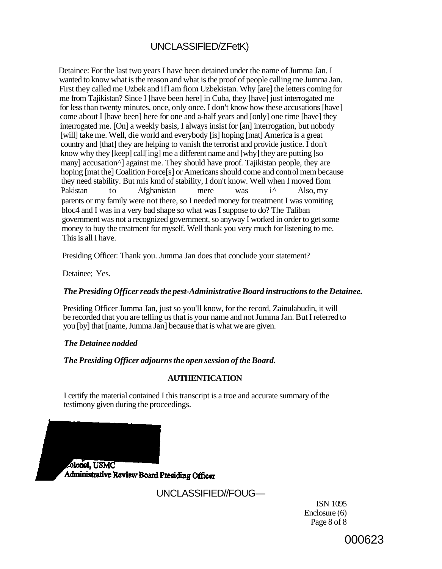### UNCLASSIFlED/ZFetK)

Detainee: For the last two years I have been detained under the name of Jumma Jan. I wanted to know what is the reason and what is the proof of people calling me Jumma Jan. First they called me Uzbek and ifl am fiom Uzbekistan. Why [are] the letters coming for me from Tajikistan? Since I [have been here] in Cuba, they [have] just interrogated me for less than twenty minutes, once, only once. I don't know how these accusations [have] come about I [have been] here for one and a-half years and [only] one time [have] they interrogated me. [On] a weekly basis, I always insist for [an] interrogation, but nobody [will] take me. Well, die world and everybody [is] hoping [mat] America is a great country and [that] they are helping to vanish the terrorist and provide justice. I don't know why they [keep] call[ing] me a different name and [why] they are putting [so many] accusation<sup>^</sup>] against me. They should have proof. Tajikistan people, they are hoping [mat the] Coalition Force[s] or Americans should come and control mem because they need stability. But mis kmd of stability, I don't know. Well when I moved fiom Pakistan to Afghanistan mere was i^ Also, my parents or my family were not there, so I needed money for treatment I was vomiting bloc4 and I was in a very bad shape so what was I suppose to do? The Taliban government was not a recognized government, so anyway I worked in order to get some money to buy the treatment for myself. Well thank you very much for listening to me. This is all I have.

Presiding Officer: Thank you. Jumma Jan does that conclude your statement?

Detainee; Yes.

#### *The Presiding Officer reads the pest-Administrative Board instructions to the Detainee.*

Presiding Officer Jumma Jan, just so you'll know, for the record, Zainulabudin, it will be recorded that you are telling us that is your name and not Jumma Jan. But I referred to you [by] that [name, Jumma Jan] because that is what we are given.

#### *The Detainee nodded*

#### *The Presiding Officer adjourns the open session of the Board.*

#### **AUTHENTICATION**

I certify the material contained I this transcript is a troe and accurate summary of the testimony given during the proceedings.

colonel, USMC Administrative Review Board Presiding Officer

UNCLASSIFIED//FOUG—

ISN 1095 Enclosure (6) Page 8 of 8

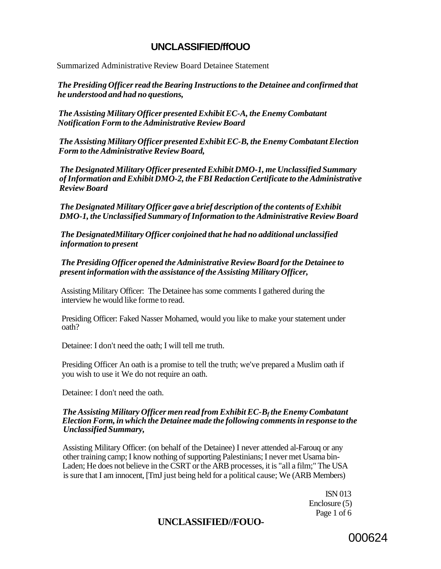### **UNCLASSIFIED/ffOUO**

Summarized Administrative Review Board Detainee Statement

*The Presiding Officer read the Bearing Instructions to the Detainee and confirmed that he understood and had no questions,* 

*The Assisting Military Officer presented Exhibit EC-A, the Enemy Combatant Notification Form to the Administrative Review Board* 

*The Assisting Military Officer presented Exhibit EC-B, the Enemy Combatant Election Form to the Administrative Review Board,* 

*The Designated Military Officer presented Exhibit DMO-1, me Unclassified Summary of Information and Exhibit DMO-2, the FBI Redaction Certificate to the Administrative Review Board* 

*The Designated Military Officer gave a brief description of the contents of Exhibit DMO-1, the Unclassified Summary of Information to the Administrative Review Board* 

*The DesignatedMilitary Officer conjoined that he had no additional unclassified information to present* 

*The Presiding Officer opened the Administrative Review Board for the Detainee to present information with the assistance of the Assisting Military Officer,* 

Assisting Military Officer: The Detainee has some comments I gathered during the interview he would like forme to read.

Presiding Officer: Faked Nasser Mohamed, would you like to make your statement under oath?

Detainee: I don't need the oath; I will tell me truth.

Presiding Officer An oath is a promise to tell the truth; we've prepared a Muslim oath if you wish to use it We do not require an oath.

Detainee: I don't need the oath.

#### *The Assisting Military Officer men read from Exhibit EC-B<sup>f</sup> the Enemy Combatant Election Form, in which the Detainee made the following comments in response to the Unclassified Summary,*

Assisting Military Officer: (on behalf of the Detainee) I never attended al-Farouq or any other training camp; I know nothing of supporting Palestinians; I never met Usama bin-Laden; He does not believe in the CSRT or the ARB processes, it is "all a film;" The USA is sure that I am innocent, [TmJ just being held for a political cause; We (ARB Members)

> ISN 013 Enclosure (5) Page 1 of 6

### **UNCLASSIFIED//FOUO-**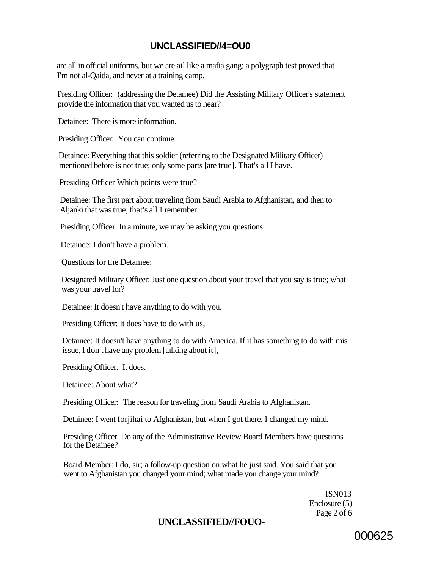### **UNCLASSIFIED//4=OU0**

are all in official uniforms, but we are ail like a mafia gang; a polygraph test proved that I'm not al-Qaida, and never at a training camp.

Presiding Officer: (addressing the Detamee) Did the Assisting Military Officer's statement provide the information that you wanted us to hear?

Detainee: There is more information.

Presiding Officer: You can continue.

Detainee: Everything that this soldier (referring to the Designated Military Officer) mentioned before is not true; only some parts [are true]. That's all I have.

Presiding Officer Which points were true?

Detainee: The first part about traveling fiom Saudi Arabia to Afghanistan, and then to Aljanki that was true; that's all 1 remember.

Presiding Officer In a minute, we may be asking you questions.

Detainee: I don't have a problem.

Questions for the Detamee;

Designated Military Officer: Just one question about your travel that you say is true; what was your travel for?

Detainee: It doesn't have anything to do with you.

Presiding Officer: It does have to do with us,

Detainee: It doesn't have anything to do with America. If it has something to do with mis issue, I don't have any problem [talking about it],

Presiding Officer. It does.

Detainee: About what?

Presiding Officer: The reason for traveling from Saudi Arabia to Afghanistan.

Detainee: I went forjihai to Afghanistan, but when I got there, I changed my mind.

Presiding Officer. Do any of the Administrative Review Board Members have questions for the Detainee?

Board Member: I do, sir; a follow-up question on what he just said. You said that you went to Afghanistan you changed your mind; what made you change your mind?

> ISN013 Enclosure (5) Page 2 of 6

#### **UNCLASSIFIED//FOUO-**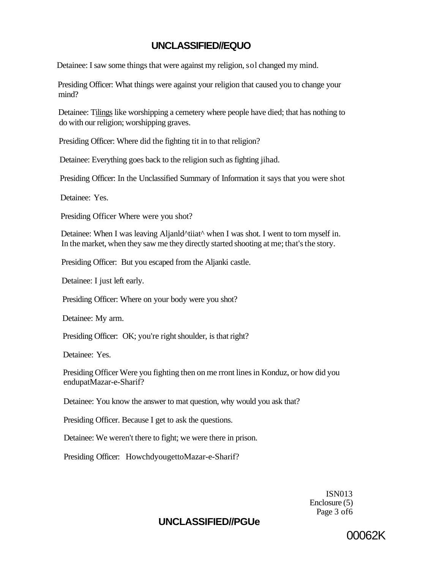### **UNCLASSIFIED//EQUO**

Detainee: I saw some things that were against my religion, sol changed my mind.

Presiding Officer: What things were against your religion that caused you to change your mind?

Detainee: Tilings like worshipping a cemetery where people have died; that has nothing to do with our religion; worshipping graves.

Presiding Officer: Where did the fighting tit in to that religion?

Detainee: Everything goes back to the religion such as fighting jihad.

Presiding Officer: In the Unclassified Summary of Information it says that you were shot

Detainee: Yes.

Presiding Officer Where were you shot?

Detainee: When I was leaving Aljanld^tiiat^ when I was shot. I went to torn myself in. In the market, when they saw me they directly started shooting at me; that's the story.

Presiding Officer: But you escaped from the Aljanki castle.

Detainee: I just left early.

Presiding Officer: Where on your body were you shot?

Detainee: My arm.

Presiding Officer: OK; you're right shoulder, is that right?

Detainee: Yes.

Presiding Officer Were you fighting then on me rront lines in Konduz, or how did you endupatMazar-e-Sharif?

Detainee: You know the answer to mat question, why would you ask that?

Presiding Officer. Because I get to ask the questions.

Detainee: We weren't there to fight; we were there in prison.

Presiding Officer: HowchdyougettoMazar-e-Sharif?

ISN013 Enclosure (5) Page 3 of6

### **UNCLASSIFIED//PGUe**

00062K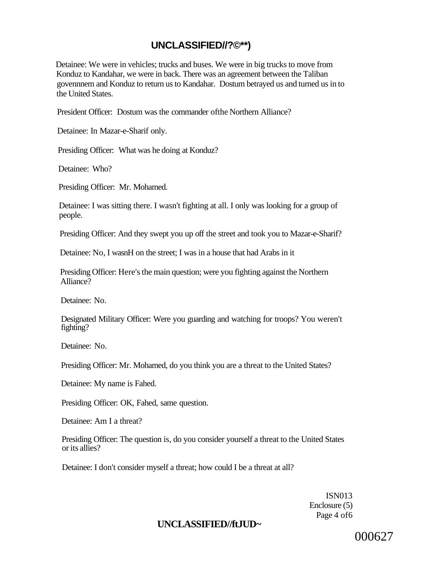### **UNCLASSIFIED//?©\*\*)**

Detainee: We were in vehicles; trucks and buses. We were in big trucks to move from Konduz to Kandahar, we were in back. There was an agreement between the Taliban govennnem and Konduz to return us to Kandahar. Dostum betrayed us and turned us in to the United States.

President Officer: Dostum was the commander ofthe Northern Alliance?

Detainee: In Mazar-e-Sharif only.

Presiding Officer: What was he doing at Konduz?

Detainee: Who?

Presiding Officer: Mr. Mohamed.

Detainee: I was sitting there. I wasn't fighting at all. I only was looking for a group of people.

Presiding Officer: And they swept you up off the street and took you to Mazar-e-Sharif?

Detainee: No. I wasnH on the street: I was in a house that had Arabs in it

Presiding Officer: Here's the main question; were you fighting against the Northern Alliance?

Detainee: No.

Designated Military Officer: Were you guarding and watching for troops? You weren't fighting?

Detainee: No.

Presiding Officer: Mr. Mohamed, do you think you are a threat to the United States?

Detainee: My name is Fahed.

Presiding Officer: OK, Fahed, same question.

Detainee: Am I a threat?

Presiding Officer: The question is, do you consider yourself a threat to the United States or its allies?

Detainee: I don't consider myself a threat; how could I be a threat at all?

ISN013 Enclosure (5) Page 4 of6

#### **UNCLASSIFIED//ftJUD~**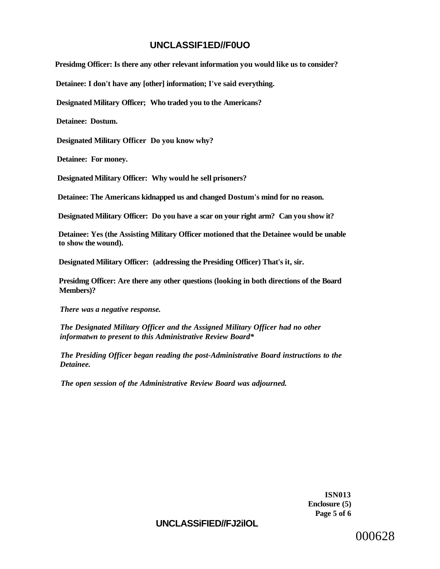#### **UNCLASSIF1ED//F0UO**

**Presidmg Officer: Is there any other relevant information you would like us to consider?** 

**Detainee: I don't have any [other] information; I've said everything.** 

**Designated Military Officer; Who traded you to the Americans?** 

**Detainee: Dostum.** 

**Designated Military Officer Do you know why?** 

**Detainee: For money.** 

**Designated Military Officer: Why would he sell prisoners?** 

**Detainee: The Americans kidnapped us and changed Dostum's mind for no reason.** 

**Designated Military Officer: Do you have a scar on your right arm? Can you show it?** 

**Detainee: Yes (the Assisting Military Officer motioned that the Detainee would be unable to show the wound).** 

**Designated Military Officer: (addressing the Presiding Officer) That's it, sir.** 

**Presidmg Officer: Are there any other questions (looking in both directions of the Board Members)?** 

*There was a negative response.* 

*The Designated Military Officer and the Assigned Military Officer had no other informatwn to present to this Administrative Review Board\** 

*The Presiding Officer began reading the post-Administrative Board instructions to the Detainee.* 

*The open session of the Administrative Review Board was adjourned.* 

**ISN013 Enclosure (5) Page 5 of 6** 

**UNCLASSiFIED//FJ2ilOL**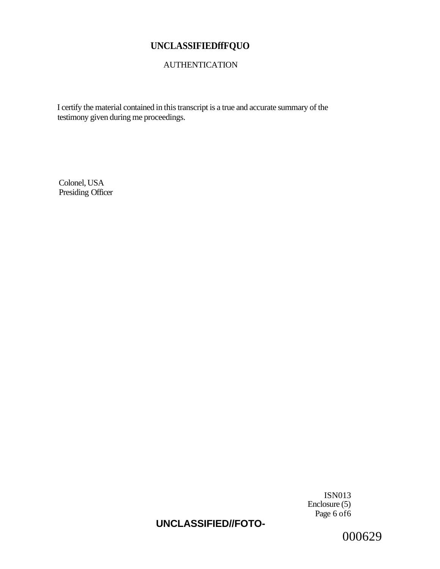## **UNCLASSIFIEDffFQUO**

### AUTHENTICATION

I certify the material contained in this transcript is a true and accurate summary of the testimony given during me proceedings.

Colonel, USA Presiding Officer

> ISN013 Enclosure (5) Page 6 of 6

## **UNCLASSIFIED//FOTO-**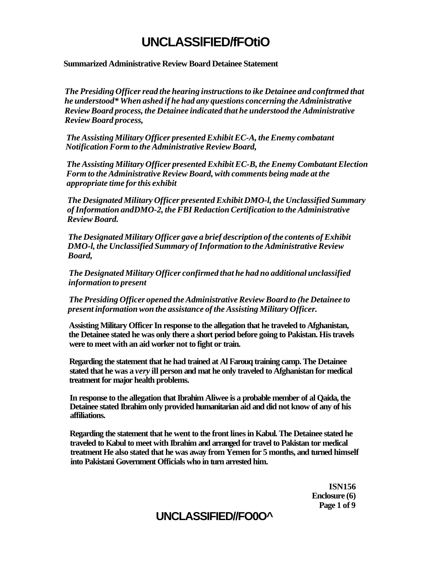## **UNCLASSlFIED/fFOtiO**

**Summarized Administrative Review Board Detainee Statement** 

*The Presiding Officer read the hearing instructions to ike Detainee and conftrmed that he understood\* When ashed if he had any questions concerning the Administrative Review Board process, the Detainee indicated that he understood the Administrative Review Board process,* 

*The Assisting Military Officer presented Exhibit EC-A, the Enemy combatant Notification Form to the Administrative Review Board,* 

*The Assisting Military Officer presented Exhibit EC-B, the Enemy Combatant Election Form to the Administrative Review Board, with comments being made at the appropriate time for this exhibit* 

*The Designated Military Officer presented Exhibit DMO-l, the Unclassified Summary of Information andDMO-2, the FBI Redaction Certification to the Administrative Review Board.* 

*The Designated Military Officer gave a brief description of the contents of Exhibit DMO-l, the Unclassified Summary of Information to the Administrative Review Board,* 

*The Designated Military Officer confirmed that he had no additional unclassified information to present* 

*The Presiding Officer opened the Administrative Review Board to (he Detainee to present information won the assistance of the Assisting Military Officer.* 

**Assisting Military Officer In response to the allegation that he traveled to Afghanistan, the Detainee stated he was only there a short period before going to Pakistan. His travels were to meet with an aid worker not to fight or train.** 

**Regarding the statement that he had trained at Al Farouq training camp. The Detainee stated that he was a** *very* **ill person and mat he only traveled to Afghanistan for medical treatment for major health problems.** 

**In response to the allegation that Ibrahim Aliwee is a probable member of al Qaida, the Detainee stated Ibrahim only provided humanitarian aid and did not know of any of his affiliations.** 

**Regarding the statement that he went to the front lines in Kabul. The Detainee stated he traveled to Kabul to meet with Ibrahim and arranged for travel to Pakistan tor medical treatment He also stated that he was away from Yemen for 5 months, and turned himself into Pakistani Government Officials who in turn arrested him.** 

> **ISN156 Enclosure (6) Page 1 of 9**

## **UNCLASSIFIED//FO0O^**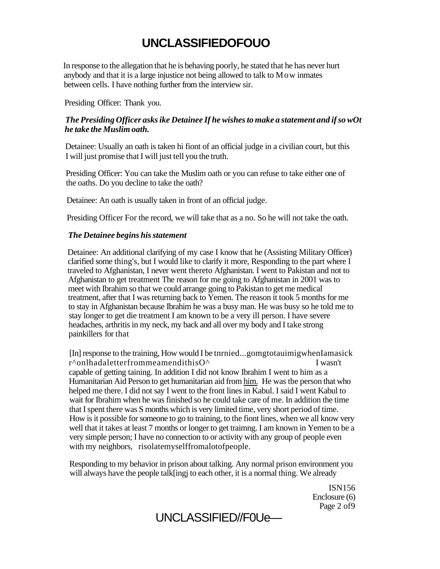## **UNCLASSIFIEDOFOUO**

In response to the allegation that he is behaving poorly, he stated that he has never hurt anybody and that it is a large injustice not being allowed to talk to Mow inmates between cells. I have nothing further from the interview sir.

Presiding Officer: Thank you.

#### *The Presiding Officer asks ike Detainee If he wishes to make a statement and if so wOt he take the Muslim oath.*

Detainee: Usually an oath is taken hi fiont of an official judge in a civilian court, but this I will just promise that I will just tell you the truth.

Presiding Officer: You can take the Muslim oath or you can refuse to take either one of the oaths. Do you decline to take the oath?

Detainee: An oath is usually taken in front of an official judge.

Presiding Officer For the record, we will take that as a no. So he will not take the oath.

#### *The Detainee begins his statement*

Detainee: An additional clarifying of my case I know that he (Assisting Military Officer) clarified some thing's, but I would like to clarify it more, Responding to the part where I traveled to Afghanistan, I never went thereto Afghanistan. I went to Pakistan and not to Afghanistan to get treatment The reason for me going to Afghanistan in 2001 was to meet with Ibrahim so that we could arrange going to Pakistan to get me medical treatment, after that I was returning back to Yemen. The reason it took 5 months for me to stay in Afghanistan because Ibrahim he was a busy man. He was busy so he told me to stay longer to get die treatment I am known to be a very ill person. I have severe headaches, arthritis in my neck, my back and all over my body and I take strong painkillers for that

[In] response to the training, How would I be tnrnied...gomgtotauimigwhenIamasick r^onlhadaletterfrommeamendithisO^ I wasn't capable of getting taining. In addition I did not know Ibrahim I went to him as a Humanitarian Aid Person to get humanitarian aid from him. He was tbe person that who helped me there. I did not say I went to the front lines in Kabul. I said I went Kabul to wait for Ibrahim when he was finished so he could take care of me. In addition the time that I spent there was S months which is very limited time, very short period of time. How is it possible for someone to go to training, to the fiont lines, when we all know very well that it takes at least 7 months or longer to get traimng. I am known in Yemen to be a very simple person; I have no connection to or activity with any group of people even with my neighbors, risolatemyselffromalotofpeople.

Responding to my behavior in prison about talking. Any normal prison environment you will always have the people talk [ing] to each other, it is a normal thing. We already

> ISN156 Enclosure (6) Page 2 of 9

## UNCLASSIFIED//F0Ue—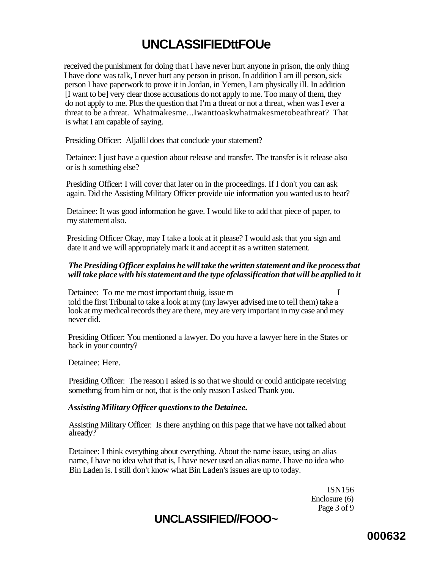# **UNCLASSIFIEDttFOUe**

received the punishment for doing that I have never hurt anyone in prison, the only thing I have done was talk, I never hurt any person in prison. In addition I am ill person, sick person I have paperwork to prove it in Jordan, in Yemen, I am physically ill. In addition [I want to be] very clear those accusations do not apply to me. Too many of them, they do not apply to me. Plus the question that I'm a threat or not a threat, when was I ever a threat to be a threat. Whatmakesme...Iwanttoaskwhatmakesmetobeathreat? That is what I am capable of saying.

Presiding Officer: Aljallil does that conclude your statement?

Detainee: I just have a question about release and transfer. The transfer is it release also or is h something else?

Presiding Officer: I will cover that later on in the proceedings. If I don't you can ask again. Did the Assisting Military Officer provide uie information you wanted us to hear?

Detainee: It was good information he gave. I would like to add that piece of paper, to my statement also.

Presiding Officer Okay, may I take a look at it please? I would ask that you sign and date it and we will appropriately mark it and accept it as a written statement.

#### *The Presiding Officer explains he will take the written statement and ike process that will take place with his statement and the type ofclassification that will be applied to it*

Detainee: To me me most important thuig, issue m told the first Tribunal to take a look at my (my lawyer advised me to tell them) take a look at my medical records they are there, mey are very important in my case and mey never did.

Presiding Officer: You mentioned a lawyer. Do you have a lawyer here in the States or back in your country?

Detainee: Here.

Presiding Officer: The reason I asked is so that we should or could anticipate receiving somethmg from him or not, that is the only reason I asked Thank you.

#### *Assisting Military Officer questions to the Detainee.*

Assisting Military Officer: Is there anything on this page that we have not talked about already?

Detainee: I think everything about everything. About the name issue, using an alias name, I have no idea what that is, I have never used an alias name. I have no idea who Bin Laden is. I still don't know what Bin Laden's issues are up to today.

> ISN156 Enclosure (6) Page 3 of 9

### **UNCLASSIFIED//FOOO~**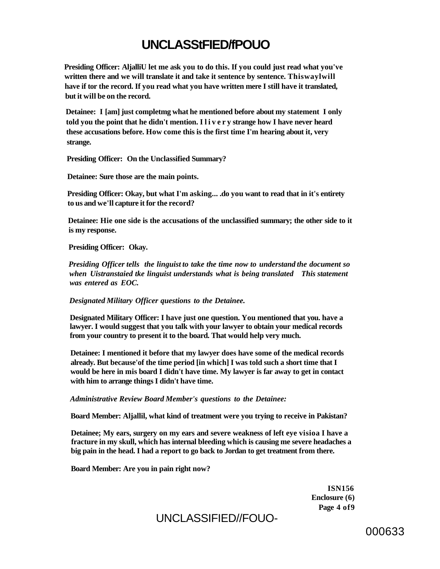# **UNCLASStFIED/fPOUO**

**Presiding Officer: AljalliU let me ask you to do this. If you could just read what you've written there and we will translate it and take it sentence by sentence. Thiswaylwill have if tor the record. If you read what you have written mere I still have it translated, but it will be on the record.** 

**Detainee: I [am] just completmg what he mentioned before about my statement I only told you the point that he didn't mention. I liver y strange how I have never heard these accusations before. How come this is the first time I'm hearing about it, very strange.** 

**Presiding Officer: On the Unclassified Summary?** 

**Detainee: Sure those are the main points.** 

**Presiding Officer: Okay, but what I'm asking... .do you want to read that in it's entirety to us and we'll capture it for the record?** 

**Detainee: Hie one side is the accusations of the unclassified summary; the other side to it is my response.** 

**Presiding Officer: Okay.** 

*Presiding Officer tells the linguist to take the time now to understand the document so when Uistranstaied tke linguist understands what is being translated This statement was entered as EOC.* 

*Designated Military Officer questions to the Detainee.* 

**Designated Military Officer: I have just one question. You mentioned that you. have a lawyer. I would suggest that you talk with your lawyer to obtain your medical records from your country to present it to the board. That would help very much.** 

**Detainee: I mentioned it before that my lawyer does have some of the medical records already. But because'of the time period [in which] I was told such a short time that I would be here in mis board I didn't have time. My lawyer is far away to get in contact with him to arrange things I didn't have time.** 

*Administrative Review Board Member's questions to the Detainee:* 

**Board Member: Aljallil, what kind of treatment were you trying to receive in Pakistan?** 

**Detainee; My ears, surgery on my ears and severe weakness of left eye visioa I have a fracture in my skull, which has internal bleeding which is causing me severe headaches a big pain in the head. I had a report to go back to Jordan to get treatment from there.** 

**Board Member: Are you in pain right now?** 

**ISN156 Enclosure (6) Page 4 of9** 

UNCLASSIFIED//FOUO-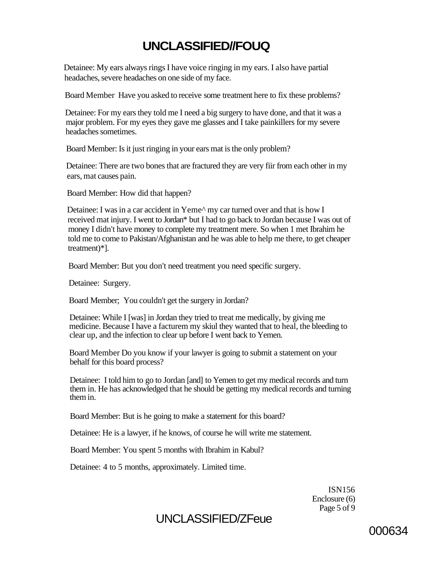## **UNCLASSIFIED//FOUQ**

Detainee: My ears always rings I have voice ringing in my ears. I also have partial headaches, severe headaches on one side of my face.

Board Member Have you asked to receive some treatment here to fix these problems?

Detainee: For my ears they told me I need a big surgery to have done, and that it was a major problem. For my eyes they gave me glasses and I take painkillers for my severe headaches sometimes.

Board Member: Is it just ringing in your ears mat is the only problem?

Detainee: There are two bones that are fractured they are very fiir from each other in my ears, mat causes pain.

Board Member: How did that happen?

Detainee: I was in a car accident in Yeme<sup> $\wedge$ </sup> my car turned over and that is how I received mat injury. I went to Jordan\* but I had to go back to Jordan because I was out of money I didn't have money to complete my treatment mere. So when 1 met Ibrahim he told me to come to Pakistan/Afghanistan and he was able to help me there, to get cheaper treatment)\*].

Board Member: But you don't need treatment you need specific surgery.

Detainee: Surgery.

Board Member; You couldn't get the surgery in Jordan?

Detainee: While I [was] in Jordan they tried to treat me medically, by giving me medicine. Because I have a facturem my skiul they wanted that to heal, the bleeding to clear up, and the infection to clear up before I went back to Yemen.

Board Member Do you know if your lawyer is going to submit a statement on your behalf for this board process?

Detainee: I told him to go to Jordan [and] to Yemen to get my medical records and turn them in. He has acknowledged that he should be getting my medical records and turning them in.

Board Member: But is he going to make a statement for this board?

Detainee: He is a lawyer, if he knows, of course he will write me statement.

Board Member: You spent 5 months with Ibrahim in Kabul?

Detainee: 4 to 5 months, approximately. Limited time.

ISN156 Enclosure (6) Page 5 of 9

UNCLASSIFIED/ZFeue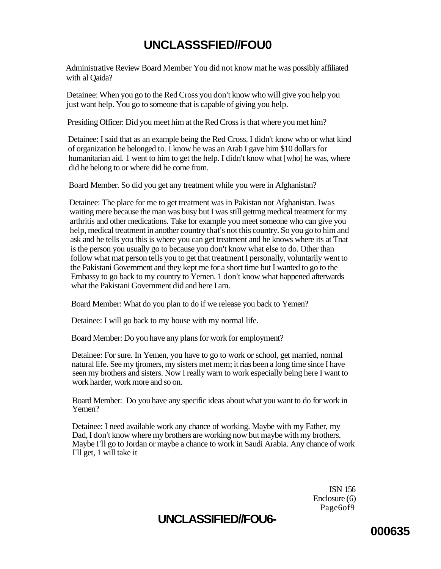## **UNCLASSSFIED//FOU0**

Administrative Review Board Member You did not know mat he was possibly affiliated with al Qaida?

Detainee: When you go to the Red Cross you don't know who will give you help you just want help. You go to someone that is capable of giving you help.

Presiding Officer: Did you meet him at the Red Cross is that where you met him?

Detainee: I said that as an example being the Red Cross. I didn't know who or what kind of organization he belonged to. I know he was an Arab I gave him \$10 dollars for humanitarian aid. 1 went to him to get the help. I didn't know what [who] he was, where did he belong to or where did he come from.

Board Member. So did you get any treatment while you were in Afghanistan?

Detainee: The place for me to get treatment was in Pakistan not Afghanistan. Iwas waiting mere because the man was busy but I was still gettmg medical treatment for my arthritis and other medications. Take for example you meet someone who can give you help, medical treatment in another country that's not this country. So you go to him and ask and he tells you this is where you can get treatment and he knows where its at Tnat is the person you usually go to because you don't know what else to do. Other than follow what mat person tells you to get that treatment I personally, voluntarily went to the Pakistani Government and they kept me for a short time but I wanted to go to the Embassy to go back to my country to Yemen. 1 don't know what happened afterwards what the Pakistani Government did and here I am.

Board Member: What do you plan to do if we release you back to Yemen?

Detainee: I will go back to my house with my normal life.

Board Member: Do you have any plans for work for employment?

Detainee: For sure. In Yemen, you have to go to work or school, get married, normal natural life. See my tjromers, my sisters met mem; it rias been a long time since I have seen my brothers and sisters. Now I really warn to work especially being here I want to work harder, work more and so on.

Board Member: Do you have any specific ideas about what you want to do for work in Yemen?

Detainee: I need available work any chance of working. Maybe with my Father, my Dad, I don't know where my brothers are working now but maybe with my brothers. Maybe I'll go to Jordan or maybe a chance to work in Saudi Arabia. Any chance of work I'll get, 1 will take it

> ISN 156 Enclosure (6) Page6of9

## **UNCLASSIFIED//FOU6-**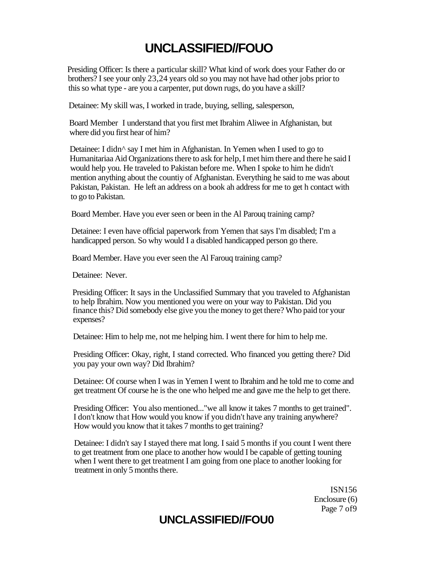# **UNCLASSIFIED//FOUO**

Presiding Officer: Is there a particular skill? What kind of work does your Father do or brothers? I see your only 23,24 years old so you may not have had other jobs prior to this so what type - are you a carpenter, put down rugs, do you have a skill?

Detainee: My skill was, I worked in trade, buying, selling, salesperson,

Board Member I understand that you first met Ibrahim Aliwee in Afghanistan, but where did you first hear of him?

Detainee: I didn^ say I met him in Afghanistan. In Yemen when I used to go to Humanitariaa Aid Organizations there to ask for help, I met him there and there he said I would help you. He traveled to Pakistan before me. When I spoke to him he didn't mention anything about the countiy of Afghanistan. Everything he said to me was about Pakistan, Pakistan. He left an address on a book ah address for me to get h contact with to go to Pakistan.

Board Member. Have you ever seen or been in the Al Parouq training camp?

Detainee: I even have official paperwork from Yemen that says I'm disabled; I'm a handicapped person. So why would I a disabled handicapped person go there.

Board Member. Have you ever seen the Al Farouq training camp?

Detainee: Never.

Presiding Officer: It says in the Unclassified Summary that you traveled to Afghanistan to help Ibrahim. Now you mentioned you were on your way to Pakistan. Did you finance this? Did somebody else give you the money to get there? Who paid tor your expenses?

Detainee: Him to help me, not me helping him. I went there for him to help me.

Presiding Officer: Okay, right, I stand corrected. Who financed you getting there? Did you pay your own way? Did Ibrahim?

Detainee: Of course when I was in Yemen I went to Ibrahim and he told me to come and get treatment Of course he is the one who helped me and gave me the help to get there.

Presiding Officer: You also mentioned..."we all know it takes 7 months to get trained". I don't know that How would you know if you didn't have any training anywhere? How would you know that it takes 7 months to get training?

Detainee: I didn't say I stayed there mat long. I said 5 months if you count I went there to get treatment from one place to another how would I be capable of getting touning when I went there to get treatment I am going from one place to another looking for treatment in only 5 months there.

> ISN156 Enclosure (6) Page 7 of 9

## **UNCLASSIFIED//FOU0**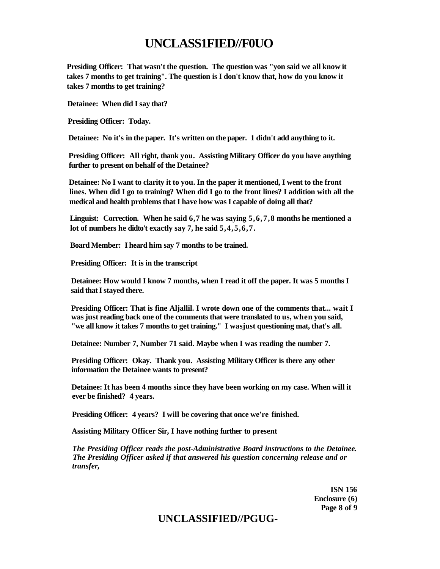## **UNCLASS1FIED//F0UO**

**Presiding Officer: That wasn't the question. The question was "yon said we all know it takes 7 months to get training". The question is I don't know that, how do you know it takes 7 months to get training?** 

**Detainee: When did I say that?** 

**Presiding Officer: Today.** 

**Detainee: No it's in the paper. It's written on the paper. 1 didn't add anything to it.** 

**Presiding Officer: All right, thank you. Assisting Military Officer do you have anything further to present on behalf of the Detainee?** 

**Detainee: No I want to clarity it to you. In the paper it mentioned, I went to the front lines. When did I go to training? When did I go to the front lines? I addition with all the medical and health problems that I have how was I capable of doing all that?** 

**Linguist: Correction. When he said 6,7 he was saying 5,6,7,8 months he mentioned a lot of numbers he didto't exactly say 7, he said 5,4,5,6,7.** 

**Board Member: I heard him say 7 months to be trained.** 

**Presiding Officer: It is in the transcript** 

**Detainee: How would I know 7 months, when I read it off the paper. It was 5 months I said that I stayed there.** 

**Presiding Officer: That is fine Aljallil. I wrote down one of the comments that... wait I was just reading back one of the comments that were translated to us, when you said, "we all know it takes 7 months to get training." I wasjust questioning mat, that's all.** 

**Detainee: Number 7, Number 71 said. Maybe when I was reading the number 7.** 

**Presiding Officer: Okay. Thank you. Assisting Military Officer is there any other information the Detainee wants to present?** 

**Detainee: It has been 4 months since they have been working on my case. When will it ever be finished? 4 years.** 

**Presiding Officer: 4 years? I will be covering that once we're finished.** 

**Assisting Military Officer Sir, I have nothing further to present** 

*The Presiding Officer reads the post-Administrative Board instructions to the Detainee. The Presiding Officer asked if that answered his question concerning release and or transfer,* 

> **ISN 156 Enclosure (6) Page 8 of 9**

### **UNCLASSIFIED//PGUG-**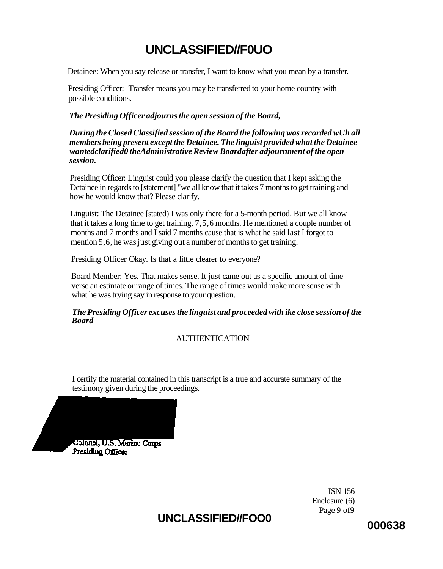# **UNCLASSIFIED//F0UO**

Detainee: When you say release or transfer, I want to know what you mean by a transfer.

Presiding Officer: Transfer means you may be transferred to your home country with possible conditions.

#### *The Presiding Officer adjourns the open session of the Board,*

*During the Closed Classified session of the Board the following was recorded wUh all members being present except the Detainee. The linguist provided what the Detainee wantedclarified0 theAdministrative Review Boardafter adjournment of the open session.* 

Presiding Officer: Linguist could you please clarify the question that I kept asking the Detainee in regards to [statement] "we all know that it takes 7 months to get training and how he would know that? Please clarify.

Linguist: The Detainee [stated) I was only there for a 5-month period. But we all know that it takes a long time to get training, 7,5,6 months. He mentioned a couple number of months and 7 months and I said 7 months cause that is what he said last I forgot to mention 5,6, he was just giving out a number of months to get training.

Presiding Officer Okay. Is that a little clearer to everyone?

Board Member: Yes. That makes sense. It just came out as a specific amount of time verse an estimate or range of times. The range of times would make more sense with what he was trying say in response to your question.

#### *The Presiding Officer excuses the linguist and proceeded with ike close session of the Board*

#### AUTHENTICATION

I certify the material contained in this transcript is a true and accurate summary of the testimony given during the proceedings.



ISN 156 Enclosure (6) Page 9 of9

## **UNCLASSIFIED//FOO0**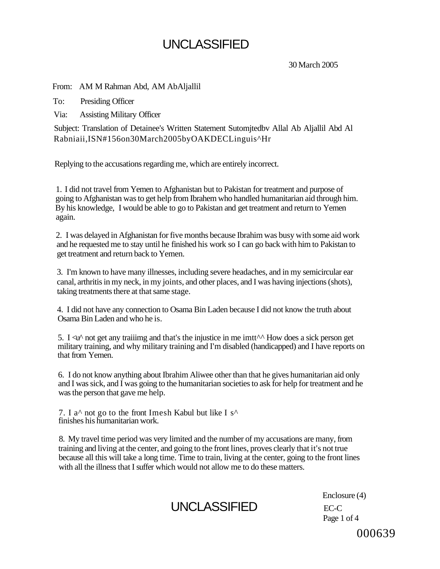# UNCLASSIFIED

30 March 2005

#### From: AM M Rahman Abd, AM AbAljallil

To: Presiding Officer

Via: Assisting Military Officer

Subject: Translation of Detainee's Written Statement Sutomjtedbv Allal Ab Aljallil Abd Al Rabniaii,ISN#156on30March2005byOAKDECLinguis^Hr

Replying to the accusations regarding me, which are entirely incorrect.

1. I did not travel from Yemen to Afghanistan but to Pakistan for treatment and purpose of going to Afghanistan was to get help from Ibrahem who handled humanitarian aid through him. By his knowledge, I would be able to go to Pakistan and get treatment and return to Yemen again.

2. I was delayed in Afghanistan for five months because Ibrahim was busy with some aid work and he requested me to stay until he finished his work so I can go back with him to Pakistan to get treatment and return back to Yemen.

3. I'm known to have many illnesses, including severe headaches, and in my semicircular ear canal, arthritis in my neck, in my joints, and other places, and I was having injections (shots), taking treatments there at that same stage.

4. I did not have any connection to Osama Bin Laden because I did not know the truth about Osama Bin Laden and who he is.

5. I  $\lll$  not get any traiiimg and that's the injustice in me imtt<sup> $\land$ </sup> How does a sick person get military training, and why military training and I'm disabled (handicapped) and I have reports on that from Yemen.

6. I do not know anything about Ibrahim Aliwee other than that he gives humanitarian aid only and I was sick, and I was going to the humanitarian societies to ask for help for treatment and he was the person that gave me help.

7. I a $\wedge$  not go to the front Imesh Kabul but like I s $\wedge$ finishes his humanitarian work.

8. My travel time period was very limited and the number of my accusations are many, from training and living at the center, and going to the front lines, proves clearly that it's not true because all this will take a long time. Time to train, living at the center, going to the front lines with all the illness that I suffer which would not allow me to do these matters.

# UNCLASSIFIED

Enclosure (4)

EC-C Page 1 of 4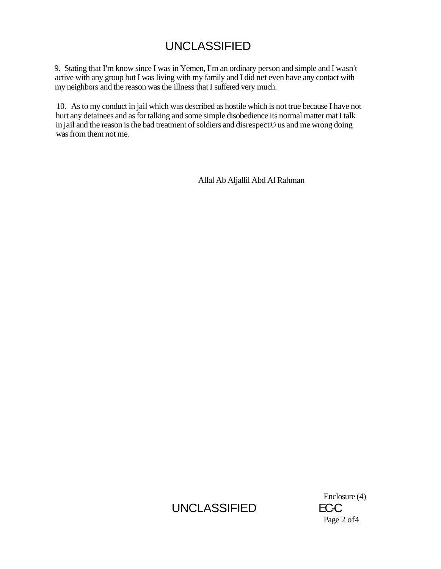# UNCLASSIFIED

9. Stating that I'm know since I was in Yemen, I'm an ordinary person and simple and I wasn't active with any group but I was living with my family and I did net even have any contact with my neighbors and the reason was the illness that I suffered very much.

10. As to my conduct in jail which was described as hostile which is not true because I have not hurt any detainees and as for talking and some simple disobedience its normal matter mat I talk in jail and the reason is the bad treatment of soldiers and disrespect© us and me wrong doing was from them not me.

Allal Ab Aljallil Abd Al Rahman



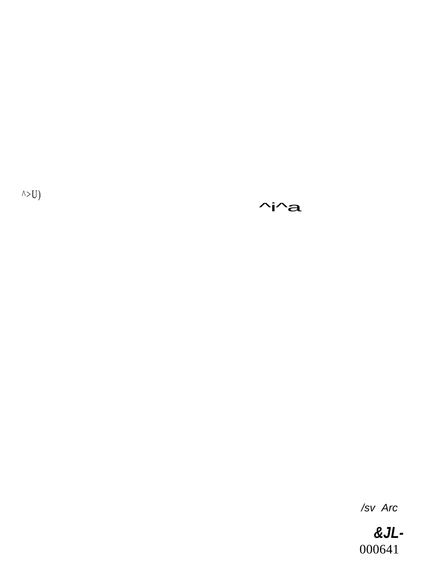$^{\wedge}$ >U)

^i^a

/sv Arc

**&JL-**000641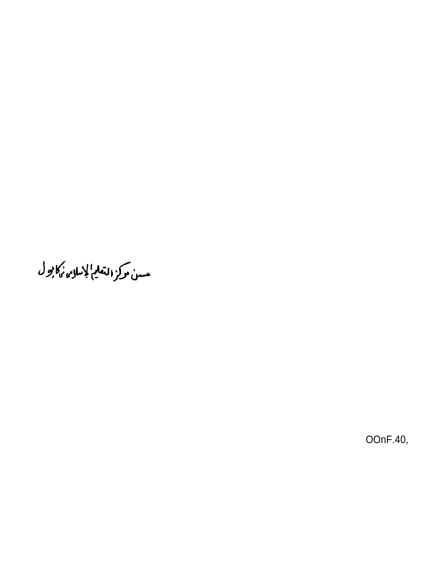مسن موكز التعلي<sup>ا</sup> لإسلامه بكابول

OOnF.40,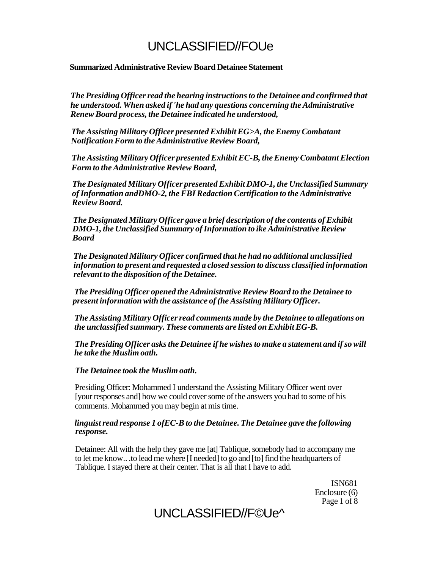## UNCLASSIFIED//FOUe

#### **Summarized Administrative Review Board Detainee Statement**

*The Presiding Officer read the hearing instructions to the Detainee and confirmed that he understood. When asked if 'he had any questions concerning the Administrative Renew Board process, the Detainee indicated he understood,* 

*The Assisting Military Officer presented Exhibit EG>A, the Enemy Combatant Notification Form to the Administrative Review Board,* 

*The Assisting Military Officer presented Exhibit EC-B, the Enemy Combatant Election Form to the Administrative Review Board,* 

*The Designated Military Officer presented Exhibit DMO-1, the Unclassified Summary of Information andDMO-2, the FBI Redaction Certification to the Administrative Review Board.* 

*The Designated Military Officer gave a brief description of the contents of Exhibit DMO-1, the Unclassified Summary of Information to ike Administrative Review Board* 

*The Designated Military Officer confirmed that he had no additional unclassified information to present and requested a closed session to discuss classified information relevant to the disposition of the Detainee.* 

*The Presiding Officer opened the Administrative Review Board to the Detainee to present information with the assistance of (he Assisting Military Officer.* 

*The Assisting Military Officer read comments made by the Detainee to allegations on the unclassified summary. These comments are listed on Exhibit EG-B.* 

*The Presiding Officer asks the Detainee if he wishes to make a statement and if so will he take the Muslim oath.* 

*The Detainee took the Muslim oath.* 

Presiding Officer: Mohammed I understand the Assisting Military Officer went over [your responses and] how we could cover some of the answers you had to some of his comments. Mohammed you may begin at mis time.

#### *linguist read response 1 ofEC-B to the Detainee. The Detainee gave the following response.*

Detainee: All with the help they gave me [at] Tablique, somebody had to accompany me to let me know.. .to lead me where [I needed] to go and [to] find the headquarters of Tablique. I stayed there at their center. That is all that I have to add.

> ISN681 Enclosure (6) Page 1 of 8

## UNCLASSIFIED//F©Ue^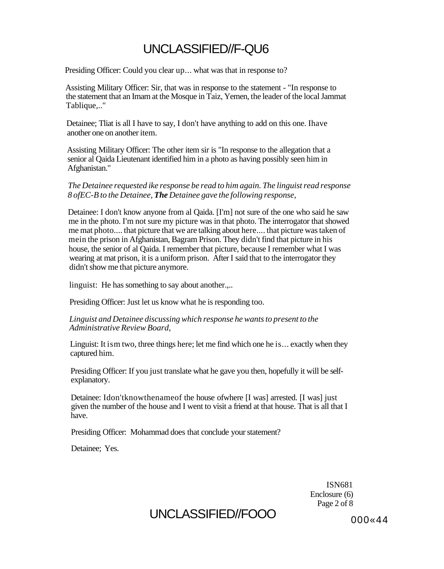## UNCLASSIFIED//F-QU6

Presiding Officer: Could you clear up... what was that in response to?

Assisting Military Officer: Sir, that was in response to the statement - "In response to the statement that an Imam at the Mosque in Taiz, Yemen, the leader of the local Jammat Tablique,.."

Detainee; Tliat is all I have to say, I don't have anything to add on this one. Ihave another one on another item.

Assisting Military Officer: The other item sir is "In response to the allegation that a senior al Qaida Lieutenant identified him in a photo as having possibly seen him in Afghanistan."

*The Detainee requested ike response be read to him again. The linguist read response 8 ofEC-B to the Detainee, The Detainee gave the following response,* 

Detainee: I don't know anyone from al Qaida. [I'm] not sure of the one who said he saw me in the photo. I'm not sure my picture was in that photo. The interrogator that showed me mat photo.... that picture that we are talking about here.... that picture was taken of mein the prison in Afghanistan, Bagram Prison. They didn't find that picture in his house, the senior of al Qaida. I remember that picture, because I remember what I was wearing at mat prison, it is a uniform prison. After I said that to the interrogator they didn't show me that picture anymore.

linguist: He has something to say about another.,..

Presiding Officer: Just let us know what he is responding too.

*Linguist and Detainee discussing which response he wants to present to the Administrative Review Board,* 

Linguist: It ism two, three things here; let me find which one he is... exactly when they captured him.

Presiding Officer: If you just translate what he gave you then, hopefully it will be selfexplanatory.

Detainee: Idon'tknowthenameof the house ofwhere [I was] arrested. [I was] just given the number of the house and I went to visit a friend at that house. That is all that I have.

Presiding Officer: Mohammad does that conclude your statement?

Detainee; Yes.

ISN681 Enclosure (6) Page 2 of 8

## UNCLASSIFIED//FOOO

000«44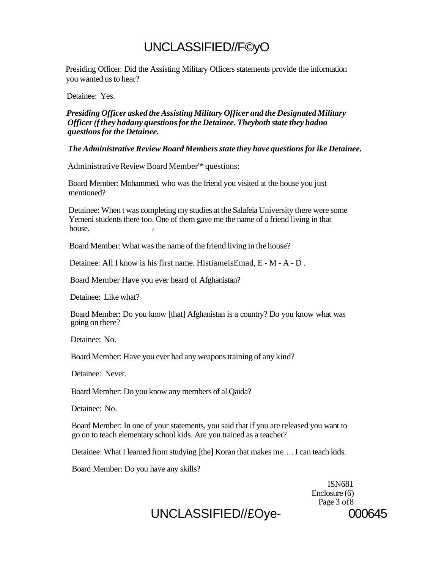## UNCLASSIFIED//F©yO

Presiding Officer: Did the Assisting Military Officers statements provide the information you wanted us to hear?

Detainee: Yes.

*Presiding Officer asked the Assisting Military Officer and the Designated Military Officer (f they hadany questions for the Detainee. Theyboth state they hadno questions for the Detainee.* 

*The Administrative Review Board Members state they have questions for ike Detainee.* 

Administrative Review Board Member'\* questions:

Board Member: Mohammed, who was the friend you visited at the house you just mentioned?

Detainee: When t was completing my studies at the Salafeia University there were some Yemeni students there too. One of them gave me the name of a friend living in that house. The set of the set of the set of the set of the set of the set of the set of the set of the set of the set of the set of the set of the set of the set of the set of the set of the set of the set of the set of the se

Board Member: What was the name of the friend living in the house?

Detainee: All I know is his first name. HistiameisEmad, E-M-A-D .

Board Member Have you ever heard of Afghanistan?

Detainee: Like what?

Board Member: Do you know [that] Afghanistan is a country? Do you know what was going on there?

Detainee: No.

Board Member: Have you ever had any weapons training of any kind?

Detainee: Never.

Board Member: Do you know any members of al Qaida?

Detainee: No.

Board Member: In one of your statements, you said that if you are released you want to go on to teach elementary school kids. Are you trained as a teacher?

Detainee: What I learned from studying [the] Koran that makes me.... I can teach kids.

Board Member: Do you have any skills?

ISN681 Enclosure (6) Page 3 of8

## UNCLASSIFIED//£Oye- 000645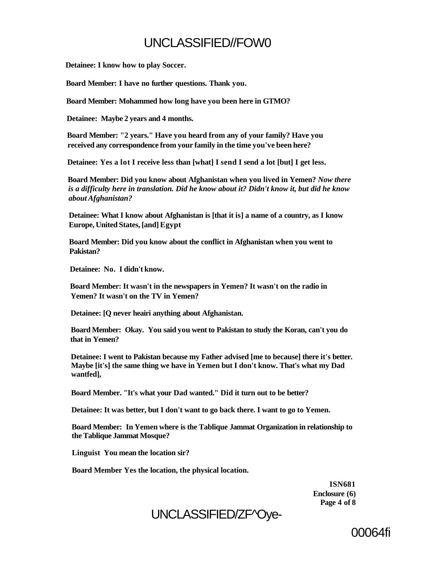## UNCLASSIFIED//FOW0

**Detainee: I know how to play Soccer.** 

**Board Member: I have no further questions. Thank you.** 

**Board Member: Mohammed how long have you been here in GTMO?** 

**Detainee: Maybe 2 years and 4 months.** 

**Board Member: "2 years." Have you heard from any of your family? Have you received any correspondence from your family in the time you've been here?** 

**Detainee: Yes a lot I receive less than [what] I send I send a lot [but] I get less.** 

**Board Member: Did you know about Afghanistan when you lived in Yemen?** *Now there is a difficulty here in translation. Did he know about it? Didn't know it, but did he know about Afghanistan?* 

**Detainee: What I know about Afghanistan is [that it is] a name of a country, as I know Europe, United States, [and] Egypt** 

**Board Member: Did you know about the conflict in Afghanistan when you went to Pakistan?** 

**Detainee: No. I didn't know.** 

**Board Member: It wasn't in the newspapers in Yemen? It wasn't on the radio in Yemen? It wasn't on the TV in Yemen?** 

**Detainee: [Q never heairi anything about Afghanistan.** 

**Board Member: Okay. You said you went to Pakistan to study the Koran, can't you do that in Yemen?** 

**Detainee: I went to Pakistan because my Father advised [me to because] there it's better. Maybe [it's] the same thing we have in Yemen but I don't know. That's what my Dad wantfed],** 

**Board Member. "It's what your Dad wanted." Did it turn out to be better?** 

**Detainee: It was better, but I don't want to go back there. I want to go to Yemen.** 

**Board Member: In Yemen where is the Tablique Jammat Organization in relationship to the Tablique Jammat Mosque?** 

**Linguist You mean the location sir?** 

**Board Member Yes the location, the physical location.** 

**ISN681 Enclosure (6) Page 4 of 8** 



00064fi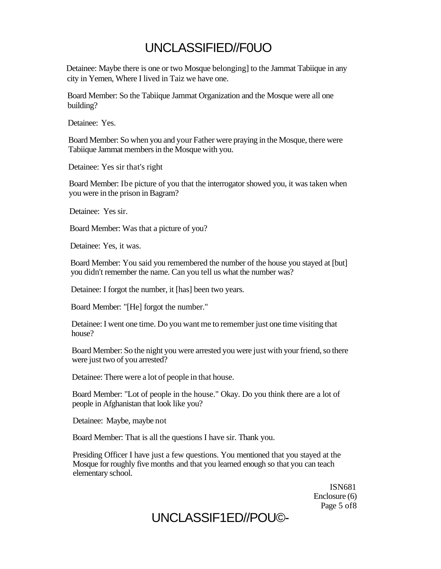## UNCLASSIFIED//F0UO

Detainee: Maybe there is one or two Mosque belonging] to the Jammat Tabiique in any city in Yemen, Where I lived in Taiz we have one.

Board Member: So the Tabiique Jammat Organization and the Mosque were all one building?

Detainee: Yes.

Board Member: So when you and your Father were praying in the Mosque, there were Tabiique Jammat members in the Mosque with you.

Detainee: Yes sir that's right

Board Member: Ibe picture of you that the interrogator showed you, it was taken when you were in the prison in Bagram?

Detainee: Yes sir.

Board Member: Was that a picture of you?

Detainee: Yes, it was.

Board Member: You said you remembered the number of the house you stayed at [but] you didn't remember the name. Can you tell us what the number was?

Detainee: I forgot the number, it [has] been two years.

Board Member: "[He] forgot the number."

Detainee: I went one time. Do you want me to remember just one time visiting that house?

Board Member: So the night you were arrested you were just with your friend, so there were just two of you arrested?

Detainee: There were a lot of people in that house.

Board Member: "Lot of people in the house." Okay. Do you think there are a lot of people in Afghanistan that look like you?

Detainee: Maybe, maybe not

Board Member: That is all the questions I have sir. Thank you.

Presiding Officer I have just a few questions. You mentioned that you stayed at the Mosque for roughly five months and that you learned enough so that you can teach elementary school.

> ISN681 Enclosure (6) Page 5 of8

UNCLASSIF1ED//POU©-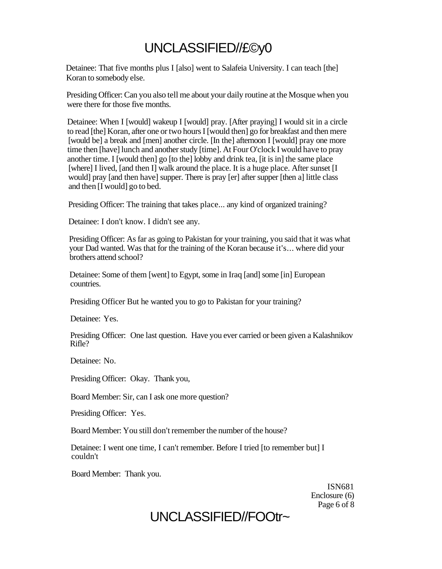# UNCLASSIFIED//£©y0

Detainee: That five months plus I [also] went to Salafeia University. I can teach [the] Koran to somebody else.

Presiding Officer: Can you also tell me about your daily routine at the Mosque when you were there for those five months.

Detainee: When I [would] wakeup I [would] pray. [After praying] I would sit in a circle to read [the] Koran, after one or two hours I [would then] go for breakfast and then mere [would be] a break and [men] another circle. [In the] afternoon I [would] pray one more time then [have] lunch and another study [time]. At Four O'clock I would have to pray another time. I [would then] go [to the] lobby and drink tea, [it is in] the same place [where] I lived, [and then I] walk around the place. It is a huge place. After sunset [I would] pray [and then have] supper. There is pray [er] after supper [then a] little class and then [I would] go to bed.

Presiding Officer: The training that takes place... any kind of organized training?

Detainee: I don't know. I didn't see any.

Presiding Officer: As far as going to Pakistan for your training, you said that it was what your Dad wanted. Was that for the training of the Koran because it's... where did your brothers attend school?

Detainee: Some of them [went] to Egypt, some in Iraq [and] some [in] European countries.

Presiding Officer But he wanted you to go to Pakistan for your training?

Detainee: Yes.

Presiding Officer: One last question. Have you ever carried or been given a Kalashnikov Rifle?

Detainee: No.

Presiding Officer: Okay. Thank you,

Board Member: Sir, can I ask one more question?

Presiding Officer: Yes.

Board Member: You still don't remember the number of the house?

Detainee: I went one time, I can't remember. Before I tried [to remember but] I couldn't

Board Member: Thank you.

ISN681 Enclosure (6) Page 6 of 8

## UNCLASSIFIED//FOOtr~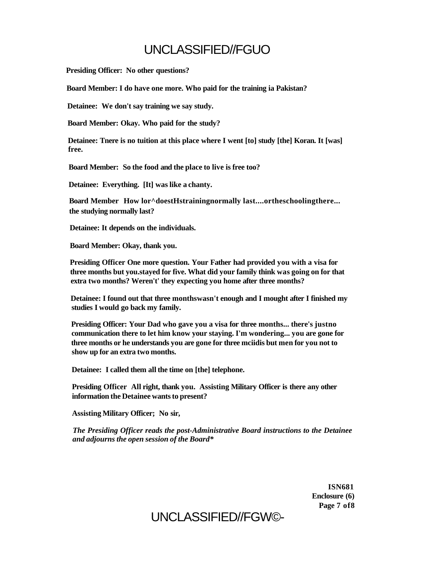## UNCLASSIFIED//FGUO

**Presiding Officer: No other questions?** 

**Board Member: I do have one more. Who paid for the training ia Pakistan?** 

**Detainee: We don't say training we say study.** 

**Board Member: Okay. Who paid for the study?** 

**Detainee: Tnere is no tuition at this place where I went [to] study [the] Koran. It [was] free.** 

**Board Member: So the food and the place to live is free too?** 

**Detainee: Everything. [It] was like a chanty.** 

**Board Member How lor^doestHstrainingnormally last....ortheschoolingthere... the studying normally last?** 

**Detainee: It depends on the individuals.** 

**Board Member: Okay, thank you.** 

**Presiding Officer One more question. Your Father had provided you with a visa for three months but you.stayed for five. What did your family think was going on for that extra two months? Weren't' they expecting you home after three months?** 

**Detainee: I found out that three monthswasn't enough and I mought after I finished my studies I would go back my family.** 

**Presiding Officer: Your Dad who gave you a visa for three months... there's justno communication there to let him know your staying. I'm wondering... you are gone for three months or he understands you are gone for three mciidis but men for you not to show up for an extra two months.** 

**Detainee: I called them all the time on [the] telephone.** 

**Presiding Officer All right, thank you. Assisting Military Officer is there any other information the Detainee wants to present?** 

**Assisting Military Officer; No sir,** 

*The Presiding Officer reads the post-Administrative Board instructions to the Detainee and adjourns the open session of the Board\** 

> **ISN681 Enclosure (6) Page 7 of8**

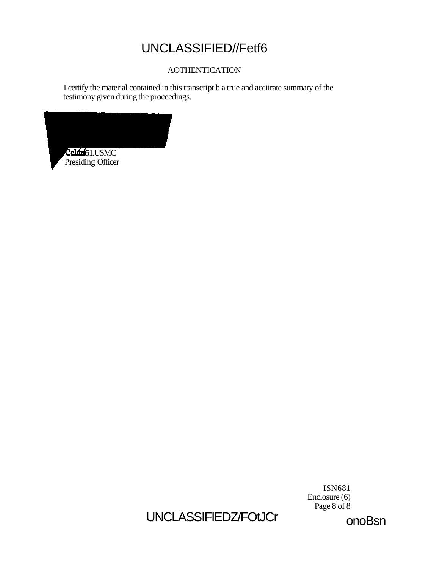# UNCLASSIFIED//Fetf6

### AOTHENTICATION

I certify the material contained in this transcript b a true and acciirate summary of the testimony given during the proceedings.

Colo 51.USMC Presiding Officer

> ISN681 Enclosure (6) Page 8 of 8

UNCLASSIFIEDZ/FOtJCr onoBsn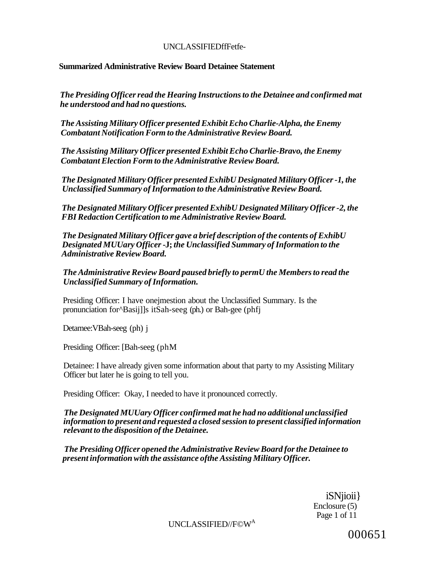#### UNCLASSIFIEDffFetfe-

#### **Summarized Administrative Review Board Detainee Statement**

*The Presiding Officer read the Hearing Instructions to the Detainee and confirmed mat he understood and had no questions.* 

*The Assisting Military Officer presented Exhibit Echo Charlie-Alpha, the Enemy Combatant Notification Form to the Administrative Review Board.* 

*The Assisting Military Officer presented Exhibit Echo Charlie-Bravo, the Enemy Combatant Election Form to the Administrative Review Board.* 

*The Designated Military Officer presented ExhibU Designated Military Officer -1, the Unclassified Summary of Information to the Administrative Review Board.* 

*The Designated Military Officer presented ExhibU Designated Military Officer -2, the FBI Redaction Certification to me Administrative Review Board.* 

*The Designated Military Officer gave a brief description of the contents of ExhibU Designated MUUary Officer* **-J;** *the Unclassified Summary of Information to the Administrative Review Board.* 

*The Administrative Review Board paused briefly to permU the Members to read the Unclassified Summary of Information.* 

Presiding Officer: I have onejmestion about the Unclassified Summary. Is the pronunciation for^Basij]]s itSah-seeg (ph.) or Bah-gee (phfj

Detamee:VBah-seeg (ph) j

Presiding Officer: [Bah-seeg (phM

Detainee: I have already given some information about that party to my Assisting Military Officer but later he is going to tell you.

Presiding Officer: Okay, I needed to have it pronounced correctly.

*The Designated MUUary Officer confirmed mat he had no additional unclassified information to present and requested a closed session to present classified information relevant to the disposition of the Detainee.* 

*The Presiding Officer opened the Administrative Review Board for the Detainee to present information with the assistance ofthe Assisting Military Officer.* 

> iSNjioii} Enclosure (5) Page 1 of 11

UNCLASSIFIED//F©W<sup>A</sup>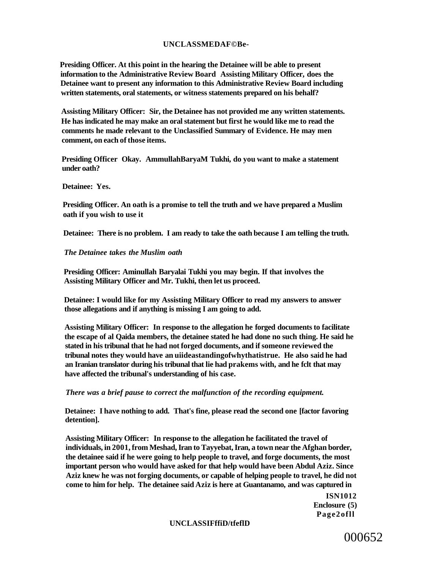#### **UNCLASSMEDAF©Be-**

**Presiding Officer. At this point in the hearing the Detainee will be able to present information to the Administrative Review Board Assisting Military Officer, does the Detainee want to present any information to this Administrative Review Board including written statements, oral statements, or witness statements prepared on his behalf?** 

**Assisting Military Officer: Sir, the Detainee has not provided me any written statements. He has indicated he may make an oral statement but first he would like me to read the comments he made relevant to the Unclassified Summary of Evidence. He may men comment, on each of those items.** 

**Presiding Officer Okay. AmmullahBaryaM Tukhi, do you want to make a statement under oath?** 

**Detainee: Yes.** 

**Presiding Officer. An oath is a promise to tell the truth and we have prepared a Muslim oath if you wish to use it** 

**Detainee: There is no problem. I am ready to take the oath because I am telling the truth.** 

#### *The Detainee takes the Muslim oath*

**Presiding Officer: Aminullah Baryalai Tukhi you may begin. If that involves the Assisting Military Officer and Mr. Tukhi, then let us proceed.** 

**Detainee: I would like for my Assisting Military Officer to read my answers to answer those allegations and if anything is missing I am going to add.** 

**Assisting Military Officer: In response to the allegation he forged documents to facilitate the escape of al Qaida members, the detainee stated he had done no such thing. He said he stated in his tribunal that he had not forged documents, and if someone reviewed the tribunal notes they would have an uiideastandingofwhythatistrue. He also said he had an Iranian translator during his tribunal that lie had prakems with, and he fclt that may have affected the tribunal's understanding of his case.** 

#### *There was a brief pause to correct the malfunction of the recording equipment.*

**Detainee: I have nothing to add. That's fine, please read the second one [factor favoring detention].** 

**Assisting Military Officer: In response to the allegation he facilitated the travel of individuals, in 2001, from Meshad, Iran to Tayyebat, Iran, a town near the Afghan border, the detainee said if he were going to help people to travel, and forge documents, the most important person who would have asked for that help would have been Abdul Aziz. Since Aziz knew he was not forging documents, or capable of helping people to travel, he did not come to him for help. The detainee said Aziz is here at Guantanamo, and was captured in** 

> **ISN1012 Enclosure (5) Page2ofll**

#### **UNCLASSIFffiD/tfeflD**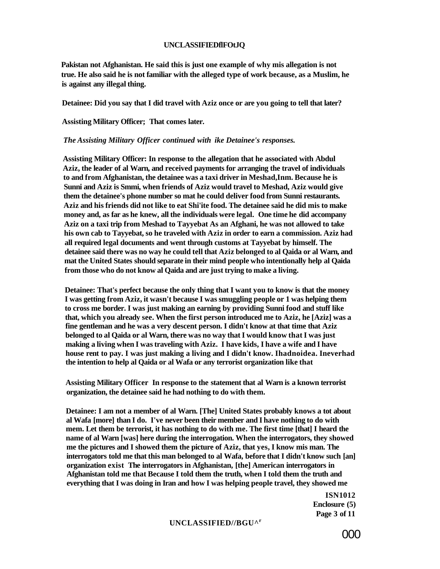#### **UNCLASSIFIEDflFOtJQ**

**Pakistan not Afghanistan. He said this is just one example of why mis allegation is not true. He also said he is not familiar with the alleged type of work because, as a Muslim, he is against any illegal thing.** 

**Detainee: Did you say that I did travel with Aziz once or are you going to tell that later?** 

**Assisting Military Officer; That comes later.** 

#### *The Assisting Military Officer continued with ike Detainee's responses.*

**Assisting Military Officer: In response to the allegation that he associated with Abdul Aziz, the leader of al Warn, and received payments for arranging the travel of individuals to and from Afghanistan, the detainee was a taxi driver in Meshad,Inm. Because he is Sunni and Aziz is Smmi, when friends of Aziz would travel to Meshad, Aziz would give them the detainee's phone number so mat he could deliver food from Sunni restaurants. Aziz and his friends did not like to eat Shi'ite food. The detainee said he did mis to make money and, as far as he knew, all the individuals were legal. One time he did accompany Aziz on a taxi trip from Meshad to Tayyebat As an Afghani, he was not allowed to take his own cab to Tayyebat, so he traveled with Aziz in order to earn a commission. Aziz had all required legal documents and went through customs at Tayyebat by himself. The detainee said there was no way he could tell that Aziz belonged to al Qaida or al Warn, and mat the United States should separate in their mind people who intentionally help al Qaida from those who do not know al Qaida and are just trying to make a living.** 

**Detainee: That's perfect because the only thing that I want you to know is that the money I was getting from Aziz, it wasn't because I was smuggling people or 1 was helping them to cross me border. I was just making an earning by providing Sunni food and stuff like that, which you already see. When the first person introduced me to Aziz, he [Aziz] was a fine gentleman and he was a very descent person. I didn't know at that time that Aziz belonged to al Qaida or al Warn, there was no way that I would know that I was just making a living when I was traveling with Aziz. I have kids, I have a wife and I have house rent to pay. I was just making a living and I didn't know. Ihadnoidea. Ineverhad the intention to help al Qaida or al Wafa or any terrorist organization like that** 

**Assisting Military Officer In response to the statement that al Warn is a known terrorist organization, the detainee said he had nothing to do with them.** 

**Detainee: I am not a member of al Warn. [The] United States probably knows a tot about al Wafa [more] than I do. I've never been their member and I have nothing to do with mem. Let them be terrorist, it has nothing to do with me. The first time [that] I heard the name of al Warn [was] here during the interrogation. When the interrogators, they showed me the pictures and I showed them the picture of Aziz, that yes, I know mis man. The interrogators told me that this man belonged to al Wafa, before that I didn't know such [an] organization exist The interrogators in Afghanistan, [the] American interrogators in Afghanistan told me that Because I told them the truth, when I told them the truth and everything that I was doing in Iran and how I was helping people travel, they showed me** 

> **ISN1012 Enclosure (5) Page 3 of 11**

#### **UNCLASSIFIED//BGU^<sup>r</sup>**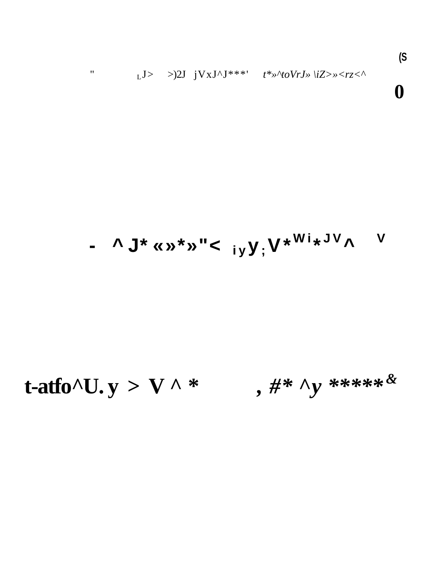**(S** 

**0** 

$$
-\Lambda J^* \ll \nu^* \ll \nu \ll \frac{1}{2} \nu y \ll \frac{V^* W^*}{V^*} V \land \quad V
$$

 $t$ -atfo^U.  $y > V^{\Lambda *}$ , #\* ^y \*\*\*\*\*  $^{\&}$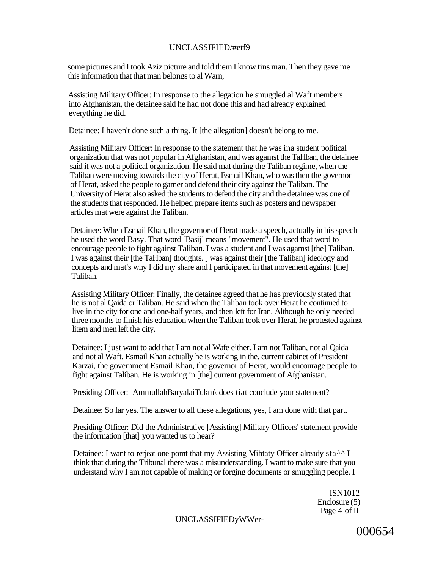#### UNCLASSIFIED/#etf9

some pictures and I took Aziz picture and told them I know tins man. Then they gave me this information that that man belongs to al Warn,

Assisting Military Officer: In response to the allegation he smuggled al Waft members into Afghanistan, the detainee said he had not done this and had already explained everything he did.

Detainee: I haven't done such a thing. It [the allegation] doesn't belong to me.

Assisting Military Officer: In response to the statement that he was ina student political organization that was not popular in Afghanistan, and was agamst the TaHban, the detainee said it was not a political organization. He said mat during the Taliban regime, when the Taliban were moving towards the city of Herat, Esmail Khan, who was then the governor of Herat, asked the people to gamer and defend their city against the Taliban. The University of Herat also asked the students to defend the city and the detainee was one of the students that responded. He helped prepare items such as posters and newspaper articles mat were against the Taliban.

Detainee: When Esmail Khan, the governor of Herat made a speech, actually in his speech he used the word Basy. That word [Basij] means "movement". He used that word to encourage people to fight against Taliban. I was a student and I was agamst [the] Taliban. I was against their [the TaHban] thoughts. ] was against their [the Taliban] ideology and concepts and mat's why I did my share and I participated in that movement against [the] Taliban.

Assisting Military Officer: Finally, the detainee agreed that he has previously stated that he is not al Qaida or Taliban. He said when the Taliban took over Herat he continued to live in the city for one and one-half years, and then left for Iran. Although he only needed three months to finish his education when the Taliban took over Herat, he protested against litem and men left the city.

Detainee: I just want to add that I am not al Wafe either. I am not Taliban, not al Qaida and not al Waft. Esmail Khan actually he is working in the. current cabinet of President Karzai, the government Esmail Khan, the governor of Herat, would encourage people to fight against Taliban. He is working in [the] current government of Afghanistan.

Presiding Officer: AmmullahBaryalaiTukm\ does tiat conclude your statement?

Detainee: So far yes. The answer to all these allegations, yes, I am done with that part.

Presiding Officer: Did the Administrative [Assisting] Military Officers' statement provide the information [that] you wanted us to hear?

Detainee: I want to rerjeat one pomt that my Assisting Mihtaty Officer already sta<sup> $\wedge$ </sup> I think that during the Tribunal there was a misunderstanding. I want to make sure that you understand why I am not capable of making or forging documents or smuggling people. I

> ISN1012 Enclosure (5) Page 4 of II

UNCLASSIFIEDyWWer-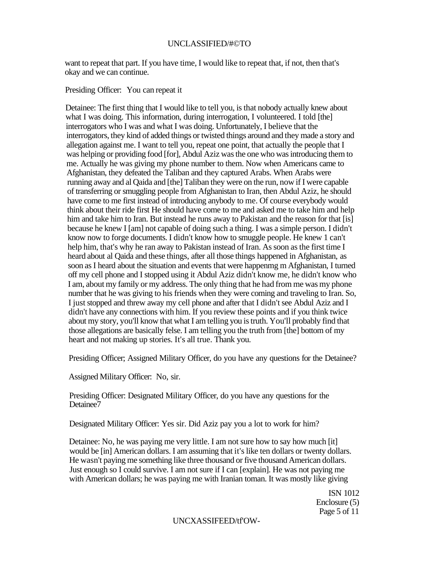#### UNCLASSIFIED/#©TO

want to repeat that part. If you have time, I would like to repeat that, if not, then that's okay and we can continue.

Presiding Officer: You can repeat it

Detainee: The first thing that I would like to tell you, is that nobody actually knew about what I was doing. This information, during interrogation, I volunteered. I told [the] interrogators who I was and what I was doing. Unfortunately, I believe that the interrogators, they kind of added things or twisted things around and they made a story and allegation against me. I want to tell you, repeat one point, that actually the people that I was helping or providing food [for], Abdul Aziz was the one who was introducing them to me. Actually he was giving my phone number to them. Now when Americans came to Afghanistan, they defeated the Taliban and they captured Arabs. When Arabs were running away and al Qaida and [the] Taliban they were on the run, now if I were capable of transferring or smuggling people from Afghanistan to Iran, then Abdul Aziz, he should have come to me first instead of introducing anybody to me. Of course everybody would think about their ride first He should have come to me and asked me to take him and help him and take him to Iran. But instead he runs away to Pakistan and the reason for that [is] because he knew I [am] not capable of doing such a thing. I was a simple person. I didn't know now to forge documents. I didn't know how to smuggle people. He knew 1 can't help him, that's why he ran away to Pakistan instead of Iran. As soon as the first time I heard about al Qaida and these things, after all those things happened in Afghanistan, as soon as I heard about the situation and events that were happenmg m Afghanistan, I turned off my cell phone and I stopped using it Abdul Aziz didn't know me, he didn't know who I am, about my family or my address. The only thing that he had from me was my phone number that he was giving to his friends when they were coming and traveling to Iran. So, I just stopped and threw away my cell phone and after that I didn't see Abdul Aziz and I didn't have any connections with him. If you review these points and if you think twice about my story, you'll know that what I am telling you is truth. You'll probably find that those allegations are basically felse. I am telling you the truth from [the] bottom of my heart and not making up stories. It's all true. Thank you.

Presiding Officer; Assigned Military Officer, do you have any questions for the Detainee?

Assigned Military Officer: No, sir.

Presiding Officer: Designated Military Officer, do you have any questions for the Detainee7

Designated Military Officer: Yes sir. Did Aziz pay you a lot to work for him?

Detainee: No, he was paying me very little. I am not sure how to say how much [it] would be [in] American dollars. I am assuming that it's like ten dollars or twenty dollars. He wasn't paying me something like three thousand or five thousand American dollars. Just enough so I could survive. I am not sure if I can [explain]. He was not paying me with American dollars; he was paying me with Iranian toman. It was mostly like giving

> ISN 1012 Enclosure (5) Page 5 of 11

#### UNCXASSIFEED/tf'OW-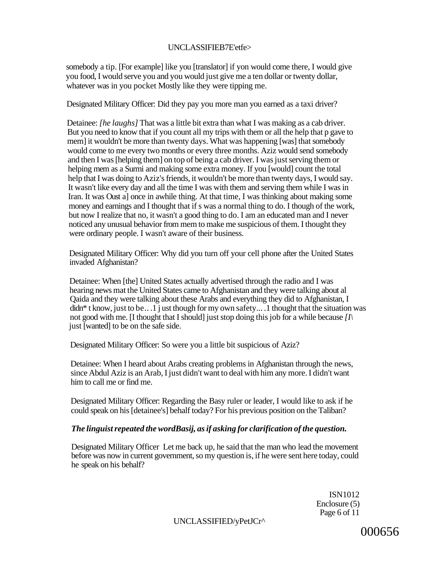### UNCLASSIFIEB7E'etfe>

somebody a tip. [For example] like you [translator] if yon would come there, I would give you food, I would serve you and you would just give me a ten dollar or twenty dollar, whatever was in you pocket Mostly like they were tipping me.

Designated Military Officer: Did they pay you more man you earned as a taxi driver?

Detainee: *[he laughs]* That was a little bit extra than what I was making as a cab driver. But you need to know that if you count all my trips with them or all the help that p gave to mem] it wouldn't be more than twenty days. What was happening [was] that somebody would come to me every two months or every three months. Aziz would send somebody and then I was [helping them] on top of being a cab driver. I was just serving them or helping mem as a Surmi and making some extra money. If you [would] count the total help that I was doing to Aziz's friends, it wouldn't be more than twenty days, I would say. It wasn't like every day and all the time I was with them and serving them while I was in Iran. It was Oust a] once in awhile thing. At that time, I was thinking about making some money and earnings and I thought that if s was a normal thing to do. I though of the work, but now I realize that no, it wasn't a good thing to do. I am an educated man and I never noticed any unusual behavior from mem to make me suspicious of them. I thought they were ordinary people. I wasn't aware of their business.

Designated Military Officer: Why did you turn off your cell phone after the United States invaded Afghanistan?

Detainee: When [the] United States actually advertised through the radio and I was hearing news mat the United States came to Afghanistan and they were talking about al Qaida and they were talking about these Arabs and everything they did to Afghanistan, I didn\* t know, just to be.. .1 j ust though for my own safety... .1 thought that the situation was not good with me. [I thought that I should] just stop doing this job for a while because  $II$ just [wanted] to be on the safe side.

Designated Military Officer: So were you a little bit suspicious of Aziz?

Detainee: When I heard about Arabs creating problems in Afghanistan through the news, since Abdul Aziz is an Arab, I just didn't want to deal with him any more. I didn't want him to call me or find me.

Designated Military Officer: Regarding the Basy ruler or leader, I would like to ask if he could speak on his [detainee's] behalf today? For his previous position on the Taliban?

#### *The linguist repeated the wordBasij, as if asking for clarification of the question.*

Designated Military Officer Let me back up, he said that the man who lead the movement before was now in current government, so my question is, if he were sent here today, could he speak on his behalf?

> ISN1012 Enclosure (5) Page 6 of 11

UNCLASSIFIED/yPetJCr^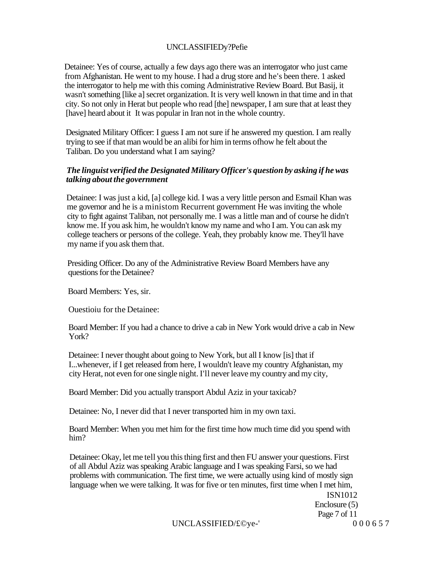### UNCLASSIFIEDy?Pefie

Detainee: Yes of course, actually a few days ago there was an interrogator who just came from Afghanistan. He went to my house. I had a drug store and he's been there. 1 asked the interrogator to help me with this coming Administrative Review Board. But Basij, it wasn't something [like a] secret organization. It is very well known in that time and in that city. So not only in Herat but people who read [the] newspaper, I am sure that at least they [have] heard about it It was popular in Iran not in the whole country.

Designated Military Officer: I guess I am not sure if he answered my question. I am really trying to see if that man would be an alibi for him in terms ofhow he felt about the Taliban. Do you understand what I am saying?

#### *The linguist verified the Designated Military Officer's question by asking if he was talking about the government*

Detainee: I was just a kid, [a] college kid. I was a very little person and Esmail Khan was me governor and he is a ministom Recurrent government He was inviting the whole city to fight against Taliban, not personally me. I was a little man and of course he didn't know me. If you ask him, he wouldn't know my name and who I am. You can ask my college teachers or persons of the college. Yeah, they probably know me. They'll have my name if you ask them that.

Presiding Officer. Do any of the Administrative Review Board Members have any questions for the Detainee?

Board Members: Yes, sir.

Ouestioiu for the Detainee:

Board Member: If you had a chance to drive a cab in New York would drive a cab in New York?

Detainee: I never thought about going to New York, but all I know [is] that if I...whenever, if I get released from here, I wouldn't leave my country Afghanistan, my city Herat, not even for one single night. I'll never leave my country and my city,

Board Member: Did you actually transport Abdul Aziz in your taxicab?

Detainee: No, I never did that I never transported him in my own taxi.

Board Member: When you met him for the first time how much time did you spend with him?

Detainee: Okay, let me tell you this thing first and then FU answer your questions. First of all Abdul Aziz was speaking Arabic language and I was speaking Farsi, so we had problems with communication. The first time, we were actually using kind of mostly sign language when we were talking. It was for five or ten minutes, first time when I met him,

> ISN1012 Enclosure (5) Page 7 of 11

UNCLASSIFIED/£©ye-' 000657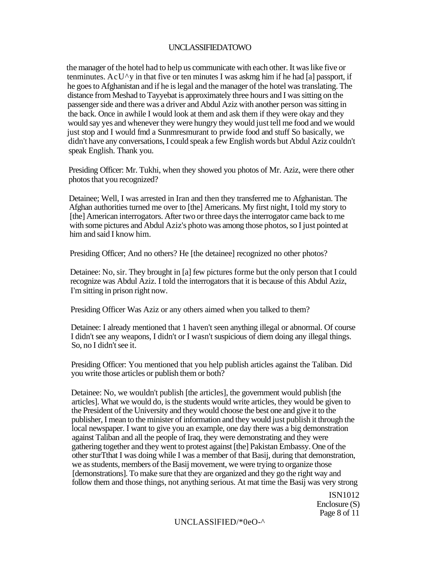#### UNCLASSIFIEDATOWO

the manager of the hotel had to help us communicate with each other. It was like five or tenminutes. Ac U $\gamma$  in that five or ten minutes I was askmg him if he had [a] passport, if he goes to Afghanistan and if he is legal and the manager of the hotel was translating. The distance from Meshad to Tayyebat is approximately three hours and I was sitting on the passenger side and there was a driver and Abdul Aziz with another person was sitting in the back. Once in awhile I would look at them and ask them if they were okay and they would say yes and whenever they were hungry they would just tell me food and we would just stop and I would fmd a Sunmresmurant to prwide food and stuff So basically, we didn't have any conversations, I could speak a few English words but Abdul Aziz couldn't speak English. Thank you.

Presiding Officer: Mr. Tukhi, when they showed you photos of Mr. Aziz, were there other photos that you recognized?

Detainee; Well, I was arrested in Iran and then they transferred me to Afghanistan. The Afghan authorities turned me over to [the] Americans. My first night, I told my story to [the] American interrogators. After two or three days the interrogator came back to me with some pictures and Abdul Aziz's photo was among those photos, so I just pointed at him and said I know him.

Presiding Officer; And no others? He [the detainee] recognized no other photos?

Detainee: No, sir. They brought in [a] few pictures forme but the only person that I could recognize was Abdul Aziz. I told the interrogators that it is because of this Abdul Aziz, I'm sitting in prison right now.

Presiding Officer Was Aziz or any others aimed when you talked to them?

Detainee: I already mentioned that 1 haven't seen anything illegal or abnormal. Of course I didn't see any weapons, I didn't or I wasn't suspicious of diem doing any illegal things. So, no I didn't see it.

Presiding Officer: You mentioned that you help publish articles against the Taliban. Did you write those articles or publish them or both?

Detainee: No, we wouldn't publish [the articles], the government would publish [the articles]. What we would do, is the students would write articles, they would be given to the President of the University and they would choose the best one and give it to the publisher, I mean to the minister of information and they would just publish it through the local newspaper. I want to give you an example, one day there was a big demonstration against Taliban and all the people of Iraq, they were demonstrating and they were gathering together and they went to protest against [the] Pakistan Embassy. One of the other sturTthat I was doing while I was a member of that Basij, during that demonstration, we as students, members of the Basij movement, we were trying to organize those [demonstrations]. To make sure that they are organized and they go the right way and follow them and those things, not anything serious. At mat time the Basij was very strong

> ISN1012 Enclosure (S) Page 8 of 11

#### UNCLASSlFIED/\*0eO-^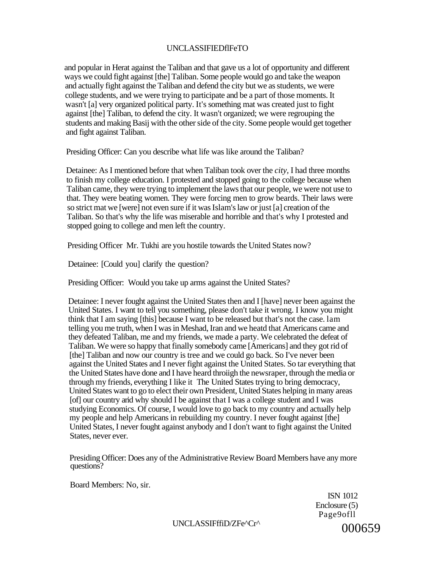### UNCLASSIFIEDflFeTO

and popular in Herat against the Taliban and that gave us a lot of opportunity and different ways we could fight against [the] Taliban. Some people would go and take the weapon and actually fight against the Taliban and defend the city but we as students, we were college students, and we were trying to participate and be a part of those moments. It wasn't [a] very organized political party. It's something mat was created just to fight against [the] Taliban, to defend the city. It wasn't organized; we were regrouping the students and making Basij with the other side of the city. Some people would get together and fight against Taliban.

Presiding Officer: Can you describe what life was like around the Taliban?

Detainee: As I mentioned before that when Taliban took over the *city,* I had three months to finish my college education. I protested and stopped going to the college because when Taliban came, they were trying to implement the laws that our people, we were not use to that. They were beating women. They were forcing men to grow beards. Their laws were so strict mat we [were] not even sure if it was Islam's law or just [a] creation of the Taliban. So that's why the life was miserable and horrible and that's why I protested and stopped going to college and men left the country.

Presiding Officer Mr. Tukhi are you hostile towards the United States now?

Detainee: [Could you] clarify the question?

Presiding Officer: Would you take up arms against the United States?

Detainee: I never fought against the United States then and I [have] never been against the United States. I want to tell you something, please don't take it wrong. I know you might think that I am saying [this] because I want to be released but that's not the case. lam telling you me truth, when I was in Meshad, Iran and we heatd that Americans came and they defeated Taliban, me and my friends, we made a party. We celebrated the defeat of Taliban. We were so happy that finally somebody came [Americans] and they got rid of [the] Taliban and now our country is tree and we could go back. So I've never been against the United States and I never fight against the United States. So tar everything that the United States have done and I have heard throiigh the newsraper, through the media or through my friends, everything I like it The United States trying to bring democracy, United States want to go to elect their own President, United States helping in many areas [of] our country arid why should I be against that I was a college student and I was studying Economics. Of course, I would love to go back to my country and actually help my people and help Americans in rebuilding my country. I never fought against [the] United States, I never fought against anybody and I don't want to fight against the United States, never ever.

Presiding Officer: Does any of the Administrative Review Board Members have any more questions?

Board Members: No, sir.

ISN 1012 Enclosure (5) Page9ofll

UNCLASSIFffiD/ZFe^Cr^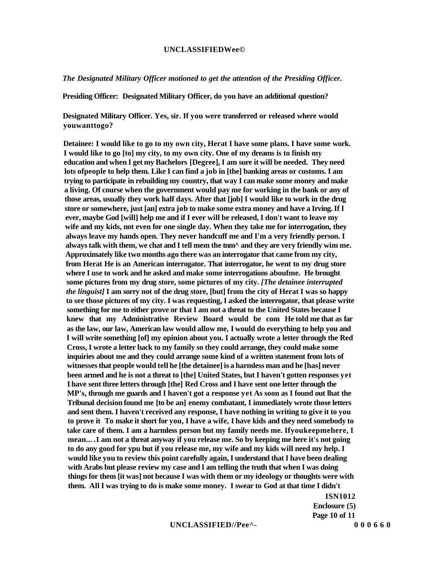#### **UNCLASSIFIEDWee©**

#### *The Designated Military Officer motioned to get the attention of the Presiding Officer.*

**Presiding Officer: Designated Military Officer, do you have an additional question?** 

**Designated Military Officer. Yes, sir. If you were transferred or released where would youwanttogo?** 

**Detainee: I would like to go to my own city, Herat I have some plans. I have some work. I would like to go [to] my city, to my own city. One of my dreams is to finish my education and when I get my Bachelors [Degree], I am sure it will be needed. They need lots ofpeople to help them. Like I can find a job in [the] banking areas or customs. I am trying to participate in rebuilding my country, that way I can make some money and make a living. Of course when the government would pay me for working in the bank or any of those areas, usually they work half days. After that [job] I would like to work in the drug store or somewhere, just [an] extra job to make some extra money and have a Irving. If I ever, maybe God [will] help me and if I ever will be released, I don't want to leave my wife and my kids, not even for one single day. When they take me for interrogation, they always leave my hands open. They never handcuff me and I'm a very friendly person. I always talk with them, we chat and I tell mem the tnm^ and they are very friendly wim me. Approximately like two months ago there was an interrogator that came from my city, from Herat He is an American interrogator. That interrogator, he went to my drug store where I use to work and he asked and make some interrogations aboufme. He brought some pictures from my drug store, some pictures of my city.** *[The detainee interrupted the linguist]* **I am sorry not of the drug store, [but] from the city of Herat I was so happy to see those pictures of my city. I was requesting, I asked the interrogator, that please write something for me to either prove or that I am not a threat to the United States because I knew that my Administrative Review Board would be com He told me that as far as the law, our law, American law would allow me, I would do everything to help you and I will write something [of] my opinion about you. I actually wrote a letter through the Red Cross, I wrote a letter back to my family so they could arrange, they could make some inquiries about me and they could arrange some kind of a written statement from lots of witnesses that people would tell he [the detainee] is a harmless man and he [has] never been armed and he is not a threat to [the] United States, but I haven't gotten responses yet I have sent three letters through [the] Red Cross and I have sent one letter through the MP's, through me guards and I haven't got a response yet As soon as I found out lhat the Tribunal decision found me [to be an] enemy combatant, I immediately wrote those letters and sent them. I haven't received any response, I have nothing in writing to give it to you to prove it To make it short for you, I have a wife, I have kids and they need somebody to take care of them. I am a harmless person but my family needs me. Ifyoukeepmehere, I mean... .1 am not a threat anyway if you release me. So by keeping me here it's not going to do any good for ypu but if you release me, my wife and my kids will need my help. I would like you to review this point carefully again, I understand that I have been dealing with Arabs but please review my case and I am telling the truth that when I was doing things for them [it was] not because I was with them or my ideology or thoughts were with them. All I was trying to do is make some money. I swear to God at that time I didn't** 

> **ISN1012 Enclosure (5) Page 10 of 11**

#### **UNCLASSIFIED//Pee^- 00066 0**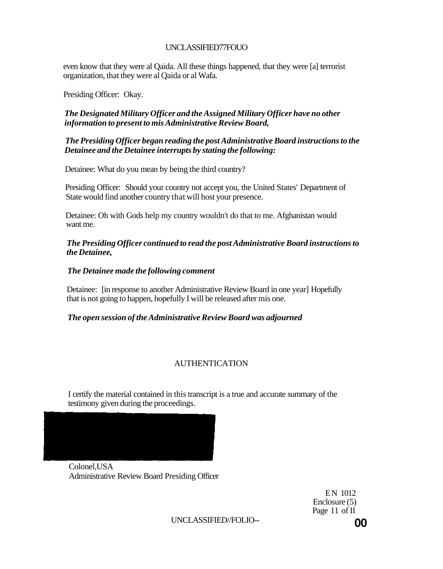### UNCLASSIFIED77FOUO

even know that they were al Qaida. All these things happened, that they were [a] terrorist organization, that they were al Qaida or al Wafa.

Presiding Officer: Okay.

### *The Designated Military Officer and the Assigned Military Officer have no other information to present to mis Administrative Review Board,*

### *The Presiding Officer began reading the post Administrative Board instructions to the Detainee and the Detainee interrupts by stating the following:*

Detainee: What do you mean by being the third country?

Presiding Officer: Should your country not accept you, the United States' Department of State would find another country that will host your presence.

Detainee: Oh with Gods help my country wouldn't do that to me. Afghanistan would want me.

### *The Presiding Officer continued to read the post Administrative Board instructions to the Detainee,*

### *The Detainee made the following comment*

Detainee: [in response to another Administrative Review Board in one year] Hopefully that is not going to happen, hopefully I will be released after mis one.

### *The open session of the Administrative Review Board was adjourned*

### AUTHENTICATION

I certify the material contained in this transcript is a true and accurate summary of the testimony given during the proceedings.

Colonel,USA Administrative Review Board Presiding Officer

> EN 1012 Enclosure (5) Page 11 of II

### UNCLASSIFIED//FOLIO--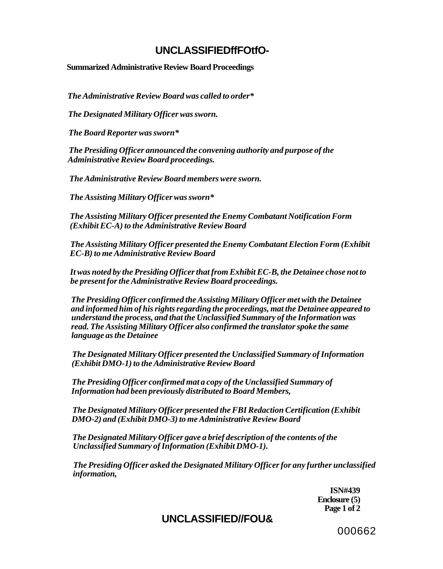### **UNCLASSIFIEDffFOtfO-**

**Summarized Administrative Review Board Proceedings** 

*The Administrative Review Board was called to order\** 

*The Designated Military Officer was sworn.* 

*The Board Reporter was sworn\** 

*The Presiding Officer announced the convening authority and purpose of the Administrative Review Board proceedings.* 

*The Administrative Review Board members were sworn.* 

*The Assisting Military Officer was sworn\** 

*The Assisting Military Officer presented the Enemy Combatant Notification Form (Exhibit EC-A) to the Administrative Review Board* 

*The Assisting Military Officer presented the Enemy Combatant Election Form (Exhibit EC-B) to me Administrative Review Board* 

*It was noted by the Presiding Officer that from Exhibit EC-B, the Detainee chose not to be present for the Administrative Review Board proceedings.* 

*The Presiding Officer confirmed the Assisting Military Officer met with the Detainee and informed him of his rights regarding the proceedings, mat the Detainee appeared to understand the process, and that the Unclassified Summary of the Information was read. The Assisting Military Officer also confirmed the translator spoke the same language as the Detainee* 

*The Designated Military Officer presented the Unclassified Summary of Information (Exhibit DMO-1) to the Administrative Review Board* 

*The Presiding Officer confirmed mat a copy of the Unclassified Summary of Information had been previously distributed to Board Members,* 

*The Designated Military Officer presented the FBI Redaction Certification (Exhibit DMO-2) and (Exhibit DMO-3) to me Administrative Review Board* 

*The Designated Military Officer gave a brief description of the contents of the Unclassified Summary of Information (Exhibit DMO-1).* 

*The Presiding Officer asked the Designated Military Officer for any further unclassified information,* 

> **ISN#439 Enclosure (5) Page 1 of 2**

### **UNCLASSIFIED//FOU&**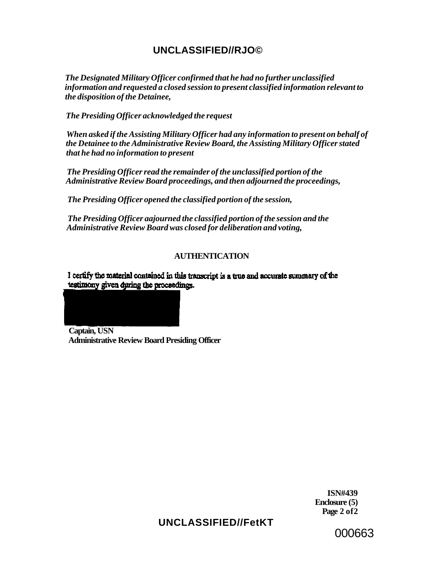### **UNCLASSIFIED//RJO©**

*The Designated Military Officer confirmed that he had no further unclassified information and requested a closed session to present classified information relevant to the disposition of the Detainee,* 

*The Presiding Officer acknowledged the request* 

*When asked if the Assisting Military Officer had any information to present on behalf of the Detainee to the Administrative Review Board, the Assisting Military Officer stated that he had no information to present* 

*The Presiding Officer read the remainder of the unclassified portion of the Administrative Review Board proceedings, and then adjourned the proceedings,* 

*The Presiding Officer opened the classified portion of the session,* 

*The Presiding Officer aajourned the classified portion of the session and the Administrative Review Board was closed for deliberation and voting,* 

### **AUTHENTICATION**

I certify the material contained in this transcript is a true and accurate summary of the testimony given during the proceedings.



**Captain, USN Administrative Review Board Presiding Officer** 

> **ISN#439 Enclosure (5) Page 2 of2**

### **UNCLASSIFIED//FetKT**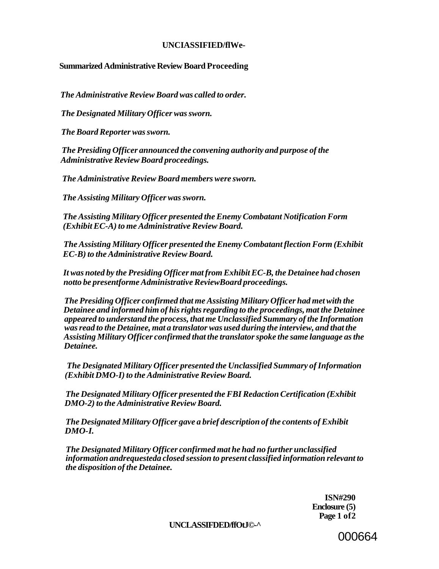### **UNCIASSIFIED/flWe-**

### **Summarized Administrative Review Board Proceeding**

*The Administrative Review Board was called to order.* 

*The Designated Military Officer was sworn.* 

*The Board Reporter was sworn.* 

*The Presiding Officer announced the convening authority and purpose of the Administrative Review Board proceedings.* 

*The Administrative Review Board members were sworn.* 

*The Assisting Military Officer was sworn.* 

*The Assisting Military Officer presented the Enemy Combatant Notification Form (Exhibit EC-A) to me Administrative Review Board.* 

*The Assisting Military Officer presented the Enemy Combatant flection Form (Exhibit EC-B) to the Administrative Review Board.* 

*It was noted by the Presiding Officer mat from Exhibit EC-B, the Detainee had chosen notto be presentforme Administrative ReviewBoard proceedings.* 

*The Presiding Officer confirmed that me Assisting Military Officer had met with the Detainee and informed him of his rights regarding to the proceedings, mat the Detainee appeared to understand the process, that me Unclassified Summary of the Information was read to the Detainee, mat a translator was used during the interview, and that the Assisting Military Officer confirmed that the translator spoke the same language as the Detainee.* 

*The Designated Military Officer presented the Unclassified Summary of Information (Exhibit DMO-I) to the Administrative Review Board.* 

*The Designated Military Officer presented the FBI Redaction Certification (Exhibit DMO-2) to the Administrative Review Board.* 

*The Designated Military Officer gave a brief description of the contents of Exhibit DMO-I.* 

*The Designated Military Officer confirmed mat he had no further unclassified information andrequesteda closed session to present classified information relevant to the disposition of the Detainee.* 

> **ISN#290 Enclosure (5) Page 1 of2**

**UNCLASSIFDED/ffOtJ©-^**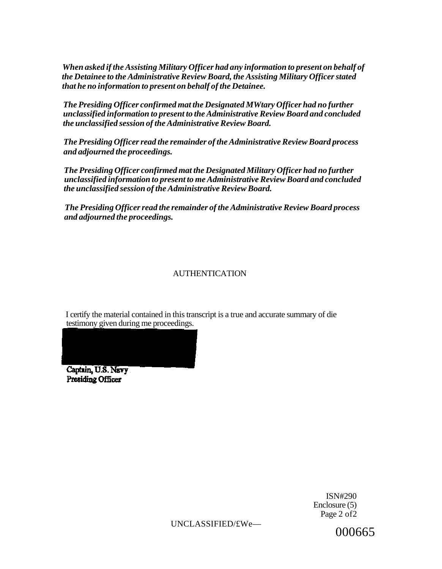*When asked if the Assisting Military Officer had any information to present on behalf of the Detainee to the Administrative Review Board, the Assisting Military Officer stated that he no information to present on behalf of the Detainee.* 

*The Presiding Officer confirmed mat the Designated MWtary Officer had no further unclassified information to present to the Administrative Review Board and concluded the unclassified session of the Administrative Review Board.* 

*The Presiding Officer read the remainder of the Administrative Review Board process and adjourned the proceedings.* 

*The Presiding Officer confirmed mat the Designated Military Officer had no further unclassified information to present to me Administrative Review Board and concluded the unclassified session of the Administrative Review Board.* 

*The Presiding Officer read the remainder of the Administrative Review Board process and adjourned the proceedings.* 

### AUTHENTICATION

I certify the material contained in this transcript is a true and accurate summary of die testimony given during me proceedings.

Captain, U.S. Navy Presiding Officer

> ISN#290 Enclosure (5) Page 2 of2

UNCLASSIFIED/£We—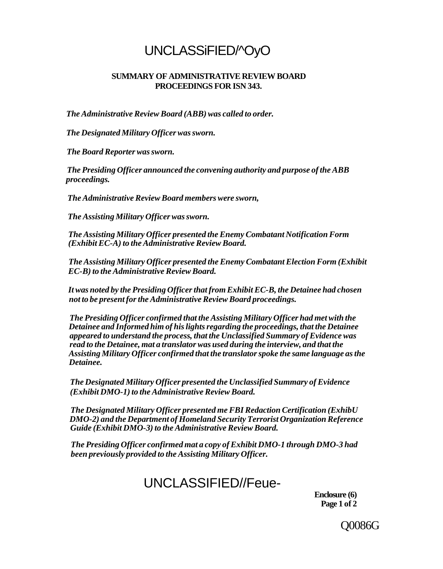# UNCLASSiFIED/^OyO

### **SUMMARY OF ADMINISTRATIVE REVIEW BOARD PROCEEDINGS FOR ISN 343.**

*The Administrative Review Board (ABB) was called to order.* 

*The Designated Military Officer was sworn.* 

*The Board Reporter was sworn.* 

*The Presiding Officer announced the convening authority and purpose of the ABB proceedings.* 

*The Administrative Review Board members were sworn,* 

*The Assisting Military Officer was sworn.* 

*The Assisting Military Officer presented the Enemy Combatant Notification Form (Exhibit EC-A) to the Administrative Review Board.* 

*The Assisting Military Officer presented the Enemy Combatant Election Form (Exhibit EC-B) to the Administrative Review Board.* 

*It was noted by the Presiding Officer that from Exhibit EC-B, the Detainee had chosen not to be present for the Administrative Review Board proceedings.* 

*The Presiding Officer confirmed that the Assisting Military Officer had met with the Detainee and Informed him of his lights regarding the proceedings, that the Detainee appeared to understand the process, that the Unclassified Summary of Evidence was read to the Detainee, mat a translator was used during the interview, and that the Assisting Military Officer confirmed that the translator spoke the same language as the Detainee.* 

*The Designated Military Officer presented the Unclassified Summary of Evidence (Exhibit DMO-1) to the Administrative Review Board.* 

*The Designated Military Officer presented me FBI Redaction Certification (ExhibU DMO-2) and the Department of Homeland Security Terrorist Organization Reference Guide (Exhibit DMO-3) to the Administrative Review Board.* 

*The Presiding Officer confirmed mat a copy of Exhibit DMO-1 through DMO-3 had been previously provided to the Assisting Military Officer.* 

# UNCLASSIFIED//Feue-

**Enclosure (6) Page 1 of 2** 

Q0086G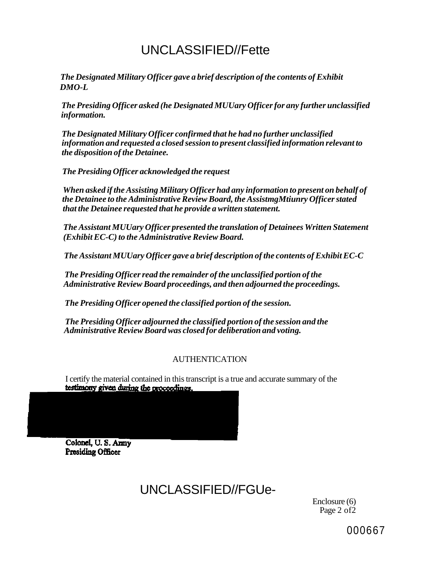# UNCLASSIFIED//Fette

*The Designated Military Officer gave a brief description of the contents of Exhibit DMO-L* 

*The Presiding Officer asked (he Designated MUUary Officer for any further unclassified information.* 

*The Designated Military Officer confirmed that he had no further unclassified information and requested a closed session to present classified information relevant to the disposition of the Detainee.* 

*The Presiding Officer acknowledged the request* 

*When asked if the Assisting Military Officer had any information to present on behalf of the Detainee to the Administrative Review Board, the AssistmgMtiunry Officer stated that the Detainee requested that he provide a written statement.* 

*The Assistant MUUary Officer presented the translation of Detainees Written Statement (Exhibit EC-C) to the Administrative Review Board.* 

*The Assistant MUUary Officer gave a brief description of the contents of Exhibit EC-C* 

*The Presiding Officer read the remainder of the unclassified portion of the Administrative Review Board proceedings, and then adjourned the proceedings.* 

*The Presiding Officer opened the classified portion of the session.* 

*The Presiding Officer adjourned the classified portion of the session and the Administrative Review Board was closed for deliberation and voting.* 

### AUTHENTICATION

I certify the material contained in this transcript is a true and accurate summary of the **testimony given during the proceedings.** 

Colonel, U.S. Anny Presiding Officer

# UNCLASSIFIED//FGUe-

Enclosure (6) Page 2 of2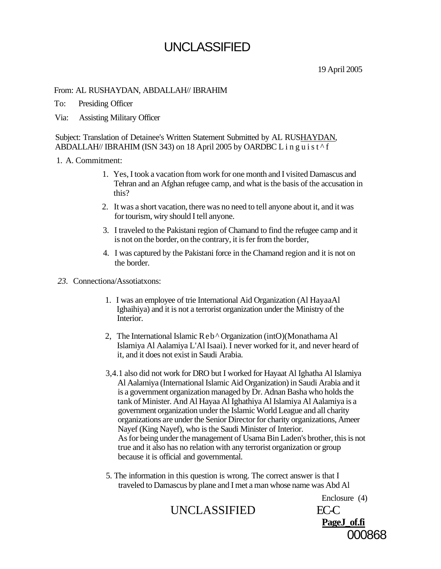# UNCLASSIFIED

19 April 2005

### From: AL RUSHAYDAN, ABDALLAH// IBRAHIM

To: Presiding Officer

Via: Assisting Military Officer

Subject: Translation of Detainee's Written Statement Submitted by AL RUSHAYDAN, ABDALLAH// IBRAHIM (ISN 343) on 18 April 2005 by OARDBC L i n g u i s t  $\wedge$  f

#### 1. A. Commitment:

- 1. Yes, I took a vacation ftom work for one month and I visited Damascus and Tehran and an Afghan refugee camp, and what is the basis of the accusation in this?
- 2. It was a short vacation, there was no need to tell anyone about it, and it was for tourism, wiry should I tell anyone.
- 3. I traveled to the Pakistani region of Chamand to find the refugee camp and it is not on the border, on the contrary, it is fer from the border,
- 4. I was captured by the Pakistani force in the Chamand region and it is not on the border.
- *23.* Connectiona/Assotiatxons:
	- 1. I was an employee of trie International Aid Organization (Al HayaaAl Ighaihiya) and it is not a terrorist organization under the Ministry of the Interior.
	- 2, The International Islamic Reb^ Organization (intO)(Monathama Al Islamiya Al Aalamiya L'Al Isaai). I never worked for it, and never heard of it, and it does not exist in Saudi Arabia.
	- 3,4.1 also did not work for DRO but I worked for Hayaat Al Ighatha Al Islamiya Al Aalamiya (International Islamic Aid Organization) in Saudi Arabia and it is a government organization managed by Dr. Adnan Basha who holds the tank of Minister. And Al Hayaa Al Ighathiya Al Islamiya Al Aalamiya is a government organization under the Islamic World League and all charity organizations are under the Senior Director for charity organizations, Ameer Nayef (King Nayef), who is the Saudi Minister of Interior. As for being under the management of Usama Bin Laden's brother, this is not true and it also has no relation with any terrorist organization or group because it is official and governmental.
	- 5. The information in this question is wrong. The correct answer is that I traveled to Damascus by plane and I met a man whose name was Abd Al

### UNCLASSIFIED EC-C

Enclosure (4)

**[PageJ\\_of.fi](http://PageJ_of.fi)**  000868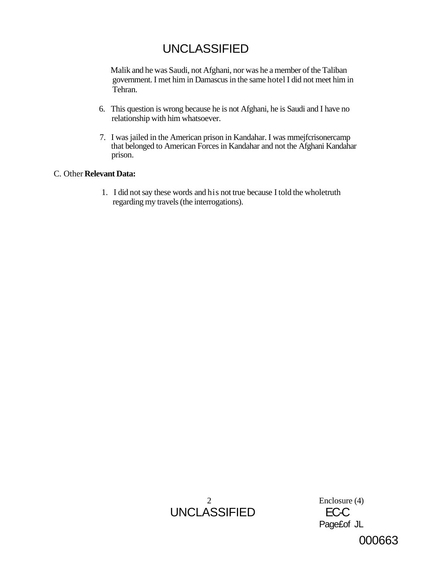# UNCLASSIFIED

Malik and he was Saudi, not Afghani, nor was he a member of the Taliban government. I met him in Damascus in the same hotel I did not meet him in Tehran.

- 6. This question is wrong because he is not Afghani, he is Saudi and I have no relationship with him whatsoever.
- 7. I was jailed in the American prison in Kandahar. I was mmejfcrisonercamp that belonged to American Forces in Kandahar and not the Afghani Kandahar prison.

### C. Other **Relevant Data:**

1. I did not say these words and his not true because I told the wholetruth regarding my travels (the interrogations).



Page£of JL 000663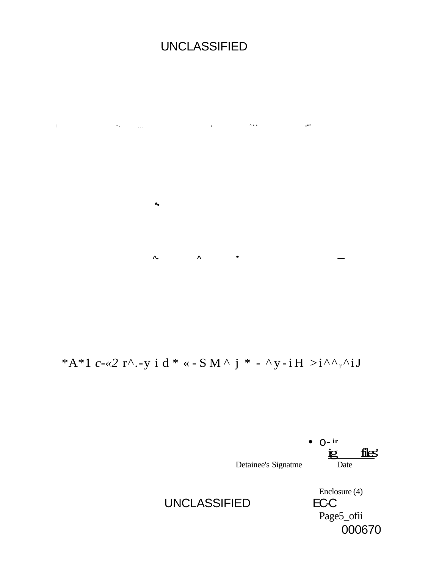# UNCLASSIFIED

i \*- .. . • ^\* \* •\*\*"

**\*•** 

**^- ^ \* —** 

\*A\*1 *c-«2* r^.-y i d \* « - S M ^ j \* - ^y-i H >i^^<sub>r</sub>^iJ

• o-**ir**  ig files' Detainee's Signatme

UNCLASSIFIED

Enclosure (4)<br>**ECC** Page5\_ofii 000670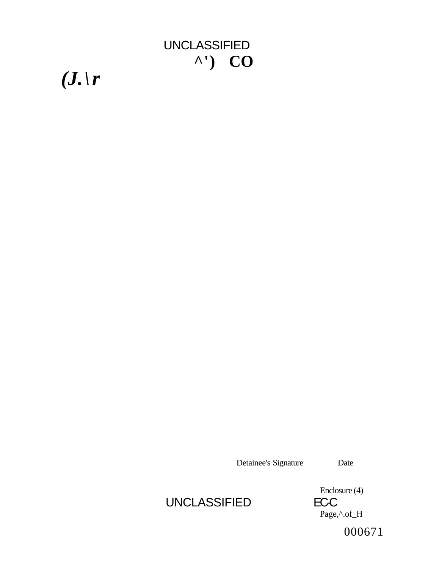

 $(J.$   $r$ 

Detainee's Signature Date



Enclosure (4) Page,^.of\_H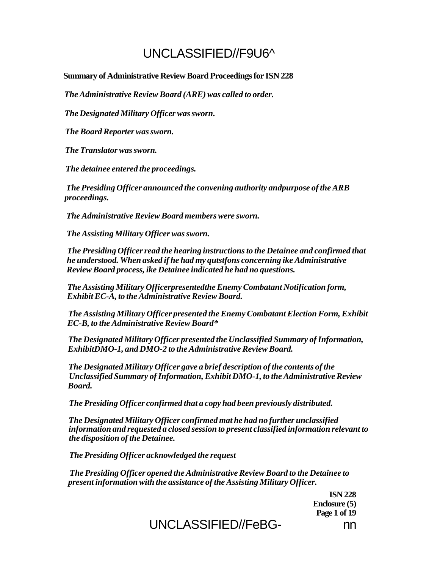# UNCLASSIFIED//F9U6^

**Summary of Administrative Review Board Proceedings for ISN 228** 

*The Administrative Review Board (ARE) was called to order.* 

*The Designated Military Officer was sworn.* 

*The Board Reporter was sworn.* 

*The Translator was sworn.* 

*The detainee entered the proceedings.* 

*The Presiding Officer announced the convening authority andpurpose of the ARB proceedings.* 

*The Administrative Review Board members were sworn.* 

*The Assisting Military Officer was sworn.* 

*The Presiding Officer read the hearing instructions to the Detainee and confirmed that he understood. When asked if he had my qutstfons concerning ike Administrative Review Board process, ike Detainee indicated he had no questions.* 

*The Assisting Military Officerpresentedthe Enemy Combatant Notification form, Exhibit EC-A, to the Administrative Review Board.* 

*The Assisting Military Officer presented the Enemy Combatant Election Form, Exhibit EC-B, to the Administrative Review Board\** 

*The Designated Military Officer presented the Unclassified Summary of Information, ExhibitDMO-1, and DMO-2 to the Administrative Review Board.* 

*The Designated Military Officer gave a brief description of the contents of the Unclassified Summary of Information, Exhibit DMO-1, to the Administrative Review Board.* 

*The Presiding Officer confirmed that a copy had been previously distributed.* 

*The Designated Military Officer confirmed mat he had no further unclassified information and requested a closed session to present classified information relevant to the disposition of the Detainee.* 

*The Presiding Officer acknowledged the request* 

*The Presiding Officer opened the Administrative Review Board to the Detainee to present information with the assistance of the Assisting Military Officer.* 

> **ISN 228 Enclosure (5) Page 1 of 19**

UNCLASSIFIED//FeBG- nn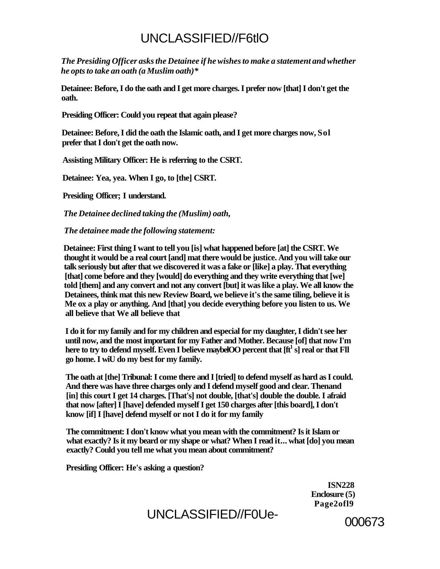# UNCLASSIFIED//F6tlO

*The Presiding Officer asks the Detainee if he wishes to make a statement and whether he opts to take an oath (a Muslim oath)\** 

**Detainee: Before, I do the oath and I get more charges. I prefer now [that] I don't get the oath.** 

**Presiding Officer: Could you repeat that again please?** 

**Detainee: Before, I did the oath the Islamic oath, and I get more charges now, Sol prefer that I don't get the oath now.** 

**Assisting Military Officer: He is referring to the CSRT.** 

**Detainee: Yea, yea. When I go, to [the] CSRT.** 

**Presiding Officer; I understand.** 

*The Detainee declined taking the (Muslim) oath,* 

*The detainee made the following statement:* 

**Detainee: First thing I want to tell you [is] what happened before [at] the CSRT. We thought it would be a real court [and] mat there would be justice. And you will take our talk seriously but after that we discovered it was a fake or [like] a play. That everything [that] come before and they [would] do everything and they write everything that [we] told [them] and any convert and not any convert [but] it was like a play. We all know the Detainees, think mat this new Review Board, we believe it's the same tiling, believe it is Me ox a play or anything. And [that] you decide everything before you listen to us. We all believe that We all believe that** 

**I do it for my family and for my children and especial for my daughter, I didn't see her until now, and the most important for my Father and Mother. Because [of] that now I'm here to try to defend myself. Even I believe maybelOO percent that [ft<sup>1</sup> s] real or that Fll go home. I wiU do my best for my family.** 

**The oath at [the] Tribunal: I come there and I [tried] to defend myself as hard as I could. And there was have three charges only and I defend myself good and clear. Thenand [in] this court I get 14 charges. [That's] not double, [that's] double the double. I afraid that now [after] I [have] defended myself I get 150 charges after [this board], I don't know [if] I [have] defend myself or not I do it for my family** 

**The commitment: I don't know what you mean with the commitment? Is it Islam or what exactly? Is it my beard or my shape or what? When I read it... what [do] you mean exactly? Could you tell me what you mean about commitment?** 

**Presiding Officer: He's asking a question?** 

**ISN228 Enclosure (5) Page2ofl9** 

UNCLASSIFIED//F0Ue-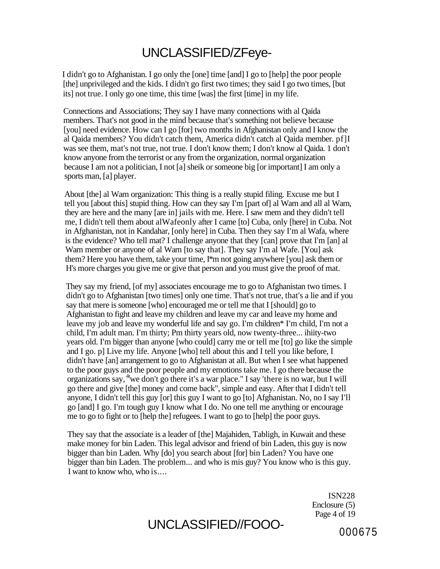# UNCLASSIFIED/ZFeye-

I didn't go to Afghanistan. I go only the [one] time [and] I go to [help] the poor people [the] unprivileged and the kids. I didn't go first two times; they said I go two times, [but] its] not true. I only go one time, this time [was] the first [time] in my life.

Connections and Associations; They say I have many connections with al Qaida members. That's not good in the mind because that's something not believe because [you] need evidence. How can I go [for] two months in Afghanistan only and I know the al Qaida members? You didn't catch them, America didn't catch al Qaida member. pf]I was see them, mat's not true, not true. I don't know them; I don't know al Qaida. 1 don't know anyone from the terrorist or any from the organization, normal organization because I am not a politician, I not [a] sheik or someone big [or important] I am only a sports man, [a] player.

About [the] al Warn organization: This thing is a really stupid filing. Excuse me but I tell you [about this] stupid thing. How can they say I'm [part of] al Warn and all al Warn, they are here and the many [are in] jails with me. Here. I saw mem and they didn't tell me, I didn't tell them about alWafeonly after I came [to] Cuba, only [here] in Cuba. Not in Afghanistan, not in Kandahar, [only here] in Cuba. Then they say I'm al Wafa, where is the evidence? Who tell mat? I challenge anyone that they [can] prove that I'm [an] al Warn member or anyone of al Warn [to say that]. They say I'm al Wafe. [You] ask them? Here you have them, take your time, I\*m not going anywhere [you] ask them or H's more charges you give me or give that person and you must give the proof of mat.

They say my friend, [of my] associates encourage me to go to Afghanistan two times. I didn't go to Afghanistan [two times] only one time. That's not true, that's a lie and if you say that mere is someone [who] encouraged me or tell me that I [should] go to Afghanistan to fight and leave my children and leave my car and leave my home and leave my job and leave my wonderful life and say go. I'm children\* I'm child, I'm not a child, I'm adult man. I'm thirty; Pm thirty years old, now twenty-three... ihiity-two years old. I'm bigger than anyone [who could] carry me or tell me [to] go like the simple and I go. p] Live my life. Anyone [who] tell about this and I tell you like before, I didn't have [an] arrangement to go to Afghanistan at all. But when I see what happened to the poor guys and the poor people and my emotions take me. I go there because the organizations say, 4twe don't go there it's a war place." I say 'there is no war, but I will go there and give [the] money and come back", simple and easy. After that I didn't tell anyone, I didn't tell this guy [or] this guy I want to go [to] Afghanistan. No, no I say I'll go [and] I go. I'm tough guy I know what I do. No one tell me anything or encourage me to go to fight or to [help the] refugees. I want to go to [help] the poor guys.

They say that the associate is a leader of [the] Majahiden, Tabligh, in Kuwait and these make money for bin Laden. This legal advisor and friend of bin Laden, this guy is now bigger than bin Laden. Why [do] you search about [for] bin Laden? You have one bigger than bin Laden. The problem... and who is mis guy? You know who is this guy. I want to know who, who is....

> ISN228 Enclosure (5) Page 4 of 19

# UNCLASSIFIED//FOOO-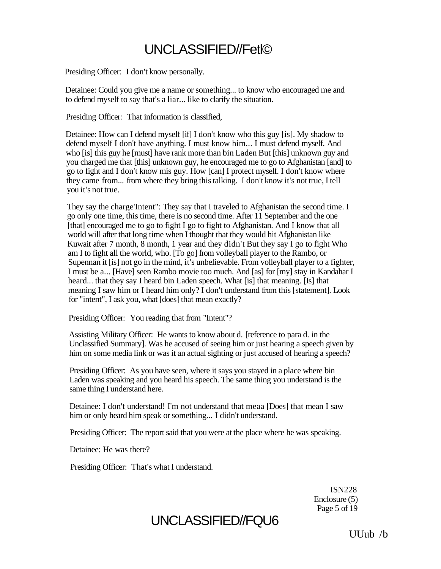# UNCLASSIFIED//Fetl©

Presiding Officer: I don't know personally.

Detainee: Could you give me a name or something... to know who encouraged me and to defend myself to say that's a liar... like to clarify the situation.

Presiding Officer: That information is classified,

Detainee: How can I defend myself [if] I don't know who this guy [is]. My shadow to defend myself I don't have anything. I must know him... I must defend myself. And who [is] this guy he [must] have rank more than bin Laden But [this] unknown guy and you charged me that [this] unknown guy, he encouraged me to go to Afghanistan [and] to go to fight and I don't know mis guy. How [can] I protect myself. I don't know where they came from... from where they bring this talking. I don't know it's not true, I tell you it's not true.

They say the charge'Intent": They say that I traveled to Afghanistan the second time. I go only one time, this time, there is no second time. After 11 September and the one [that] encouraged me to go to fight I go to fight to Afghanistan. And I know that all world will after that long time when I thought that they would hit Afghanistan like Kuwait after 7 month, 8 month, 1 year and they didn't But they say I go to fight Who am I to fight all the world, who. [To go] from volleyball player to the Rambo, or Supennan it [is] not go in the mind, it's unbelievable. From volleyball player to a fighter, I must be a... [Have] seen Rambo movie too much. And [as] for [my] stay in Kandahar I heard... that they say I heard bin Laden speech. What [is] that meaning. [Is] that meaning I saw him or I heard him only? I don't understand from this [statement]. Look for "intent", I ask you, what [does] that mean exactly?

Presiding Officer: You reading that from "Intent"?

Assisting Military Officer: He wants to know about d. [reference to para d. in the Unclassified Summary]. Was he accused of seeing him or just hearing a speech given by him on some media link or was it an actual sighting or just accused of hearing a speech?

Presiding Officer: As you have seen, where it says you stayed in a place where bin Laden was speaking and you heard his speech. The same thing you understand is the same thing I understand here.

Detainee: I don't understand! I'm not understand that meaa [Does] that mean I saw him or only heard him speak or something... I didn't understand.

Presiding Officer: The report said that you were at the place where he was speaking.

Detainee: He was there?

Presiding Officer: That's what I understand.

ISN228 Enclosure (5) Page 5 of 19

# UNCLASSIFIED//FQU6

UUub /b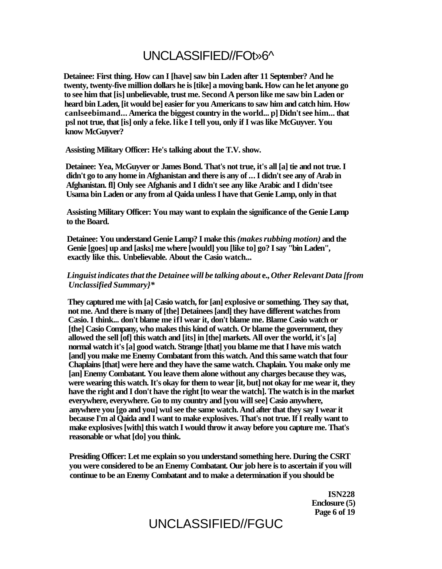### UNCLASSIFIED//FOt»6^

**Detainee: First thing. How can I [have] saw bin Laden after 11 September? And he twenty, twenty-five million dollars he is [tike] a moving bank. How can he let anyone go to see him that [is] unbelievable, trust me. Second A person like me saw bin Laden or heard bin Laden, [it would be] easier for you Americans to saw him and catch him. How canlseebimand... America the biggest country in the world... p] Didn't see him... that psl not true, that [is] only a feke. like I tell you, only if I was like McGuyver. You know McGuyver?** 

**Assisting Military Officer: He's talking about the T.V. show.** 

**Detainee: Yea, McGuyver or James Bond. That's not true, it's all [a] tie and not true. I didn't go to any home in Afghanistan and there is any of ... I didn't see any of Arab in Afghanistan. fl] Only see Afghanis and I didn't see any like Arabic and I didn'tsee Usama bin Laden or any from al Qaida unless I have that Genie Lamp, only in that** 

**Assisting Military Officer: You may want to explain the significance of the Genie Lamp to the Board.** 

**Detainee: You understand Genie Lamp? I make this** *(makes rubbing motion)* **and the Genie [goes] up and [asks] me where [would] you [like to] go? I say "bin Laden", exactly like this. Unbelievable. About the Casio watch...** 

#### *Linguist indicates that the Detainee will be talking about* **e.,** *Other Relevant Data [from Unclassified Summary}\**

**They captured me with [a] Casio watch, for [an] explosive or something. They say that, not me. And there is many of [the] Detainees [and] they have different watches from Casio. I think... don't blame me ifl wear it, don't blame me. Blame Casio watch or [the] Casio Company, who makes this kind of watch. Or blame the government, they allowed the sell [of] this watch and [its] in [the] markets. All over the world, it's [a] normal watch it's [a] good watch. Strange [that] you blame me that I have mis watch [and] you make me Enemy Combatant from this watch. And this same watch that four Chaplains [that] were here and they have the same watch. Chaplain. You make only me [an] Enemy Combatant. You leave them alone without any charges because they was, were wearing this watch. It's okay for them to wear [it, but] not okay for me wear it, they have the right and I don't have the right [to wear the watch]. The watch is in the market everywhere, everywhere. Go to my country and [you will see] Casio anywhere, anywhere you [go and you] wul see the same watch. And after that they say I wear it because I'm al Qaida and I want to make explosives. That's not true. If I really want to make explosives [with] this watch I would throw it away before you capture me. That's reasonable or what [do] you think.** 

**Presiding Officer: Let me explain so you understand something here. During the CSRT you were considered to be an Enemy Combatant. Our job here is to ascertain if you will continue to be an Enemy Combatant and to make a determination if you should be** 

> **ISN228 Enclosure (5) Page 6 of 19**

UNCLASSIFIED//FGUC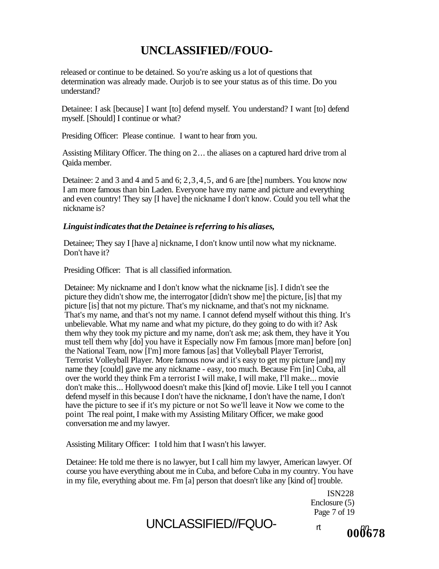## **UNCLASSIFIED//FOUO-**

released or continue to be detained. So you're asking us a lot of questions that determination was already made. Ourjob is to see your status as of this time. Do you understand?

Detainee: I ask [because] I want [to] defend myself. You understand? I want [to] defend myself. [Should] I continue or what?

Presiding Officer: Please continue. I want to hear from you.

Assisting Military Officer. The thing on 2... the aliases on a captured hard drive trom al Qaida member.

Detainee: 2 and 3 and 4 and 5 and 6; 2,3,4,5, and 6 are [the] numbers. You know now I am more famous than bin Laden. Everyone have my name and picture and everything and even country! They say [I have] the nickname I don't know. Could you tell what the nickname is?

### *Linguist indicates that the Detainee is referring to his aliases,*

Detainee; They say I [have a] nickname, I don't know until now what my nickname. Don't have it?

Presiding Officer: That is all classified information.

Detainee: My nickname and I don't know what the nickname [is]. I didn't see the picture they didn't show me, the interrogator [didn't show me] the picture, [is] that my picture [is] that not my picture. That's my nickname, and that's not my nickname. That's my name, and that's not my name. I cannot defend myself without this thing. It's unbelievable. What my name and what my picture, do they going to do with it? Ask them why they took my picture and my name, don't ask me; ask them, they have it You must tell them why [do] you have it Especially now Fm famous [more man] before [on] the National Team, now [I'm] more famous [as] that Volleyball Player Terrorist, Terrorist Volleyball Player. More famous now and it's easy to get my picture [and] my name they [could] gave me any nickname - easy, too much. Because Fm [in] Cuba, all over the world they think Fm a terrorist I will make, I will make, I'll make... movie don't make this... Hollywood doesn't make this [kind of] movie. Like I tell you I cannot defend myself in this because I don't have the nickname, I don't have the name, I don't have the picture to see if it's my picture or not So we'll leave it Now we come to the point The real point, I make with my Assisting Military Officer, we make good conversation me and my lawyer.

Assisting Military Officer: I told him that I wasn't his lawyer.

Detainee: He told me there is no lawyer, but I call him my lawyer, American lawyer. Of course you have everything about me in Cuba, and before Cuba in my country. You have in my file, everything about me. Fm [a] person that doesn't like any [kind of] trouble.

> ISN228 Enclosure (5) Page 7 of 19

# UNCLASSIFIED//FQUOrt 000678

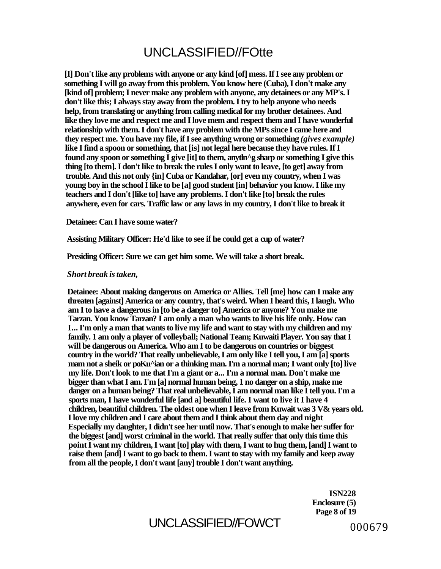# UNCLASSIFIED//FOtte

**[I] Don't like any problems with anyone or any kind [of] mess. If I see any problem or something I will go away from this problem. You know here (Cuba), I don't make any [kind of] problem; I never make any problem with anyone, any detainees or any MP's. I don't like this; I always stay away from the problem. I try to help anyone who needs help, from translating or anything from calling medical for my brother detainees. And like they love me and respect me and I love mem and respect them and I have wonderful relationship with them. I don't have any problem with the MPs since I came here and they respect me. You have my file, if I see anything wrong or something** *(gives example)*  **like I find a spoon or something, that [is] not legal here because they have rules. If I found any spoon or something I give [it] to them, anytln^g sharp or something I give this thing [to them]. I don't like to break the rules I only want to leave, [to get] away from trouble. And this not only {in] Cuba or Kandahar, [or] even my country, when I was young boy in the school I like to be [a] good student [in] behavior you know. I like my teachers and I don't [like to] have any problems. I don't like [to] break the rules anywhere, even for cars. Traffic law or any laws in my country, I don't like to break it** 

**Detainee: Can I have some water?** 

**Assisting Military Officer: He'd like to see if he could get a cup of water?** 

**Presiding Officer: Sure we can get him some. We will take a short break.** 

#### *Short break is taken,*

**Detainee: About making dangerous on America or Allies. Tell [me] how can I make any threaten [against] America or any country, that's weird. When I heard this, I laugh. Who am I to have a dangerous in [to be a danger to] America or anyone? You make me Tarzan. You know Tarzan? I am only a man who wants to live his life only. How can I... I'm only a man that wants to live my life and want to stay with my children and my family. 1 am only a player of volleyball; National Team; Kuwaiti Player. You say that I will be dangerous on America. Who am I to be dangerous on countries or biggest country in the world? That really unbelievable, I am only like I tell you, I am [a] sports mam not a sheik or poKu^ian or a thinking man. I'm a normal man; I want only [to] live my life. Don't look to me that I'm a giant or a... I'm a normal man. Don't make me bigger than what I am. I'm [a] normal human being, 1 no danger on a ship, make me danger on a human being? That real unbelievable, I am normal man like I tell you. I'm a sports man, I have wonderful life [and a] beautiful life. I want to live it I have 4 children, beautiful children. The oldest one when I leave from Kuwait was 3 V& years old. I love my children and I care about them and I think about them day and night Especially my daughter, I didn't see her until now. That's enough to make her suffer for the biggest [and] worst criminal in the world. That really suffer that only this time this point I want my children, I want [to] play with them, I want to hug them, [and] I want to raise them [and] I want to go back to them. I want to stay with my family and keep away from all the people, I don't want [any] trouble I don't want anything.** 

> **ISN228 Enclosure (5) Page 8 of 19**

### UNCLASSIFIED//FOWCT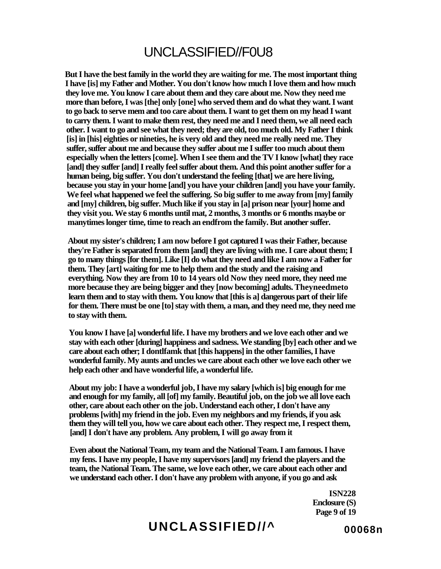# UNCLASSIFIED//F0U8

**But I have the best family in the world they are waiting for me. The most important thing I have [is] my Father and Mother. You don't know how much I love them and how much they love me. You know I care about them and they care about me. Now they need me more than before, I was [the] only [one] who served them and do what they want. I want to go back to serve mem and too care about them. I want to get them on my head I want to carry them. I want to make them rest, they need me and I need them, we all need each other. I want to go and see what they need; they are old, too much old. My Father I think [is] in [his] eighties or nineties, he is very old and they need me really need me. They suffer, suffer about me and because they suffer about me I suffer too much about them especially when the letters [come]. When I see them and the TV I know [what] they race [and] they suffer [and] I really feel suffer about them. And this point another suffer for a human being, big suffer. You don't understand the feeling [that] we are here living, because you stay in your home [and] you have your children [and] you have your family. We feel what happened we feel the suffering. So big suffer to me away from [my] family and [my] children, big suffer. Much like if you stay in [a] prison near [your] home and they visit you. We stay 6 months until mat, 2 months, 3 months or 6 months maybe or manytimes longer time, time to reach an endfrom the family. But another suffer.** 

**About my sister's children; I am now before I got captured I was their Father, because they're Father is separated from them [and] they are living with me. I care about them; I go to many things [for them]. Like [I] do what they need and like I am now a Father for them. They [art] waiting for me to help them and the study and the raising and everything. Now they are from 10 to 14 years old Now they need more, they need me more because they are being bigger and they [now becoming] adults. Theyneedmeto learn them and to stay with them. You know that [this is a] dangerous part of their life for them. There must be one [to] stay with them, a man, and they need me, they need me to stay with them.** 

**You know I have [a] wonderful life. I have my brothers and we love each other and we stay with each other [during] happiness and sadness. We standing [by] each other and we care about each other; I dontlfamk that [this happens] in the other families, I have wonderful family. My aunts and uncles we care about each other we love each other we help each other and have wonderful life, a wonderful life.** 

**About my job: I have a wonderful job, I have my salary [which is] big enough for me and enough for my family, all [of] my family. Beautiful job, on the job we all love each other, care about each other on the job. Understand each other, I don't have any problems [with] my friend in the job. Even my neighbors and my friends, if you ask them they will tell you, how we care about each other. They respect me, I respect them, [and] I don't have any problem. Any problem, I will go away from it** 

**Even about the National Team, my team and the National Team. I am famous. I have my fens. I have my people, I have my supervisors [and] my friend the players and the team, the National Team. The same, we love each other, we care about each other and we understand each other. I don't have any problem with anyone, if you go and ask** 

> **ISN228 Enclosure (S) Page 9 of 19**

## UNCLASSIFIED//^ 00068n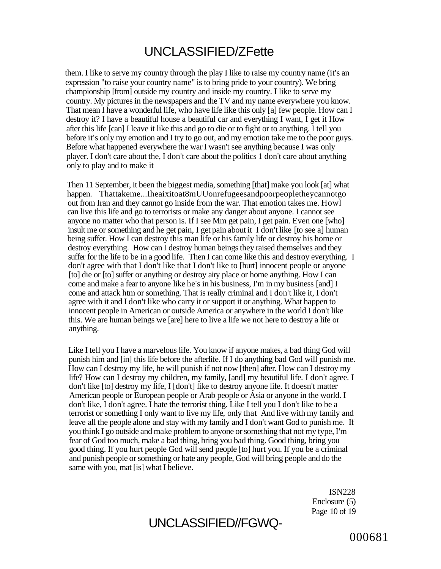# UNCLASSIFIED/ZFette

them. I like to serve my country through the play I like to raise my country name (it's an expression "to raise your country name" is to bring pride to your country). We bring championship [from] outside my country and inside my country. I like to serve my country. My pictures in the newspapers and the TV and my name everywhere you know. That mean I have a wonderful life, who have life like this only [a] few people. How can I destroy it? I have a beautiful house a beautiful car and everything I want, I get it How after this life [can] I leave it like this and go to die or to fight or to anything. I tell you before it's only my emotion and I try to go out, and my emotion take me to the poor guys. Before what happened everywhere the war I wasn't see anything because I was only player. I don't care about the, I don't care about the politics 1 don't care about anything only to play and to make it

Then 11 September, it been the biggest media, something [that] make you look [at] what happen. Thattakeme...Iheaixitoat8mUUonrefugeesandpoorpeopletheycannotgo out from Iran and they cannot go inside from the war. That emotion takes me. Howl can live this life and go to terrorists or make any danger about anyone. I cannot see anyone no matter who that person is. If I see Mm get pain, I get pain. Even one [who] insult me or something and he get pain, I get pain about it I don't like [to see a] human being suffer. How I can destroy this man life or his family life or destroy his home or destroy everything. How can I destroy human beings they raised themselves and they suffer for the life to be in a good life. Then I can come like this and destroy everything. I don't agree with that I don't like that I don't like to [hurt] innocent people or anyone [to] die or [to] suffer or anything or destroy airy place or home anything. How I can come and make a fear to anyone like he's in his business, I'm in my business [and] I come and attack htm or something. That is really criminal and I don't like it, I don't agree with it and I don't like who carry it or support it or anything. What happen to innocent people in American or outside America or anywhere in the world I don't like this. We are human beings we [are] here to live a life we not here to destroy a life or anything.

Like I tell you I have a marvelous life. You know if anyone makes, a bad thing God will punish him and [in] this life before the afterlife. If I do anything bad God will punish me. How can I destroy my life, he will punish if not now [then] after. How can I destroy my life? How can I destroy my children, my family, [and] my beautiful life. I don't agree. I don't like [to] destroy my life, I [don't] like to destroy anyone life. It doesn't matter American people or European people or Arab people or Asia or anyone in the world. I don't like, I don't agree. I hate the terrorist thing. Like I tell you I don't like to be a terrorist or something I only want to live my life, only that And live with my family and leave all the people alone and stay with my family and I don't want God to punish me. If you think I go outside and make problem to anyone or something that not my type, I'm fear of God too much, make a bad thing, bring you bad thing. Good thing, bring you good thing. If you hurt people God will send people [to] hurt you. If you be a criminal and punish people or something or hate any people, God will bring people and do the same with you, mat [is] what I believe.

> ISN228 Enclosure (5) Page 10 of 19

UNCLASSIFIED//FGWQ-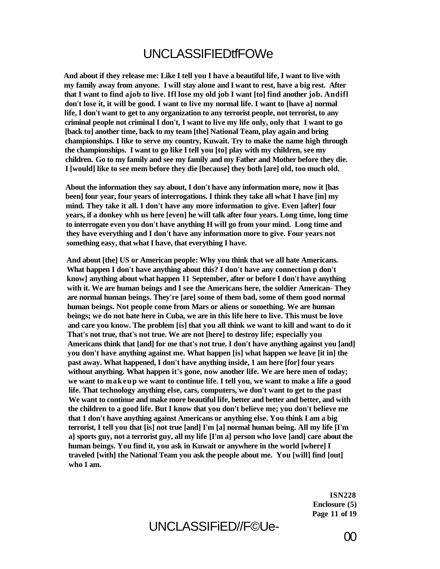## UNCLASSIFIEDtfFOWe

**And about if they release me: Like I tell you I have a beautiful life, I want to live with my family away from anyone. I will stay alone and I want to rest, have a big rest. After that I want to find ajob to live. Ifl lose my old job I want [to] find another job. Andifl don't lose it, it will be good. I want to live my normal life. I want to [have a] normal life, I don't want to get to any organization to any terrorist people, not terrorist, to any criminal people not criminal I don't, I want to live my life only, only that I want to go [back to] another time, back to my team [the] National Team, play again and bring championships. I like to serve my country, Kuwait. Try to make the name high through the championships. I want to go like I tell you [to] play with my children, see my children. Go to my family and see my family and my Father and Mother before they die. I [would] like to see mem before they die [because] they both [are] old, too much old.** 

**About the information they say about, I don't have any information more, now it [has been] four year, four years of interrogations. I think they take all what I have [in] my mind. They take it all. I don't have any more information to give. Even [after] four years, if a donkey whh us here [even] he will talk after four years. Long time, long time to interrogate even you don't have anything H will go from your mind. Long time and they have everything and I don't have any information more to give. Four years not something easy, that what I have, that everything I have.** 

**And about [the] US or American people: Why you think that we all hate Americans. What happen I don't have anything about this? I don't have any connection p don't know] anything about what happen 11 September, after or before I don't have anything with it. We are human beings and I see the Americans here, the soldier American- They are normal human beings. They're [are] some of them bad, some of them good normal human beings. Not people come from Mars or aliens or something. We are human beings; we do not hate here in Cuba, we are in this life here to live. This must be love and care you know. The problem [is] that you all think we want to kill and want to do it That's not true, that's not true. We are not [here] to destroy life; especially you Americans think that [and] for me that's not true. I don't have anything against you [and] you don't have anything against me. What happen [is] what happen we leave [it in] the past away. What happened, I don't have anything inside, 1 am here [for] four years without anything. What happen it's gone, now another life. We are here men of today; we want to makeup we want to continue life. I tell you, we want to make a life a good life. That technology anything else, cars, computers, we don't want to get to the past We want to continue and make more beautiful life, better and better and better, and with the children to a good life. But I know that you don't believe me; you don't believe me that 1 don't have anything against Americans or anything else. You think I am a big terrorist, I tell you that [is] not true [and] I'm [a] normal human being. All my life [I'm a] sports guy, not a terrorist guy, all my life [I'm a] person who love [and] care about the human beings. You find it, you ask in Kuwait or anywhere in the world [where] I traveled [with] the National Team you ask the people about me. You [will] find [out] who 1 am.** 

> **ISN228 Enclosure (5) Page 11 of 19**

## UNCLASSIFiED//F©Ue-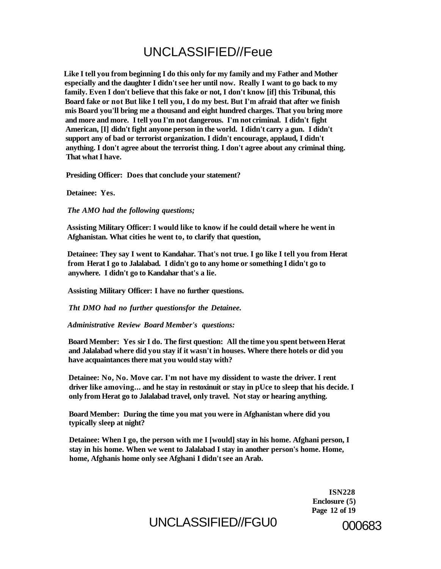# UNCLASSIFIED//Feue

**Like I tell you from beginning I do this only for my family and my Father and Mother especially and the daughter I didn't see her until now. Really I want to go back to my family. Even I don't believe that this fake or not, I don't know [if] this Tribunal, this Board fake or not But like I tell you, I do my best. But I'm afraid that after we finish mis Board you'll bring me a thousand and eight hundred charges. That you bring more and more and more. I tell you I'm not dangerous. I'm not criminal. I didn't fight American, [I] didn't fight anyone person in the world. I didn't carry a gun. I didn't support any of bad or terrorist organization. I didn't encourage, applaud, I didn't anything. I don't agree about the terrorist thing. I don't agree about any criminal thing. That what I have.** 

**Presiding Officer: Does that conclude your statement?** 

**Detainee: Yes.** 

*The AMO had the following questions;* 

**Assisting Military Officer: I would like to know if he could detail where he went in Afghanistan. What cities he went to, to clarify that question,** 

**Detainee: They say I went to Kandahar. That's not true. I go like I tell you from Herat from Herat I go to Jalalabad. I didn't go to any home or something I didn't go to anywhere. I didn't go to Kandahar that's a lie.** 

**Assisting Military Officer: I have no further questions.** 

*Tht DMO had no further questionsfor the Detainee.* 

*Administrative Review Board Member's questions:* 

**Board Member: Yes sir I do. The first question: All the time you spent between Herat and Jalalabad where did you stay if it wasn't in houses. Where there hotels or did you have acquaintances there mat you would stay with?** 

**Detainee: No, No. Move car. I'm not have my dissident to waste the driver. I rent driver like amoving... and he stay in restoxinuit or stay in pUce to sleep that his decide. I only from Herat go to Jalalabad travel, only travel. Not stay or hearing anything.** 

**Board Member: During the time you mat you were in Afghanistan where did you typically sleep at night?** 

**Detainee: When I go, the person with me I [would] stay in his home. Afghani person, I stay in his home. When we went to Jalalabad I stay in another person's home. Home, home, Afghanis home only see Afghani I didn't see an Arab.** 

> **ISN228 Enclosure (5) Page 12 of 19**

### UNCLASSIFIED//FGU0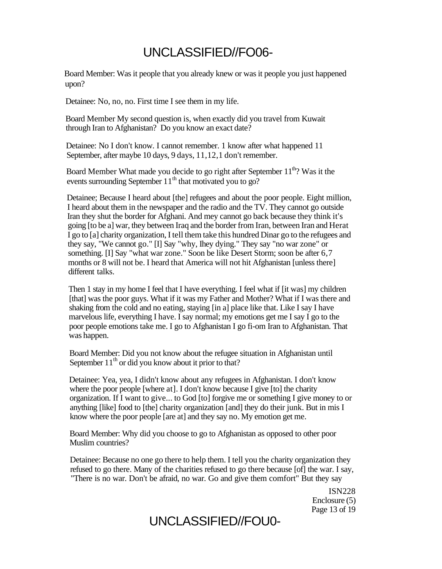# UNCLASSIFIED//FO06-

Board Member: Was it people that you already knew or was it people you just happened upon?

Detainee: No, no, no. First time I see them in my life.

Board Member My second question is, when exactly did you travel from Kuwait through Iran to Afghanistan? Do you know an exact date?

Detainee: No I don't know. I cannot remember. 1 know after what happened 11 September, after maybe 10 days, 9 days, 11,12,1 don't remember.

Board Member What made you decide to go right after September  $11<sup>th</sup>$ ? Was it the events surrounding September  $11<sup>th</sup>$  that motivated you to go?

Detainee; Because I heard about [the] refugees and about the poor people. Eight million, I heard about them in the newspaper and the radio and the TV. They cannot go outside Iran they shut the border for Afghani. And mey cannot go back because they think it's going [to be a] war, they between Iraq and the border from Iran, between Iran and Herat I go to [a] charity organization, I tell them take this hundred Dinar go to the refugees and they say, "We cannot go." [I] Say "why, Ihey dying." They say "no war zone" or something. [I] Say "what war zone." Soon be like Desert Storm; soon be after 6,7 months or 8 will not be. I heard that America will not hit Afghanistan [unless there] different talks.

Then 1 stay in my home I feel that I have everything. I feel what if [it was] my children [that] was the poor guys. What if it was my Father and Mother? What if I was there and shaking from the cold and no eating, staying [in a] place like that. Like I say I have marvelous life, everything I have. I say normal; my emotions get me I say I go to the poor people emotions take me. I go to Afghanistan I go fi-om Iran to Afghanistan. That was happen.

Board Member: Did you not know about the refugee situation in Afghanistan until September  $11<sup>th</sup>$  or did you know about it prior to that?

Detainee: Yea, yea, I didn't know about any refugees in Afghanistan. I don't know where the poor people [where at]. I don't know because I give [to] the charity organization. If I want to give... to God [to] forgive me or something I give money to or anything [like] food to [the] charity organization [and] they do their junk. But in mis I know where the poor people [are at] and they say no. My emotion get me.

Board Member: Why did you choose to go to Afghanistan as opposed to other poor Muslim countries?

Detainee: Because no one go there to help them. I tell you the charity organization they refused to go there. Many of the charities refused to go there because [of] the war. I say, "There is no war. Don't be afraid, no war. Go and give them comfort" But they say

> ISN228 Enclosure (5) Page 13 of 19

## UNCLASSIFIED//FOU0-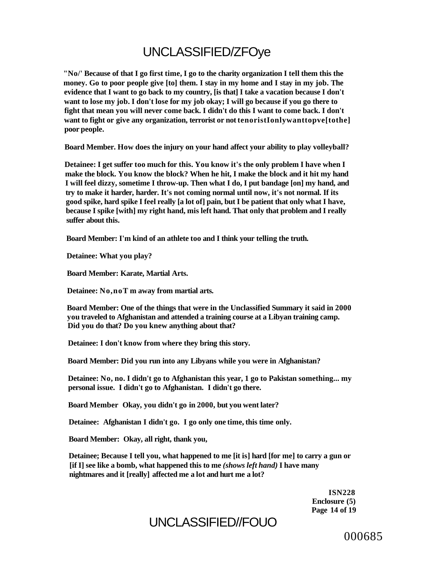# UNCLASSIFIED/ZFOye

**"No/' Because of that I go first time, I go to the charity organization I tell them this the money. Go to poor people give [to] them. I stay in my home and I stay in my job. The evidence that I want to go back to my country, [is that] I take a vacation because I don't want to lose my job. I don't lose for my job okay; I will go because if you go there to fight that mean you will never come back. I didn't do this I want to come back. I don't want to fight or give any organization, terrorist or not tenoristIonlywanttopve[tothe] poor people.** 

**Board Member. How does the injury on your hand affect your ability to play volleyball?** 

**Detainee: I get suffer too much for this. You know it's the only problem I have when I make the block. You know the block? When he hit, I make the block and it hit my hand I will feel dizzy, sometime I throw-up. Then what I do, I put bandage [on] my hand, and try to make it harder, harder. It's not coming normal until now, it's not normal. If its good spike, hard spike I feel really [a lot of] pain, but I be patient that only what I have, because I spike [with] my right hand, mis left hand. That only that problem and I really suffer about this.** 

**Board Member: I'm kind of an athlete too and I think your telling the truth.** 

**Detainee: What you play?** 

**Board Member: Karate, Martial Arts.** 

**Detainee: No,noT m away from martial arts.** 

**Board Member: One of the things that were in the Unclassified Summary it said in 2000 you traveled to Afghanistan and attended a training course at a Libyan training camp. Did you do that? Do you knew anything about that?** 

**Detainee: I don't know from where they bring this story.** 

**Board Member: Did you run into any Libyans while you were in Afghanistan?** 

**Detainee: No, no. I didn't go to Afghanistan this year, 1 go to Pakistan something... my personal issue. I didn't go to Afghanistan. I didn't go there.** 

**Board Member Okay, you didn't go in 2000, but you went later?** 

**Detainee: Afghanistan I didn't go. I go only one time, this time only.** 

**Board Member: Okay, all right, thank you,** 

**Detainee; Because I tell you, what happened to me [it is] hard [for me] to carry a gun or [if I] see like a bomb, what happened this to me** *(shows left hand)* **I have many nightmares and it [really] affected me a lot and hurt me a lot?** 

> **ISN228 Enclosure (5) Page 14 of 19**

UNCLASSIFIED//FOUO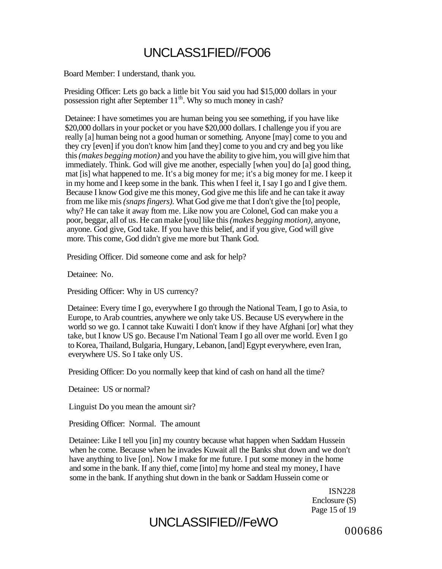# UNCLASS1FIED//FO06

Board Member: I understand, thank you.

Presiding Officer: Lets go back a little bit You said you had \$15,000 dollars in your possession right after September 11<sup>th</sup>. Why so much money in cash?

Detainee: I have sometimes you are human being you see something, if you have like \$20,000 dollars in your pocket or you have \$20,000 dollars. I challenge you if you are really [a] human being not a good human or something. Anyone [may] come to you and they cry [even] if you don't know him [and they] come to you and cry and beg you like this *(makes begging motion)* and you have the ability to give him, you will give him that immediately. Think. God will give me another, especially [when you] do [a] good thing, mat [is] what happened to me. It's a big money for me; it's a big money for me. I keep it in my home and I keep some in the bank. This when I feel it, I say I go and I give them. Because I know God give me this money, God give me this life and he can take it away from me like mis *(snaps fingers).* What God give me that I don't give the [to] people, why? He can take it away ftom me. Like now you are Colonel, God can make you a poor, beggar, all of us. He can make [you] like this *(makes begging motion),* anyone, anyone. God give, God take. If you have this belief, and if you give, God will give more. This come, God didn't give me more but Thank God.

Presiding Officer. Did someone come and ask for help?

Detainee: No.

Presiding Officer: Why in US currency?

Detainee: Every time I go, everywhere I go through the National Team, I go to Asia, to Europe, to Arab countries, anywhere we only take US. Because US everywhere in the world so we go. I cannot take Kuwaiti I don't know if they have Afghani [or] what they take, but I know US go. Because I'm National Team I go all over me world. Even I go to Korea, Thailand, Bulgaria, Hungary, Lebanon, [and] Egypt everywhere, even Iran, everywhere US. So I take only US.

Presiding Officer: Do you normally keep that kind of cash on hand all the time?

Detainee: US or normal?

Linguist Do you mean the amount sir?

Presiding Officer: Normal. The amount

Detainee: Like I tell you [in] my country because what happen when Saddam Hussein when he come. Because when he invades Kuwait all the Banks shut down and we don't have anything to live [on]. Now I make for me future. I put some money in the home and some in the bank. If any thief, come [into] my home and steal my money, I have some in the bank. If anything shut down in the bank or Saddam Hussein come or

> ISN228 Enclosure (S) Page 15 of 19

## UNCLASSIFIED//FeWO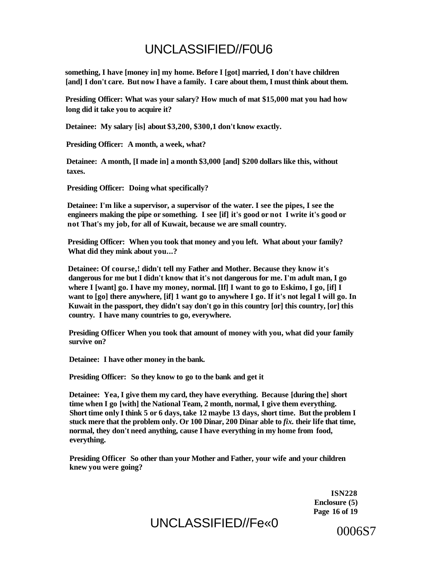# UNCLASSIFIED//F0U6

**something, I have [money in] my home. Before I [got] married, I don't have children [and] I don't care. But now I have a family. I care about them, I must think about them.** 

**Presiding Officer: What was your salary? How much of mat \$15,000 mat you had how long did it take you to acquire it?** 

**Detainee: My salary [is] about \$3,200, \$300,1 don't know exactly.** 

**Presiding Officer: A month, a week, what?** 

**Detainee: A month, [I made in] a month \$3,000 [and] \$200 dollars like this, without taxes.** 

**Presiding Officer: Doing what specifically?** 

**Detainee: I'm like a supervisor, a supervisor of the water. I see the pipes, I see the engineers making the pipe or something. I see [if] it's good or not I write it's good or not That's my job, for all of Kuwait, because we are small country.** 

**Presiding Officer: When you took that money and you left. What about your family? What did they mink about you...?** 

**Detainee: Of course,! didn't tell my Father and Mother. Because they know it's dangerous for me but I didn't know that it's not dangerous for me. I'm adult man, I go where I [want] go. I have my money, normal. [If] I want to go to Eskimo, I go, [if] I want to [go] there anywhere, [if] 1 want go to anywhere I go. If it's not legal I will go. In Kuwait in the passport, they didn't say don't go in this country [or] this country, [or] this country. I have many countries to go, everywhere.** 

**Presiding Officer When you took that amount of money with you, what did your family survive on?** 

**Detainee: I have other money in the bank.** 

**Presiding Officer: So they know to go to the bank and get it** 

**Detainee: Yea, I give them my card, they have everything. Because [during the] short time when I go [with] the National Team, 2 month, normal, I give them everything. Short time only I think 5 or 6 days, take 12 maybe 13 days, short time. But the problem I stuck mere that the problem only. Or 100 Dinar, 200 Dinar able to** *fix.* **their life that time, normal, they don't need anything, cause I have everything in my home from food, everything.** 

**Presiding Officer So other than your Mother and Father, your wife and your children knew you were going?** 

> **ISN228 Enclosure (5) Page 16 of 19**

UNCLASSIFIED//Fe«0

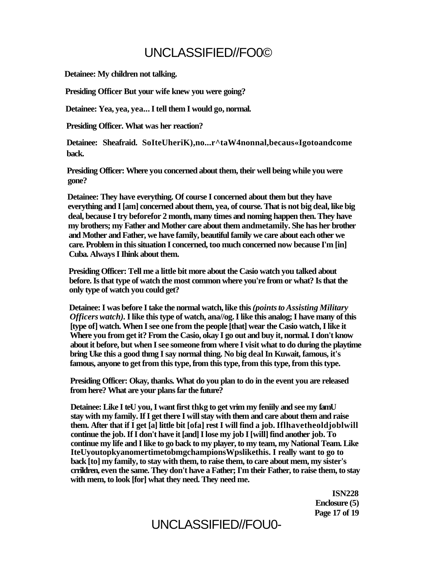## UNCLASSIFIED//FO0©

**Detainee: My children not talking.** 

**Presiding Officer But your wife knew you were going?** 

**Detainee: Yea, yea, yea... I tell them I would go, normal.** 

**Presiding Officer. What was her reaction?** 

**Detainee: Sheafraid. SoIteUheriK),no...r^taW4nonnal,becaus«Igotoandcome back.** 

**Presiding Officer: Where you concerned about them, their well being while you were gone?** 

**Detainee: They have everything. Of course I concerned about them but they have everything and I [am] concerned about them, yea, of course. That is not big deal, like big deal, because I try beforefor 2 month, many times and noming happen then. They have my brothers; my Father and Mother care about them andmetamily. She has her brother and Mother and Father, we have family, beautiful family we care about each other we care. Problem in this situation I concerned, too much concerned now because I'm [in] Cuba. Always I Ihink about them.** 

**Presiding Officer: Tell me a little bit more about the Casio watch you talked about before. Is that type of watch the most common where you're from or what? Is that the only type of watch you could get?** 

**Detainee: I was before I take the normal watch, like this** *(points to Assisting Military Officers watch).* **I like this type of watch, ana//og. I like this analog; I have many of this [type of] watch. When I see one from the people [that] wear the Casio watch, I like it Where you from get it? From the Casio, okay I go out and buy it, normal. I don't know about it before, but when I see someone from where I visit what to do during the playtime bring Uke this a good thmg I say normal thing. No big deal In Kuwait, famous, it's famous, anyone to get from this type, from this type, from this type, from this type.** 

**Presiding Officer: Okay, thanks. What do you plan to do in the event you are released from here? What are your plans far the future?** 

**Detainee: Like I teU you, I want first thkg to get vrim my feniily and see my famU stay with my family. If I get there I will stay with them and care about them and raise them. After that if I get [a] little bit [ofa] rest I will find a job. Iflhavetheoldjoblwill continue the job. If I don't have it [and] I lose my job I [will] find another job. To continue my life and I like to go back to my player, to my team, my National Team. Like IteUyoutopkyanomertimetobmgchampionsWpslikethis. I really want to go to back [to] my family, to stay with them, to raise them, to care about mem, my sister's crrildren, even the same. They don't have a Father; I'm their Father, to raise them, to stay with mem, to look [for] what they need. They need me.** 

> **ISN228 Enclosure (5) Page 17 of 19**

### UNCLASSIFIED//FOU0-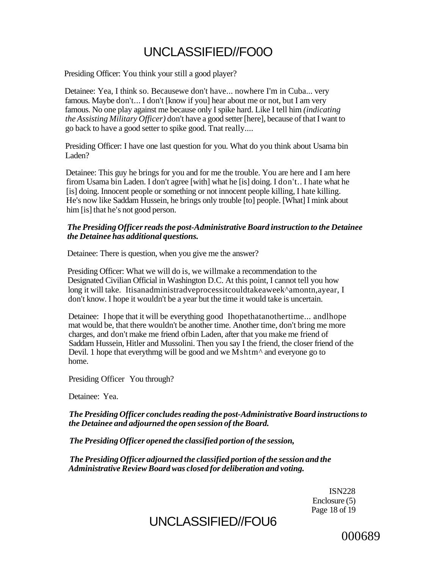# UNCLASSIFIED//FO0O

Presiding Officer: You think your still a good player?

Detainee: Yea, I think so. Becausewe don't have... nowhere I'm in Cuba... very famous. Maybe don't... I don't [know if you] hear about me or not, but I am very famous. No one play against me because only I spike hard. Like I tell him *(indicating the Assisting Military Officer)* don't have a good setter [here], because of that I want to go back to have a good setter to spike good. Tnat really....

Presiding Officer: I have one last question for you. What do you think about Usama bin Laden?

Detainee: This guy he brings for you and for me the trouble. You are here and I am here firom Usama bin Laden. I don't agree [with] what he [is] doing. I don't.. I hate what he [is] doing. Innocent people or something or not innocent people killing, I hate killing. He's now like Saddam Hussein, he brings only trouble [to] people. [What] I mink about him [is] that he's not good person.

### *The Presiding Officer reads the post-Administrative Board instruction to the Detainee the Detainee has additional questions.*

Detainee: There is question, when you give me the answer?

Presiding Officer: What we will do is, we willmake a recommendation to the Designated Civilian Official in Washington D.C. At this point, I cannot tell you how long it will take. Itisanadministradveprocessitcouldtakeaweek^amontn,ayear, I don't know. I hope it wouldn't be a year but the time it would take is uncertain.

Detainee: I hope that it will be everything good Ihopethatanothertime... andlhope mat would be, that there wouldn't be another time. Another time, don't bring me more charges, and don't make me friend ofbin Laden, after that you make me friend of Saddam Hussein, Hitler and Mussolini. Then you say I the friend, the closer friend of the Devil. 1 hope that everythmg will be good and we Mshtm^ and everyone go to home.

Presiding Officer You through?

Detainee: Yea.

*The Presiding Officer concludes reading the post-Administrative Board instructions to the Detainee and adjourned the open session of the Board.* 

*The Presiding Officer opened the classified portion of the session,* 

*The Presiding Officer adjourned the classified portion of the session and the Administrative Review Board was closed for deliberation and voting.* 

> ISN228 Enclosure (5) Page 18 of 19

## UNCLASSIFIED//FOU6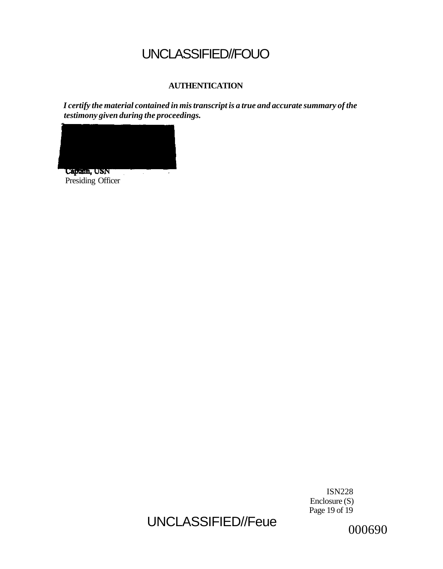# UNCLASSIFIED//FOUO

### **AUTHENTICATION**

*I certify the material contained in mis transcript is a true and accurate summary of the testimony given during the proceedings.* 



Presiding Officer

ISN228 Enclosure (S) Page 19 of 19

# UNCLASSIFIED//Feue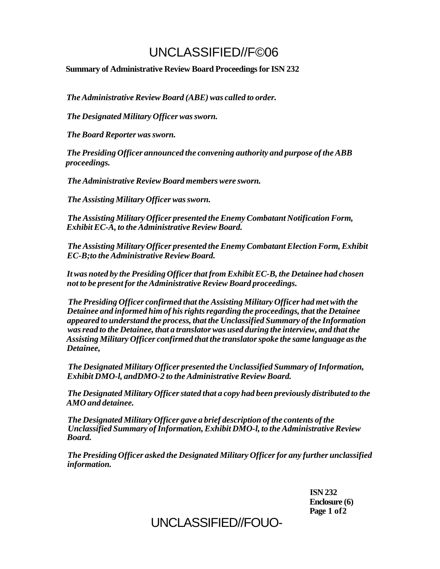# UNCLASSIFIED//F©06

### **Summary of Administrative Review Board Proceedings for ISN 232**

*The Administrative Review Board (ABE) was called to order.* 

*The Designated Military Officer was sworn.* 

*The Board Reporter was sworn.* 

*The Presiding Officer announced the convening authority and purpose of the ABB proceedings.* 

*The Administrative Review Board members were sworn.* 

*The Assisting Military Officer was sworn.* 

*The Assisting Military Officer presented the Enemy Combatant Notification Form, Exhibit EC-A, to the Administrative Review Board.* 

*The Assisting Military Officer presented the Enemy Combatant Election Form, Exhibit EC-B;to the Administrative Review Board.* 

*It was noted by the Presiding Officer that from Exhibit EC-B, the Detainee had chosen not to be present for the Administrative Review Board proceedings.* 

*The Presiding Officer confirmed that the Assisting Military Officer had met with the Detainee and informed him of his rights regarding the proceedings, that the Detainee appeared to understand the process, that the Unclassified Summary of the Information was read to the Detainee, that a translator was used during the interview, and that the Assisting Military Officer confirmed that the translator spoke the same language as the Detainee,* 

*The Designated Military Officer presented the Unclassified Summary of Information, Exhibit DMO-l, andDMO-2 to the Administrative Review Board.* 

*The Designated Military Officer stated that a copy had been previously distributed to the AMO and detainee.* 

*The Designated Military Officer gave a brief description of the contents of the Unclassified Summary of Information, Exhibit DMO-l, to the Administrative Review Board.* 

*The Presiding Officer asked the Designated Military Officer for any further unclassified information.* 

> **ISN 232 Enclosure (6) Page 1 of2**

## UNCLASSIFIED//FOUO-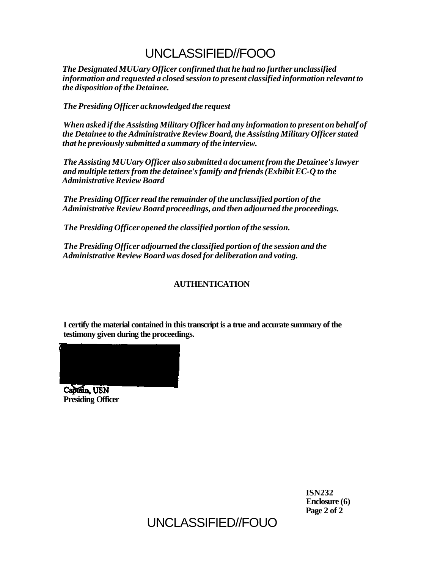# UNCLASSIFIED//FOOO

*The Designated MUUary Officer confirmed that he had no further unclassified information and requested a closed session to present classified information relevant to the disposition of the Detainee.* 

*The Presiding Officer acknowledged the request* 

*When asked if the Assisting Military Officer had any information to present on behalf of the Detainee to the Administrative Review Board, the Assisting Military Officer stated that he previously submitted a summary of the interview.* 

*The Assisting MUUary Officer also submitted a document from the Detainee's lawyer and multiple tetters from the detainee's famify and friends (Exhibit EC-Q to the Administrative Review Board* 

*The Presiding Officer read the remainder of the unclassified portion of the Administrative Review Board proceedings, and then adjourned the proceedings.* 

*The Presiding Officer opened the classified portion of the session.* 

*The Presiding Officer adjourned the classified portion of the session and the Administrative Review Board was dosed for deliberation and voting.* 

### **AUTHENTICATION**

**I certify the material contained in this transcript is a true and accurate summary of the testimony given during the proceedings.** 

Captain, USN **Presiding Officer** 

> **ISN232 Enclosure (6) Page 2 of 2**

UNCLASSIFIED//FOUO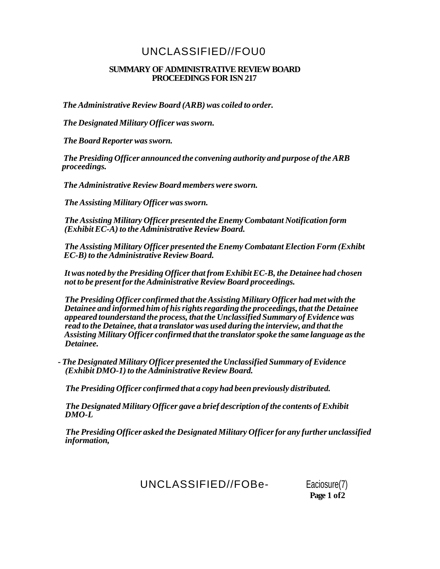### UNCLASSIFIED//FOU0

#### **SUMMARY OF ADMINISTRATIVE REVIEW BOARD PROCEEDINGS FOR ISN 217**

*The Administrative Review Board (ARB) was coiled to order.* 

*The Designated Military Officer was sworn.* 

*The Board Reporter was sworn.* 

*The Presiding Officer announced the convening authority and purpose of the ARB proceedings.* 

*The Administrative Review Board members were sworn.* 

*The Assisting Military Officer was sworn.* 

*The Assisting Military Officer presented the Enemy Combatant Notification form (Exhibit EC-A) to the Administrative Review Board.* 

*The Assisting Military Officer presented the Enemy Combatant Election Form (Exhibt EC-B) to the Administrative Review Board.* 

*It was noted by the Presiding Officer that from Exhibit EC-B, the Detainee had chosen not to be present for the Administrative Review Board proceedings.* 

*The Presiding Officer confirmed that the Assisting Military Officer had met with the Detainee and informed him of his rights regarding the proceedings, that the Detainee appeared tounderstand the process, that the Unclassified Summary of Evidence was read to the Detainee, that a translator was used during the interview, and that the Assisting Military Officer confirmed that the translator spoke the same language as the Detainee.* 

*- The Designated Military Officer presented the Unclassified Summary of Evidence (Exhibit DMO-1) to the Administrative Review Board.* 

*The Presiding Officer confirmed that a copy had been previously distributed.* 

*The Designated Military Officer gave a brief description of the contents of Exhibit DMO-L* 

*The Presiding Officer asked the Designated Military Officer for any further unclassified information,* 

UNCLASSIFIED//FOBe- Eaciosure(7)

**Page 1 of2**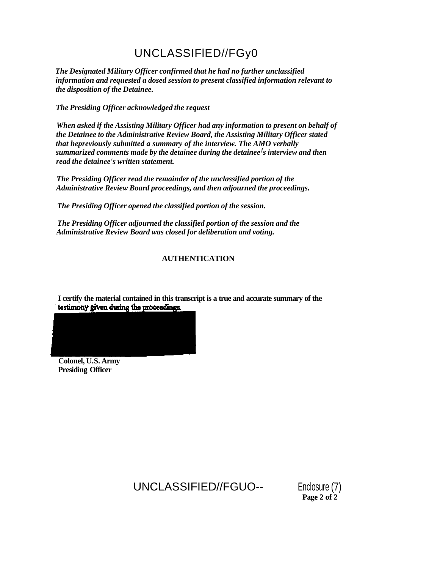# UNCLASSIFlED//FGy0

*The Designated Military Officer confirmed that he had no further unclassified information and requested a dosed session to present classified information relevant to the disposition of the Detainee.* 

*The Presiding Officer acknowledged the request* 

*When asked if the Assisting Military Officer had any information to present on behalf of the Detainee to the Administrative Review Board, the Assisting Military Officer stated that hepreviously submitted a summary of the interview. The AMO verbally summarized comments made by the detainee during the detainee <sup>f</sup> s interview and then read the detainee's written statement.* 

*The Presiding Officer read the remainder of the unclassified portion of the Administrative Review Board proceedings, and then adjourned the proceedings.* 

*The Presiding Officer opened the classified portion of the session.* 

*The Presiding Officer adjourned the classified portion of the session and the Administrative Review Board was closed for deliberation and voting.* 

### **AUTHENTICATION**

**I certify the material contained in this transcript is a true and accurate summary of the**  testimony given during the proceedings.



**Colonel, U.S. Army Presiding Officer** 

UNCLASSIFIED//FGUO-- Enclosure (7)

**Page 2 of 2**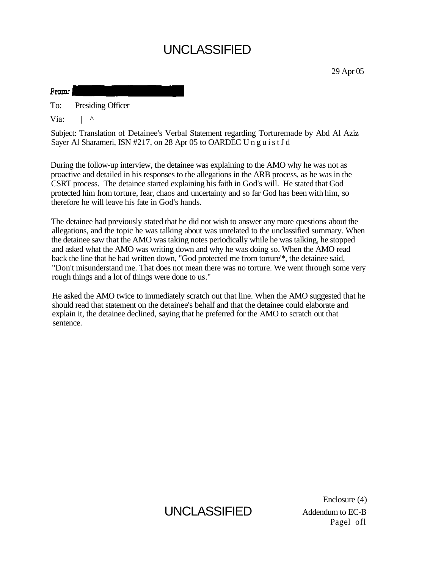# UNCLASSIFIED

29 Apr 05

From:

To: Presiding Officer

Via:  $| \wedge$ 

Subject: Translation of Detainee's Verbal Statement regarding Torturemade by Abd Al Aziz Sayer Al Sharameri, ISN #217, on 28 Apr 05 to OARDEC Unguist Jd

During the follow-up interview, the detainee was explaining to the AMO why he was not as proactive and detailed in his responses to the allegations in the ARB process, as he was in the CSRT process. The detainee started explaining his faith in God's will. He stated that God protected him from torture, fear, chaos and uncertainty and so far God has been with him, so therefore he will leave his fate in God's hands.

The detainee had previously stated that he did not wish to answer any more questions about the allegations, and the topic he was talking about was unrelated to the unclassified summary. When the detainee saw that the AMO was taking notes periodically while he was talking, he stopped and asked what the AMO was writing down and why he was doing so. When the AMO read back the line that he had written down, "God protected me from torture'\*, the detainee said, "Don't misunderstand me. That does not mean there was no torture. We went through some very rough things and a lot of things were done to us."

He asked the AMO twice to immediately scratch out that line. When the AMO suggested that he should read that statement on the detainee's behalf and that the detainee could elaborate and explain it, the detainee declined, saying that he preferred for the AMO to scratch out that sentence.



Enclosure (4) Addendum to EC-B Pagel ofl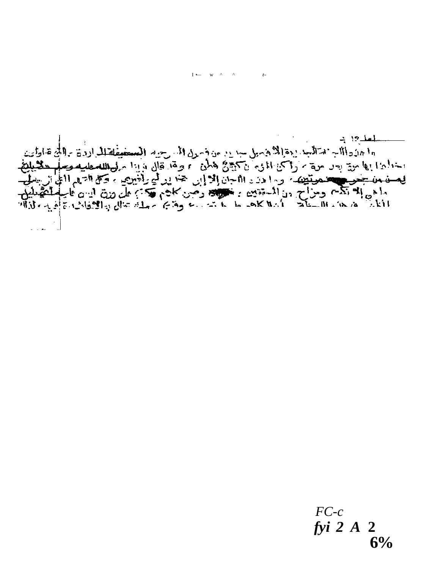$I \leftarrow$  w ^ ^ *t-*

 $-12$   $-12$ أكمد

*FC-c fyi 2 A* **2 6%**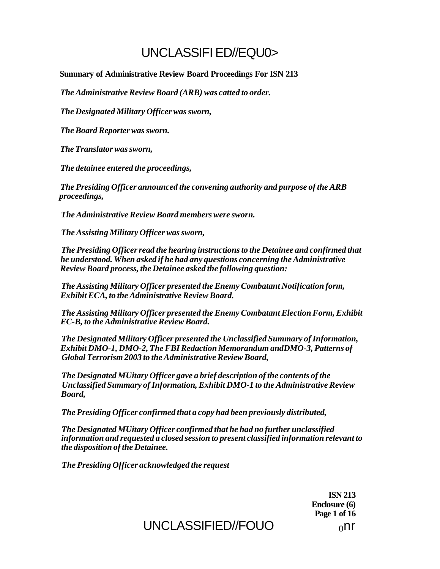# UNCLASSIFI ED//EQU0>

**Summary of Administrative Review Board Proceedings For ISN 213** 

*The Administrative Review Board (ARB) was catted to order.* 

*The Designated Military Officer was sworn,* 

*The Board Reporter was sworn.* 

*The Translator was sworn,* 

*The detainee entered the proceedings,* 

*The Presiding Officer announced the convening authority and purpose of the ARB proceedings,* 

*The Administrative Review Board members were sworn.* 

*The Assisting Military Officer was sworn,* 

*The Presiding Officer read the hearing instructions to the Detainee and confirmed that he understood. When asked if he had any questions concerning the Administrative Review Board process, the Detainee asked the following question:* 

*The Assisting Military Officer presented the Enemy Combatant Notification form, Exhibit ECA, to the Administrative Review Board.* 

*The Assisting Military Officer presented the Enemy Combatant Election Form, Exhibit EC-B, to the Administrative Review Board.* 

*The Designated Military Officer presented the Unclassified Summary of Information, Exhibit DMO-1, DMO-2, The FBI Redaction Memorandum andDMO-3, Patterns of Global Terrorism 2003 to the Administrative Review Board,* 

*The Designated MUitary Officer gave a brief description of the contents of the Unclassified Summary of Information, Exhibit DMO-1 to the Administrative Review Board,* 

*The Presiding Officer confirmed that a copy had been previously distributed,* 

*The Designated MUitary Officer confirmed that he had no further unclassified information and requested a closed session to present classified information relevant to the disposition of the Detainee.* 

*The Presiding Officer acknowledged the request* 

**ISN 213 Enclosure (6) Page 1 of 16** 

UNCLASSIFIED//FOUO onr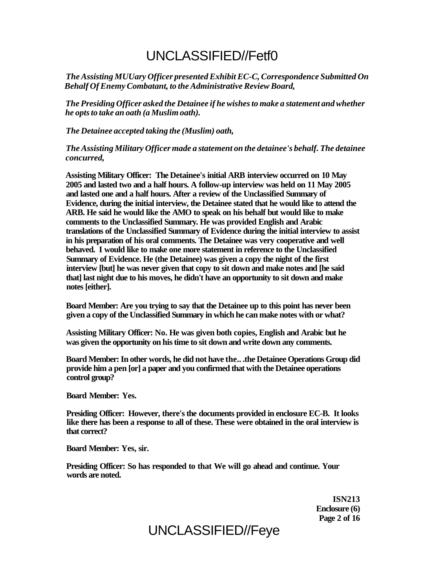# UNCLASSIFIED//Fetf0

### *The Assisting MUUary Officer presented Exhibit EC-C, Correspondence Submitted On Behalf Of Enemy Combatant, to the Administrative Review Board,*

*The Presiding Officer asked the Detainee if he wishes to make a statement and whether he opts to take an oath (a Muslim oath).* 

*The Detainee accepted taking the (Muslim) oath,* 

*The Assisting Military Officer made a statement on the detainee's behalf. The detainee concurred,* 

**Assisting Military Officer: The Detainee's initial ARB interview occurred on 10 May 2005 and lasted two and a half hours. A follow-up interview was held on 11 May 2005 and lasted one and a half hours. After a review of the Unclassified Summary of Evidence, during the initial interview, the Detainee stated that he would like to attend the ARB. He said he would like the AMO to speak on his behalf but would like to make comments to the Unclassified Summary. He was provided English and Arabic translations of the Unclassified Summary of Evidence during the initial interview to assist in his preparation of his oral comments. The Detainee was very cooperative and well behaved. I would like to make one more statement in reference to the Unclassified Summary of Evidence. He (the Detainee) was given a copy the night of the first interview [but] he was never given that copy to sit down and make notes and [he said that] last night due to his moves, he didn't have an opportunity to sit down and make notes [either].** 

**Board Member: Are you trying to say that the Detainee up to this point has never been given a copy of the Unclassified Summary in which he can make notes with or what?** 

**Assisting Military Officer: No. He was given both copies, English and Arabic but he was given the opportunity on his time to sit down and write down any comments.** 

**Board Member: In other words, he did not have the.. .the Detainee Operations Group did provide him a pen [or] a paper and you confirmed that with the Detainee operations control group?** 

**Board Member: Yes.** 

**Presiding Officer: However, there's the documents provided in enclosure EC-B. It looks like there has been a response to all of these. These were obtained in the oral interview is that correct?** 

**Board Member: Yes, sir.** 

**Presiding Officer: So has responded to that We will go ahead and continue. Your words are noted.** 

> **ISN213 Enclosure (6) Page 2 of 16**

# UNCLASSIFIED//Feye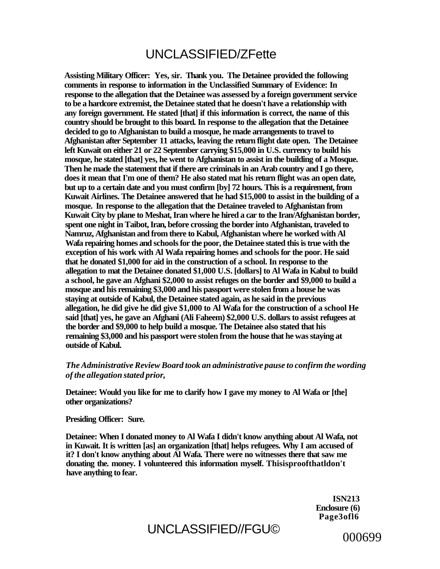### UNCLASSIFIED/ZFette

**Assisting Military Officer: Yes, sir. Thank you. The Detainee provided the following comments in response to information in the Unclassified Summary of Evidence: In response to the allegation that the Detainee was assessed by a foreign government service to be a hardcore extremist, the Detainee stated that he doesn't have a relationship with any foreign government. He stated [that] if this information is correct, the name of this country should be brought to this board. In response to the allegation that the Detainee decided to go to Afghanistan to build a mosque, he made arrangements to travel to Afghanistan after September 11 attacks, leaving the return flight date open. The Detainee left Kuwait on either 21 or 22 September carrying \$15,000 in U.S. currency to build his mosque, he stated [that] yes, he went to Afghanistan to assist in the building of a Mosque. Then he made the statement that if there are criminals in an Arab country and I go there, does it mean that I'm one of them? He also stated mat his return flight was an open date, but up to a certain date and you must confirm [by] 72 hours. This is a requirement, from Kuwait Airlines. The Detainee answered that he had \$15,000 to assist in the building of a mosque. In response to the allegation that the Detainee traveled to Afghanistan from Kuwait City by plane to Meshat, Iran where he hired a car to the Iran/Afghanistan border, spent one night in Taibot, Iran, before crossing the border into Afghanistan, traveled to Namruz, Afghanistan and from there to Kabul, Afghanistan where he worked with Al Wafa repairing homes and schools for the poor, the Detainee stated this is true with the exception of his work with Al Wafa repairing homes and schools for the poor. He said that he donated \$1,000 for aid in the construction of a school. In response to the allegation to mat the Detainee donated \$1,000 U.S. [dollars] to Al Wafa in Kabul to build a school, he gave an Afghani \$2,000 to assist refuges on the border and \$9,000 to build a mosque and his remaining \$3,000 and his passport were stolen from a house he was staying at outside of Kabul, the Detainee stated again, as he said in the previous allegation, he did give he did give \$1,000 to Al Wafa for the construction of a school He said [that] yes, he gave an Afghani (Ali Faheem) \$2,000 U.S. dollars to assist refugees at the border and \$9,000 to help build a mosque. The Detainee also stated that his remaining \$3,000 and his passport were stolen from the house that he was staying at outside of Kabul.** 

#### *The Administrative Review Board took an administrative pause to confirm the wording of the allegation stated prior,*

**Detainee: Would you like for me to clarify how I gave my money to Al Wafa or [the] other organizations?** 

**Presiding Officer: Sure.** 

**Detainee: When I donated money to Al Wafa I didn't know anything about Al Wafa, not in Kuwait. It is written [as] an organization [that] helps refugees. Why I am accused of it? I don't know anything about Al Wafa. There were no witnesses there that saw me donating the. money. I volunteered this information myself. Thisisproofthatldon't have anything to fear.** 

> **ISN213 Enclosure (6) Page3ofl6**

# UNCLASSIFIED//FGU©

000699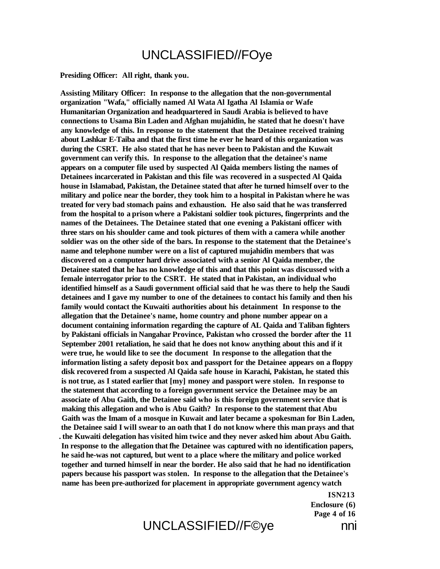## UNCLASSIFIED//FOye

**Presiding Officer: All right, thank you.** 

**Assisting Military Officer: In response to the allegation that the non-governmental organization "Wafa," officially named Al Wata Al Igatha Al Islamia or Wafe Humanitarian Organization and headquartered in Saudi Arabia is believed to have connections to Usama Bin Laden and Afghan mujahidin, he stated that he doesn't have any knowledge of this. In response to the statement that the Detainee received training about Lashkar E-Taiba and that the first time he ever he heard of this organization was during the CSRT. He also stated that he has never been to Pakistan and the Kuwait government can verify this. In response to the allegation that the detainee's name appears on a computer file used by suspected Al Qaida members listing the names of Detainees incarcerated in Pakistan and this file was recovered in a suspected Al Qaida house in Islamabad, Pakistan, the Detainee stated that after he turned himself over to the military and police near the border, they took him to a hospital in Pakistan where he was treated for very bad stomach pains and exhaustion. He also said that he was transferred from the hospital to a prison where a Pakistani soldier took pictures, fingerprints and the names of the Detainees. The Detainee stated that one evening a Pakistani officer with three stars on his shoulder came and took pictures of them with a camera while another soldier was on the other side of the bars. In response to the statement that the Detainee's name and telephone number were on a list of captured mujahidin members that was discovered on a computer hard drive associated with a senior Al Qaida member, the Detainee stated that he has no knowledge of this and that this point was discussed with a female interrogator prior to the CSRT. He stated that in Pakistan, an individual who identified himself as a Saudi government official said that he was there to help the Saudi detainees and I gave my number to one of the detainees to contact his family and then his family would contact the Kuwaiti authorities about his detainment In response to the allegation that the Detainee's name, home country and phone number appear on a document containing information regarding the capture of AL Qaida and Taliban fighters by Pakistani officials in Nangahar Province, Pakistan who crossed the border after the 11 September 2001 retaliation, he said that he does not know anything about this and if it were true, he would like to see the document In response to the allegation that the information listing a safety deposit box and passport for the Detainee appears on a floppy disk recovered from a suspected Al Qaida safe house in Karachi, Pakistan, he stated this is not true, as I stated earlier that [my] money and passport were stolen. In response to the statement that according to a foreign government service the Detainee may be an associate of Abu Gaith, the Detainee said who is this foreign government service that is making this allegation and who is Abu Gaith? In response to the statement that Abu Gaith was the Imam of a mosque in Kuwait and later became a spokesman for Bin Laden, the Detainee said I will swear to an oath that I do not know where this man prays and that . the Kuwaiti delegation has visited him twice and they never asked him about Abu Gaith. In response to the allegation that fhe Detainee was captured with no identification papers, he said he-was not captured, but went to a place where the military and police worked together and turned himself in near the border. He also said that he had no identification papers because his passport was stolen. In response to the allegation that the Detainee's name has been pre-authorized for placement in appropriate government agency watch** 

> **ISN213 Enclosure (6) Page 4 of 16**

### UNCLASSIFIED//F©ye nni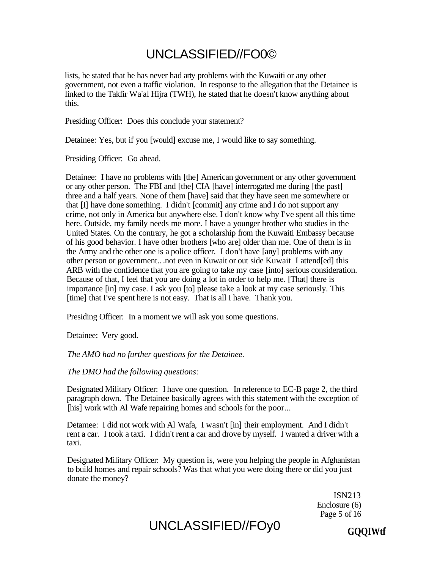# UNCLASSIFIED//FO0©

lists, he stated that he has never had arty problems with the Kuwaiti or any other government, not even a traffic violation. In response to the allegation that the Detainee is linked to the Takfir Wa'al Hijra (TWH), he stated that he doesn't know anything about this.

Presiding Officer: Does this conclude your statement?

Detainee: Yes, but if you [would] excuse me, I would like to say something.

Presiding Officer: Go ahead.

Detainee: I have no problems with [the] American government or any other government or any other person. The FBI and [the] CIA [have] interrogated me during [the past] three and a half years. None of them [have] said that they have seen me somewhere or that [I] have done something. I didn't [commit] any crime and I do not support any crime, not only in America but anywhere else. I don't know why I've spent all this time here. Outside, my family needs me more. I have a younger brother who studies in the United States. On the contrary, he got a scholarship from the Kuwaiti Embassy because of his good behavior. I have other brothers [who are] older than me. One of them is in the Army and the other one is a police officer. I don't have [any] problems with any other person or government.. .not even in Kuwait or out side Kuwait I attend[ed] this ARB with the confidence that you are going to take my case [into] serious consideration. Because of that, I feel that you are doing a lot in order to help me. [That] there is importance [in] my case. I ask you [to] please take a look at my case seriously. This [time] that I've spent here is not easy. That is all I have. Thank you.

Presiding Officer: In a moment we will ask you some questions.

Detainee: Very good.

*The AMO had no further questions for the Detainee.* 

*The DMO had the following questions:* 

Designated Military Officer: I have one question. In reference to EC-B page 2, the third paragraph down. The Detainee basically agrees with this statement with the exception of [his] work with Al Wafe repairing homes and schools for the poor...

Detamee: I did not work with Al Wafa, I wasn't [in] their employment. And I didn't rent a car. I took a taxi. I didn't rent a car and drove by myself. I wanted a driver with a taxi.

Designated Military Officer: My question is, were you helping the people in Afghanistan to build homes and repair schools? Was that what you were doing there or did you just donate the money?

> ISN213 Enclosure (6) Page 5 of 16

## UNCLASSIFIED//FOy0

**GQQIWtf**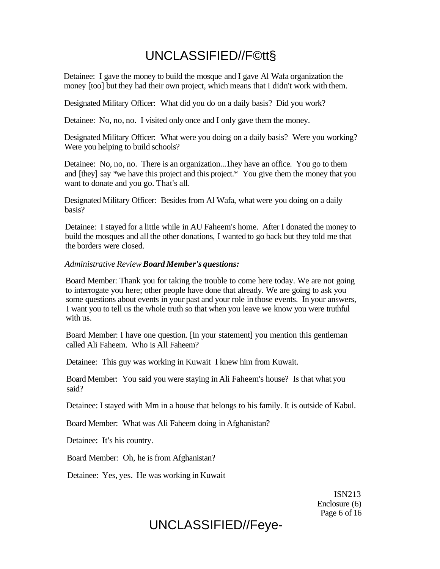# UNCLASSIFIED//F©tt§

Detainee: I gave the money to build the mosque and I gave Al Wafa organization the money [too] but they had their own project, which means that I didn't work with them.

Designated Military Officer: What did you do on a daily basis? Did you work?

Detainee: No, no, no. I visited only once and I only gave them the money.

Designated Military Officer: What were you doing on a daily basis? Were you working? Were you helping to build schools?

Detainee: No, no, no. There is an organization...1hey have an office. You go to them and [they] say \*we have this project and this project.\* You give them the money that you want to donate and you go. That's all.

Designated Military Officer: Besides from Al Wafa, what were you doing on a daily basis?

Detainee: I stayed for a little while in AU Faheem's home. After I donated the money to build the mosques and all the other donations, I wanted to go back but they told me that the borders were closed.

#### *Administrative Review Board Member's questions:*

Board Member: Thank you for taking the trouble to come here today. We are not going to interrogate you here; other people have done that already. We are going to ask you some questions about events in your past and your role in those events. In your answers, I want you to tell us the whole truth so that when you leave we know you were truthful with us.

Board Member: I have one question. [In your statement] you mention this gentleman called Ali Faheem. Who is All Faheem?

Detainee: This guy was working in Kuwait I knew him from Kuwait.

Board Member: You said you were staying in Ali Faheem's house? Is that what you said?

Detainee: I stayed with Mm in a house that belongs to his family. It is outside of Kabul.

Board Member: What was Ali Faheem doing in Afghanistan?

Detainee: It's his country.

Board Member: Oh, he is from Afghanistan?

Detainee: Yes, yes. He was working in Kuwait

ISN213 Enclosure (6) Page 6 of 16

## UNCLASSIFIED//Feye-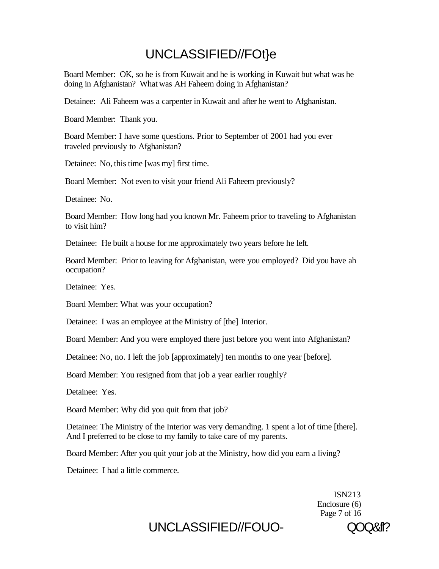# UNCLASSIFIED//FOt}e

Board Member: OK, so he is from Kuwait and he is working in Kuwait but what was he doing in Afghanistan? What was AH Faheem doing in Afghanistan?

Detainee: Ali Faheem was a carpenter in Kuwait and after he went to Afghanistan.

Board Member: Thank you.

Board Member: I have some questions. Prior to September of 2001 had you ever traveled previously to Afghanistan?

Detainee: No, this time [was my] first time.

Board Member: Not even to visit your friend Ali Faheem previously?

Detainee: No.

Board Member: How long had you known Mr. Faheem prior to traveling to Afghanistan to visit him?

Detainee: He built a house for me approximately two years before he left.

Board Member: Prior to leaving for Afghanistan, were you employed? Did you have ah occupation?

Detainee: Yes.

Board Member: What was your occupation?

Detainee: I was an employee at the Ministry of [the] Interior.

Board Member: And you were employed there just before you went into Afghanistan?

Detainee: No, no. I left the job [approximately] ten months to one year [before].

Board Member: You resigned from that job a year earlier roughly?

Detainee: Yes.

Board Member: Why did you quit from that job?

Detainee: The Ministry of the Interior was very demanding. 1 spent a lot of time [there]. And I preferred to be close to my family to take care of my parents.

Board Member: After you quit your job at the Ministry, how did you earn a living?

Detainee: I had a little commerce.

ISN213 Enclosure (6) Page 7 of 16

# UNCLASSIFIED//FOUO-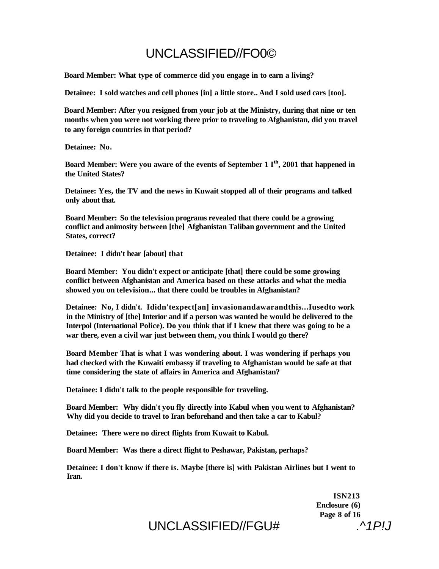# UNCLASSIFIED//FO0©

**Board Member: What type of commerce did you engage in to earn a living?** 

**Detainee: I sold watches and cell phones [in] a little store.. And I sold used cars [too].** 

**Board Member: After you resigned from your job at the Ministry, during that nine or ten months when you were not working there prior to traveling to Afghanistan, did you travel to any foreign countries in that period?** 

**Detainee: No.** 

Board Member: Were you aware of the events of September 1 I<sup>th</sup>, 2001 that happened in **the United States?** 

**Detainee: Yes, the TV and the news in Kuwait stopped all of their programs and talked only about that.** 

**Board Member: So the television programs revealed that there could be a growing conflict and animosity between [the] Afghanistan Taliban government and the United States, correct?** 

**Detainee: I didn't hear [about] that** 

**Board Member: You didn't expect or anticipate [that] there could be some growing conflict between Afghanistan and America based on these attacks and what the media showed you on television... that there could be troubles in Afghanistan?** 

**Detainee: No, I didn't. Ididn'texpect[an] invasionandawarandthis...Iusedto work in the Ministry of [the] Interior and if a person was wanted he would be delivered to the Interpol (International Police). Do you think that if I knew that there was going to be a war there, even a civil war just between them, you think I would go there?** 

**Board Member That is what I was wondering about. I was wondering if perhaps you had checked with the Kuwaiti embassy if traveling to Afghanistan would be safe at that time considering the state of affairs in America and Afghanistan?** 

**Detainee: I didn't talk to the people responsible for traveling.** 

**Board Member: Why didn't you fly directly into Kabul when you went to Afghanistan? Why did you decide to travel to Iran beforehand and then take a car to Kabul?** 

**Detainee: There were no direct flights from Kuwait to Kabul.** 

**Board Member: Was there a direct flight to Peshawar, Pakistan, perhaps?** 

**Detainee: I don't know if there is. Maybe [there is] with Pakistan Airlines but I went to Iran.** 

> **ISN213 Enclosure (6) Page 8 of 16**

UNCLASSIFIED//FGU# .^1P!J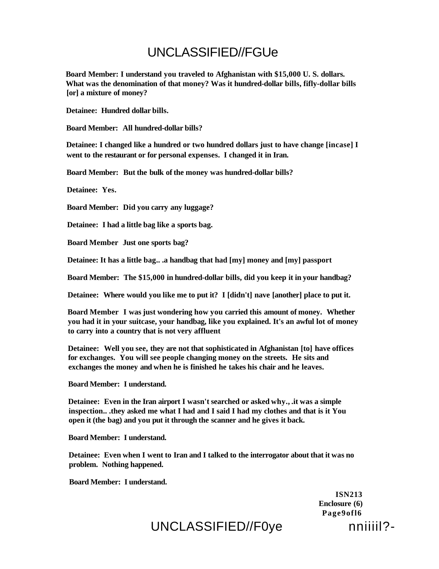# UNCLASSIFIED//FGUe

**Board Member: I understand you traveled to Afghanistan with \$15,000 U. S. dollars. What was the denomination of that money? Was it hundred-dollar bills, fifly-dollar bills [or] a mixture of money?** 

**Detainee: Hundred dollar bills.** 

**Board Member: All hundred-dollar bills?** 

**Detainee: I changed like a hundred or two hundred dollars just to have change [incase] I went to the restaurant or for personal expenses. I changed it in Iran.** 

**Board Member: But the bulk of the money was hundred-dollar bills?** 

**Detainee: Yes.** 

**Board Member: Did you carry any luggage?** 

**Detainee: I had a little bag like a sports bag.** 

**Board Member Just one sports bag?** 

**Detainee: It has a little bag.. .a handbag that had [my] money and [my] passport** 

**Board Member: The \$15,000 in hundred-dollar bills, did you keep it in your handbag?** 

**Detainee: Where would you like me to put it? I [didn't] nave [another] place to put it.** 

**Board Member I was just wondering how you carried this amount of money. Whether you had it in your suitcase, your handbag, like you explained. It's an awful lot of money to carry into a country that is not very affluent** 

**Detainee: Well you see, they are not that sophisticated in Afghanistan [to] have offices for exchanges. You will see people changing money on the streets. He sits and exchanges the money and when he is finished he takes his chair and he leaves.** 

**Board Member: I understand.** 

**Detainee: Even in the Iran airport I wasn't searched or asked why., .it was a simple inspection.. .they asked me what I had and I said I had my clothes and that is it You open it (the bag) and you put it through the scanner and he gives it back.** 

**Board Member: I understand.** 

**Detainee: Even when I went to Iran and I talked to the interrogator about that it was no problem. Nothing happened.** 

**Board Member: I understand.** 

**ISN213 Enclosure (6) Page9ofl6** 

UNCLASSIFIED//F0ye nniiiil?-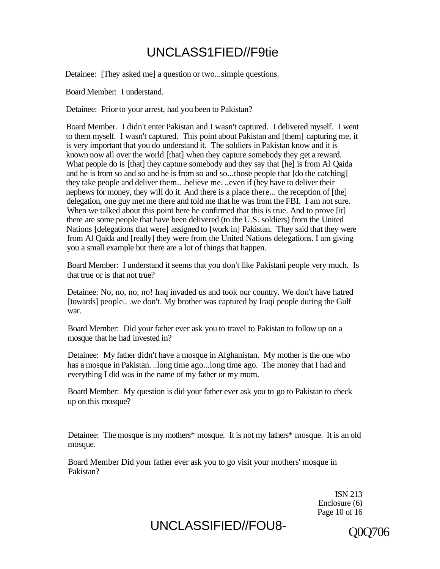# UNCLASS1FIED//F9tie

Detainee: [They asked me] a question or two...simple questions.

Board Member: I understand.

Detainee: Prior to your arrest, had you been to Pakistan?

Board Member. I didn't enter Pakistan and I wasn't captured. I delivered myself. I went to them myself. I wasn't captured. This point about Pakistan and [them] capturing me, it is very important that you do understand it. The soldiers in Pakistan know and it is known now all over the world [that] when they capture somebody they get a reward. What people do is [that] they capture somebody and they say that [he] is from Al Qaida and he is from so and so and he is from so and so...those people that [do the catching] they take people and deliver them.. .believe me. ..even if (hey have to deliver their nephews for money, they will do it. And there is a place there... the reception of [the] delegation, one guy met me there and told me that he was from the FBI. I am not sure. When we talked about this point here he confirmed that this is true. And to prove [it] there are some people that have been delivered (to the U.S. soldiers) from the United Nations [delegations that were] assigned to [work in] Pakistan. They said that they were from Al Qaida and [really] they were from the United Nations delegations. I am giving you a small example but there are a lot of things that happen.

Board Member: I understand it seems that you don't like Pakistani people very much. Is that true or is that not true?

Detainee: No, no, no, no! Iraq invaded us and took our country. We don't have hatred [towards] people.. .we don't. My brother was captured by Iraqi people during the Gulf war.

Board Member: Did your father ever ask you to travel to Pakistan to follow up on a mosque that he had invested in?

Detainee: My father didn't have a mosque in Afghanistan. My mother is the one who has a mosque in Pakistan. ..long time ago...long time ago. The money that I had and everything I did was in the name of my father or my mom.

Board Member: My question is did your father ever ask you to go to Pakistan to check up on this mosque?

Detainee: The mosque is my mothers\* mosque. It is not my fathers\* mosque. It is an old mosque.

Board Member Did your father ever ask you to go visit your mothers' mosque in Pakistan?

> ISN 213 Enclosure (6) Page 10 of 16

# UNCLASSIFIED//FOU8-000706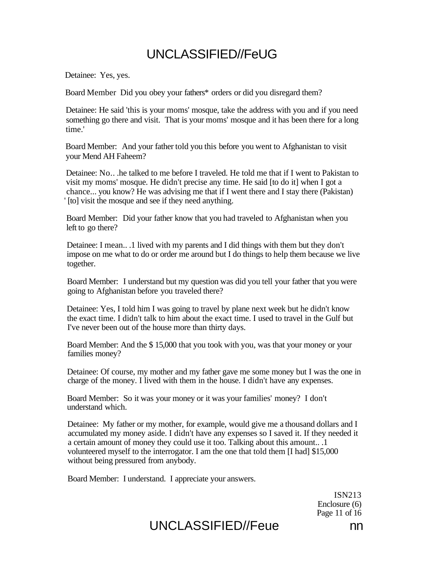# UNCLASSIFIED//FeUG

Detainee: Yes, yes.

Board Member Did you obey your fathers\* orders or did you disregard them?

Detainee: He said 'this is your moms' mosque, take the address with you and if you need something go there and visit. That is your moms' mosque and it has been there for a long time.'

Board Member: And your father told you this before you went to Afghanistan to visit your Mend AH Faheem?

Detainee: No.. .he talked to me before I traveled. He told me that if I went to Pakistan to visit my moms' mosque. He didn't precise any time. He said [to do it] when I got a chance... you know? He was advising me that if I went there and I stay there (Pakistan) ' [to] visit the mosque and see if they need anything.

Board Member: Did your father know that you had traveled to Afghanistan when you left to go there?

Detainee: I mean.. .1 lived with my parents and I did things with them but they don't impose on me what to do or order me around but I do things to help them because we live together.

Board Member: I understand but my question was did you tell your father that you were going to Afghanistan before you traveled there?

Detainee: Yes, I told him I was going to travel by plane next week but he didn't know the exact time. I didn't talk to him about the exact time. I used to travel in the Gulf but I've never been out of the house more than thirty days.

Board Member: And the \$ 15,000 that you took with you, was that your money or your families money?

Detainee: Of course, my mother and my father gave me some money but I was the one in charge of the money. I lived with them in the house. I didn't have any expenses.

Board Member: So it was your money or it was your families' money? I don't understand which.

Detainee: My father or my mother, for example, would give me a thousand dollars and I accumulated my money aside. I didn't have any expenses so I saved it. If they needed it a certain amount of money they could use it too. Talking about this amount.. .1 volunteered myself to the interrogator. I am the one that told them [I had] \$15,000 without being pressured from anybody.

Board Member: I understand. I appreciate your answers.

ISN213 Enclosure (6) Page 11 of 16

### UNCLASSIFIED//Feue nn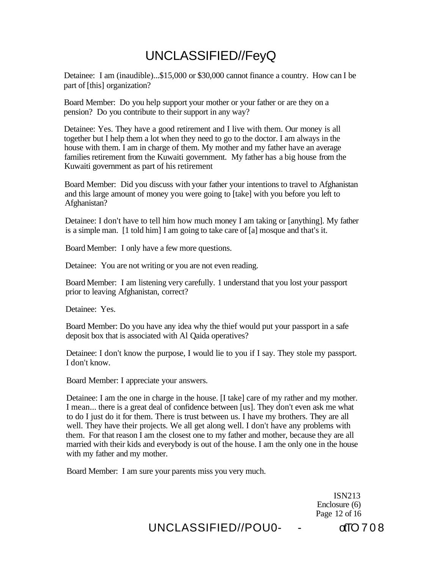# UNCLASSIFIED//FeyQ

Detainee: I am (inaudible)...\$15,000 or \$30,000 cannot finance a country. How can I be part of [this] organization?

Board Member: Do you help support your mother or your father or are they on a pension? Do you contribute to their support in any way?

Detainee: Yes. They have a good retirement and I live with them. Our money is all together but I help them a lot when they need to go to the doctor. I am always in the house with them. I am in charge of them. My mother and my father have an average families retirement from the Kuwaiti government. My father has a big house from the Kuwaiti government as part of his retirement

Board Member: Did you discuss with your father your intentions to travel to Afghanistan and this large amount of money you were going to [take] with you before you left to Afghanistan?

Detainee: I don't have to tell him how much money I am taking or [anything]. My father is a simple man. [1 told him] I am going to take care of [a] mosque and that's it.

Board Member: I only have a few more questions.

Detainee: You are not writing or you are not even reading.

Board Member: I am listening very carefully. 1 understand that you lost your passport prior to leaving Afghanistan, correct?

Detainee: Yes.

Board Member: Do you have any idea why the thief would put your passport in a safe deposit box that is associated with Al Qaida operatives?

Detainee: I don't know the purpose, I would lie to you if I say. They stole my passport. I don't know.

Board Member: I appreciate your answers.

Detainee: I am the one in charge in the house. [I take] care of my rather and my mother. I mean... there is a great deal of confidence between [us]. They don't even ask me what to do I just do it for them. There is trust between us. I have my brothers. They are all well. They have their projects. We all get along well. I don't have any problems with them. For that reason I am the closest one to my father and mother, because they are all married with their kids and everybody is out of the house. I am the only one in the house with my father and my mother.

Board Member: I am sure your parents miss you very much.

ISN213 Enclosure (6) Page 12 of 16

UNCLASSIFIED//POU0- - dTO 708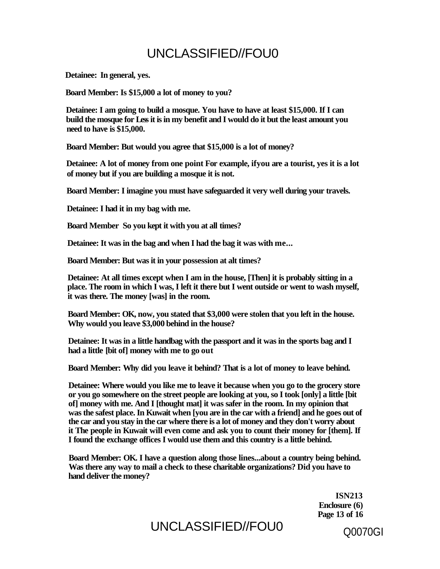# UNCLASSIFIED//FOU0

**Detainee: In general, yes.** 

**Board Member: Is \$15,000 a lot of money to you?** 

**Detainee: I am going to build a mosque. You have to have at least \$15,000. If I can build the mosque for Less it is in my benefit and I would do it but the least amount you need to have is \$15,000.** 

**Board Member: But would you agree that \$15,000 is a lot of money?** 

**Detainee: A lot of money from one point For example, ifyou are a tourist, yes it is a lot of money but if you are building a mosque it is not.** 

**Board Member: I imagine you must have safeguarded it very well during your travels.** 

**Detainee: I had it in my bag with me.** 

**Board Member So you kept it with you at all times?** 

**Detainee: It was in the bag and when I had the bag it was with me...** 

**Board Member: But was it in your possession at alt times?** 

**Detainee: At all times except when I am in the house, [Then] it is probably sitting in a place. The room in which I was, I left it there but I went outside or went to wash myself, it was there. The money [was] in the room.** 

**Board Member: OK, now, you stated that \$3,000 were stolen that you left in the house. Why would you leave \$3,000 behind in the house?** 

**Detainee: It was in a little handbag with the passport and it was in the sports bag and I had a little [bit of] money with me to go out** 

**Board Member: Why did you leave it behind? That is a lot of money to leave behind.** 

**Detainee: Where would you like me to leave it because when you go to the grocery store or you go somewhere on the street people are looking at you, so I took [only] a little [bit of] money with me. And I [thought mat] it was safer in the room. In my opinion that was the safest place. In Kuwait when [you are in the car with a friend] and he goes out of the car and you stay in the car where there is a lot of money and they don't worry about it The people in Kuwait will even come and ask you to count their money for [them]. If I found the exchange offices I would use them and this country is a little behind.** 

**Board Member: OK. I have a question along those lines...about a country being behind. Was there any way to mail a check to these charitable organizations? Did you have to hand deliver the money?** 

> **ISN213 Enclosure (6) Page 13 of 16**

## UNCLASSIFIED//FOU0

Q0070GI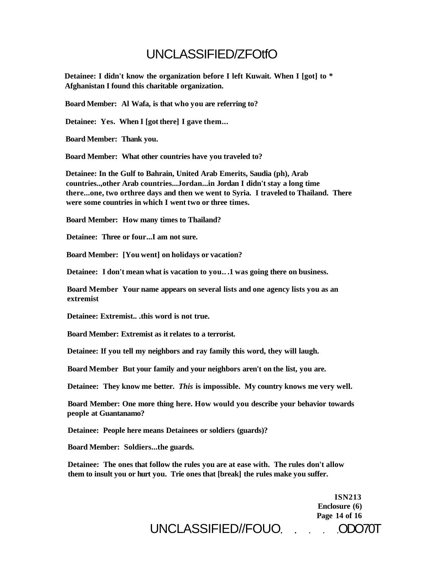### UNCLASSIFIED/ZFOtfO

**Detainee: I didn't know the organization before I left Kuwait. When I [got] to \* Afghanistan I found this charitable organization.** 

**Board Member: Al Wafa, is that who you are referring to?** 

**Detainee: Yes. When I [got there] I gave them...** 

**Board Member: Thank you.** 

**Board Member: What other countries have you traveled to?** 

**Detainee: In the Gulf to Bahrain, United Arab Emerits, Saudia (ph), Arab countries..,other Arab countries...Jordan...in Jordan I didn't stay a long time there...one, two orthree days and then we went to Syria. I traveled to Thailand. There were some countries in which I went two or three times.** 

**Board Member: How many times to Thailand?** 

**Detainee: Three or four...I am not sure.** 

**Board Member: [You went] on holidays or vacation?** 

**Detainee: I don't mean what is vacation to you.. .1 was going there on business.** 

**Board Member Your name appears on several lists and one agency lists you as an extremist** 

**Detainee: Extremist.. .this word is not true.** 

**Board Member: Extremist as it relates to a terrorist.** 

**Detainee: If you tell my neighbors and ray family this word, they will laugh.** 

**Board Member But your family and your neighbors aren't on the list, you are.** 

**Detainee: They know me better.** *This* **is impossible. My country knows me very well.** 

**Board Member: One more thing here. How would you describe your behavior towards people at Guantanamo?** 

**Detainee: People here means Detainees or soldiers (guards)?** 

**Board Member: Soldiers...the guards.** 

**Detainee: The ones that follow the rules you are at ease with. The rules don't allow them to insult you or hurt you. Trie ones that [break] the rules make you suffer.** 

> **ISN213 Enclosure (6) Page 14 of 16**

UNCLASSIFIED//FOUO ODO70T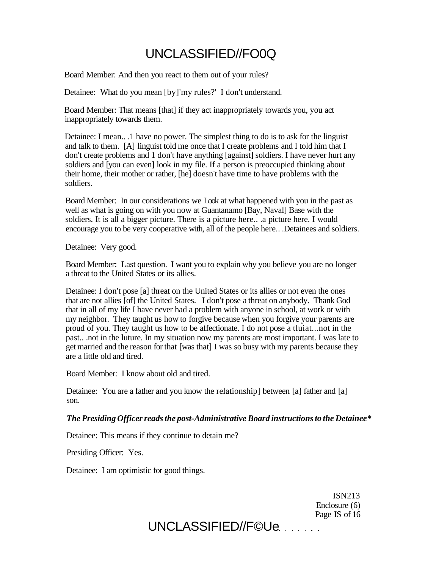# UNCLASSIFIED//FO0Q

Board Member: And then you react to them out of your rules?

Detainee: What do you mean [by]'my rules?' I don't understand.

Board Member: That means [that] if they act inappropriately towards you, you act inappropriately towards them.

Detainee: I mean.. .1 have no power. The simplest thing to do is to ask for the linguist and talk to them. [A] linguist told me once that I create problems and I told him that I don't create problems and 1 don't have anything [against] soldiers. I have never hurt any soldiers and [you can even] look in my file. If a person is preoccupied thinking about their home, their mother or rather, [he] doesn't have time to have problems with the soldiers.

Board Member: In our considerations we Look at what happened with you in the past as well as what is going on with you now at Guantanamo [Bay, Naval] Base with the soldiers. It is all a bigger picture. There is a picture here.. .a picture here. I would encourage you to be very cooperative with, all of the people here.. .Detainees and soldiers.

Detainee: Very good.

Board Member: Last question. I want you to explain why you believe you are no longer a threat to the United States or its allies.

Detainee: I don't pose [a] threat on the United States or its allies or not even the ones that are not allies [of] the United States. I don't pose a threat on anybody. Thank God that in all of my life I have never had a problem with anyone in school, at work or with my neighbor. They taught us how to forgive because when you forgive your parents are proud of you. They taught us how to be affectionate. I do not pose a tluiat...not in the past.. .not in the luture. In my situation now my parents are most important. I was late to get married and the reason for that [was that] I was so busy with my parents because they are a little old and tired.

Board Member: I know about old and tired.

Detainee: You are a father and you know the relationship] between [a] father and [a] son.

### *The Presiding Officer reads the post-Administrative Board instructions to the Detainee\**

Detainee: This means if they continue to detain me?

Presiding Officer: Yes.

Detainee: I am optimistic for good things.

ISN213 Enclosure (6) Page IS of 16

UNCLASSIFIED//F©Ue . . . . . .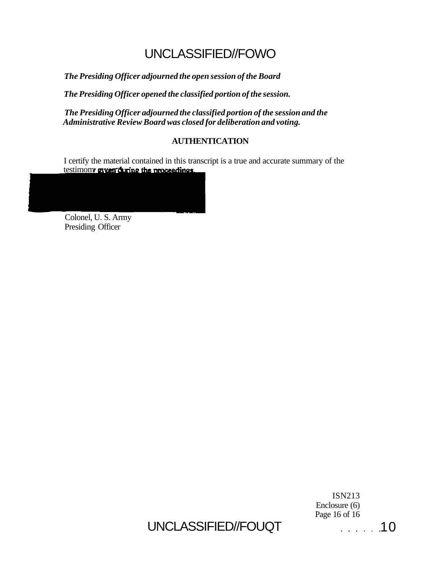# UNCLASSIFIED//FOWO

*The Presiding Officer adjourned the open session of the Board* 

*The Presiding Officer opened the classified portion of the session.* 

*The Presiding Officer adjourned the classified portion of the session and the Administrative Review Board was closed for deliberation and voting.* 

### **AUTHENTICATION**

I certify the material contained in this transcript is a true and accurate summary of the testimom<u>r</u>

Colonel, U. S. Army Presiding Officer

UNCLASSIFIED//FOUQT

ISN213 Enclosure (6) Page 16 of 16 . . . . . . 10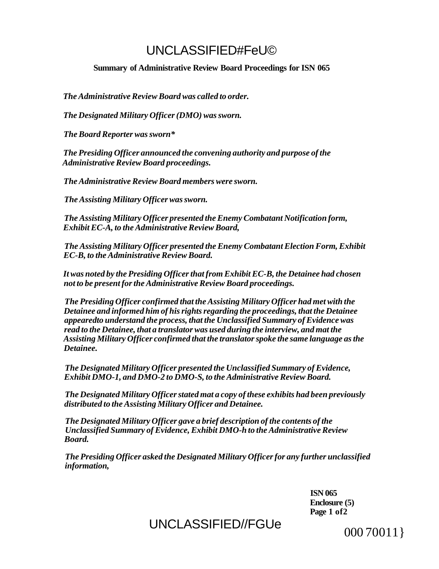## UNCLASSIFIED#FeU©

### **Summary of Administrative Review Board Proceedings for ISN 065**

*The Administrative Review Board was called to order.* 

*The Designated Military Officer (DMO) was sworn.* 

*The Board Reporter was sworn\** 

*The Presiding Officer announced the convening authority and purpose of the Administrative Review Board proceedings.* 

*The Administrative Review Board members were sworn.* 

*The Assisting Military Officer was sworn.* 

*The Assisting Military Officer presented the Enemy Combatant Notification form, Exhibit EC-A, to the Administrative Review Board,* 

*The Assisting Military Officer presented the Enemy Combatant Election Form, Exhibit EC-B, to the Administrative Review Board.* 

*It was noted by the Presiding Officer that from Exhibit EC-B, the Detainee had chosen not to be present for the Administrative Review Board proceedings.* 

*The Presiding Officer confirmed that the Assisting Military Officer had met with the Detainee and informed him of his rights regarding the proceedings, that the Detainee appearedto understand the process, that the Unclassified Summary of Evidence was read to the Detainee, that a translator was used during the interview, and mat the Assisting Military Officer confirmed that the translator spoke the same language as the Detainee.* 

*The Designated Military Officer presented the Unclassified Summary of Evidence, Exhibit DMO-1, and DMO-2 to DMO-S, to the Administrative Review Board.* 

*The Designated Military Officer stated mat a copy of these exhibits had been previously distributed to the Assisting Military Officer and Detainee.* 

*The Designated Military Officer gave a brief description of the contents of the Unclassified Summary of Evidence, Exhibit DMO-h to the Administrative Review Board.* 

*The Presiding Officer asked the Designated Military Officer for any further unclassified information,* 

> **ISN 065 Enclosure (5) Page 1 of2**

## UNCLASSIFIED//FGUe

000 70011}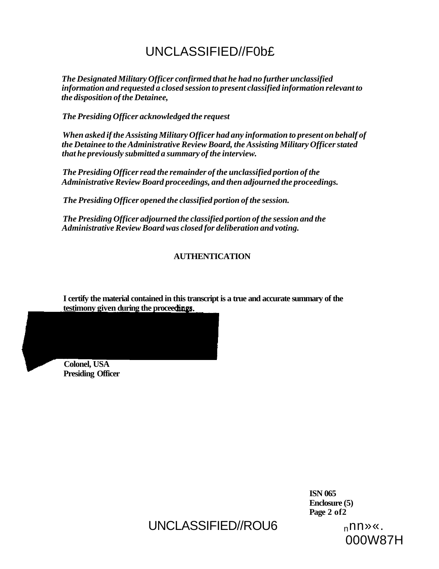# UNCLASSIFIED//F0b£

*The Designated Military Officer confirmed that he had no further unclassified information and requested a closed session to present classified information relevant to the disposition of the Detainee,* 

*The Presiding Officer acknowledged the request* 

*When asked if the Assisting Military Officer had any information to present on behalf of the Detainee to the Administrative Review Board, the Assisting Military Officer stated that he previously submitted a summary of the interview.* 

*The Presiding Officer read the remainder of the unclassified portion of the Administrative Review Board proceedings, and then adjourned the proceedings.* 

*The Presiding Officer opened the classified portion of the session.* 

*The Presiding Officer adjourned the classified portion of the session and the Administrative Review Board was closed for deliberation and voting.* 

#### **AUTHENTICATION**

**I certify the material contained in this transcript is a true and accurate summary of the testimony** given during the proceedings.

**Colonel, USA Presiding Officer** 

> **ISN 065 Enclosure (5) Page 2 of2**

UNCLASSIFIED//ROU6 nnn»«.

000W87H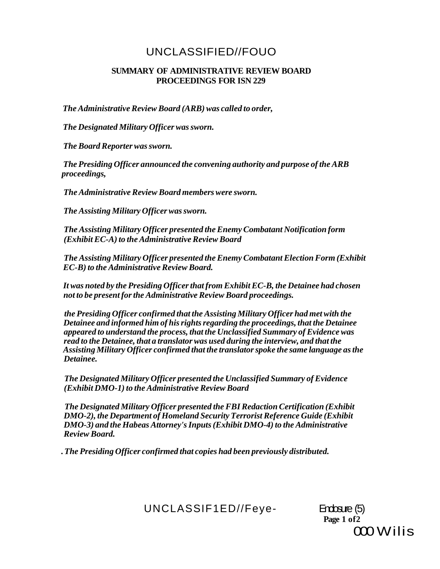### UNCLASSIFIED//FOUO

### **SUMMARY OF ADMINISTRATIVE REVIEW BOARD PROCEEDINGS FOR ISN 229**

*The Administrative Review Board (ARB) was called to order,* 

*The Designated Military Officer was sworn.* 

*The Board Reporter was sworn.* 

*The Presiding Officer announced the convening authority and purpose of the ARB proceedings,* 

*The Administrative Review Board members were sworn.* 

*The Assisting Military Officer was sworn.* 

*The Assisting Military Officer presented the Enemy Combatant Notification form (Exhibit EC-A) to the Administrative Review Board* 

*The Assisting Military Officer presented the Enemy Combatant Election Form (Exhibit EC-B) to the Administrative Review Board.* 

*It was noted by the Presiding Officer that from Exhibit EC-B, the Detainee had chosen not to be present for the Administrative Review Board proceedings.* 

*the Presiding Officer confirmed that the Assisting Military Officer had met with the Detainee and informed him of his rights regarding the proceedings, that the Detainee appeared to understand the process, that the Unclassified Summary of Evidence was read to the Detainee, that a translator was used during the interview, and that the Assisting Military Officer confirmed that the translator spoke the same language as the Detainee.* 

*The Designated Military Officer presented the Unclassified Summary of Evidence (Exhibit DMO-1) to the Administrative Review Board* 

*The Designated Military Officer presented the FBI Redaction Certification (Exhibit DMO-2), the Department of Homeland Security Terrorist Reference Guide (Exhibit DMO-3) and the Habeas Attorney's Inputs (Exhibit DMO-4) to the Administrative Review Board.* 

**.** *The Presiding Officer confirmed that copies had been previously distributed.* 

UNCLASSIF1ED//Feye- Endosure (5)

**Page 1 of2**  000 Wilis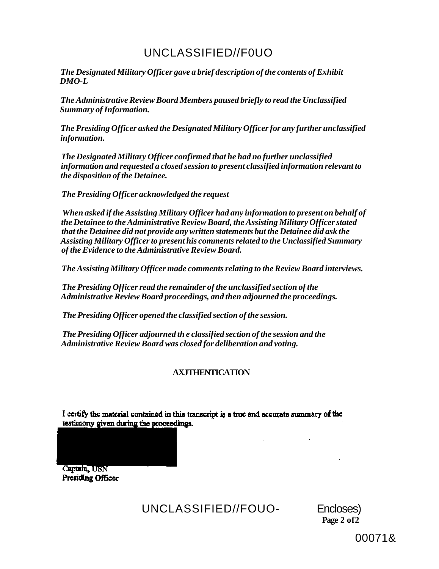## UNCLASSIFIED//F0UO

*The Designated Military Officer gave a brief description of the contents of Exhibit DMO-L* 

*The Administrative Review Board Members paused briefly to read the Unclassified Summary of Information.* 

*The Presiding Officer asked the Designated Military Officer for any further unclassified information.* 

*The Designated Military Officer confirmed that he had no further unclassified information and requested a closed session to present classified information relevant to the disposition of the Detainee.* 

*The Presiding Officer acknowledged the request* 

*When asked if the Assisting Military Officer had any information to present on behalf of the Detainee to the Administrative Review Board, the Assisting Military Officer stated that the Detainee did not provide any written statements but the Detainee did ask the Assisting Military Officer to present his comments related to the Unclassified Summary of the Evidence to the Administrative Review Board.* 

*The Assisting Military Officer made comments relating to the Review Board interviews.* 

*The Presiding Officer read the remainder of the unclassified section of the Administrative Review Board proceedings, and then adjourned the proceedings.* 

*The Presiding Officer opened the classified section of the session.* 

*The Presiding Officer adjourned th e classified section of the session and the Administrative Review Board was closed for deliberation and voting.* 

### **AXJTHENTICATION**

I certify the material contained in this transcript is a true and accurate summary of the testimony given during the proceedings.

Captain, USN Presiding Officer

### UNCLASSIFIED//FOUO- Encloses)

**Page 2 of2** 

00071&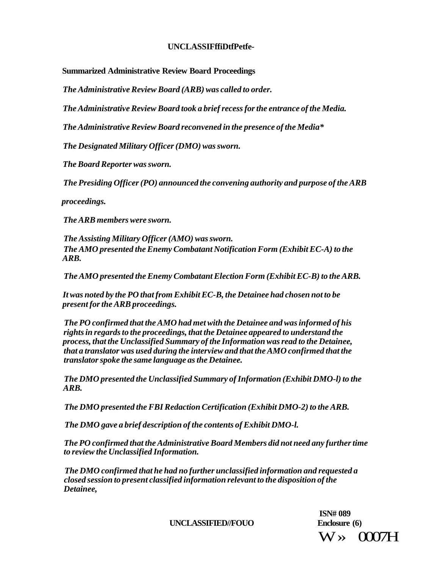### **UNCLASSIFffiDtfPetfe-**

**Summarized Administrative Review Board Proceedings** 

*The Administrative Review Board (ARB) was called to order.* 

*The Administrative Review Board took a brief recess for the entrance of the Media.* 

*The Administrative Review Board reconvened in the presence of the Media\** 

*The Designated Military Officer (DMO) was sworn.* 

*The Board Reporter was sworn.* 

*The Presiding Officer (PO) announced the convening authority and purpose of the ARB* 

*proceedings.* 

*The ARB members were sworn.* 

*The Assisting Military Officer (AMO) was sworn. The AMO presented the Enemy Combatant Notification Form (Exhibit EC-A) to the ARB.* 

*The AMO presented the Enemy Combatant Election Form (Exhibit EC-B) to the ARB.* 

*It was noted by the PO that from Exhibit EC-B, the Detainee had chosen not to be present for the ARB proceedings.* 

*The PO confirmed that the AMO had met with the Detainee and was informed of his rights in regards to the proceedings, that the Detainee appeared to understand the process, that the Unclassified Summary of the Information was read to the Detainee, that a translator was used during the interview and that the AMO confirmed that the translator spoke the same language as the Detainee.* 

*The DMO presented the Unclassified Summary of Information (Exhibit DMO-l) to the ARB.* 

*The DMO presented the FBI Redaction Certification (Exhibit DMO-2) to the ARB.* 

*The DMO gave a brief description of the contents of Exhibit DMO-l.* 

*The PO confirmed that the Administrative Board Members did not need any further time to review the Unclassified Information.* 

*The DMO confirmed that he had no further unclassified information and requested a closed session to present classified information relevant to the disposition of the Detainee,* 

**UNCLASSIFIED//FOUO Enclosure (6)** 

**ISN# 089**   $W \rightarrow 0007H$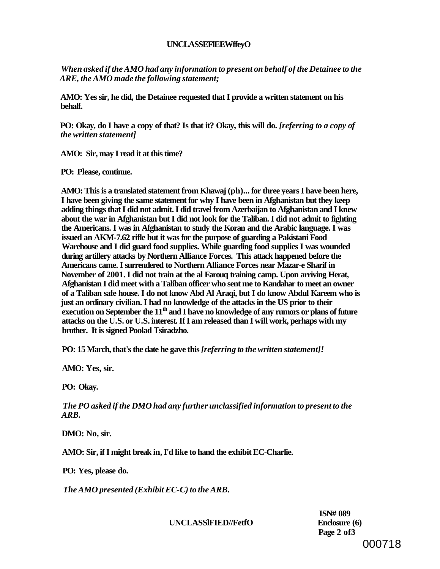### **UNCLASSEFlEEWffeyO**

*When asked if the AMO had any information to present on behalf of the Detainee to the ARE, the AMO made the following statement;* 

**AMO: Yes sir, he did, the Detainee requested that I provide a written statement on his behalf.** 

**PO: Okay, do I have a copy of that? Is that it? Okay, this will do.** *[referring to a copy of the written statement]* 

**AMO: Sir, may I read it at this time?** 

**PO: Please, continue.** 

**AMO: This is a translated statement from Khawaj (ph)... for three years I have been here, I have been giving the same statement for why I have been in Afghanistan but they keep adding things that I did not admit. I did travel from Azerbaijan to Afghanistan and I knew about the war in Afghanistan but I did not look for the Taliban. I did not admit to fighting the Americans. I was in Afghanistan to study the Koran and the Arabic language. I was issued an AKM-7.62 rifle but it was for the purpose of guarding a Pakistani Food Warehouse and I did guard food supplies. While guarding food supplies I was wounded during artillery attacks by Northern Alliance Forces. This attack happened before the Americans came. I surrendered to Northern Alliance Forces near Mazar-e Sharif in November of 2001. I did not train at the al Farouq training camp. Upon arriving Herat, Afghanistan I did meet with a Taliban officer who sent me to Kandahar to meet an owner of a Taliban safe house. I do not know Abd Al Araqi, but I do know Abdul Kareem who is just an ordinary civilian. I had no knowledge of the attacks in the US prior to their execution on September the 11th and I have no knowledge of any rumors or plans of future attacks on the U.S. or U.S. interest. If I am released than I will work, perhaps with my brother. It is signed Poolad Tsiradzho.** 

**PO: 15 March, that's the date he gave this** *[referring to the written statement]!* 

**AMO: Yes, sir.** 

**PO: Okay.** 

*The PO asked if the DMO had any further unclassified information to present to the ARB.* 

**DMO: No, sir.** 

**AMO: Sir, if I might break in, I'd like to hand the exhibit EC-Charlie.** 

**PO: Yes, please do.** 

*The AMO presented (Exhibit EC-C) to the ARB.* 

### **UNCLASSlFIED//FetfO Enclosure (6)**

**ISN# 089 Page 2 of3**  000718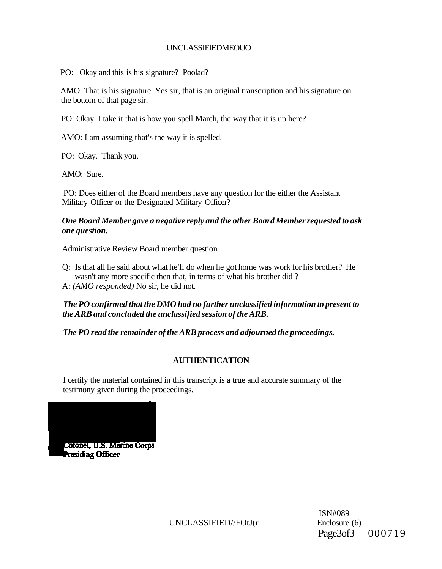### UNCLASSIFIEDMEOUO

PO: Okay and this is his signature? Poolad?

AMO: That is his signature. Yes sir, that is an original transcription and his signature on the bottom of that page sir.

PO: Okay. I take it that is how you spell March, the way that it is up here?

AMO: I am assuming that's the way it is spelled.

PO: Okay. Thank you.

AMO: Sure.

PO: Does either of the Board members have any question for the either the Assistant Military Officer or the Designated Military Officer?

### *One Board Member gave a negative reply and the other Board Member requested to ask one question.*

Administrative Review Board member question

Q: Is that all he said about what he'll do when he got home was work for his brother? He wasn't any more specific then that, in terms of what his brother did ? A: *(AMO responded)* No sir, he did not.

### *The PO confirmed that the DMO had no further unclassified information to present to the ARB and concluded the unclassified session of the ARB.*

### *The PO read the remainder of the ARB process and adjourned the proceedings.*

### **AUTHENTICATION**

I certify the material contained in this transcript is a true and accurate summary of the testimony given during the proceedings.

Colonel, U.S. Marine Corps Presiding Officer

UNCLASSIFIED//FOtJ(r Enclosure (6)

ISN#089 Page3of3 000719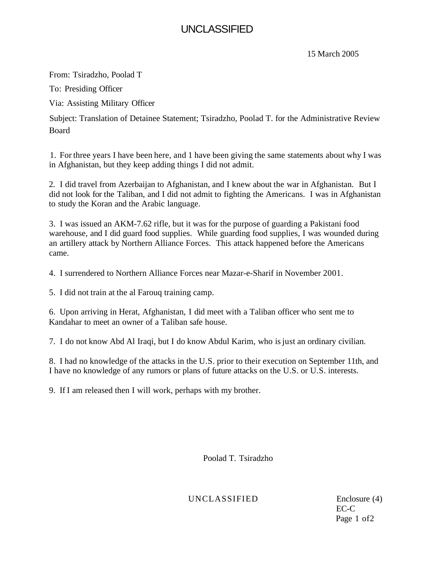### UNCLASSIFIED

15 March 2005

From: Tsiradzho, Poolad T

To: Presiding Officer

Via: Assisting Military Officer

Subject: Translation of Detainee Statement; Tsiradzho, Poolad T. for the Administrative Review Board

1. For three years I have been here, and 1 have been giving the same statements about why I was in Afghanistan, but they keep adding things I did not admit.

2. I did travel from Azerbaijan to Afghanistan, and I knew about the war in Afghanistan. But I did not look for the Taliban, and I did not admit to fighting the Americans. I was in Afghanistan to study the Koran and the Arabic language.

3. I was issued an AKM-7.62 rifle, but it was for the purpose of guarding a Pakistani food warehouse, and I did guard food supplies. While guarding food supplies, I was wounded during an artillery attack by Northern Alliance Forces. This attack happened before the Americans came.

4. I surrendered to Northern Alliance Forces near Mazar-e-Sharif in November 2001.

5. I did not train at the al Farouq training camp.

6. Upon arriving in Herat, Afghanistan, I did meet with a Taliban officer who sent me to Kandahar to meet an owner of a Taliban safe house.

7. I do not know Abd Al Iraqi, but I do know Abdul Karim, who is just an ordinary civilian.

8. I had no knowledge of the attacks in the U.S. prior to their execution on September 11th, and I have no knowledge of any rumors or plans of future attacks on the U.S. or U.S. interests.

9. If I am released then I will work, perhaps with my brother.

Poolad T. Tsiradzho

UNCLASSIFIED Enclosure (4)

EC-C Page 1 of2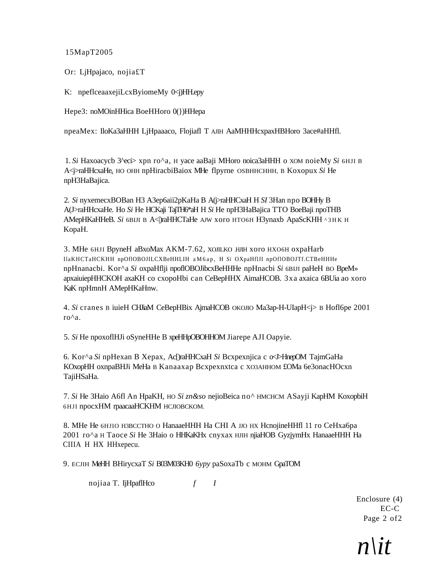15MapT2005

Or: LjHpajaco, nojia£T

K: npeflceaaxejiLcxByiomeMy 0<j)HH.epy

Hepe3: noMOinHHica BoeHHoro 0(})HHepa

npeaMex: IloKa3aHHH LjHpaaaco, Flojiafl T AJIH AaMHHHcxpaxHBHoro 3ace#aHHfl.

1. *Si* Haxoacycb 3^eci> xpn ro^a, H yace aaBaji MHoro noica3aHHH o XOM noieMy *Si* 6HJI B A<j>raHHcxaHe<sup>s</sup> HO OHH npHiracbiBaiox MHe flpyrne OSBHHCHHH, B Koxopux *Si* He npH3HaBajica.

2. *Si* nyxemecxBOBan H3 A3ep6aii2pKaHa B A(j>raHHCxaH H *SI* 3Han npo BOHHy B A(J>raHHcxaHe. Ho *Si* He HCKaji TajTH6\*aH H *Si* He npH3HaBajica TTO BoeBaji npoTHB AMepHKaHHeB. *Si* 6BIJI B A<|)raHHCTaHe AJW xoro HTO6H H3ynaxb ApaScKHH ^3H K H KopaH.

3. MHe 6HJI BpyneH aBxoMax AKM-7.62, XOJILKO .HJIH xoro HXO6H oxpaHarb IlaKHCTaHCKHH npOflOBOJILCXBeHHLIH aM6ap , H *Si* OXpaHflJI npOflOBOJTf.CTBeHHHe npHnanacbi. Kor^a *Si* oxpaHflji npoflOBOJibcxBeHHHe npHnacbi *Si* 6BIJI paHeH BO BpeM» apxaiuiepHHCKOH axaKH co cxopoHbi can CeBepHHX AimaHCOB. 3xa axaica 6BUia ao xoro KaK npHmnH AMepHKaHnw.

4. *Si* cranes B iuieH CHJiaM CeBepHBix AjmaHCOB OKOJIO Ma3ap-H-UIapH<j> B Hofl6pe 2001 ro^a.

5. *Si* He npoxoflHJi oSyneHHe B xpeHHpOBOHHOM Jiarepe AJI Oapyie.

6. Kor^a *Si* npHexan B Xepax, Ac[)raHHCxaH *Si* Bcxpexnjica c o<J>HnepOM TajmGaHa KOxopHH oxnpaBHJi MeHa B Kanaaxap Bcxpexnxtca c XO3AHHOM £OMa 6e3onacHOcxn TajiHSaHa.

7. *Si* He 3Haio A6fl An HpaKH, HO *Si zn&so* nejioBeica no^ HMCHCM ASayji KapHM KoxopbiH 6HJI npocxHM rpaacaaHCKHM HCJIOBCKOM.

8. MHe He 6HJIO H3BCCTHO O HanaaeHHH Ha CHI A JJO HX HcnojineHHfl 11 ro CeHxa6pa 2001 ro^a H Taoce *Si* He 3Haio o HHKaKHx cnyxax HJIH njiaHOB GyzjymHx HanaaeHHH Ha CIIIA H HX HHxepecu.

9. ECJIH MeHH BHirycxaT *Si* B03M03KH0 *6ypy* paSoxaTb c MOHM GpaTOM

nojiaa T. IjHpaflHco *f I* 

Enclosure (4) EC-C Page 2 of2

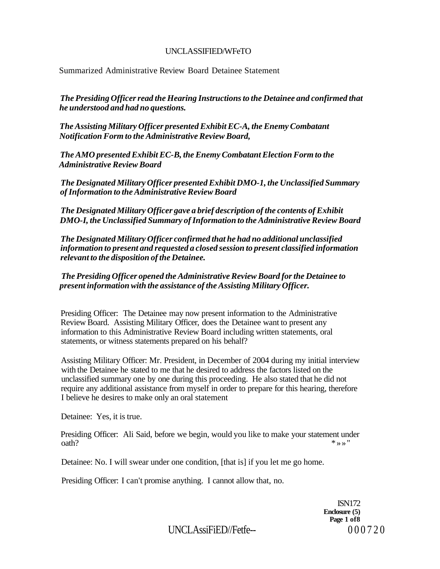### UNCLASSIFIED/WFeTO

Summarized Administrative Review Board Detainee Statement

*The Presiding Officer read the Hearing Instructions to the Detainee and confirmed that he understood and had no questions.* 

*The Assisting Military Officer presented Exhibit EC-A, the Enemy Combatant Notification Form to the Administrative Review Board,* 

*The AMO presented Exhibit EC-B, the Enemy Combatant Election Form to the Administrative Review Board* 

*The Designated Military Officer presented Exhibit DMO-1, the Unclassified Summary of Information to the Administrative Review Board* 

*The Designated Military Officer gave a brief description of the contents of Exhibit DMO-I, the Unclassified Summary of Information to the Administrative Review Board* 

*The Designated Military Officer confirmed that he had no additional unclassified information to present and requested a closed session to present classified information relevant to the disposition of the Detainee.* 

*The Presiding Officer opened the Administrative Review Board for the Detainee to present information with the assistance of the Assisting Military Officer.* 

Presiding Officer: The Detainee may now present information to the Administrative Review Board. Assisting Military Officer, does the Detainee want to present any information to this Administrative Review Board including written statements, oral statements, or witness statements prepared on his behalf?

Assisting Military Officer: Mr. President, in December of 2004 during my initial interview with the Detainee he stated to me that he desired to address the factors listed on the unclassified summary one by one during this proceeding. He also stated that he did not require any additional assistance from myself in order to prepare for this hearing, therefore I believe he desires to make only an oral statement

Detainee: Yes, it is true.

Presiding Officer: Ali Said, before we begin, would you like to make your statement under oath? oath? \*»»"

Detainee: No. I will swear under one condition, [that is] if you let me go home.

Presiding Officer: I can't promise anything. I cannot allow that, no.

ISN172 **Enclosure (5) Page 1 of8** 

UNCLAssiFiED//Fetfe-- 00072 0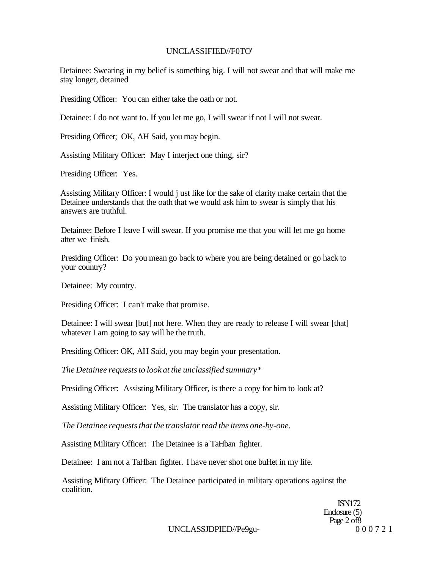#### UNCLASSIFIED//F0TO'

Detainee: Swearing in my belief is something big. I will not swear and that will make me stay longer, detained

Presiding Officer: You can either take the oath or not.

Detainee: I do not want to. If you let me go, I will swear if not I will not swear.

Presiding Officer; OK, AH Said, you may begin.

Assisting Military Officer: May I interject one thing, sir?

Presiding Officer: Yes.

Assisting Military Officer: I would j ust like for the sake of clarity make certain that the Detainee understands that the oath that we would ask him to swear is simply that his answers are truthful.

Detainee: Before I leave I will swear. If you promise me that you will let me go home after we finish.

Presiding Officer: Do you mean go back to where you are being detained or go hack to your country?

Detainee: My country.

Presiding Officer: I can't make that promise.

Detainee: I will swear [but] not here. When they are ready to release I will swear [that] whatever I am going to say will he the truth.

Presiding Officer: OK, AH Said, you may begin your presentation.

*The Detainee requests to look at the unclassified summary\** 

Presiding Officer: Assisting Military Officer, is there a copy for him to look at?

Assisting Military Officer: Yes, sir. The translator has a copy, sir.

*The Detainee requests that the translator read the items one-by-one.* 

Assisting Military Officer: The Detainee is a TaHban fighter.

Detainee: I am not a TaHban fighter. I have never shot one buHet in my life.

Assisting Mifitary Officer: The Detainee participated in military operations against the coalition.

> ISN172 Enclosure (5) Page 2 of 8<br>0 0 0 7 2 1

UNCLASSJDPIED//Pe9gu-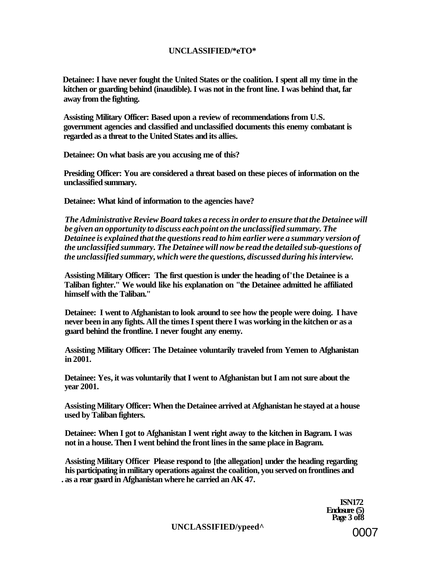### **UNCLASSIFIED/\*eTO\***

**Detainee: I have never fought the United States or the coalition. I spent all my time in the kitchen or guarding behind (inaudible). I was not in the front line. I was behind that, far away from the fighting.** 

**Assisting Military Officer: Based upon a review of recommendations from U.S. government agencies and classified and unclassified documents this enemy combatant is regarded as a threat to the United States and its allies.** 

**Detainee: On what basis are you accusing me of this?** 

**Presiding Officer: You are considered a threat based on these pieces of information on the unclassified summary.** 

**Detainee: What kind of information to the agencies have?** 

*The Administrative Review Board takes a recess in order to ensure that the Detainee will be given an opportunity to discuss each point on the unclassified summary. The Detainee is explained that the questions read to him earlier were a summary version of the unclassified summary. The Detainee will now be read the detailed sub-questions of the unclassified summary, which were the questions, discussed during his interview.* 

**Assisting Military Officer: The first question is under the heading of'the Detainee is a Taliban fighter." We would like his explanation on "the Detainee admitted he affiliated himself with the Taliban."** 

**Detainee: I went to Afghanistan to look around to see how the people were doing. I have never been in any fights. All the times I spent there I was working in the kitchen or as a guard behind the frontline. I never fought any enemy.** 

**Assisting Military Officer: The Detainee voluntarily traveled from Yemen to Afghanistan in 2001.** 

**Detainee: Yes, it was voluntarily that I went to Afghanistan but I am not sure about the year 2001.** 

**Assisting Military Officer: When the Detainee arrived at Afghanistan he stayed at a house used by Taliban fighters.** 

**Detainee: When I got to Afghanistan I went right away to the kitchen in Bagram. I was not in a house. Then I went behind the front lines in the same place in Bagram.** 

**Assisting Military Officer Please respond to [the allegation] under the heading regarding his participating in military operations against the coalition, you served on frontlines and . as a rear guard in Afghanistan where he carried an AK 47.** 

> **ISN172 Enclosure (5) Page 3 of8**

UNCLASSIFIED/ypeed<sup>^</sup> 0007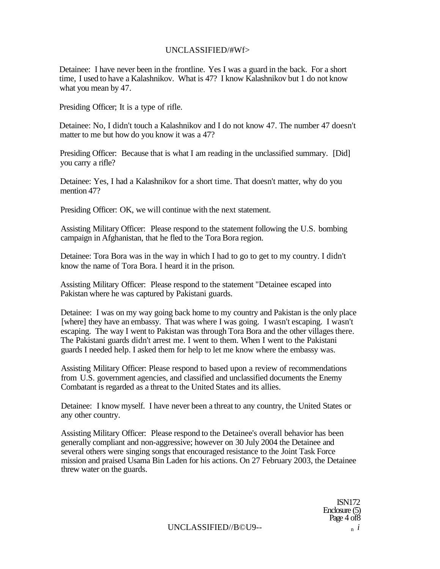#### UNCLASSIFIED/#Wf>

Detainee: I have never been in the frontline. Yes I was a guard in the back. For a short time, I used to have a Kalashnikov. What is 47? I know Kalashnikov but 1 do not know what you mean by 47.

Presiding Officer; It is a type of rifle.

Detainee: No, I didn't touch a Kalashnikov and I do not know 47. The number 47 doesn't matter to me but how do you know it was a 47?

Presiding Officer: Because that is what I am reading in the unclassified summary. [Did] you carry a rifle?

Detainee: Yes, I had a Kalashnikov for a short time. That doesn't matter, why do you mention 47?

Presiding Officer: OK, we will continue with the next statement.

Assisting Military Officer: Please respond to the statement following the U.S. bombing campaign in Afghanistan, that he fled to the Tora Bora region.

Detainee: Tora Bora was in the way in which I had to go to get to my country. I didn't know the name of Tora Bora. I heard it in the prison.

Assisting Military Officer: Please respond to the statement "Detainee escaped into Pakistan where he was captured by Pakistani guards.

Detainee: I was on my way going back home to my country and Pakistan is the only place [where] they have an embassy. That was where I was going. I wasn't escaping. I wasn't escaping. The way I went to Pakistan was through Tora Bora and the other villages there. The Pakistani guards didn't arrest me. I went to them. When I went to the Pakistani guards I needed help. I asked them for help to let me know where the embassy was.

Assisting Military Officer: Please respond to based upon a review of recommendations from U.S. government agencies, and classified and unclassified documents the Enemy Combatant is regarded as a threat to the United States and its allies.

Detainee: I know myself. I have never been a threat to any country, the United States or any other country.

Assisting Military Officer: Please respond to the Detainee's overall behavior has been generally compliant and non-aggressive; however on 30 July 2004 the Detainee and several others were singing songs that encouraged resistance to the Joint Task Force mission and praised Usama Bin Laden for his actions. On 27 February 2003, the Detainee threw water on the guards.

UNCLASSIFIED//B©U9-- n<sup>*i*</sup>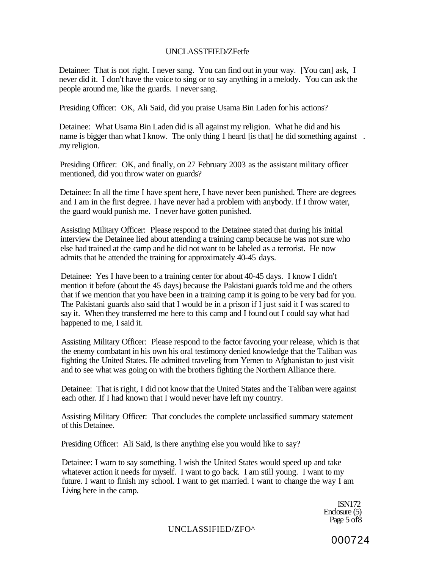### UNCLASSTFIED/ZFetfe

Detainee: That is not right. I never sang. You can find out in your way. [You can] ask, I never did it. I don't have the voice to sing or to say anything in a melody. You can ask the people around me, like the guards. I never sang.

Presiding Officer: OK, Ali Said, did you praise Usama Bin Laden for his actions?

Detainee: What Usama Bin Laden did is all against my religion. What he did and his name is bigger than what I know. The only thing 1 heard [is that] he did something against. .my religion.

Presiding Officer: OK, and finally, on 27 February 2003 as the assistant military officer mentioned, did you throw water on guards?

Detainee: In all the time I have spent here, I have never been punished. There are degrees and I am in the first degree. I have never had a problem with anybody. If I throw water, the guard would punish me. I never have gotten punished.

Assisting Military Officer: Please respond to the Detainee stated that during his initial interview the Detainee lied about attending a training camp because he was not sure who else had trained at the camp and he did not want to be labeled as a terrorist. He now admits that he attended the training for approximately 40-45 days.

Detainee: Yes I have been to a training center for about 40-45 days. I know I didn't mention it before (about the 45 days) because the Pakistani guards told me and the others that if we mention that you have been in a training camp it is going to be very bad for you. The Pakistani guards also said that I would be in a prison if I just said it I was scared to say it. When they transferred me here to this camp and I found out I could say what had happened to me, I said it.

Assisting Military Officer: Please respond to the factor favoring your release, which is that the enemy combatant in his own his oral testimony denied knowledge that the Taliban was fighting the United States. He admitted traveling from Yemen to Afghanistan to just visit and to see what was going on with the brothers fighting the Northern Alliance there.

Detainee: That is right, I did not know that the United States and the Taliban were against each other. If I had known that I would never have left my country.

Assisting Military Officer: That concludes the complete unclassified summary statement of this Detainee.

Presiding Officer: Ali Said, is there anything else you would like to say?

Detainee: I warn to say something. I wish the United States would speed up and take whatever action it needs for myself. I want to go back. I am still young. I want to my future. I want to finish my school. I want to get married. I want to change the way I am Living here in the camp.

> ISN172 Enclosure (5) Page 5 of8

UNCLASSIFIED/ZFO^

000724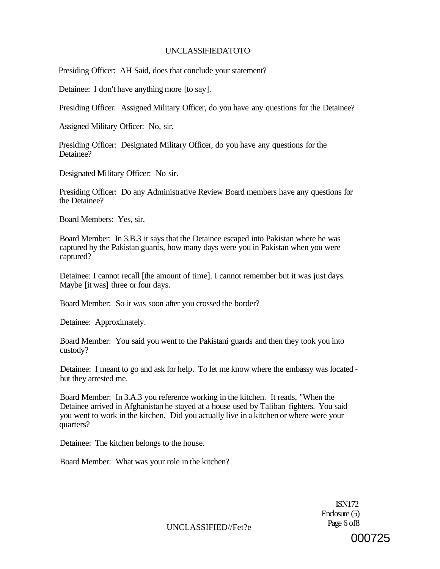#### UNCLASSIFIEDATOTO

Presiding Officer: AH Said, does that conclude your statement?

Detainee: I don't have anything more [to say].

Presiding Officer: Assigned Military Officer, do you have any questions for the Detainee?

Assigned Military Officer: No, sir.

Presiding Officer: Designated Military Officer, do you have any questions for the Detainee?

Designated Military Officer: No sir.

Presiding Officer: Do any Administrative Review Board members have any questions for the Detainee?

Board Members: Yes, sir.

Board Member: In 3.B.3 it says that the Detainee escaped into Pakistan where he was captured by the Pakistan guards, how many days were you in Pakistan when you were captured?

Detainee: I cannot recall [the amount of time]. I cannot remember but it was just days. Maybe [it was] three or four days.

Board Member: So it was soon after you crossed the border?

Detainee: Approximately.

Board Member: You said you went to the Pakistani guards and then they took you into custody?

Detainee: I meant to go and ask for help. To let me know where the embassy was located but they arrested me.

Board Member: In 3.A.3 you reference working in the kitchen. It reads, "When the Detainee arrived in Afghanistan he stayed at a house used by Taliban fighters. You said you went to work in the kitchen. Did you actually live in a kitchen or where were your quarters?

Detainee: The kitchen belongs to the house.

Board Member: What was your role in the kitchen?

ISN172 Enclosure (5)

Page 6 of8 UNCLASSIFIED//Fet?e

000725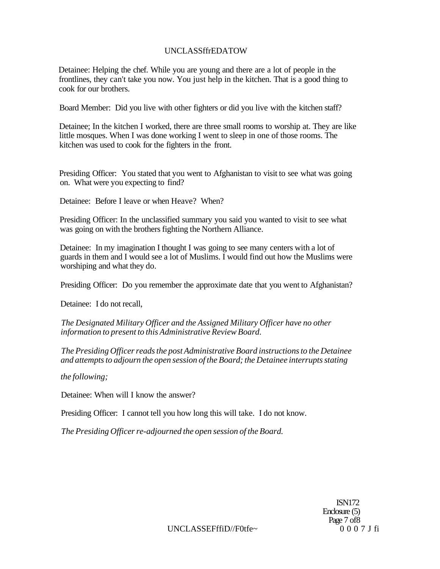### UNCLASSffrEDATOW

Detainee: Helping the chef. While you are young and there are a lot of people in the frontlines, they can't take you now. You just help in the kitchen. That is a good thing to cook for our brothers.

Board Member: Did you live with other fighters or did you live with the kitchen staff?

Detainee; In the kitchen I worked, there are three small rooms to worship at. They are like little mosques. When I was done working I went to sleep in one of those rooms. The kitchen was used to cook for the fighters in the front.

Presiding Officer: You stated that you went to Afghanistan to visit to see what was going on. What were you expecting to find?

Detainee: Before I leave or when Heave? When?

Presiding Officer: In the unclassified summary you said you wanted to visit to see what was going on with the brothers fighting the Northern Alliance.

Detainee: In my imagination I thought I was going to see many centers with a lot of guards in them and I would see a lot of Muslims. I would find out how the Muslims were worshiping and what they do.

Presiding Officer: Do you remember the approximate date that you went to Afghanistan?

Detainee: I do not recall,

*The Designated Military Officer and the Assigned Military Officer have no other information to present to this Administrative Review Board.* 

*The Presiding Officer reads the post Administrative Board instructions to the Detainee and attempts to adjourn the open session of the Board; the Detainee interrupts stating* 

*the following;* 

Detainee: When will I know the answer?

Presiding Officer: I cannot tell you how long this will take. I do not know.

*The Presiding Officer re-adjourned the open session of the Board.* 

ISN172 Enclosure (5) Page 7 of 8<br>0 0 0 7 J fi

 $UNCLASSEFffiD//F0tfe~$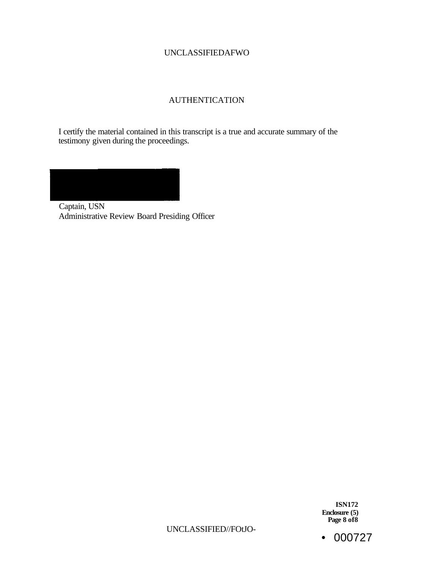#### UNCLASSIFIEDAFWO

#### AUTHENTICATION

I certify the material contained in this transcript is a true and accurate summary of the testimony given during the proceedings.

Captain, USN Administrative Review Board Presiding Officer

> **ISN172 Enclosure (5) Page 8 of8**

UNCLASSIFIED//FOtJO-

• 000727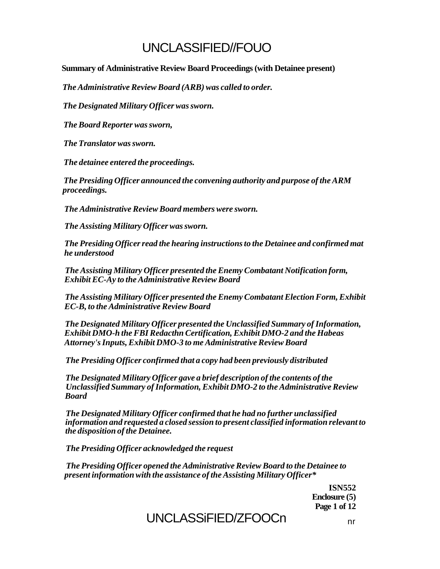# UNCLASSIFIED//FOUO

**Summary of Administrative Review Board Proceedings (with Detainee present)** 

*The Administrative Review Board (ARB) was called to order.* 

*The Designated Military Officer was sworn.* 

*The Board Reporter was sworn,* 

*The Translator was sworn.* 

*The detainee entered the proceedings.* 

*The Presiding Officer announced the convening authority and purpose of the ARM proceedings.* 

*The Administrative Review Board members were sworn.* 

*The Assisting Military Officer was sworn.* 

*The Presiding Officer read the hearing instructions to the Detainee and confirmed mat he understood* 

*The Assisting Military Officer presented the Enemy Combatant Notification form, Exhibit EC-Ay to the Administrative Review Board* 

*The Assisting Military Officer presented the Enemy Combatant Election Form, Exhibit EC-B, to the Administrative Review Board* 

*The Designated Military Officer presented the Unclassified Summary of Information, Exhibit DMO-h the FBI Redacthn Certification, Exhibit DMO-2 and the Habeas Attorney's Inputs, Exhibit DMO-3 to me Administrative Review Board* 

*The Presiding Officer confirmed that a copy had been previously distributed* 

*The Designated Military Officer gave a brief description of the contents of the Unclassified Summary of Information, Exhibit DMO-2 to the Administrative Review Board* 

*The Designated Military Officer confirmed that he had no further unclassified information and requested a closed session to present classified information relevant to the disposition of the Detainee.* 

*The Presiding Officer acknowledged the request* 

*The Presiding Officer opened the Administrative Review Board to the Detainee to present information with the assistance of the Assisting Military Officer\** 

> **ISN552 Enclosure (5) Page 1 of 12**

UNCLASSiFIED/ZFOOCn nr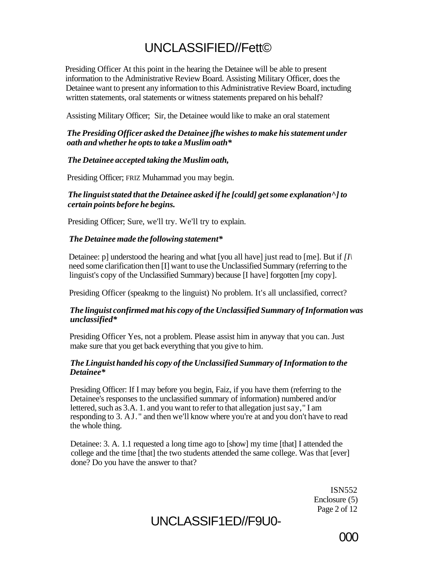# UNCLASSIFIED//Fett©

Presiding Officer At this point in the hearing the Detainee will be able to present information to the Administrative Review Board. Assisting Military Officer, does the Detainee want to present any information to this Administrative Review Board, inctuding written statements, oral statements or witness statements prepared on his behalf?

Assisting Military Officer; Sir, the Detainee would like to make an oral statement

#### *The Presiding Officer asked the Detainee jfhe wishes to make his statement under oath and whether he opts to take a Muslim oath\**

#### *The Detainee accepted taking the Muslim oath,*

Presiding Officer; FRIZ Muhammad you may begin.

#### *The linguist stated that the Detainee asked if he [could] get some explanation^] to certain points before he begins.*

Presiding Officer; Sure, we'll try. We'll try to explain.

#### *The Detainee made the following statement\**

Detainee: p] understood the hearing and what [you all have] just read to [me]. But if  $$ need some clarification then [I] want to use the Unclassified Summary (referring to the linguist's copy of the Unclassified Summary) because [I have] forgotten [my copy].

Presiding Officer (speakmg to the linguist) No problem. It's all unclassified, correct?

#### *The linguist confirmed mat his copy of the Unclassified Summary of Information was unclassified\**

Presiding Officer Yes, not a problem. Please assist him in anyway that you can. Just make sure that you get back everything that you give to him.

#### *The Linguist handed his copy of the Unclassified Summary of Information to the Detainee\**

Presiding Officer: If I may before you begin, Faiz, if you have them (referring to the Detainee's responses to the unclassified summary of information) numbered and/or lettered, such as 3.A. 1. and you want to refer to that allegation just say," I am responding to 3. AJ." and then we'll know where you're at and you don't have to read the whole thing.

Detainee: 3. A. 1.1 requested a long time ago to [show] my time [that] I attended the college and the time [that] the two students attended the same college. Was that [ever] done? Do you have the answer to that?

> ISN552 Enclosure (5) Page 2 of 12

## UNCLASSIF1ED//F9U0-

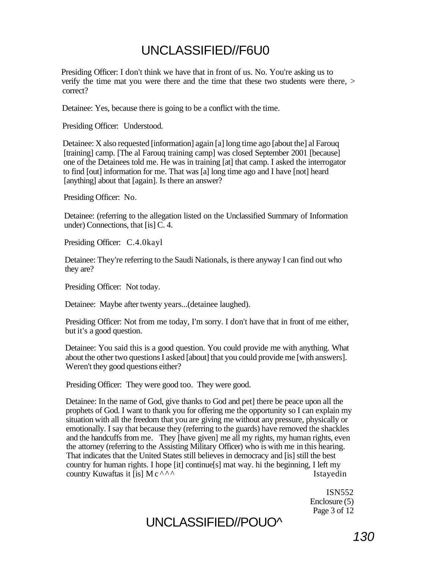# UNCLASSIFIED//F6U0

Presiding Officer: I don't think we have that in front of us. No. You're asking us to verify the time mat you were there and the time that these two students were there, *>*  correct?

Detainee: Yes, because there is going to be a conflict with the time.

Presiding Officer: Understood.

Detainee: X also requested [information] again [a] long time ago [about the] al Farouq [training] camp. [The al Farouq training camp] was closed September 2001 [because] one of the Detainees told me. He was in training [at] that camp. I asked the interrogator to find [out] information for me. That was [a] long time ago and I have [not] heard [anything] about that [again]. Is there an answer?

Presiding Officer: No.

Detainee: (referring to the allegation listed on the Unclassified Summary of Information under) Connections, that [is] C. 4.

Presiding Officer: C.4.0kayl

Detainee: They're referring to the Saudi Nationals, is there anyway I can find out who they are?

Presiding Officer: Not today.

Detainee: Maybe after twenty years...(detainee laughed).

Presiding Officer: Not from me today, I'm sorry. I don't have that in front of me either, but it's a good question.

Detainee: You said this is a good question. You could provide me with anything. What about the other two questions I asked [about] that you could provide me [with answers]. Weren't they good questions either?

Presiding Officer: They were good too. They were good.

Detainee: In the name of God, give thanks to God and pet] there be peace upon all the prophets of God. I want to thank you for offering me the opportunity so I can explain my situation with all the freedom that you are giving me without any pressure, physically or emotionally. I say that because they (referring to the guards) have removed the shackles and the handcuffs from me. They [have given] me all my rights, my human rights, even the attorney (referring to the Assisting Military Officer) who is with me in this hearing. That indicates that the United States still believes in democracy and [is] still the best country for human rights. I hope [it] continue[s] mat way. hi the beginning, I left my country Kuwaftas it [is]  $Mc^{\wedge \wedge \wedge}$  Istayedin

> ISN552 Enclosure (5) Page 3 of 12

### UNCLASSIFIED//POUO^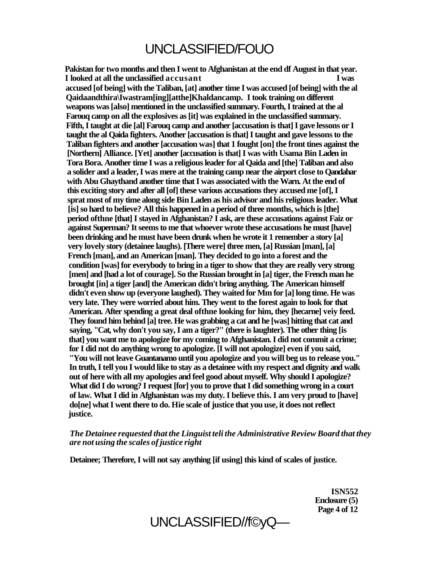## UNCLASSIFIED/FOUO

**Pakistan for two months and then I went to Afghanistan at the end df August in that year. I looked at all the unclassified accusant I was accused [of being] with the Taliban, [at] another time I was accused [of being] with the al Qaidaandthira\Iwastram[ing][atthe]Khaldancamp. I took training on different weapons was [also] mentioned in the unclassified summary. Fourth, I trained at the al Farouq camp on all the explosives as [it] was explained in the unclassified summary. Fifth, I taught at die [al] Farouq camp and another [accusation is that] I gave lessons or I taught the al Qaida fighters. Another [accusation is that] I taught and gave lessons to the Taliban fighters and another [accusation was] that 1 fought [on] the front tines against the [Northern] Alliance. [Yet] another [accusation is that] I was with Usama Bin Laden in Tora Bora. Another time I was a religious leader for al Qaida and [the] Taliban and also a solider and a leader, I was mere at the training camp near the airport close to Qandahar with Abu Ghaythand another time that I was associated with the Warn. At the end of this exciting story and after all [of] these various accusations they accused me [of], I sprat most of my time along side Bin Laden as his advisor and his religious leader. What [is] so hard to believe? All this happened in a period of three months, which is [the] period ofthne [that] I stayed in Afghanistan? I ask, are these accusations against Faiz or against Superman? It seems to me that whoever wrote these accusations he must [have] been drinking and he must have been drunk when he wrote it 1 remember a story [a] very lovely story (detainee laughs). [There were] three men, [a] Russian [man], [a] French [man], and an American [man]. They decided to go into a forest and the condition [was] for everybody to bring in a tiger to show that they are really very strong [men] and [had a lot of courage]. So the Russian brought in [a] tiger, the French man he brought [in] a tiger [and] the American didn't bring anything. The American himself didn't even show up (everyone laughed). They waited for Mm for [a] long time. He was very late. They were worried about him. They went to the forest again to look for that American. After spending a great deal ofthne looking for him, they [hecarne] veiy feed. They found him behind [a] tree. He was grabbing a cat and he [was] hitting that cat and saying, "Cat, why don't you say, I am a tiger?" (there is laughter). The other thing [is that] you want me to apologize for my coming to Afghanistan. I did not commit a crime; for I did not do anything wrong to apologize. [I will not apologize] even if you said, "You will not leave Guantanamo until you apologize and you will beg us to release you." In truth, I tell you I would like to stay as a detainee with my respect and dignity and walk out of here with all my apologies and feel good about myself. Why should I apologize? What did I do wrong? I request [for] you to prove that I did something wrong in a court of law. What I did in Afghanistan was my duty. I believe this. I am very proud to [have] do[ne] what I went there to do. Hie scale of justice that you use, it does not reflect justice.** 

*The Detainee requested that the Linguist teli the Administrative Review Board that they are not using the scales of justice right* 

**Detainee; Therefore, I will not say anything [if using] this kind of scales of justice.** 

**ISN552 Enclosure (5) Page 4 of 12** 

UNCLASSIFIED//f©yQ—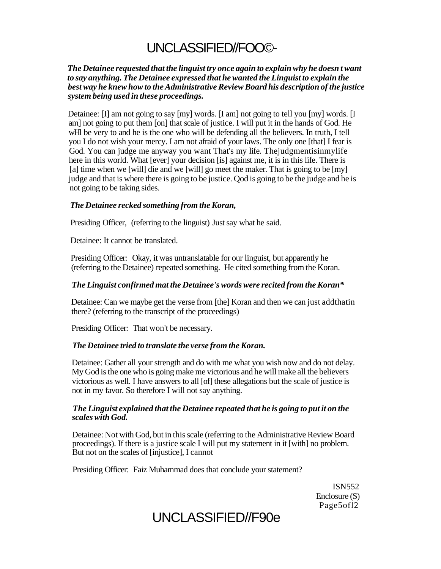# UNCLASSIFIED//FOO©-

#### *The Detainee requested that the linguist try once again to explain why he doesn t want to say anything. The Detainee expressed that he wanted the Linguist to explain the best way he knew how to the Administrative Review Board his description of the justice system being used in these proceedings.*

Detainee: [I] am not going to say [my] words. [I am] not going to tell you [my] words. [I am] not going to put them [on] that scale of justice. I will put it in the hands of God. He wHl be very to and he is the one who will be defending all the believers. In truth, I tell you I do not wish your mercy. I am not afraid of your laws. The only one [that] I fear is God. You can judge me anyway you want That's my life. Thejudgmentisinmylife here in this world. What [ever] your decision [is] against me, it is in this life. There is [a] time when we [will] die and we [will] go meet the maker. That is going to be [my] judge and that is where there is going to be justice. Qod is going to be the judge and he is not going to be taking sides.

#### *The Detainee recked something from the Koran,*

Presiding Officer, (referring to the linguist) Just say what he said.

Detainee: It cannot be translated.

Presiding Officer: Okay, it was untranslatable for our linguist, but apparently he (referring to the Detainee) repeated something. He cited something from the Koran.

#### *The Linguist confirmed mat the Detainee's words were recited from the Koran\**

Detainee: Can we maybe get the verse from [the] Koran and then we can just addthatin there? (referring to the transcript of the proceedings)

Presiding Officer: That won't be necessary.

#### *The Detainee tried to translate the verse from the Koran.*

Detainee: Gather all your strength and do with me what you wish now and do not delay. My God is the one who is going make me victorious and he will make all the believers victorious as well. I have answers to all [of] these allegations but the scale of justice is not in my favor. So therefore I will not say anything.

#### *The Linguist explained that the Detainee repeated that he is going to put it on the scales with God.*

Detainee: Not with God, but in this scale (referring to the Administrative Review Board proceedings). If there is a justice scale I will put my statement in it [with] no problem. But not on the scales of [injustice], I cannot

Presiding Officer: Faiz Muhammad does that conclude your statement?

ISN552 Enclosure (S) Page5ofl2

# UNCLASSIFIED//F90e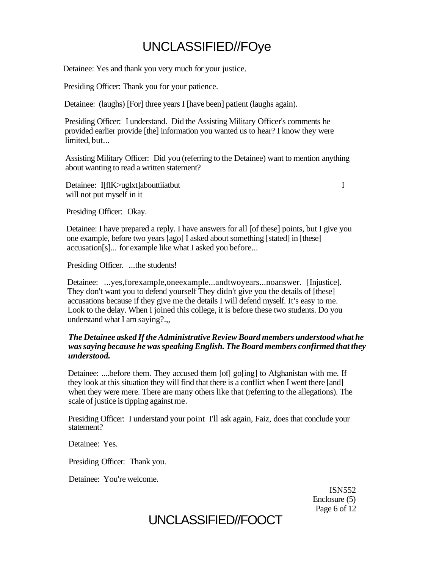# UNCLASSIFIED//FOye

Detainee: Yes and thank you very much for your justice.

Presiding Officer: Thank you for your patience.

Detainee: (laughs) [For] three years I [have been] patient (laughs again).

Presiding Officer: I understand. Did the Assisting Military Officer's comments he provided earlier provide [the] information you wanted us to hear? I know they were limited, but...

Assisting Military Officer: Did you (referring to the Detainee) want to mention anything about wanting to read a written statement?

Detainee: I[flK>uglxt]abouttiiatbut I will not put myself in it

Presiding Officer: Okay.

Detainee: I have prepared a reply. I have answers for all [of these] points, but I give you one example, before two years [ago] I asked about something [stated] in [these] accusation[s]... for example like what I asked you before...

Presiding Officer. ...the students!

Detainee: ...yes,forexample,oneexample...andtwoyears...noanswer. [Injustice]. They don't want you to defend yourself They didn't give you the details of [these] accusations because if they give me the details I will defend myself. It's easy to me. Look to the delay. When I joined this college, it is before these two students. Do you understand what I am saying?.,,

#### *The Detainee asked If the Administrative Review Board members understood what he was saying because he was speaking English. The Board members confirmed that they understood.*

Detainee: ....before them. They accused them [of] go[ing] to Afghanistan with me. If they look at this situation they will find that there is a conflict when I went there [and] when they were mere. There are many others like that (referring to the allegations). The scale of justice is tipping against me.

Presiding Officer: I understand your point I'll ask again, Faiz, does that conclude your statement?

Detainee: Yes.

Presiding Officer: Thank you.

Detainee: You're welcome.

ISN552 Enclosure (5) Page 6 of 12

# UNCLASSIFIED//FOOCT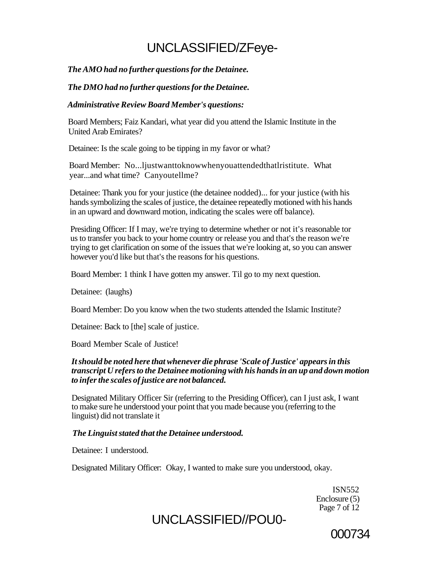# UNCLASSIFIED/ZFeye-

#### *The AMO had no further questions for the Detainee.*

#### *The DMO had no further questions for the Detainee.*

#### *Administrative Review Board Member's questions:*

Board Members; Faiz Kandari, what year did you attend the Islamic Institute in the United Arab Emirates?

Detainee: Is the scale going to be tipping in my favor or what?

Board Member: No...ljustwanttoknowwhenyouattendedthatlristitute. What year...and what time? Canyoutellme?

Detainee: Thank you for your justice (the detainee nodded)... for your justice (with his hands symbolizing the scales of justice, the detainee repeatedly motioned with his hands in an upward and downward motion, indicating the scales were off balance).

Presiding Officer: If I may, we're trying to determine whether or not it's reasonable tor us to transfer you back to your home country or release you and that's the reason we're trying to get clarification on some of the issues that we're looking at, so you can answer however you'd like but that's the reasons for his questions.

Board Member: 1 think I have gotten my answer. Til go to my next question.

Detainee: (laughs)

Board Member: Do you know when the two students attended the Islamic Institute?

Detainee: Back to [the] scale of justice.

Board Member Scale of Justice!

#### *It should be noted here that whenever die phrase 'Scale of Justice' appears in this transcript U refers to the Detainee motioning with his hands in an up and down motion to infer the scales of justice are not balanced.*

Designated Military Officer Sir (referring to the Presiding Officer), can I just ask, I want to make sure he understood your point that you made because you (referring to the linguist) did not translate it

#### *The Linguist stated that the Detainee understood.*

Detainee: I understood.

Designated Military Officer: Okay, I wanted to make sure you understood, okay.

ISN552 Enclosure (5) Page 7 of 12

# UNCLASSIFIED//POU0-

000734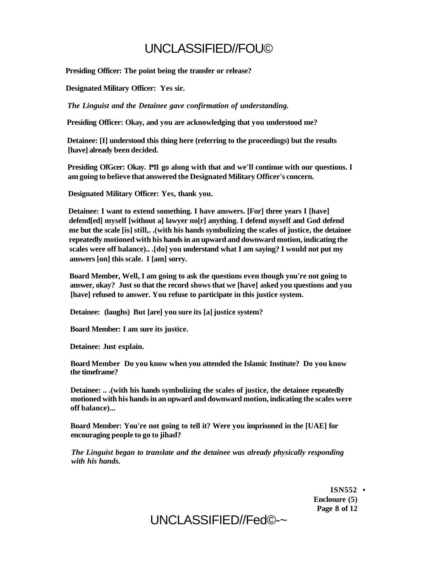## UNCLASSIFIED//FOU©

**Presiding Officer: The point being the transfer or release?** 

**Designated Military Officer: Yes sir.** 

*The Linguist and the Detainee gave confirmation of understanding.* 

**Presiding Officer: Okay, and you are acknowledging that you understood me?** 

**Detainee: [I] understood this thing here (referring to the proceedings) but the results [have] already been decided.** 

**Presiding OfGcer: Okay. 1\*11 go along with that and we'll continue with our questions. I am going to believe that answered the Designated Military Officer's concern.** 

**Designated Military Officer: Yes, thank you.** 

**Detainee: I want to extend something. I have answers. [For] three years I [have] defend[ed] myself [without a] lawyer no[r] anything. I defend myself and God defend me but the scale [is] still,. .(with his hands symbolizing the scales of justice, the detainee repeatedly motioned with his hands in an upward and downward motion, indicating the scales were off balance).. .[do] you understand what I am saying? I would not put my answers [on] this scale. I [am] sorry.** 

**Board Member, Well, I am going to ask the questions even though you're not going to answer, okay? Just so that the record shows that we [have] asked you questions and you [have] refused to answer. You refuse to participate in this justice system.** 

**Detainee: (laughs) But [are] you sure its [a] justice system?** 

**Board Member: I am sure its justice.** 

**Detainee: Just explain.** 

**Board Member Do you know when you attended the Islamic Institute? Do you know the timeframe?** 

**Detainee: .. .(with his hands symbolizing the scales of justice, the detainee repeatedly motioned with his hands in an upward and downward motion, indicating the scales were off balance)...** 

**Board Member: You're not going to tell it? Were you imprisoned in the [UAE] for encouraging people to go to jihad?** 

*The Linguist began to translate and the detainee was already physically responding with his hands.* 

> **ISN552** *•*  **Enclosure (5) Page 8 of 12**

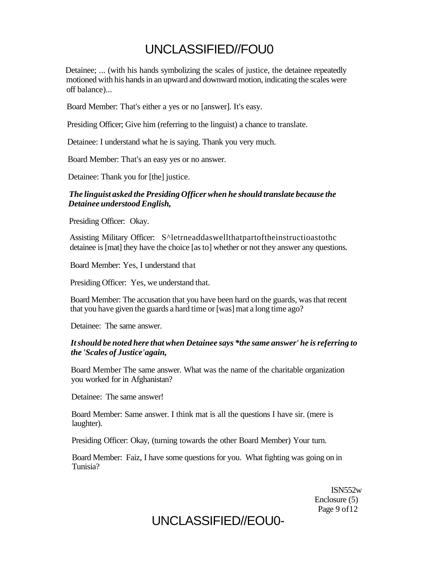# UNCLASSIFIED//FOU0

Detainee; ... (with his hands symbolizing the scales of justice, the detainee repeatedly motioned with his hands in an upward and downward motion, indicating the scales were off balance)...

Board Member: That's either a yes or no [answer]. It's easy.

Presiding Officer; Give him (referring to the linguist) a chance to translate.

Detainee: I understand what he is saying. Thank you very much.

Board Member: That's an easy yes or no answer.

Detainee: Thank you for [the] justice.

#### *The linguist asked the Presiding Officer when he should translate because the Detainee understood English,*

Presiding Officer: Okay.

Assisting Military Officer: S^letrneaddaswellthatpartoftheinstructioastothc detainee is [mat] they have the choice [as to] whether or not they answer any questions.

Board Member: Yes, I understand that

Presiding Officer: Yes, we understand that.

Board Member: The accusation that you have been hard on the guards, was that recent that you have given the guards a hard time or [was] mat a long time ago?

Detainee: The same answer.

#### *It should be noted here that when Detainee says \*the same answer' he is referring to the 'Scales of Justice'again,*

Board Member The same answer. What was the name of the charitable organization you worked for in Afghanistan?

Detainee: The same answer!

Board Member: Same answer. I think mat is all the questions I have sir. (mere is laughter).

Presiding Officer: Okay, (turning towards the other Board Member) Your turn.

Board Member: Faiz, I have some questions for you. What fighting was going on in Tunisia?

> ISN552w Enclosure (5) Page 9 of 12

## UNCLASSIFIED//EOU0-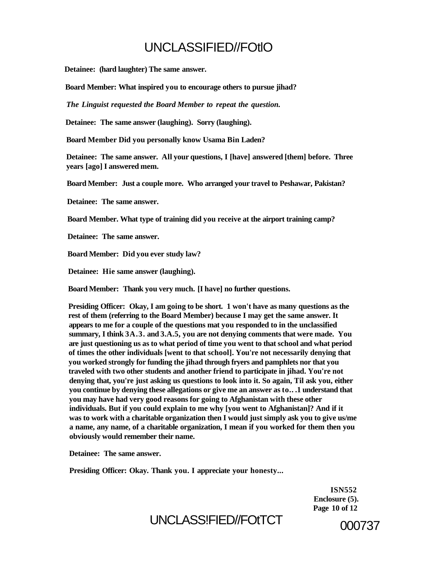## UNCLASSIFIED//FOtlO

**Detainee: (hard laughter) The same answer.** 

**Board Member: What inspired you to encourage others to pursue jihad?** 

*The Linguist requested the Board Member to repeat the question.* 

**Detainee: The same answer (laughing). Sorry (laughing).** 

**Board Member Did you personally know Usama Bin Laden?** 

**Detainee: The same answer. All your questions, I [have] answered [them] before. Three years [ago] I answered mem.** 

**Board Member: Just a couple more. Who arranged your travel to Peshawar, Pakistan?** 

**Detainee: The same answer.** 

**Board Member. What type of training did you receive at the airport training camp?** 

**Detainee: The same answer.** 

**Board Member: Did you ever study law?** 

**Detainee: Hie same answer (laughing).** 

**Board Member: Thank you very much. [I have] no further questions.** 

**Presiding Officer: Okay, I am going to be short. 1 won't have as many questions as the rest of them (referring to the Board Member) because I may get the same answer. It appears to me for a couple of the questions mat you responded to in the unclassified summary, I think 3A.3. and 3.A.5, you are not denying comments that were made. You are just questioning us as to what period of time you went to that school and what period of times the other individuals [went to that school]. You're not necessarily denying that you worked strongly for funding the jihad through fryers and pamphlets nor that you traveled with two other students and another friend to participate in jihad. You're not denying that, you're just asking us questions to look into it. So again, Til ask you, either you continue by denying these allegations or give me an answer as to.. .1 understand that you may have had very good reasons for going to Afghanistan with these other individuals. But if you could explain to me why [you went to Afghanistan]? And if it was to work with a charitable organization then I would just simply ask you to give us/me a name, any name, of a charitable organization, I mean if you worked for them then you obviously would remember their name.** 

**Detainee: The same answer.** 

**Presiding Officer: Okay. Thank you. I appreciate your honesty...** 

**ISN552 Enclosure (5). Page 10 of 12** 

UNCLASS!FIED//FOtTCT 000737

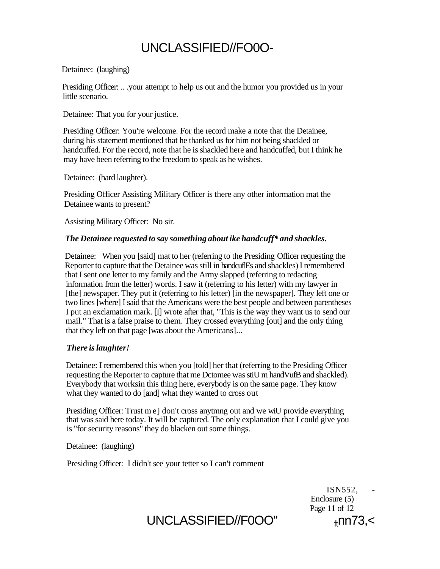# UNCLASSIFIED//FO0O-

Detainee: (laughing)

Presiding Officer: .. .your attempt to help us out and the humor you provided us in your little scenario.

Detainee: That you for your justice.

Presiding Officer: You're welcome. For the record make a note that the Detainee, during his statement mentioned that he thanked us for him not being shackled or handcuffed. For the record, note that he is shackled here and handcuffed, but I think he may have been referring to the freedom to speak as he wishes.

Detainee: (hard laughter).

Presiding Officer Assisting Military Officer is there any other information mat the Detainee wants to present?

Assisting Military Officer: No sir.

#### *The Detainee requested to say something about ike handcuff\* and shackles.*

Detainee: When you [said] mat to her (referring to the Presiding Officer requesting the Reporter to capture that the Detainee was still in handcuflEs and shackles) I remembered that I sent one letter to my family and the Army slapped (referring to redacting information from the letter) words. I saw it (referring to his letter) with my lawyer in [the] newspaper. They put it (referring to his letter) [in the newspaper]. They left one or two lines [where] I said that the Americans were the best people and between parentheses I put an exclamation mark. [I] wrote after that, "This is the way they want us to send our mail." That is a false praise to them. They crossed everything [out] and the only thing that they left on that page [was about the Americans]...

#### *There is laughter!*

Detainee: I remembered this when you [told] her that (referring to the Presiding Officer requesting the Reporter to capture that me Dctomee was stiU m handVufB and shackled). Everybody that worksin this thing here, everybody is on the same page. They know what they wanted to do [and] what they wanted to cross out

Presiding Officer: Trust me j don't cross anytmng out and we wiU provide everything that was said here today. It will be captured. The only explanation that I could give you is "for security reasons" they do blacken out some things.

Detainee: (laughing)

Presiding Officer: I didn't see your tetter so I can't comment

ISN552, - Enclosure (5) Page 11 of 12  $f_{\text{th}}$ nn73. $<$ 

## UNCLASSIFIED//F0OO"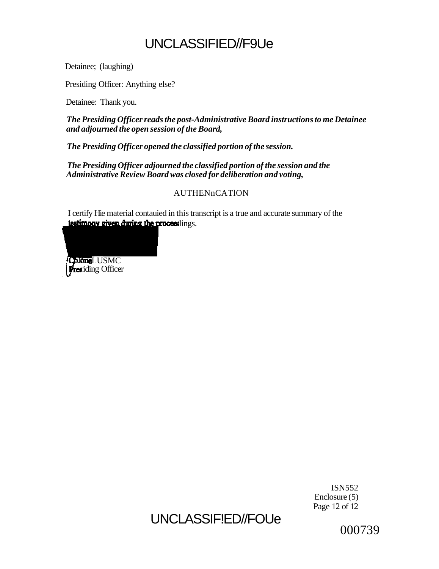# UNCLASSIFIED//F9Ue

Detainee; (laughing)

Presiding Officer: Anything else?

Detainee: Thank you.

*The Presiding Officer reads the post-Administrative Board instructions to me Detainee and adjourned the open session of the Board,* 

*The Presiding Officer opened the classified portion of the session.* 

*The Presiding Officer adjourned the classified portion of the session and the Administrative Review Board was closed for deliberation and voting,* 

#### AUTHENnCATlON

I certify Hie material contauied in this transcript is a true and accurate summary of the testimony given during the proceedings.

ColoreLUSMC **Fre**riding Officer

> ISN552 Enclosure (5) Page 12 of 12



000739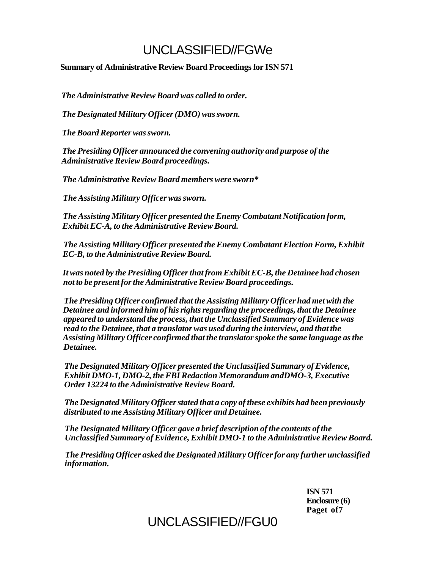# UNCLASSIFIED//FGWe

#### **Summary of Administrative Review Board Proceedings for ISN 571**

*The Administrative Review Board was called to order.* 

*The Designated Military Officer (DMO) was sworn.* 

*The Board Reporter was sworn.* 

*The Presiding Officer announced the convening authority and purpose of the Administrative Review Board proceedings.* 

*The Administrative Review Board members were sworn\** 

*The Assisting Military Officer was sworn.* 

*The Assisting Military Officer presented the Enemy Combatant Notification form, Exhibit EC-A, to the Administrative Review Board.* 

*The Assisting Military Officer presented the Enemy Combatant Election Form, Exhibit EC-B, to the Administrative Review Board.* 

*It was noted by the Presiding Officer that from Exhibit EC-B, the Detainee had chosen not to be present for the Administrative Review Board proceedings.* 

*The Presiding Officer confirmed that the Assisting Military Officer had met with the Detainee and informed him of his rights regarding the proceedings, that the Detainee appeared to understand the process, that the Unclassified Summary of Evidence was read to the Detainee, that a translator was used during the interview, and that the Assisting Military Officer confirmed that the translator spoke the same language as the Detainee.* 

*The Designated Military Officer presented the Unclassified Summary of Evidence, Exhibit DMO-1, DMO-2, the FBI Redaction Memorandum andDMO-3, Executive Order 13224 to the Administrative Review Board.* 

*The Designated Military Officer stated that a copy of these exhibits had been previously distributed to me Assisting Military Officer and Detainee.* 

*The Designated Military Officer gave a brief description of the contents of the Unclassified Summary of Evidence, Exhibit DMO-1 to the Administrative Review Board.* 

*The Presiding Officer asked the Designated Military Officer for any further unclassified information.* 

> **ISN 571 Enclosure (6) Paget of7**

### UNCLASSIFIED//FGU0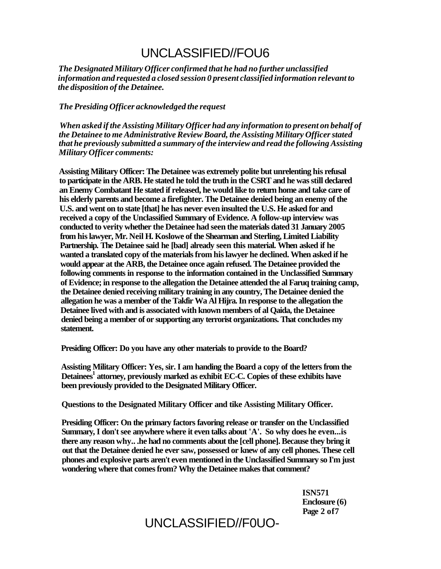## UNCLASSIFIED//FOU6

*The Designated Military Officer confirmed that he had no further unclassified information and requested a closed session 0 present classified information relevant to the disposition of the Detainee.* 

#### *The Presiding Officer acknowledged the request*

*When asked if the Assisting Military Officer had any information to present on behalf of the Detainee to me Administrative Review Board, the Assisting Military Officer stated that he previously submitted a summary of the interview and read the following Assisting Military Officer comments:* 

**Assisting Military Officer: The Detainee was extremely polite but unrelenting his refusal to participate in the ARB. He stated he told the truth in the CSRT and he was still declared an Enemy Combatant He stated if released, he would like to return home and take care of his elderly parents and become a firefighter. The Detainee denied being an enemy of the U.S. and went on to state [that] he has never even insulted the U.S. He asked for and received a copy of the Unclassified Summary of Evidence. A follow-up interview was conducted to verity whether the Detainee had seen the materials dated 31 January 2005 from his lawyer, Mr. Neil H. Koslowe of the Shearman and Sterling, Limited Liability Partnership. The Detainee said he [bad] already seen this material. When asked if he wanted a translated copy of the materials from his lawyer he declined. When asked if he would appear at the ARB, the Detainee once again refused. The Detainee provided the following comments in response to the information contained in the Unclassified Summary of Evidence; in response to the allegation the Detainee attended the al Faruq training camp, the Detainee denied receiving military training in any country, The Detainee denied the allegation he was a member of the Takfir Wa Al Hijra. In response to the allegation the Detainee lived with and is associated with known members of al Qaida, the Detainee denied being a member of or supporting any terrorist organizations. That concludes my statement.** 

**Presiding Officer: Do you have any other materials to provide to the Board?** 

**Assisting Military Officer: Yes, sir. I am handing the Board a copy of the letters from the Detainees<sup>1</sup> attorney, previously marked as exhibit EC-C. Copies of these exhibits have been previously provided to the Designated Military Officer.** 

**Questions to the Designated Military Officer and tike Assisting Military Officer.** 

**Presiding Officer: On the primary factors favoring release or transfer on the Unclassified Summary, I don't see anywhere where it even talks about 'A'. So why does he even...is there any reason why.. .he had no comments about the [cell phone]. Because they bring it out that the Detainee denied he ever saw, possessed or knew of any cell phones. These cell phones and explosive parts aren't even mentioned in the Unclassified Summary so I'm just wondering where that comes from? Why the Detainee makes that comment?** 

> **ISN571 Enclosure (6) Page 2 of7**

### UNCLASSIFIED//F0UO-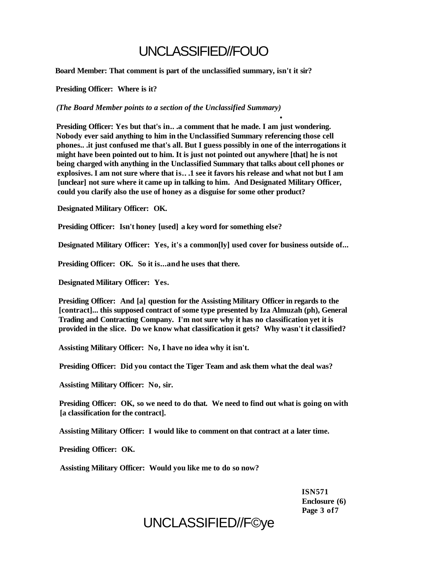# UNCLASSIFIED//FOUO

**Board Member: That comment is part of the unclassified summary, isn't it sir?** 

**Presiding Officer: Where is it?** 

*(The Board Member points to a section of the Unclassified Summary)* 

**Presiding Officer: Yes but that's in.. .a comment that he made. I am just wondering. Nobody ever said anything to him in the Unclassified Summary referencing those cell phones.. .it just confused me that's all. But I guess possibly in one of the interrogations it might have been pointed out to him. It is just not pointed out anywhere [that] he is not being charged with anything in the Unclassified Summary that talks about cell phones or explosives. I am not sure where that is.. .1 see it favors his release and what not but I am [unclear] not sure where it came up in talking to him. And Designated Military Officer, could you clarify also the use of honey as a disguise for some other product?** 

**•** 

**Designated Military Officer: OK.** 

**Presiding Officer: Isn't honey [used] a key word for something else?** 

**Designated Military Officer: Yes, it's a common[ly] used cover for business outside of...** 

**Presiding Officer: OK. So it is...and he uses that there.** 

**Designated Military Officer: Yes.** 

**Presiding Officer: And [a] question for the Assisting Military Officer in regards to the [contract]... this supposed contract of some type presented by Iza Almuzah (ph), General Trading and Contracting Company. I'm not sure why it has no classification yet it is provided in the slice. Do we know what classification it gets? Why wasn't it classified?** 

**Assisting Military Officer: No, I have no idea why it isn't.** 

**Presiding Officer: Did you contact the Tiger Team and ask them what the deal was?** 

**Assisting Military Officer: No, sir.** 

**Presiding Officer: OK, so we need to do that. We need to find out what is going on with [a classification for the contract].** 

**Assisting Military Officer: I would like to comment on that contract at a later time.** 

**Presiding Officer: OK.** 

**Assisting Military Officer: Would you like me to do so now?** 

**ISN571 Enclosure (6) Page 3 of7** 

UNCLASSIFIED//F©ye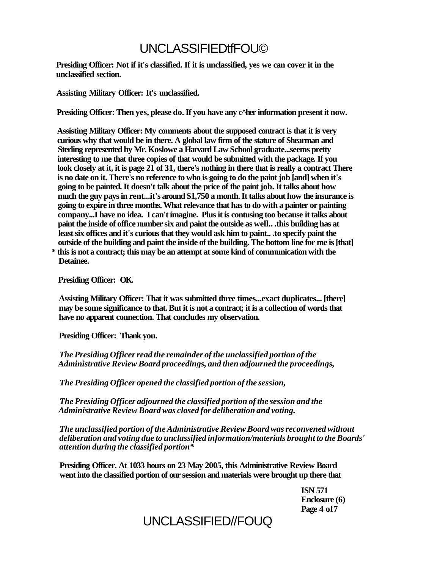### UNCLASSIFIEDtfFOU©

**Presiding Officer: Not if it's classified. If it is unclassified, yes we can cover it in the unclassified section.** 

**Assisting Military Officer: It's unclassified.** 

Presiding Officer: Then yes, please do. If you have any c<sup> $\wedge$ </sup>her information present it now.

**Assisting Military Officer: My comments about the supposed contract is that it is very curious why that would be in there. A global law firm of the stature of Shearman and Sterling represented by Mr. Koslowe a Harvard Law School graduate...seems pretty interesting to me that three copies of that would be submitted with the package. If you look closely at it, it is page 21 of 31, there's nothing in there that is really a contract There is no date on it. There's no reference to who is going to do the paint job [and] when it's going to be painted. It doesn't talk about the price of the paint job. It talks about how much the guy pays in rent...it's around \$1,750 a month. It talks about how the insurance is going to expire in three months. What relevance that has to do with a painter or painting company...I have no idea. I can't imagine. Plus it is contusing too because it talks about paint the inside of office number six and paint the outside as well.. .this building has at least six offices and it's curious that they would ask him to paint.. .to specify paint the outside of the building and paint the inside of the building. The bottom line for me is [that]** 

**\* this is not a contract; this may be an attempt at some kind of communication with the Detainee.** 

**Presiding Officer: OK.** 

**Assisting Military Officer: That it was submitted three times...exact duplicates... [there] may be some significance to that. But it is not a contract; it is a collection of words that have no apparent connection. That concludes my observation.** 

**Presiding Officer: Thank you.** 

*The Presiding Officer read the remainder of the unclassified portion of the Administrative Review Board proceedings, and then adjourned the proceedings,* 

*The Presiding Officer opened the classified portion of the session,* 

*The Presiding Officer adjourned the classified portion of the session and the Administrative Review Board was closed for deliberation and voting.* 

*The unclassified portion of the Administrative Review Board was reconvened without deliberation and voting due to unclassified information/materials brought to the Boards' attention during the classified portion\** 

**Presiding Officer. At 1033 hours on 23 May 2005, this Administrative Review Board went into the classified portion of our session and materials were brought up there that** 

> **ISN 571 Enclosure (6) Page 4 of7**

### UNCLASSIFIED//FOUQ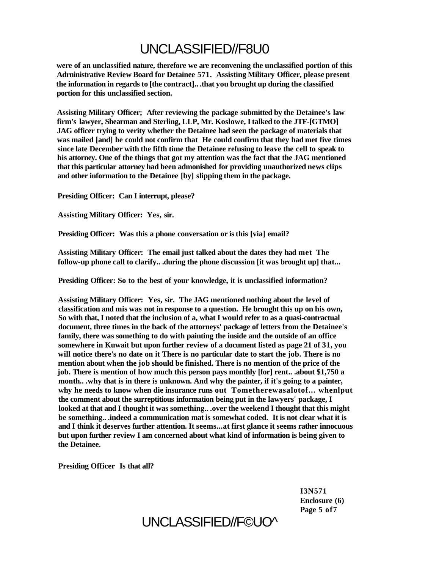# UNCLASSIFIED//F8U0

**were of an unclassified nature, therefore we are reconvening the unclassified portion of this Adrninistrative Review Board for Detainee 571. Assisting Military Officer, please present the information in regards to [the contract].. .that you brought up during the classified portion for this unclassified section.** 

**Assisting Military Officer; After reviewing the package submitted by the Detainee's law firm's lawyer, Shearman and Sterling, LLP, Mr. Koslowe, I talked to the JTF-[GTMO] JAG officer trying to verity whether the Detainee had seen the package of materials that was mailed [and] he could not confirm that He could confirm that they had met five times since late December with the fifth time the Detainee refusing to leave the cell to speak to his attorney. One of the things that got my attention was the fact that the JAG mentioned that this particular attorney had been admonished for providing unauthorized news clips and other information to the Detainee [by] slipping them in the package.** 

**Presiding Officer: Can I interrupt, please?** 

**Assisting Military Officer: Yes, sir.** 

**Presiding Officer: Was this a phone conversation or is this [via] email?** 

**Assisting Military Officer: The email just talked about the dates they had met The follow-up phone call to clarify.. .during the phone discussion [it was brought up] that...** 

**Presiding Officer: So to the best of your knowledge, it is unclassified information?** 

**Assisting Military Officer: Yes, sir. The JAG mentioned nothing about the level of classification and mis was not in response to a question. He brought this up on his own, So with that, I noted that the inclusion of a, what I would refer to as a quasi-contractual document, three times in the back of the attorneys' package of letters from the Detainee's family, there was something to do with painting the inside and the outside of an office somewhere in Kuwait but upon further review of a document listed as page 21 of 31, you will notice there's no date on it There is no particular date to start the job. There is no mention about when the job should be finished. There is no mention of the price of the job. There is mention of how much this person pays monthly [for] rent.. .about \$1,750 a month.. .why that is in there is unknown. And why the painter, if it's going to a painter, why he needs to know when die insurance runs out Tometherewasalotof... whenlput the comment about the surreptitious information being put in the lawyers' package, I looked at that and I thought it was something.. .over the weekend I thought that this might be something.. .indeed a communication mat is somewhat coded. It is not clear what it is and I think it deserves further attention. It seems...at first glance it seems rather innocuous but upon further review I am concerned about what kind of information is being given to the Detainee.** 

**Presiding Officer Is that all?** 

**I3N571 Enclosure (6) Page 5 of7** 

### UNCLASSIFIFD//F©UO^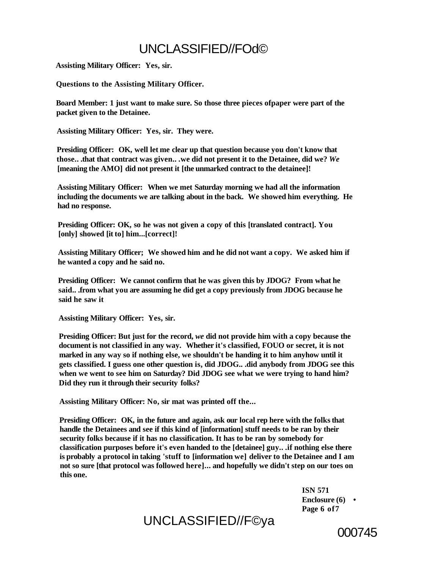# UNCLASSIFIED//FOd©

**Assisting Military Officer: Yes, sir.** 

**Questions to the Assisting Military Officer.** 

**Board Member: 1 just want to make sure. So those three pieces ofpaper were part of the packet given to the Detainee.** 

**Assisting Military Officer: Yes, sir. They were.** 

**Presiding Officer: OK, well let me clear up that question because you don't know that those.. .that that contract was given.. .we did not present it to the Detainee, did we?** *We*  **[meaning the AMO] did not present it [the unmarked contract to the detainee]!** 

**Assisting Military Officer: When we met Saturday morning we had all the information including the documents we are talking about in the back. We showed him everything. He had no response.** 

**Presiding Officer: OK, so he was not given a copy of this [translated contract]. You [only] showed [it to] him...[correct]!** 

**Assisting Military Officer; We showed him and he did not want a copy. We asked him if he wanted a copy and he said no.** 

**Presiding Officer: We cannot confirm that he was given this by JDOG? From what he said.. .from what you are assuming he did get a copy previously from JDOG because he said he saw it** 

**Assisting Military Officer: Yes, sir.** 

**Presiding Officer: But just for the record,** *we* **did not provide him with a copy because the document is not classified in any way. Whether it's classified, FOUO or secret, it is not marked in any way so if nothing else, we shouldn't be handing it to him anyhow until it gets classified. I guess one other question is, did JDOG.. .did anybody from JDOG see this when we went to see him on Saturday? Did JDOG see what we were trying to hand him? Did they run it through their security folks?** 

**Assisting Military Officer: No, sir mat was printed off the...** 

**Presiding Officer: OK, in the future and again, ask our local rep here with the folks that handle the Detainees and see if this kind of [information] stuff needs to be ran by their security folks because if it has no classification. It has to be ran by somebody for classification purposes before it's even handed to the [detainee] guy.. .if nothing else there is probably a protocol in taking 'stuff to [information we] deliver to the Detainee and I am not so sure [that protocol was followed here]... and hopefully we didn't step on our toes on this one.** 

> **ISN 571 Enclosure (6) • Page 6 of7**

### UNCLASSIFIED//F©ya

000745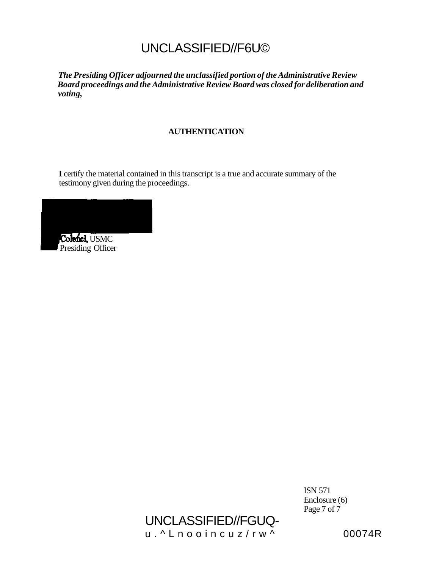## UNCLASSIFIED//F6U©

*The Presiding Officer adjourned the unclassified portion of the Administrative Review Board proceedings and the Administrative Review Board was closed for deliberation and voting,* 

#### **AUTHENTICATION**

**I** certify the material contained in this transcript is a true and accurate summary of the testimony given during the proceedings.

Colenel, USMC Presiding Officer

> ISN 571 Enclosure (6) Page 7 of 7

UNCLASSIFIED//FGUQu.^Lnooincuz/rw ^ 00074R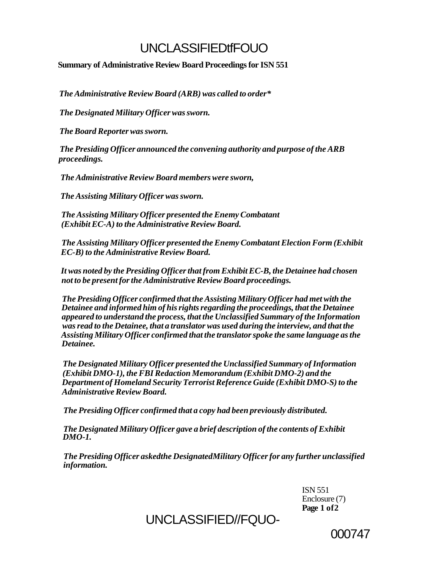# UNCLASSIFIEDtfFOUO

#### **Summary of Administrative Review Board Proceedings for ISN 551**

*The Administrative Review Board (ARB) was called to order\** 

*The Designated Military Officer was sworn.* 

*The Board Reporter was sworn.* 

*The Presiding Officer announced the convening authority and purpose of the ARB proceedings.* 

*The Administrative Review Board members were sworn,* 

*The Assisting Military Officer was sworn.* 

*The Assisting Military Officer presented the Enemy Combatant (Exhibit EC-A) to the Administrative Review Board.* 

*The Assisting Military Officer presented the Enemy Combatant Election Form (Exhibit EC-B) to the Administrative Review Board.* 

*It was noted by the Presiding Officer that from Exhibit EC-B, the Detainee had chosen not to be present for the Administrative Review Board proceedings.* 

*The Presiding Officer confirmed that the Assisting Military Officer had met with the Detainee and informed him of his rights regarding the proceedings, that the Detainee appeared to understand the process, that the Unclassified Summary of the Information was read to the Detainee, that a translator was used during the interview, and that the Assisting Military Officer confirmed that the translator spoke the same language as the Detainee.* 

*The Designated Military Officer presented the Unclassified Summary of Information (Exhibit DMO-1), the FBI Redaction Memorandum (Exhibit DMO-2) and the Department of Homeland Security Terrorist Reference Guide (Exhibit DMO-S) to the Administrative Review Board.* 

*The Presiding Officer confirmed that a copy had been previously distributed.* 

*The Designated Military Officer gave a brief description of the contents of Exhibit DMO-1.* 

*The Presiding Officer askedthe DesignatedMilitary Officer for any further unclassified information.* 

> ISN 551 Enclosure (7) **Page 1 of2**

UNCLASSIFIED//FQUO-

000747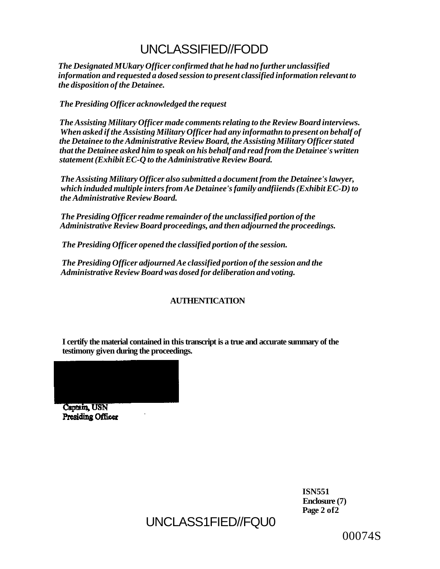# UNCLASSIFIED//FODD

*The Designated MUkary Officer confirmed that he had no further unclassified information and requested a dosed session to present classified information relevant to the disposition of the Detainee.* 

*The Presiding Officer acknowledged the request* 

*The Assisting Military Officer made comments relating to the Review Board interviews. When asked if the Assisting Military Officer had any informathn to present on behalf of the Detainee to the Administrative Review Board, the Assisting Military Officer stated that the Detainee asked him to speak on his behalf and read from the Detainee's written statement (Exhibit EC-Q to the Administrative Review Board.* 

*The Assisting Military Officer also submitted a document from the Detainee's lawyer, which induded multiple inters from Ae Detainee's family andfiiends (Exhibit EC-D) to the Administrative Review Board.* 

*The Presiding Officer readme remainder of the unclassified portion of the Administrative Review Board proceedings, and then adjourned the proceedings.* 

*The Presiding Officer opened the classified portion of the session.* 

*The Presiding Officer adjourned Ae classified portion of the session and the Administrative Review Board was dosed for deliberation and voting.* 

#### **AUTHENTICATION**

**I certify the material contained in this transcript is a true and accurate summary of the testimony given during the proceedings.** 



Captain, USN Presiding Officer

> **ISN551 Enclosure (7) Page 2 of2**

UNCLASS1FIED//FQU0

00074S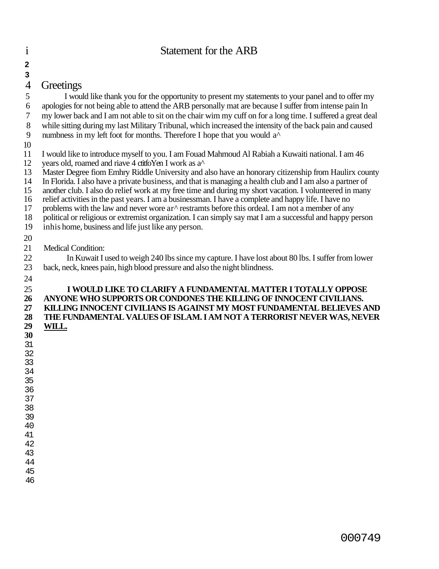| $\mathbf{1}$                     | <b>Statement for the ARB</b>                                                                                                                                                                                       |
|----------------------------------|--------------------------------------------------------------------------------------------------------------------------------------------------------------------------------------------------------------------|
| $\mathbf 2$                      |                                                                                                                                                                                                                    |
| ${\bf 3}$                        |                                                                                                                                                                                                                    |
| $\overline{4}$<br>$\mathfrak{S}$ | Greetings<br>I would like thank you for the opportunity to present my statements to your panel and to offer my                                                                                                     |
| 6                                | apologies for not being able to attend the ARB personally mat are because I suffer from intense pain In                                                                                                            |
| $\tau$                           | my lower back and I am not able to sit on the chair wim my cuff on for a long time. I suffered a great deal                                                                                                        |
| 8<br>9                           | while sitting during my last Military Tribunal, which increased the intensity of the back pain and caused<br>numbness in my left foot for months. Therefore I hope that you would a <sup><math>\wedge</math></sup> |
| 10                               |                                                                                                                                                                                                                    |
| 11                               | I would like to introduce myself to you. I am Fouad Mahmoud Al Rabiah a Kuwaiti national. I am 46                                                                                                                  |
| 12<br>13                         | years old, roamed and riave 4 ctitfoYen I work as a^<br>Master Degree fiom Emhry Riddle University and also have an honorary citizenship from Haulirx county                                                       |
| 14                               | In Florida. I also have a private business, and that is managing a health club and I am also a partner of                                                                                                          |
| 15<br>16                         | another club. I also do relief work at my free time and during my short vacation. I volunteered in many<br>relief activities in the past years. I am a businessman. I have a complete and happy life. I have no    |
| 17                               | problems with the law and never wore ar <sup>^</sup> restramts before this ordeal. I am not a member of any                                                                                                        |
| 18                               | political or religious or extremist organization. I can simply say mat I am a successful and happy person                                                                                                          |
| 19                               | inhis home, business and life just like any person.                                                                                                                                                                |
| 20<br>21                         | <b>Medical Condition:</b>                                                                                                                                                                                          |
| 22                               | In Kuwait I used to weigh 240 lbs since my capture. I have lost about 80 lbs. I suffer from lower                                                                                                                  |
| 23                               | back, neck, knees pain, high blood pressure and also the night blindness.                                                                                                                                          |
| 24                               |                                                                                                                                                                                                                    |
| 25<br>26                         | I WOULD LIKE TO CLARIFY A FUNDAMENTAL MATTER I TOTALLY OPPOSE<br>ANYONE WHO SUPPORTS OR CONDONES THE KILLING OF INNOCENT CIVILIANS.                                                                                |
| 27                               | KILLING INNOCENT CIVILIANS IS AGAINST MY MOST FUNDAMENTAL BELIEVES AND                                                                                                                                             |
| 28<br>29                         | THE FUNDAMENTAL VALUES OF ISLAM. I AM NOT A TERRORIST NEVER WAS, NEVER                                                                                                                                             |
| 30                               | WILL.                                                                                                                                                                                                              |
| 31                               |                                                                                                                                                                                                                    |
| 32<br>33                         |                                                                                                                                                                                                                    |
| 34                               |                                                                                                                                                                                                                    |
| 35                               |                                                                                                                                                                                                                    |
| 36<br>37                         |                                                                                                                                                                                                                    |
| 38                               |                                                                                                                                                                                                                    |
| 39<br>40                         |                                                                                                                                                                                                                    |
| 41                               |                                                                                                                                                                                                                    |
| 42                               |                                                                                                                                                                                                                    |
| 43<br>44                         |                                                                                                                                                                                                                    |
| 45                               |                                                                                                                                                                                                                    |
| 46                               |                                                                                                                                                                                                                    |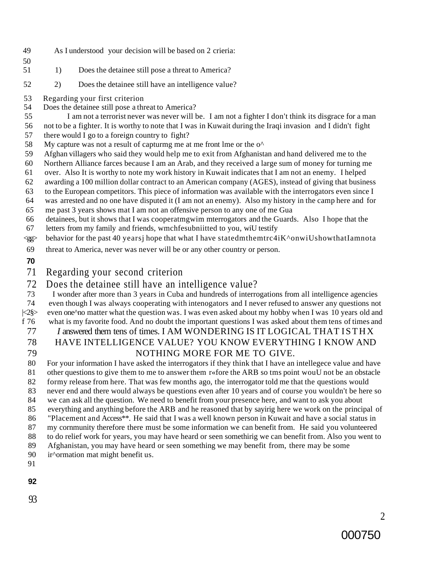- 49 As I understood your decision will be based on 2 crieria:
- 50<br>51 1) Does the detainee still pose a threat to America?
- 52 2) Does the detainee still have an intelligence value?
- 53 Regarding your first criterion<br>54 Does the detainee still pose a thr
- Does the detainee still pose a threat to America?
- 55 I am not a terrorist never was never will be. I am not a fighter I don't think its disgrace for a man

56 not to be a fighter. It is worthy to note that I was in Kuwait during the Iraqi invasion and I didn't fight

- 57 there would I go to a foreign country to fight?
- 58 My capture was not a result of capturing me at me front lme or the  $o^{\wedge}$
- 59 Afghan villagers who said they would help me to exit from Afghanistan and hand delivered me to the
- 60 Northern Alliance farces because I am an Arab, and they received a large sum of money for turning me
- 61 over. Also It is worthy to note my work history in Kuwait indicates that I am not an enemy. I helped
- 62 awarding a 100 million dollar contract to an American company (AGES), instead of giving that business
- 63 to the European competitors. This piece of information was available with the interrogators even since I
- 64 was arrested and no one have disputed it (I am not an enemy). Also my history in the camp here and for
- *65* me past 3 years shows mat I am not an offensive person to any one of me Gua
- 66 detainees, but it shows that I was cooperatmgwim mterrogators and the Guards. Also I hope that the
- 67 letters from my family and friends, wmchfesubniitted to you, wiU testify
- $\langle gg \rangle$  behavior for the past 40 years hope that what I have statedmthemtrc4iK^onwiUshowthatIamnota
- 69 threat to America, never was never will be or any other country or person.
- **70**

### 71 Regarding your second criterion

### 72 Does the detainee still have an intelligence value?

73 I wonder after more than 3 years in Cuba and hundreds of interrogations from all intelligence agencies<br>74 even though I was always cooperating with intenogators and I never refused to answer any questions not even though I was always cooperating with intenogators and I never refused to answer any questions not  $|\angle 28\rangle$  even one^no matter what the question was. I was even asked about my hobby when I was 10 years old and

### f 76 what is my favorite food. And no doubt the important questions I was asked about them tens of times and 77 *I* answered them tens of times. I AM WONDERING IS IT LOGICAL THAT ISTHX

### 78 HAVE INTELLIGENCE VALUE? YOU KNOW EVERYTHING I KNOW AND 79 NOTHING MORE FOR ME TO GIVE.

80 For your information I have asked the interrogators if they think that I have an intellegece value and have 81 other questions to give them to me to answer them r«fore the ARB so tms point wouU not be an obstacle 82 formy release from here. That was few months ago, the interrogator told me that the questions would

83 never end and there would always be questions even after 10 years and of course you wouldn't be here so 84 we can ask all the question. We need to benefit from your presence here, and want to ask you about

- 85 everything and anything before the ARB and he reasoned that by sayirig here we work on the principal of
- 86 "Placement and Access\*\*. He said that I was a well known person in Kuwait and have a social status in
- 87 my cornmunity therefore there must be some information we can benefit from. He said you volunteered
- 88 to do relief work for years, you may have heard or seen somethirig we can benefit from. Also you went to
- 89 Afghanistan, you may have heard or seen something we may benefit from, there may be some
- 90 ir^ormation mat might benefit us.
- 91
- **92**
- 93

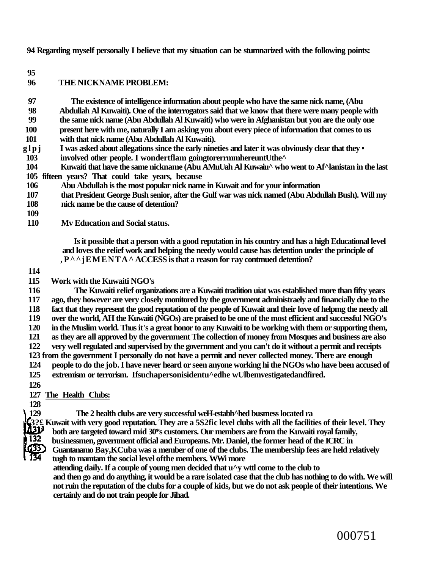**94 Regarding myself personally I believe that my situation can be stumnarized with the following points:** 

#### **95**

#### **96 THE NICKNAME PROBLEM:**

| 97         | The existence of intelligence information about people who have the same nick name, (Abu                                |
|------------|-------------------------------------------------------------------------------------------------------------------------|
| 98         | Abdullah Al Kuwaiti). One of the interrogators said that we know that there were many people with                       |
| 99         | the same nick name (Abu Abdullah Al Kuwaiti) who were in Afghanistan but you are the only one                           |
| <b>100</b> | present here with me, naturally I am asking you about every piece of information that comes to us                       |
| 101        | with that nick name (Abu Abdullah Al Kuwaiti).                                                                          |
| glpj       | I was asked about allegations since the early nineties and later it was obviously clear that they $\bullet$             |
| <b>103</b> | involved other people. I wondertflam goingtorerrmmhereuntUthe <sup><math>\wedge</math></sup>                            |
| 104        | Kuwaiti that have the same nickname (Abu AMuUah Al Kuwaiu <sup>^</sup> who went to Af <sup>^</sup> lanistan in the last |
|            | 105 fifteen years? That could take years, because                                                                       |
| 106        | Abu Abdullah is the most popular nick name in Kuwait and for your information                                           |
| 107        | that President George Bush senior, after the Gulf war was nick named (Abu Abdullah Bush). Will my                       |
| <b>108</b> | nick name be the cause of detention?                                                                                    |
| 109        |                                                                                                                         |
| <b>110</b> | My Education and Social status.                                                                                         |

**Is it possible that a person with a good reputation in his country and has a high Educational level and loves the relief work and helping the needy would cause has detention under the principle of , P^^jEMENTA^ ACCESS is that a reason for ray contmued detention?** 

#### **114**

#### **115 Work with the Kuwaiti NGO's**

**116 The Kuwaiti relief organizations are a Kuwaiti tradition uiat was established more than fifty years 117 ago, they however are very closely monitored by the government administraely and financially due to the 118 fact that they represent the good reputation of the people of Kuwait and their love of helpmg the needy all 119 over the world, AH the Kuwaiti (NGOs) are praised to be one of the most efficient and successful NGO's 120 in the Muslim world. Thus it's a great honor to any Kuwaiti to be working with them or supporting them, 121 as they are all approved by the government The collection of money from Mosques and business are also 122 very well regulated and supervised by the government and you can't do it without a permit and receipts 123 from the government I personally do not have a permit and never collected money. There are enough 124 people to do the job. I have never heard or seen anyone working hi the NGOs who have been accused of** 

**125 extremism or terrorism. Ifsuchapersonisidentu^edhe wUlbemvestigatedandfired.** 

**126** 

#### **127 The Health Clubs:**

**128** 

**129 The 2 health clubs are very successful weH-estabh^hed busmess located ra** 

**4**3?£ Kuwait with very good reputation. They are a 5\$2fic level clubs with all the facilities of their level. They <br>**431** both are targeted toward mid 30% customers. Our members are from the Kuwaiti royal family **both are targeted toward mid 30\*s customers. Our members are from the Kuwaiti royal family,** 

- $\overline{132}$ **businessmen, government official and Europeans. Mr. Daniel, the former head of the ICRC in**
- 033 **Guantanamo Bay,KCuba was a member of one of the clubs. The membership fees are held relatively tugh to mamtam the social level ofthe members. WWi more** 
	- **attending daily. If a couple of young men decided that u^y wttl come to the club to and then go and do anything, it would be a rare isolated case that the club has nothing to do with. We will not ruin the reputation of the clubs for a couple of kids, but we do not ask people of their intentions. We certainly and do not train people for Jihad.**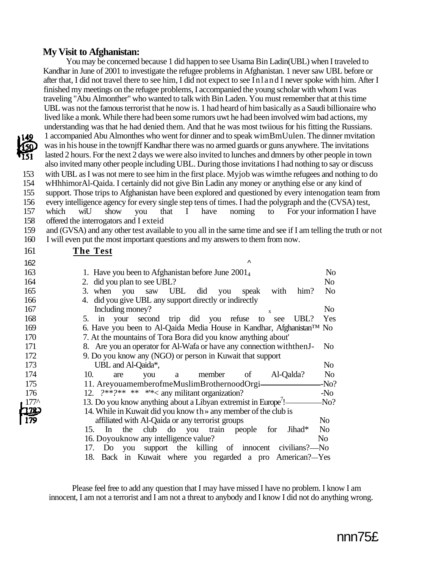#### **My Visit to Afghanistan:**



You may be concerned because 1 did happen to see Usama Bin Ladin(UBL) when I traveled to Kandhar in June of 2001 to investigate the refugee problems in Afghanistan. 1 never saw UBL before or after that, I did not travel there to see him, I did not expect to see Inland I never spoke with him. After I finished my meetings on the refugee problems, I accompanied the young scholar with whom I was traveling "Abu Almonther" who wanted to talk with Bin Laden. You must remember that at this time UBL was not the famous terrorist that he now is. 1 had heard of him basically as a Saudi billionaire who lived like a monk. While there had been some rumors uwt he had been involved wim bad actions, my understanding was that he had denied them. And that he was most twiious for his fitting the Russians. 1 accompanied Abu Almonthes who went for dinner and to speak wimBmUulen. The dinner mvitation was in his house in the townjff Kandhar there was no armed guards or guns anywhere. The invitations lasted 2 hours. For the next 2 days we were also invited to lunches and dmners by other people in town also invited many other people including UBL. During those invitations I had nothing to say or discuss 153 with UBL as I was not mere to see him in the first place. Myjob was wimthe refugees and nothing to do<br>154 wHhhimorAl-Oaida. I certainly did not give Bin Ladin any money or anything else or any kind of wHhhimorAl-Qaida. I certainly did not give Bin Ladin any money or anything else or any kind of 155 support. Those trips to Afghanistan have been explored and questioned by every intenogation team from 156 every intelligence agency for every single step tens of times. I had the polygraph and the (CVSA) test, 157 which wiU show you that I have noming to For your information I have 158 offered the interrogators and I exteid

159 and (GVSA) and any other test available to you all in the same time and see if I am telling the truth or not 160 I will even put the most important questions and my answers to them from now.

#### 161 **The Test**

| 162           | $\wedge$                                                                                 |
|---------------|------------------------------------------------------------------------------------------|
| 163           | 1. Have you been to Afghanistan before June $20014$<br>N <sub>o</sub>                    |
| 164           | 2. did you plan to see UBL?<br>No                                                        |
| 165           | 3. when you saw UBL did you<br>N <sub>0</sub><br>speak<br>with<br>him?                   |
| 166           | 4. did you give UBL any support directly or indirectly                                   |
| 167           | Including money?<br>No<br>$\mathbf{x}$                                                   |
| 168           | 5. in your second trip did you refuse to see<br>UBL?<br>Yes                              |
| 169           | 6. Have you been to Al-Qaida Media House in Kandhar, Afghanistan <sup>TM</sup> No        |
| 170           | 7. At the mountains of Tora Bora did you know anything about                             |
| 171           | 8. Are you an operator for Al-Wafa or have any connection with then J-<br>N <sub>0</sub> |
| 172           | 9. Do you know any (NGO) or person in Kuwait that support                                |
| 173           | UBL and Al-Qaida*,<br>No                                                                 |
| 174           | N <sub>o</sub><br>10.<br>member of<br>Al-Qalda?<br>you a<br>are                          |
| 175           | $-N0$ ?<br>11. AreyouamemberofmeMuslimBrothernoodOrgi————————————————————                |
| 176           | 12. $?***$ ?** ** **< any militant organization?<br>$-N0$                                |
| $177^{\circ}$ | 13. Do you know anything about a Libyan extremist in Europe'!—<br>No?                    |
| حيت           | 14. While in Kuwait did you know th » any member of the club is                          |
| 179           | affiliated with Al-Qaida or any terrorist groups<br>N <sub>o</sub>                       |
|               | the club do you train people<br>Jihad*<br>N <sub>0</sub><br>for<br>15.<br><i>In</i>      |
|               | 16. Doyouknow any intelligence value?<br>N <sub>0</sub>                                  |
|               | 17. Do you support the killing of innocent civilians?—No                                 |
|               | 18. Back in Kuwait where you regarded a pro American?-Yes                                |
|               |                                                                                          |

Please feel free to add any question that I may have missed I have no problem. I know I am innocent, I am not a terrorist and I am not a threat to anybody and I know I did not do anything wrong.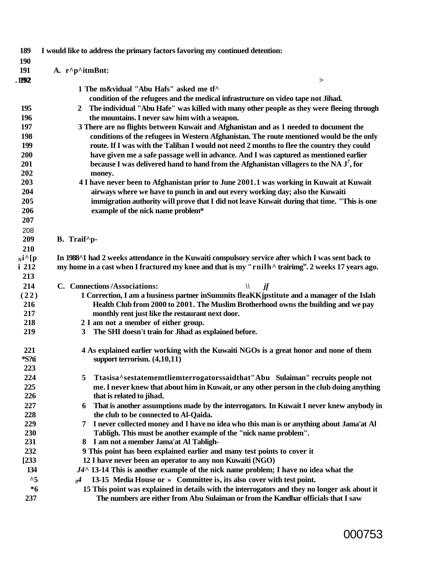| 189                                   | I would like to address the primary factors favoring my continued detention:                                           |
|---------------------------------------|------------------------------------------------------------------------------------------------------------------------|
| 190                                   |                                                                                                                        |
| 191                                   | A. r^p^itmBnt:                                                                                                         |
| . 1192                                | >                                                                                                                      |
|                                       | 1 The m&vidual "Abu Hafs" asked me tf^                                                                                 |
|                                       | condition of the refugees and the medical infrastructure on video tape not Jihad.                                      |
| 195                                   | 2 The individual "Abu Hafe" was killed with many other people as they were fleeing through                             |
| 196                                   | the mountains. I never saw him with a weapon.                                                                          |
| 197                                   | 3 There are no flights between Kuwait and Afghanistan and as 1 needed to document the                                  |
| 198                                   | conditions of the refugees in Western Afghanistan. The route mentioned would be the only                               |
| 199                                   | route. If I was with the Taliban I would not need 2 months to flee the country they could                              |
| 200                                   | have given me a safe passage well in advance. And I was captured as mentioned earlier                                  |
| 201                                   | because I was delivered hand to hand from the Afghanistan villagers to the NA $J^7$ , for                              |
| 202                                   | money.                                                                                                                 |
| 203                                   | 4 I have never been to Afghanistan prior to June 2001.1 was working in Kuwait at Kuwait                                |
| 204                                   | airways where we have to punch in and out every working day; also the Kuwaiti                                          |
| 205                                   | immigration authority will prove that I did not leave Kuwait during that time. "This is one                            |
| 206                                   | example of the nick name problem*                                                                                      |
| 207                                   |                                                                                                                        |
| 208                                   |                                                                                                                        |
| 209                                   | B. Traif^p-                                                                                                            |
| 210                                   |                                                                                                                        |
| $\mathbf{N}$ <b>i</b> <sup>^</sup> [p | In 1988^1 had 2 weeks attendance in the Kuwaiti compulsory service after which I was sent back to                      |
| i 212<br>213                          | my home in a cast when I fractured my knee and that is my "rnilh $\wedge$ trairing". 2 weeks 17 years ago.             |
| 214                                   | C. Connections/Associations:                                                                                           |
| (22)                                  | $\int$<br>$\mathcal{U}$<br>1 Correction, I am a business partner in Summits fleaKKjpstitute and a manager of the Islah |
| 216                                   | Health Club from 2000 to 2001. The Muslim Brotherhood owns the building and we pay                                     |
| 217                                   | monthly rent just like the restaurant next door.                                                                       |
| 218                                   | 2 I am not a member of either group.                                                                                   |
| 219                                   | The SHI doesn't train for Jihad as explained before.<br>3                                                              |
|                                       |                                                                                                                        |
| 221                                   | 4 As explained earlier working with the Kuwaiti NGOs is a great honor and none of them                                 |
| *S?ti                                 | support terrorism. $(4,10,11)$                                                                                         |
| 223                                   |                                                                                                                        |
| 224                                   | Ttasisa ^sestatememtliemterrogatorssaidthat" Abu Sulaiman" recruits people not<br>5                                    |
| 225                                   | me. I never knew that about him in Kuwait, or any other person in the club doing anything                              |
| 226                                   | that is related to jihad.                                                                                              |
| 227                                   | That is another assumptions made by the interrogators. In Kuwait I never knew anybody in<br>6                          |
| 228                                   | the club to be connected to Al-Qaida.                                                                                  |
| 229                                   | I never collected money and I have no idea who this man is or anything about Jama'at Al<br>7                           |
| 230                                   | Tabligh. This must be another example of the "nick name problem".                                                      |
| 231                                   | I am not a member Jama'at Al Tabligh-<br>8                                                                             |
| 232                                   | 9 This point has been explained earlier and many test points to cover it                                               |
| $[233]$                               | 12 I have never been an operator to any non Kuwaiti (NGO)                                                              |
| 134                                   | $J4^{\wedge}$ 13-14 This is another example of the nick name problem; I have no idea what the                          |
| $^{\wedge}5$                          | 13-15 Media House or » Committee is, its also cover with test point.<br>$\mathcal{A}$                                  |
| $*6$                                  | 15 This point was explained in details with the interrogators and they no longer ask about it                          |
| 237                                   | The numbers are either from Abu Sulaiman or from the Kandhar officials that I saw                                      |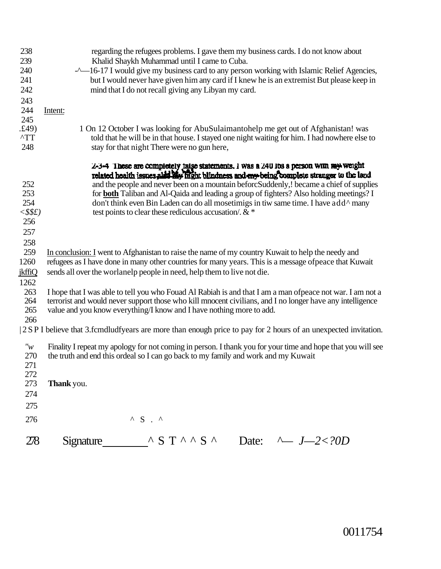| 238<br>239    | regarding the refugees problems. I gave them my business cards. I do not know about<br>Khalid Shaykh Muhammad until I came to Cuba.                                                  |
|---------------|--------------------------------------------------------------------------------------------------------------------------------------------------------------------------------------|
| 240           | -^-16-17 I would give my business card to any person working with Islamic Relief Agencies,                                                                                           |
| 241<br>242    | but I would never have given him any card if I knew he is an extremist But please keep in<br>mind that I do not recall giving any Libyan my card.                                    |
| 243           |                                                                                                                                                                                      |
| 244           | Intent:                                                                                                                                                                              |
| 245           |                                                                                                                                                                                      |
| f(49)         | 1 On 12 October I was looking for AbuSulaimantohelp me get out of Afghanistan! was                                                                                                   |
| $^{\wedge}TT$ | told that he will be in that house. I stayed one night waiting for him. I had nowhere else to                                                                                        |
| 248           | stay for that night There were no gun here,                                                                                                                                          |
|               | 2-3-4 These are completely talge statements. I was a 240 lbs a person with may weight<br>related health issues alast his firght blindness and my being complete stranger to the land |
| 252           | and the people and never been on a mountain beforcSuddenly,! became a chief of supplies                                                                                              |
| 253           | for <b>both</b> Taliban and Al-Qaida and leading a group of fighters? Also holding meetings? I                                                                                       |
| 254           | don't think even Bin Laden can do all mosetimigs in tiw same time. I have add <sup>^</sup> many                                                                                      |
| $<$ \$\$£)    | test points to clear these rediculous accusation. & *                                                                                                                                |
| 256           |                                                                                                                                                                                      |
| 257           |                                                                                                                                                                                      |
| 258           |                                                                                                                                                                                      |
| 259           | In conclusion: I went to Afghanistan to raise the name of my country Kuwait to help the needy and                                                                                    |
| 1260          | refugees as I have done in many other countries for many years. This is a message of peace that Kuwait<br>sends all over the worlanelp people in need, help them to live not die.    |
| jkffiQ        |                                                                                                                                                                                      |
| 1262<br>263   | I hope that I was able to tell you who Fouad Al Rabiah is and that I am a man ofpeace not war. I am not a                                                                            |
| 264           | terrorist and would never support those who kill mnocent civilians, and I no longer have any intelligence                                                                            |
| 265           | value and you know everything/I know and I have nothing more to add.                                                                                                                 |
| 266           |                                                                                                                                                                                      |
|               | 2SP I believe that 3.fcmdludfyears are more than enough price to pay for 2 hours of an unexpected invitation.                                                                        |
| ''w           | Finality I repeat my apology for not coming in person. I thank you for your time and hope that you will see                                                                          |
| 270           | the truth and end this ordeal so I can go back to my family and work and my Kuwait                                                                                                   |
| 271           |                                                                                                                                                                                      |
| 272           |                                                                                                                                                                                      |
| 273           | Thank you.                                                                                                                                                                           |
| 274           |                                                                                                                                                                                      |
| 275           |                                                                                                                                                                                      |
| 276           | $\wedge$ S $\cdot$ $\wedge$                                                                                                                                                          |
| 278           | $\wedge$ S T $\wedge$ $\wedge$ S $\wedge$<br><b>Signature</b><br>Date: $\sim J - 2 < .20D$                                                                                           |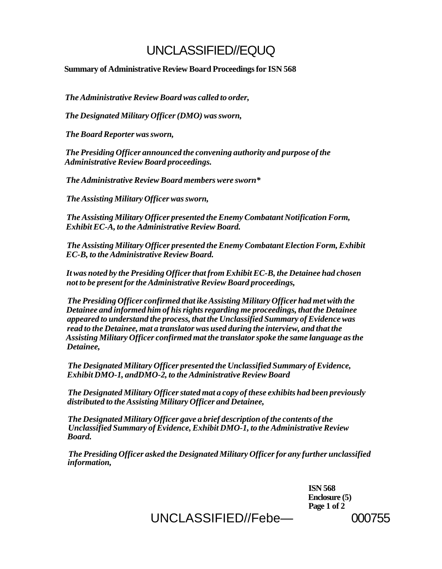# UNCLASSIFIED//EQUQ

#### **Summary of Administrative Review Board Proceedings for ISN 568**

*The Administrative Review Board was called to order,* 

*The Designated Military Officer (DMO) was sworn,* 

*The Board Reporter was sworn,* 

*The Presiding Officer announced the convening authority and purpose of the Administrative Review Board proceedings.* 

*The Administrative Review Board members were sworn\** 

*The Assisting Military Officer was sworn,* 

*The Assisting Military Officer presented the Enemy Combatant Notification Form, Exhibit EC-A, to the Administrative Review Board.* 

*The Assisting Military Officer presented the Enemy Combatant Election Form, Exhibit EC-B, to the Administrative Review Board.* 

*It was noted by the Presiding Officer that from Exhibit EC-B, the Detainee had chosen not to be present for the Administrative Review Board proceedings,* 

*The Presiding Officer confirmed that ike Assisting Military Officer had met with the Detainee and informed him of his rights regarding me proceedings, that the Detainee appeared to understand the process, that the Unclassified Summary of Evidence was read to the Detainee, mat a translator was used during the interview, and that the Assisting Military Officer confirmed mat the translator spoke the same language as the Detainee,* 

*The Designated Military Officer presented the Unclassified Summary of Evidence, Exhibit DMO-1, andDMO-2, to the Administrative Review Board* 

*The Designated Military Officer stated mat a copy of these exhibits had been previously distributed to the Assisting Military Officer and Detainee,* 

*The Designated Military Officer gave a brief description of the contents of the Unclassified Summary of Evidence, Exhibit DMO-1, to the Administrative Review Board.* 

*The Presiding Officer asked the Designated Military Officer for any further unclassified information,* 

> **ISN 568 Enclosure (5) Page 1 of 2**

UNCLASSIFIED//Febe— 000755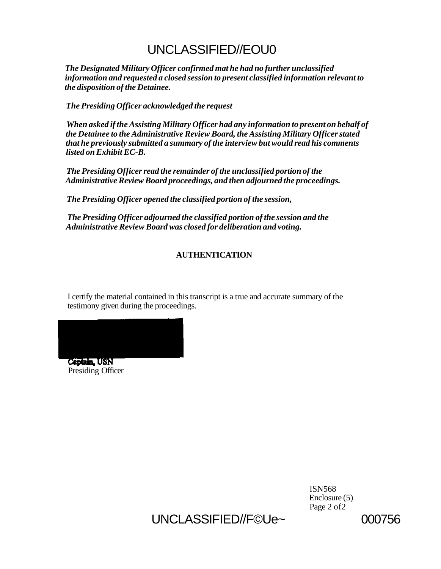# UNCLASSIFIED//EOU0

*The Designated Military Officer confirmed mat he had no further unclassified information and requested a closed session to present classified information relevant to the disposition of the Detainee.* 

*The Presiding Officer acknowledged the request* 

*When asked if the Assisting Military Officer had any information to present on behalf of the Detainee to the Administrative Review Board, the Assisting Military Officer stated that he previously submitted a summary of the interview but would read his comments listed on Exhibit EC-B.* 

*The Presiding Officer read the remainder of the unclassified portion of the Administrative Review Board proceedings, and then adjourned the proceedings.* 

*The Presiding Officer opened the classified portion of the session,* 

*The Presiding Officer adjourned the classified portion of the session and the Administrative Review Board was closed for deliberation and voting.* 

#### **AUTHENTICATION**

I certify the material contained in this transcript is a true and accurate summary of the testimony given during the proceedings.

Captain, USN Presiding Officer

> ISN568 Enclosure (5) Page 2 of2

UNCLASSIFIED//F©Ue~ 000756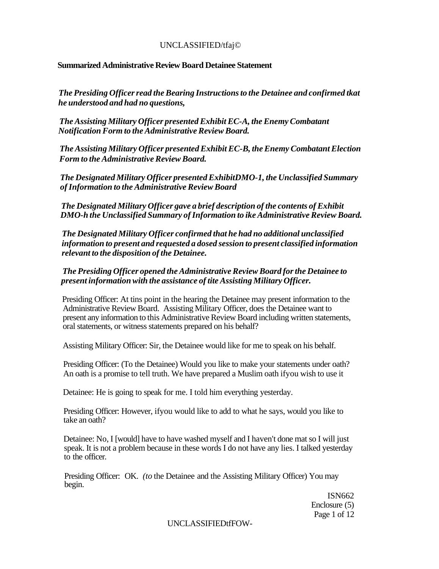#### UNCLASSIFIED/tfaj©

#### **Summarized Administrative Review Board Detainee Statement**

*The Presiding Officer read the Bearing Instructions to the Detainee and confirmed tkat he understood and had no questions,* 

*The Assisting Military Officer presented Exhibit EC-A, the Enemy Combatant Notification Form to the Administrative Review Board.* 

*The Assisting Military Officer presented Exhibit EC-B, the Enemy Combatant Election Form to the Administrative Review Board.* 

*The Designated Military Officer presented ExhibitDMO-1, the Unclassified Summary of Information to the Administrative Review Board* 

*The Designated Military Officer gave a brief description of the contents of Exhibit DMO-h the Unclassified Summary of Information to ike Administrative Review Board.* 

*The Designated Military Officer confirmed that he had no additional unclassified information to present and requested a dosed session to present classified information relevant to the disposition of the Detainee.* 

*The Presiding Officer opened the Administrative Review Board for the Detainee to present information with the assistance of tite Assisting Military Officer.* 

Presiding Officer: At tins point in the hearing the Detainee may present information to the Administrative Review Board. Assisting Military Officer, does the Detainee want to present any information to this Administrative Review Board including written statements, oral statements, or witness statements prepared on his behalf?

Assisting Military Officer: Sir, the Detainee would like for me to speak on his behalf.

Presiding Officer: (To the Detainee) Would you like to make your statements under oath? An oath is a promise to tell truth. We have prepared a Muslim oath ifyou wish to use it

Detainee: He is going to speak for me. I told him everything yesterday.

Presiding Officer: However, ifyou would like to add to what he says, would you like to take an oath?

Detainee: No, I [would] have to have washed myself and I haven't done mat so I will just speak. It is not a problem because in these words I do not have any lies. I talked yesterday to the officer.

Presiding Officer: OK. *(to* the Detainee and the Assisting Military Officer) You may begin.

> ISN662 Enclosure (5) Page 1 of 12

UNCLASSIFIEDtfFOW-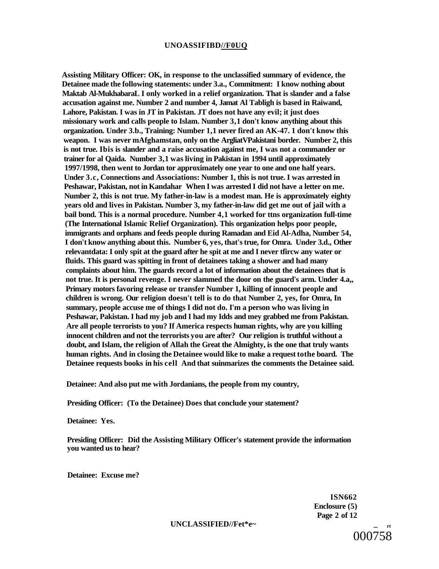#### **UNOASSIFIBD//F0UQ**

**Assisting Military Officer: OK, in response to the unclassified summary of evidence, the Detainee made the following statements: under 3.a., Commitment: I know nothing about Maktab Al-MukhabaraL I only worked in a relief organization. That is slander and a false accusation against me. Number 2 and number 4, Jamat Al Tabligh is based in Raiwand, Lahore, Pakistan. I was in JT in Pakistan. JT does not have any evil; it just does missionary work and calls people to Islam. Number 3,1 don't know anything about this organization. Under 3.b., Training: Number 1,1 never fired an AK-47. 1 don't know this weapon. I was never mAfghamstan, only on the ArgliatVPakistani border. Number 2, this is not true. Ibis is slander and a raise accusation against me, I was not a commander or trainer for al Qaida. Number 3,1 was living in Pakistan in 1994 until approximately 1997/1998, then went to Jordan tor approximately one year to one and one half years. Under 3.c, Connections and Associations: Number 1, this is not true. I was arrested in Peshawar, Pakistan, not in Kandahar When I was arrested I did not have a letter on me. Number 2, this is not true. My father-in-law is a modest man. He is approximately eighty years old and lives in Pakistan. Number 3, my father-in-law did get me out of jail with a bail bond. This is a normal procedure. Number 4,1 worked for ttns organization full-time (The International Islamic Relief Organization). This organization helps poor people, immigrants and orphans and feeds people during Ramadan and Eid Al-Adha, Number 54, I don't know anything about this. Number 6, yes, that's true, for Omra. Under 3.d., Other relevantdata: I only spit at the guard after he spit at me and I never tfircw any water or fluids. This guard was spitting in front of detainees taking a shower and had many complaints about him. The guards record a lot of information about the detainees that is not true. It is personal revenge. I never slammed the door on the guard's arm. Under 4.a,, Primary motors favoring release or transfer Number 1, killing of innocent people and children is wrong. Our religion doesn't tell is to do that Number 2, yes, for Omra, In summary, people accuse me of things I did not do. I'm a person who was living in Peshawar, Pakistan. I had my job and I had my Idds and mey grabbed me from Pakistan. Are all people terrorists to you? If America respects human rights, why are you killing innocent children and not the terrorists you are after? Our religion is truthful without a doubt, and Islam, the religion of Allah the Great the Almighty, is the one that truly wants human rights. And in closing the Detainee would like to make a request tothe board. The Detainee requests books in his cell And that suinmarizes the comments the Detainee said.** 

**Detainee: And also put me with Jordanians, the people from my country,** 

**Presiding Officer: (To the Detainee) Does that conclude your statement?** 

**Detainee: Yes.** 

**Presiding Officer: Did the Assisting Military Officer's statement provide the information you wanted us to hear?** 

**Detainee: Excuse me?** 

**ISN662 Enclosure (5) Page 2 of 12** 

 $UNCLASSIFIED/Fe<sup>*</sup>e~$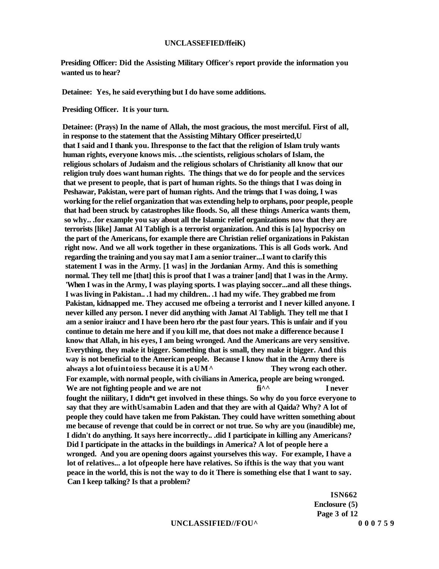**Presiding Officer: Did the Assisting Military Officer's report provide the information you wanted us to hear?** 

**Detainee: Yes, he said everything but I do have some additions.** 

**Presiding Officer. It is your turn.** 

**Detainee: (Prays) In the name of Allah, the most gracious, the most merciful. First of all, in response to the statement that the Assisting Mihtary Officer preseirted,U that I said and I thank you. Ihresponse to the fact that the religion of Islam truly wants human rights, everyone knows mis. ..the scientists, religious scholars of Islam, the religious scholars of Judaism and the religious scholars of Christianity all know that our religion truly does want human rights. The things that we do for people and the services that we present to people, that is part of human rights. So the things that I was doing in Peshawar, Pakistan, were part of human rights. And the trimgs that I was doing, I was working for the relief organization that was extending help to orphans, poor people, people that had been struck by catastrophes like floods. So, all these things America wants them, so why.. .for example you say about all the Islamic relief organizations now that they are terrorists [like] Jamat Al Tabligh is a terrorist organization. And this is [a] hypocrisy on the part of the Americans, for example there are Christian relief organizations in Pakistan right now. And we all work together in these organizations. This is all Gods work. And regarding the training and you say mat I am a senior trainer...I want to clarify this statement I was in the Army. [1 was] in the Jordanian Army. And this is something normal. They tell me [that] this is proof that I was a trainer [and] that I was in the Army. 'When I was in the Army, I was playing sports. I was playing soccer...and all these things. I was living in Pakistan.. .1 had my children.. .1 had my wife. They grabbed me from Pakistan, kidnapped me. They accused me ofbeing a terrorist and I never killed anyone. I never killed any person. I never did anything with Jamat Al Tabligh. They tell me that I am a senior iraiucr and I have been hero rbr the past four years. This is unfair and if you continue to detain me here and if you kill me, that does not make a difference because I know that Allah, in his eyes, I am being wronged. And the Americans are very sensitive. Everything, they make it bigger. Something that is small, they make it bigger. And this way is not beneficial to the American people. Because I know that in the Army there is always a lot ofuintoiess because it is aUM^ They wrong each other. For example, with normal people, with civilians in America, people are being wronged.**  We are not fighting people and we are not **find**  $\mathbf{f}^{\wedge\wedge}$  **I** never **fought the niilitary, I didn\*t get involved in these things. So why do you force everyone to say that they are withUsamabin Laden and that they are with al Qaida? Why? A lot of people they could have taken me from Pakistan. They could have written something about me because of revenge that could be in correct or not true. So why are you (inaudible) me, I didn't do anything. It says here incorrectly.. .did I participate in killing any Americans? Did I participate in the attacks in the buildings in America? A lot of people here a wronged. And you are opening doors against yourselves this way. For example, I have a lot of relatives... a lot ofpeople here have relatives. So ifthis is the way that you want peace in the world, this is not the way to do it There is something else that I want to say. Can I keep talking? Is that a problem?** 

> **ISN662 Enclosure (5) Page 3 of 12**

#### **UNCLASSIFIED//FOU^ 00075 9**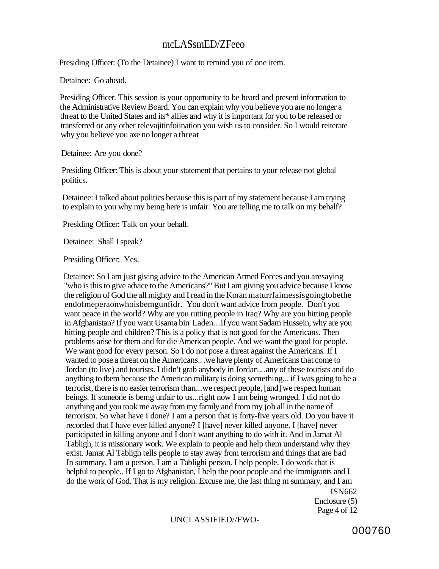### mcLASsmED/ZFeeo

Presiding Officer: (To the Detainee) I want to remind you of one item.

Detainee: Go ahead.

Presiding Officer. This session is your opportunity to be heard and present information to the Administrative Review Board. You can explain why you believe you are no longer a threat to the United States and its\* allies and why it is important for you to be released or transferred or any other relevajitinfoiination you wish us to consider. So I would reiterate why you believe you axe no longer a threat

Detainee: Are you done?

Presiding Officer: This is about your statement that pertains to your release not global politics.

Detainee: I talked about politics because this is part of my statement because I am trying to explain to you why my being here is unfair. You are telling me to talk on my behalf?

Presiding Officer: Talk on your behalf.

Detainee: Shall I speak?

Presiding Officer: Yes.

Detainee: So I am just giving advice to the American Armed Forces and you aresaying "who is this to give advice to the Americans?" But I am giving you advice because I know the religion of God the all mighty and I read in the Koran maturrfaimessisgoingtobethe endofmeperaonwhoisbemgunfidr. You don't want advice from people. Don't you want peace in the world? Why are you rutting people in Iraq? Why are you hitting people in Afghanistan? If you want Usama bin' Laden.. .if you want Sadam Hussein, why are you hitting people and children? This is a policy that is not good for the Americans. Then problems arise for them and for die American people. And we want the good for people. We want good for every person. So I do not pose a threat against the Americans. If I wanted to pose a threat on the Americans.. .we have plenty of Americans that come to Jordan (to live) and tourists. I didn't grab anybody in Jordan.. .any of these tourists and do anything to tbem because the American military is doing something... if I was going to be a terrorist, there is no easier terrorism than...we respect people, [and] we respect human beings. If someorie is bemg unfair to us...right now I am being wronged. I did not do anything and you took me away from my family and from my job all in the name of terrorism. So what have I done? I am a person that is forty-five years old. Do you have it recorded that I have ever killed anyone? I [have] never killed anyone. I [have] never participated in killing anyone and I don't want anything to do with it. And in Jamat Al Tabligh, it is missionary work. We explain to people and help them understand why they exist. Jamat Al Tabligh tells people to stay away from terrorism and things that are bad In summary, I am a person. I am a Tablighi person. I help people. I do work that is helpful to people.. If I go to Afghanistan, I help the poor people and the immigrants and I do the work of God. That is my religion. Excuse me, the last thing m summary, and I am

ISN662 Enclosure (5) Page 4 of 12

#### UNCLASSIFIED//FWO-

000760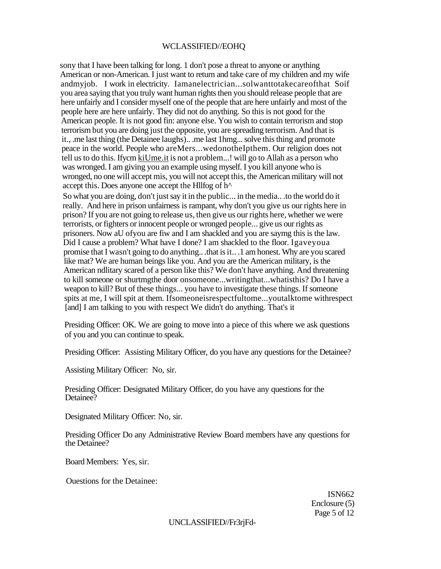#### WCLASSIFIED//EOHQ

sony that I have been talking for long. 1 don't pose a threat to anyone or anything American or non-American. I just want to return and take care of my children and my wife andmyjob. I work in electricity. Iamanelectrician...solwanttotakecareofthat Soif you area saying that you truly want human rights then you should release people that are here unfairly and I consider myself one of the people that are here unfairly and most of the people here are here unfairly. They did not do anything. So this is not good for the American people. It is not good fin: anyone else. You wish to contain terrorism and stop terrorism but you are doing just the opposite, you are spreading terrorism. And that is it., .me last thing (the Detainee laughs).. .me last 1hmg... solve this thing and promote peace in the world. People who areMers...wedonotheIpthem. Our religion does not tell us to do this. Ifycm [kiUme.it i](http://kiUme.it)s not a problem...! will go to Allah as a person who was wronged. I am giving you an example using myself. I you kill anyone who is wronged, no one will accept mis, you will not accept this, the American military will not accept this. Does anyone one accept the Hllfog of h^

So what you are doing, don't just say it in the public... in the media.. .to the world do it really. And here in prison unfairness is rampant, why don't you give us our rights here in prison? If you are not going to release us, then give us our rights here, whether we were terrorists, or fighters or innocent people or wronged people... give us our rights as prisoners. Now aU ofyou are fiw and I am shackled and you are saymg this is the law. Did I cause a problem? What have I done? I am shackled to the floor. Igaveyoua promise that I wasn't going to do anything.. .that is it.. .1 am honest. Why are you scared like mat? We are human beings like you. And you are the American military, is the American ndlitary scared of a person like this? We don't have anything. And threatening to kill someone or shurtmgthe door onsomeone...writingthat...whatisthis? Do I have a weapon to kill? But of these things... you have to investigate these things. If someone spits at me, I will spit at them. Ifsomeoneisrespectfultome...youtalktome withrespect [and] I am talking to you with respect We didn't do anything. That's it

Presiding Officer: OK. We are going to move into a piece of this where we ask questions of you and you can continue to speak.

Presiding Officer: Assisting Military Officer, do you have any questions for the Detainee?

Assisting Military Officer: No, sir.

Presiding Officer: Designated Military Officer, do you have any questions for the Detainee?

Designated Military Officer: No, sir.

Presiding Officer Do any Administrative Review Board members have any questions for the Detainee?

Board Members: Yes, sir.

Ouestions for the Detainee:

ISN662 Enclosure (5) Page 5 of 12

#### UNCLASSlFIED//Fr3rjFd-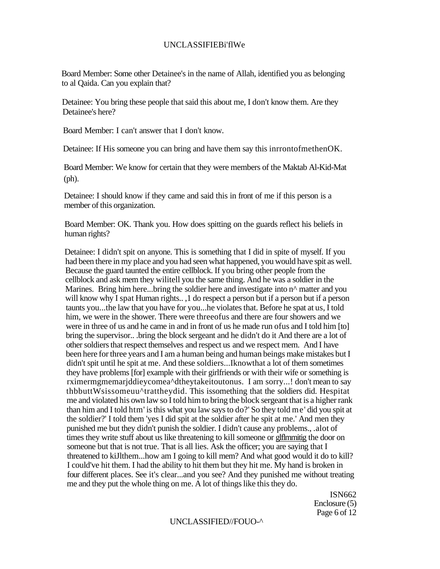#### UNCLASSIFIEBi'flWe

Board Member: Some other Detainee's in the name of Allah, identified you as belonging to al Qaida. Can you explain that?

Detainee: You bring these people that said this about me, I don't know them. Are they Detainee's here?

Board Member: I can't answer that I don't know.

Detainee: If His someone you can bring and have them say this inrrontofmethenOK.

Board Member: We know for certain that they were members of the Maktab Al-Kid-Mat (ph).

Detainee: I should know if they came and said this in front of me if this person is a member of this organization.

Board Member: OK. Thank you. How does spitting on the guards reflect his beliefs in human rights?

Detainee: I didn't spit on anyone. This is something that I did in spite of myself. If you had been there in my place and you had seen what happened, you would have spit as well. Because the guard taunted the entire cellblock. If you bring other people from the cellblock and ask mem they wilitell you the same thing. And he was a soldier in the Marines. Bring him here...bring the soldier here and investigate into n<sup> $\land$ </sup> matter and you will know why I spat Human rights..., 1 do respect a person but if a person but if a person taunts you...the law that you have for you...he violates that. Before he spat at us, I told him, we were in the shower. There were threeofus and there are four showers and we were in three of us and he came in and in front of us he made run of us and I told him [to] bring the supervisor.. .bring the block sergeant and he didn't do it And there are a lot of other soldiers that respect themselves and respect us and we respect mem. And I have been here for three years and I am a human being and human beings make mistakes but I didn't spit until he spit at me. And these soldiers...Iknowthat a lot of them sometimes they have problems [for] example with their girlfriends or with their wife or something is rximermgmemarjddieycomea^dtheytakeitoutonus. I am sorry...! don't mean to say thbbuttWsissomeuu^trattheydid. This issomething that the soldiers did. Hespitat me and violated his own law so I told him to bring the block sergeant that is a higher rank than him and I told htm' is this what you law says to do?' So they told me' did you spit at the soldier?' I told them 'yes I did spit at the soldier after he spit at me.' And men they punished me but they didn't punish the soldier. I didn't cause any problems., .alot of times they write stuff about us like threatening to kill someone or glflmmitig the door on someone but that is not true. That is all lies. Ask the officer; you are saying that I threatened to kiJlthem...how am I going to kill mem? And what good would it do to kill? I could've hit them. I had the ability to hit them but they hit me. My hand is broken in four different places. See it's clear...and you see? And they punished me without treating me and they put the whole thing on me. A lot of things like this they do.

> ISN662 Enclosure (5) Page 6 of 12

#### UNCLASSIFIED//FOUO-^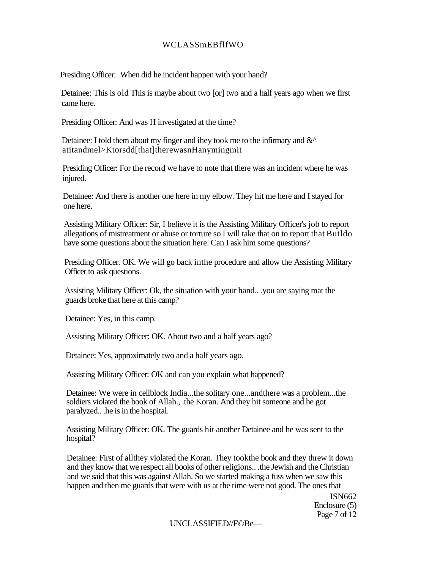# WCLASSmEBflfWO

Presiding Officer: When did he incident happen with your hand?

Detainee: This is old This is maybe about two [or] two and a half years ago when we first came here.

Presiding Officer: And was H investigated at the time?

Detainee: I told them about my finger and ihey took me to the infirmary and  $\&^{\wedge}$ atitandmel>Ktorsdd[that]therewasnHanymingmit

Presiding Officer: For the record we have to note that there was an incident where he was injured.

Detainee: And there is another one here in my elbow. They hit me here and I stayed for one here.

Assisting Military Officer: Sir, I believe it is the Assisting Military Officer's job to report allegations of mistreatment or abuse or torture so I will take that on to report that Butldo have some questions about the situation here. Can I ask him some questions?

Presiding Officer. OK. We will go back inthe procedure and allow the Assisting Military Officer to ask questions.

Assisting Military Officer: Ok, the situation with your hand.. .you are saying mat the guards broke that here at this camp?

Detainee: Yes, in this camp.

Assisting Military Officer: OK. About two and a half years ago?

Detainee: Yes, approximately two and a half years ago.

Assisting Military Officer: OK and can you explain what happened?

Detainee: We were in cellblock India...the solitary one...andthere was a problem...the soldiers violated the book of Allah., .the Koran. And they hit someone and he got paralyzed.. .he is in the hospital.

Assisting Military Officer: OK. The guards hit another Detainee and he was sent to the hospital?

Detainee: First of allthey violated the Koran. They tookthe book and they threw it down and they know that we respect all books of other religions.. .the Jewish and the Christian and we said that this was against Allah. So we started making a fuss when we saw this happen and then me guards that were with us at the time were not good. The ones that

> ISN662 Enclosure (5) Page 7 of 12

UNCLASSIFIED//F©Be—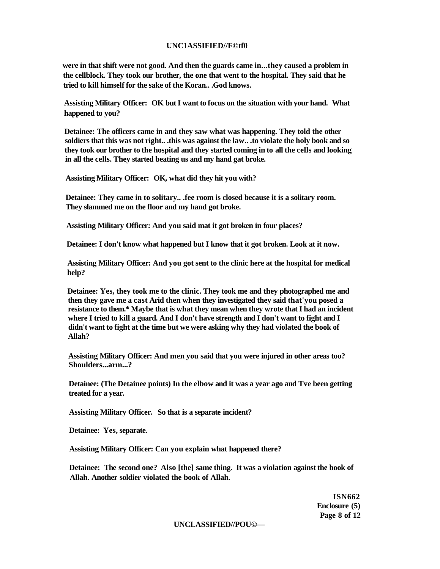#### **UNC1ASSIFIED//F©tf0**

**were in that shift were not good. And then the guards came in...they caused a problem in the cellblock. They took our brother, the one that went to the hospital. They said that he tried to kill himself for the sake of the Koran.. .God knows.** 

**Assisting Military Officer: OK but I want to focus on the situation with your hand. What happened to you?** 

**Detainee: The officers came in and they saw what was happening. They told the other soldiers that this was not right.. .this was against the law.. .to violate the holy book and so they took our brother to the hospital and they started coming in to all the cells and looking in all the cells. They started beating us and my hand gat broke.** 

**Assisting Military Officer: OK, what did they hit you with?** 

**Detainee: They came in to solitary.. .fee room is closed because it is a solitary room. They slammed me on the floor and my hand got broke.** 

**Assisting Military Officer: And you said mat it got broken in four places?** 

**Detainee: I don't know what happened but I know that it got broken. Look at it now.** 

**Assisting Military Officer: And you got sent to the clinic here at the hospital for medical help?** 

**Detainee: Yes, they took me to the clinic. They took me and they photographed me and then they gave me a cast Arid then when they investigated they said that'you posed a resistance to them.\* Maybe that is what they mean when they wrote that I had an incident where I tried to kill a guard. And I don't have strength and I don't want to fight and I didn't want to fight at the time but we were asking why they had violated the book of Allah?** 

**Assisting Military Officer: And men you said that you were injured in other areas too? Shoulders...arm...?** 

**Detainee: (The Detainee points) In the elbow and it was a year ago and Tve been getting treated for a year.** 

**Assisting Military Officer. So that is a separate incident?** 

**Detainee: Yes, separate.** 

**Assisting Military Officer: Can you explain what happened there?** 

**Detainee: The second one? Also [the] same thing. It was a violation against the book of Allah. Another soldier violated the book of Allah.** 

> **ISN662 Enclosure (5) Page 8 of 12**

**UNCLASSIFIED//POU©—**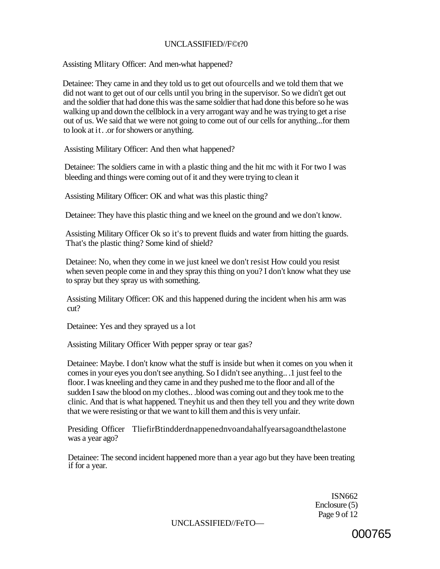## UNCLASSIFIED//F©t?0

Assisting Mlitary Officer: And men-what happened?

Detainee: They came in and they told us to get out ofourcells and we told them that we did not want to get out of our cells until you bring in the supervisor. So we didn't get out and the soldier that had done this was the same soldier that had done this before so he was walking up and down the cellblock in a very arrogant way and he was trying to get a rise out of us. We said that we were not going to come out of our cells for anything...for them to look at it. .or for showers or anything.

Assisting Military Officer: And then what happened?

Detainee: The soldiers came in with a plastic thing and the hit mc with it For two I was bleeding and things were coming out of it and they were trying to clean it

Assisting Military Officer: OK and what was this plastic thing?

Detainee: They have this plastic thing and we kneel on the ground and we don't know.

Assisting Military Officer Ok so it's to prevent fluids and water from hitting the guards. That's the plastic thing? Some kind of shield?

Detainee: No, when they come in we just kneel we don't resist How could you resist when seven people come in and they spray this thing on you? I don't know what they use to spray but they spray us with something.

Assisting Military Officer: OK and this happened during the incident when his arm was cut?

Detainee: Yes and they sprayed us a lot

Assisting Military Officer With pepper spray or tear gas?

Detainee: Maybe. I don't know what the stuff is inside but when it comes on you when it comes in your eyes you don't see anything. So I didn't see anything.. .1 just feel to the floor. I was kneeling and they came in and they pushed me to the floor and all of the sudden I saw the blood on my clothes.. .blood was coming out and they took me to the clinic. And that is what happened. Tneyhit us and then they tell you and they write down that we were resisting or that we want to kill them and this is very unfair.

Presiding Officer TliefirBtindderdnappenednvoandahalfyearsagoandthelastone was a year ago?

Detainee: The second incident happened more than a year ago but they have been treating if for a year.

> ISN662 Enclosure (5) Page 9 of 12

UNCLASSIFIED//FeTO—

000765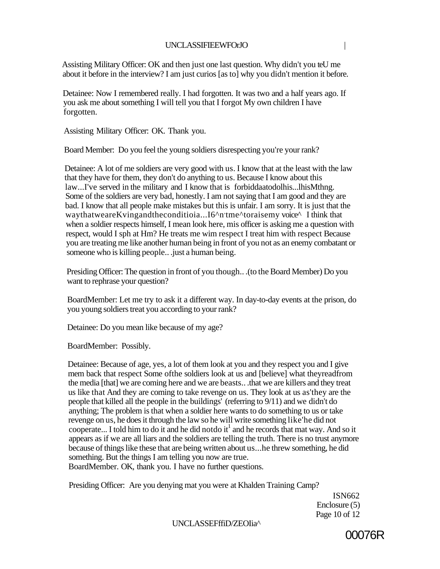#### UNCLASSIFIEEWFOrJO |

Assisting Military Officer: OK and then just one last question. Why didn't you teU me about it before in the interview? I am just curios [as to] why you didn't mention it before.

Detainee: Now I remembered really. I had forgotten. It was two and a half years ago. If you ask me about something I will tell you that I forgot My own children I have forgotten.

Assisting Military Officer: OK. Thank you.

Board Member: Do you feel the young soldiers disrespecting you're your rank?

Detainee: A lot of me soldiers are very good with us. I know that at the least with the law that they have for them, they don't do anything to us. Because I know about this law...I've served in the military and I know that is forbiddaatodolhis...lhisMthng. Some of the soldiers are very bad, honestly. I am not saying that I am good and they are bad. I know that all people make mistakes but this is unfair. I am sorry. It is just that the waythatweareKvingandtheconditioia...I6^n'tme^toraisemy voice^ I think that when a soldier respects himself, I mean look here, mis officer is asking me a question with respect, would I sph at Hm? He treats me wim respect I treat him with respect Because you are treating me like another human being in front of you not as an enemy combatant or someone who is killing people.. .just a human being.

Presiding Officer: The question in front of you though.. .(to the Board Member) Do you want to rephrase your question?

BoardMember: Let me try to ask it a different way. In day-to-day events at the prison, do you young soldiers treat you according to your rank?

Detainee: Do you mean like because of my age?

BoardMember: Possibly.

Detainee: Because of age, yes, a lot of them look at you and they respect you and I give mem back that respect Some ofthe soldiers look at us and [believe] what theyreadfrom the media [that] we are coming here and we are beasts.. .that we are killers and they treat us like that And they are coming to take revenge on us. They look at us as'they are the people that killed all the people in the buildings' (referring to 9/11) and we didn't do anything; The problem is that when a soldier here wants to do something to us or take revenge on us, he does it through the law so he will write something like'he did not cooperate... I told him to do it and he did notdo it<sup>1</sup> and he records that mat way. And so it appears as if we are all liars and the soldiers are telling the truth. There is no trust anymore because of things like these that are being written about us...he threw something, he did something. But the things I am telling you now are true. BoardMember. OK, thank you. I have no further questions.

Presiding Officer: Are you denying mat you were at Khalden Training Camp?

ISN662 Enclosure (5) Page 10 of 12

UNCLASSEFffiD/ZEOIia^

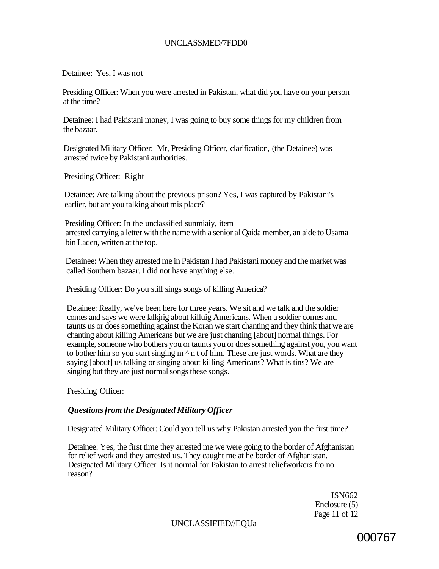### UNCLASSMED/7FDD0

Detainee: Yes, I was not

Presiding Officer: When you were arrested in Pakistan, what did you have on your person at the time?

Detainee: I had Pakistani money, I was going to buy some things for my children from the bazaar.

Designated Military Officer: Mr, Presiding Officer, clarification, (the Detainee) was arrested twice by Pakistani authorities.

Presiding Officer: Right

Detainee: Are talking about the previous prison? Yes, I was captured by Pakistani's earlier, but are you talking about mis place?

Presiding Officer: In the unclassified sunmiaiy, item arrested carrying a letter with the name with a senior al Qaida member, an aide to Usama bin Laden, written at the top.

Detainee: When they arrested me in Pakistan I had Pakistani money and the market was called Southern bazaar. I did not have anything else.

Presiding Officer: Do you still sings songs of killing America?

Detainee: Really, we've been here for three years. We sit and we talk and the soldier comes and says we were lalkjrig about killuig Americans. When a soldier comes and taunts us or does something against the Koran we start chanting and they think that we are chanting about killing Americans but we are just chanting [about] normal things. For example, someone who bothers you or taunts you or does something against you, you want to bother him so you start singing  $m \wedge n$  t of him. These are just words. What are they saying [about] us talking or singing about killing Americans? What is tins? We are singing but they are just normal songs these songs.

Presiding Officer:

#### *Questions from the Designated Military Officer*

Designated Military Officer: Could you tell us why Pakistan arrested you the first time?

Detainee: Yes, the first time they arrested me we were going to the border of Afghanistan for relief work and they arrested us. They caught me at he border of Afghanistan. Designated Military Officer: Is it normal for Pakistan to arrest reliefworkers fro no reason?

> ISN662 Enclosure (5) Page 11 of 12

UNCLASSIFIED//EQUa

000767